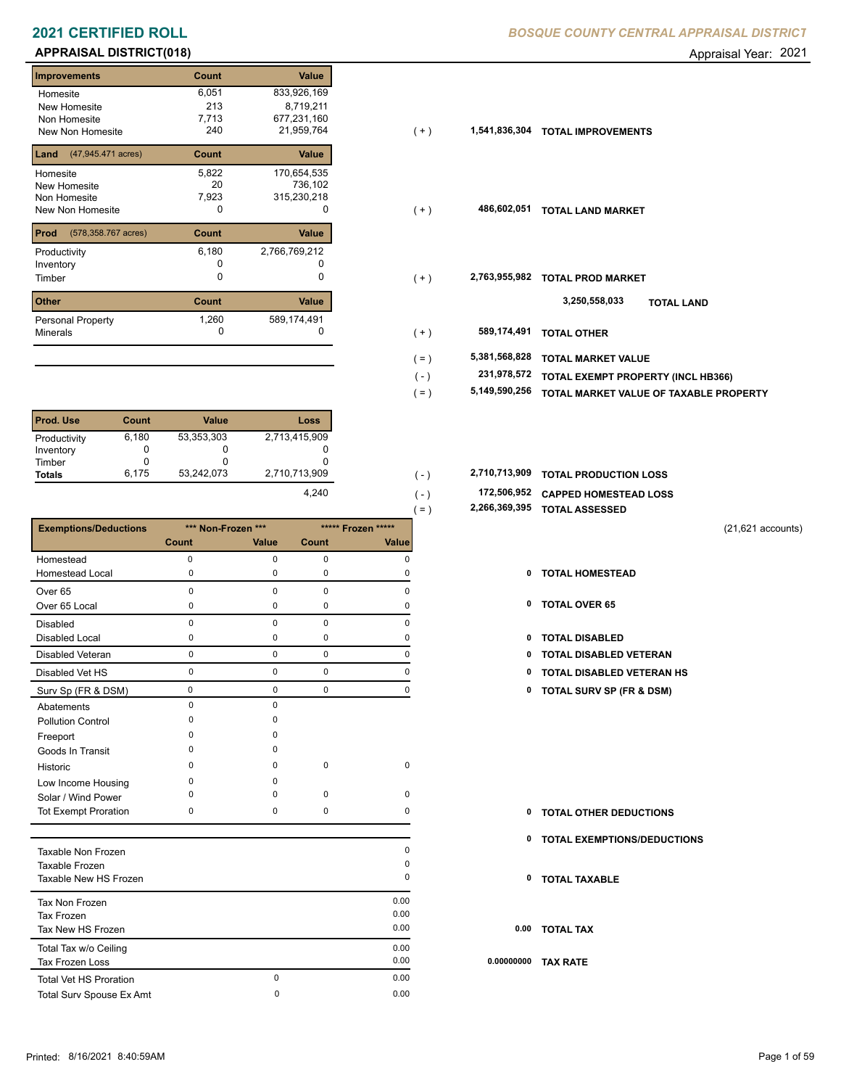# **APPRAISAL DISTRICT(018)** Appraisal Year: 2021

| <b>Improvements</b>         | Count | <b>Value</b>  |
|-----------------------------|-------|---------------|
| Homesite                    | 6,051 | 833,926,169   |
| New Homesite                | 213   | 8,719,211     |
| Non Homesite                | 7,713 | 677,231,160   |
| New Non Homesite            | 240   | 21,959,764    |
| (47,945.471 acres)<br>Land  | Count | Value         |
| Homesite                    | 5,822 | 170,654,535   |
| <b>New Homesite</b>         | 20    | 736,102       |
| Non Homesite                | 7,923 | 315,230,218   |
| New Non Homesite            | O     | O             |
| Prod<br>(578,358.767 acres) | Count | Value         |
| Productivity                | 6,180 | 2,766,769,212 |
| Inventory                   |       |               |
| Timber                      | U     | O             |
| <b>Other</b>                | Count | Value         |
| Personal Property           | 1,260 | 589,174,491   |
| <b>Minerals</b>             | 0     |               |

| <b>Prod. Use</b> | Count | <b>Value</b> | Loss          |
|------------------|-------|--------------|---------------|
| Productivity     | 6,180 | 53,353,303   | 2,713,415,909 |
| Inventory        | 0     |              |               |
| Timber           |       | O            |               |
| <b>Totals</b>    | 6.175 | 53,242,073   | 2,710,713,909 |
|                  |       |              | 4.240         |

|                               |             |                    |              | $($ – $)$          |      | <b>AND THE MODERN CONTROL</b>       |
|-------------------------------|-------------|--------------------|--------------|--------------------|------|-------------------------------------|
| <b>Exemptions/Deductions</b>  |             | *** Non-Frozen *** |              | ***** Frozen ***** |      | $(21,621$ accounts)                 |
|                               | Count       | Value              | <b>Count</b> | Value              |      |                                     |
| Homestead                     | $\mathbf 0$ | $\mathbf 0$        | $\mathbf 0$  | 0                  |      |                                     |
| <b>Homestead Local</b>        | $\mathbf 0$ | 0                  | $\mathbf 0$  | 0                  | 0    | <b>TOTAL HOMESTEAD</b>              |
| Over <sub>65</sub>            | $\mathbf 0$ | $\mathbf 0$        | $\mathbf 0$  | $\Omega$           |      |                                     |
| Over 65 Local                 | 0           | 0                  | 0            | 0                  |      | 0 TOTAL OVER 65                     |
| <b>Disabled</b>               | $\mathbf 0$ | $\mathbf 0$        | $\mathbf 0$  | 0                  |      |                                     |
| <b>Disabled Local</b>         | 0           | 0                  | 0            | 0                  | 0    | <b>TOTAL DISABLED</b>               |
| <b>Disabled Veteran</b>       | $\mathsf 0$ | 0                  | $\mathbf 0$  | 0                  | 0    | <b>TOTAL DISABLED VETERAN</b>       |
| Disabled Vet HS               | $\mathbf 0$ | 0                  | $\mathbf 0$  | $\mathbf 0$        | 0    | <b>TOTAL DISABLED VETERAN HS</b>    |
| Surv Sp (FR & DSM)            | $\mathbf 0$ | $\mathbf 0$        | $\mathbf 0$  | $\mathbf 0$        | 0    | <b>TOTAL SURV SP (FR &amp; DSM)</b> |
| Abatements                    | $\mathbf 0$ | $\Omega$           |              |                    |      |                                     |
| <b>Pollution Control</b>      | $\mathbf 0$ | 0                  |              |                    |      |                                     |
| Freeport                      | $\Omega$    | $\Omega$           |              |                    |      |                                     |
| Goods In Transit              | $\Omega$    | $\Omega$           |              |                    |      |                                     |
| Historic                      | $\Omega$    | $\Omega$           | 0            | 0                  |      |                                     |
| Low Income Housing            | 0           | O                  |              |                    |      |                                     |
| Solar / Wind Power            | $\Omega$    | $\Omega$           | $\mathbf 0$  | 0                  |      |                                     |
| <b>Tot Exempt Proration</b>   | 0           | 0                  | $\mathbf 0$  | 0                  | 0    | <b>TOTAL OTHER DEDUCTIONS</b>       |
|                               |             |                    |              |                    |      | 0 TOTAL EXEMPTIONS/DEDUCTIONS       |
| Taxable Non Frozen            |             |                    |              | 0                  |      |                                     |
| Taxable Frozen                |             |                    |              | $\Omega$           |      |                                     |
| Taxable New HS Frozen         |             |                    |              | 0                  | 0    | <b>TOTAL TAXABLE</b>                |
| Tax Non Frozen                |             |                    |              | 0.00               |      |                                     |
| <b>Tax Frozen</b>             |             |                    |              | 0.00               |      |                                     |
| Tax New HS Frozen             |             |                    |              | 0.00               | 0.00 | <b>TOTAL TAX</b>                    |
| Total Tax w/o Ceiling         |             |                    |              | 0.00               |      |                                     |
| <b>Tax Frozen Loss</b>        |             |                    |              | 0.00               |      | 0.00000000 TAX RATE                 |
| <b>Total Vet HS Proration</b> |             | $\mathbf 0$        |              | 0.00               |      |                                     |
| Total Surv Spouse Ex Amt      |             | 0                  |              | 0.00               |      |                                     |

**2021 CERTIFIED ROLL** *BOSQUE COUNTY CENTRAL APPRAISAL DISTRICT*

| Homesite                                 | 6,051 | 833,926,169   |           |               |                                    |
|------------------------------------------|-------|---------------|-----------|---------------|------------------------------------|
| New Homesite                             | 213   | 8,719,211     |           |               |                                    |
| Non Homesite                             | 7,713 | 677,231,160   |           |               |                                    |
| New Non Homesite                         | 240   | 21,959,764    | $(+)$     | 1,541,836,304 | <b>TOTAL IMPROVEMENTS</b>          |
| <b>Land</b> $(47,945.471 \text{ acres})$ | Count | Value         |           |               |                                    |
| Homesite                                 | 5,822 | 170,654,535   |           |               |                                    |
| New Homesite                             | 20    | 736,102       |           |               |                                    |
| Non Homesite                             | 7,923 | 315,230,218   |           |               |                                    |
| New Non Homesite                         | 0     | 0             | $(+)$     | 486,602,051   | <b>TOTAL LAND MARKET</b>           |
| <b>Prod</b> (578,358.767 acres)          | Count | Value         |           |               |                                    |
|                                          |       |               |           |               |                                    |
| Productivity                             | 6,180 | 2,766,769,212 |           |               |                                    |
| Inventory                                |       |               |           |               |                                    |
| Timber                                   | 0     | 0             | $(+)$     | 2,763,955,982 | <b>TOTAL PROD MARKET</b>           |
|                                          |       |               |           |               |                                    |
| Other                                    | Count | Value         |           |               | 3,250,558,033<br><b>TOTAL LAND</b> |
| Personal Property                        | 1,260 | 589,174,491   |           |               |                                    |
| Minerals                                 | 0     | 0             | $(+)$     | 589,174,491   | <b>TOTAL OTHER</b>                 |
|                                          |       |               |           |               |                                    |
|                                          |       |               | (=)       | 5,381,568,828 | <b>TOTAL MARKET VALUE</b>          |
|                                          |       |               | $(\cdot)$ | 231,978,572   | TOTAL EXEMPT PROPERTY (INCL HB366) |
|                                          |       |               |           |               |                                    |

- **5,149,590,256 TOTAL MARKET VALUE OF TAXABLE PROPERTY** ( = )
- **TOTAL PRODUCTION LOSS** 2,710,713,909 **2,710,713,909** ( )
	- **172,506,952 CAPPED HOMESTEAD LOSS**
	- **2,266,369,395 TOTAL ASSESSED** ( = )

 $( - )$ 

- 
- 
- 
- 
- 0 0 0 0 **0 TOTAL DISABLED VETERAN HS**
- Surv Sp (FR & DSM) 0 0 0 0 **0 TOTAL SURV SP (FR & DSM)**
- **TOTAL OTHER DEDUCTIONS 0**
- **0 TOTAL EXEMPTIONS/DEDUCTIONS**
- **0 TOTAL TAXABLE**
- **0.00 TOTAL TAX**
- **0.00000000 TAX RATE**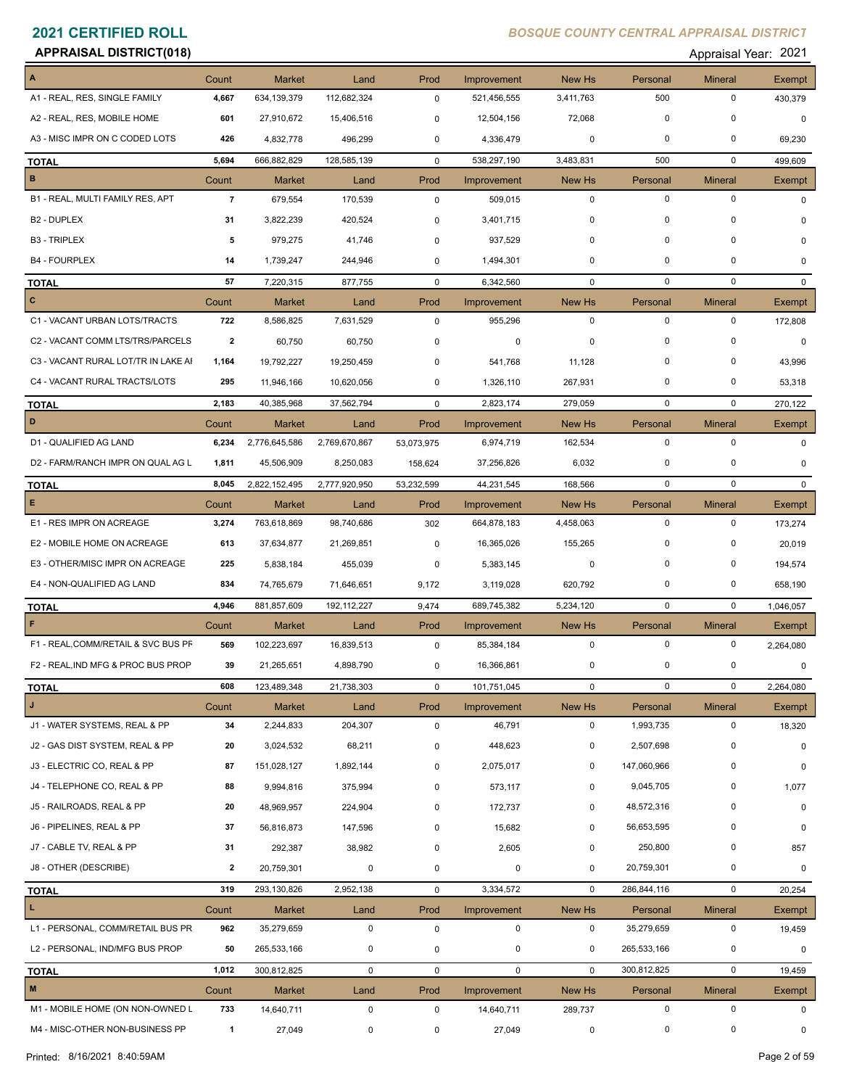### **APPRAISAL DISTRICT(018)** Appraisal Year: 2021

| Appraisal Year: 202 |  |
|---------------------|--|
|---------------------|--|

| A                                   | Count          | <b>Market</b> | Land          | Prod         | Improvement | New Hs      | Personal    | <b>Mineral</b> | Exempt       |
|-------------------------------------|----------------|---------------|---------------|--------------|-------------|-------------|-------------|----------------|--------------|
| A1 - REAL, RES, SINGLE FAMILY       | 4,667          | 634,139,379   | 112,682,324   | $\mathbf 0$  | 521,456,555 | 3,411,763   | 500         | $\pmb{0}$      | 430,379      |
| A2 - REAL, RES, MOBILE HOME         | 601            | 27,910,672    | 15,406,516    | $\mathbf 0$  | 12,504,156  | 72,068      | $\mathbf 0$ | 0              | $\mathbf 0$  |
| A3 - MISC IMPR ON C CODED LOTS      | 426            | 4,832,778     | 496,299       | 0            | 4,336,479   | 0           | $\mathbf 0$ | 0              | 69,230       |
| <b>TOTAL</b>                        | 5,694          | 666,882,829   | 128,585,139   | $\mathbf 0$  | 538,297,190 | 3,483,831   | 500         | $\mathbf 0$    | 499,609      |
| В                                   | Count          | <b>Market</b> | Land          | Prod         | Improvement | New Hs      | Personal    | Mineral        | Exempt       |
| B1 - REAL, MULTI FAMILY RES, APT    | $\overline{7}$ | 679,554       | 170,539       | $\mathsf 0$  | 509,015     | 0           | $\mathbf 0$ | $\mathbf 0$    | $\Omega$     |
| B <sub>2</sub> - DUPLEX             | 31             | 3,822,239     | 420,524       | $\mathbf 0$  | 3,401,715   | 0           | 0           | 0              | 0            |
| <b>B3 - TRIPLEX</b>                 | 5              | 979,275       | 41,746        | $\mathbf 0$  | 937,529     | 0           | $\mathbf 0$ | 0              | 0            |
| <b>B4 - FOURPLEX</b>                | 14             | 1,739,247     | 244,946       | $\mathbf 0$  | 1,494,301   | 0           | 0           | 0              | $\mathbf{0}$ |
| <b>TOTAL</b>                        | 57             | 7,220,315     | 877,755       | $\mathbf 0$  | 6,342,560   | $\mathbf 0$ | $\mathbf 0$ | $\mathbf 0$    | $\mathbf{0}$ |
| c                                   | Count          | <b>Market</b> | Land          | Prod         | Improvement | New Hs      | Personal    | <b>Mineral</b> | Exempt       |
| C1 - VACANT URBAN LOTS/TRACTS       | 722            | 8,586,825     | 7,631,529     | $\mathbf 0$  | 955,296     | $\mathbf 0$ | $\mathbf 0$ | $\mathbf 0$    | 172,808      |
| C2 - VACANT COMM LTS/TRS/PARCELS    | $\overline{2}$ | 60,750        | 60,750        | $\mathbf 0$  | 0           | 0           | $\mathbf 0$ | 0              | $\mathbf 0$  |
| C3 - VACANT RURAL LOT/TR IN LAKE AI | 1,164          | 19,792,227    | 19,250,459    | $\mathbf 0$  | 541,768     | 11,128      | $\mathbf 0$ | 0              | 43,996       |
| C4 - VACANT RURAL TRACTS/LOTS       | 295            | 11,946,166    |               | $\mathbf 0$  | 1,326,110   |             | $\mathbf 0$ | 0              |              |
|                                     |                |               | 10,620,056    |              |             | 267,931     |             |                | 53,318       |
| <b>TOTAL</b>                        | 2,183          | 40,385,968    | 37,562,794    | $\mathbf 0$  | 2,823,174   | 279,059     | $\mathbf 0$ | $\mathbf 0$    | 270,122      |
| D                                   | Count          | <b>Market</b> | Land          | Prod         | Improvement | New Hs      | Personal    | <b>Mineral</b> | Exempt       |
| D1 - QUALIFIED AG LAND              | 6,234          | 2,776,645,586 | 2,769,670,867 | 53,073,975   | 6,974,719   | 162,534     | $\mathbf 0$ | $\mathbf 0$    | 0            |
| D2 - FARM/RANCH IMPR ON QUAL AG L   | 1,811          | 45,506,909    | 8,250,083     | 158,624      | 37,256,826  | 6,032       | 0           | 0              | $\mathbf{0}$ |
| <b>TOTAL</b>                        | 8,045          | 2,822,152,495 | 2,777,920,950 | 53,232,599   | 44,231,545  | 168,566     | $\mathbf 0$ | $\mathbf 0$    | $\mathbf{0}$ |
| E.                                  | Count          | <b>Market</b> | Land          | Prod         | Improvement | New Hs      | Personal    | <b>Mineral</b> | Exempt       |
| E1 - RES IMPR ON ACREAGE            | 3,274          | 763,618,869   | 98,740,686    | 302          | 664,878,183 | 4,458,063   | $\mathbf 0$ | 0              | 173,274      |
| E2 - MOBILE HOME ON ACREAGE         | 613            | 37,634,877    | 21,269,851    | $\mathbf 0$  | 16,365,026  | 155,265     | $\mathbf 0$ | 0              | 20,019       |
| E3 - OTHER/MISC IMPR ON ACREAGE     | 225            | 5,838,184     | 455,039       | $\mathbf 0$  | 5,383,145   | 0           | $\mathbf 0$ | 0              | 194,574      |
| E4 - NON-QUALIFIED AG LAND          | 834            | 74,765,679    | 71,646,651    | 9,172        | 3,119,028   | 620,792     | $\mathbf 0$ | 0              | 658,190      |
| <b>TOTAL</b>                        | 4,946          | 881,857,609   | 192, 112, 227 | 9,474        | 689,745,382 | 5,234,120   | $\mathbf 0$ | $\mathbf 0$    | 1,046,057    |
| F                                   | Count          | <b>Market</b> | Land          | Prod         | Improvement | New Hs      | Personal    | <b>Mineral</b> | Exempt       |
| F1 - REAL, COMM/RETAIL & SVC BUS PF | 569            | 102,223,697   | 16,839,513    | 0            | 85,384,184  | 0           | $\mathbf 0$ | $\mathbf 0$    | 2,264,080    |
| F2 - REAL, IND MFG & PROC BUS PROP  | 39             | 21,265,651    | 4,898,790     | 0            | 16,366,861  | 0           | 0           | $\mathbf 0$    | 0            |
| <b>TOTAL</b>                        | 608            | 123,489,348   | 21,738,303    | 0            | 101,751,045 | 0           | $\mathbf 0$ | $\pmb{0}$      | 2,264,080    |
| J                                   | Count          | Market        | Land          | Prod         | Improvement | New Hs      | Personal    | <b>Mineral</b> | Exempt       |
| J1 - WATER SYSTEMS, REAL & PP       | 34             | 2,244,833     | 204,307       | $\mathbf 0$  | 46,791      | 0           | 1,993,735   | 0              | 18,320       |
| J2 - GAS DIST SYSTEM, REAL & PP     | 20             | 3,024,532     | 68,211        | 0            | 448,623     | 0           | 2,507,698   | $\pmb{0}$      | 0            |
| J3 - ELECTRIC CO, REAL & PP         | 87             | 151,028,127   | 1,892,144     | 0            | 2,075,017   | 0           | 147,060,966 | $\pmb{0}$      | 0            |
| J4 - TELEPHONE CO, REAL & PP        | 88             | 9,994,816     | 375,994       |              | 573,117     | 0           | 9,045,705   | $\pmb{0}$      |              |
|                                     |                |               |               | 0            |             |             |             | 0              | 1,077        |
| J5 - RAILROADS, REAL & PP           | 20             | 48,969,957    | 224,904       | 0            | 172,737     | 0           | 48,572,316  |                | $\mathbf 0$  |
| J6 - PIPELINES, REAL & PP           | 37             | 56,816,873    | 147,596       | 0            | 15,682      | 0           | 56,653,595  | 0              | 0            |
| J7 - CABLE TV, REAL & PP            | 31             | 292,387       | 38,982        | 0            | 2,605       | 0           | 250,800     | 0              | 857          |
| J8 - OTHER (DESCRIBE)               | $\mathbf{2}$   | 20,759,301    | 0             | 0            | 0           | 0           | 20,759,301  | $\pmb{0}$      | 0            |
| <b>TOTAL</b>                        | 319            | 293,130,826   | 2,952,138     | $\mathsf{O}$ | 3,334,572   | $\mathbf 0$ | 286,844,116 | $\pmb{0}$      | 20,254       |
| L.                                  | Count          | <b>Market</b> | Land          | Prod         | Improvement | New Hs      | Personal    | <b>Mineral</b> | Exempt       |
| L1 - PERSONAL, COMM/RETAIL BUS PR   | 962            | 35,279,659    | $\mathbf 0$   | $\mathsf 0$  | 0           | $\mathbf 0$ | 35,279,659  | $\mathbf 0$    | 19,459       |
| L2 - PERSONAL, IND/MFG BUS PROP     | 50             | 265,533,166   | 0             | 0            | 0           | 0           | 265,533,166 | 0              | 0            |
| <b>TOTAL</b>                        | 1,012          | 300,812,825   | $\mathsf 0$   | $\mathsf 0$  | $\mathbf 0$ | $\mathbf 0$ | 300,812,825 | 0              | 19,459       |
| $\mathbf M$                         | Count          | Market        | Land          | Prod         | Improvement | New Hs      | Personal    | <b>Mineral</b> | Exempt       |
| M1 - MOBILE HOME (ON NON-OWNED L    | 733            | 14,640,711    | 0             | $\mathbf 0$  | 14,640,711  | 289,737     | $\mathbf 0$ | 0              | $\mathbf 0$  |
| M4 - MISC-OTHER NON-BUSINESS PP     | $\mathbf{1}$   | 27,049        | $\mathbf 0$   | $\mathbf 0$  | 27,049      | $\mathbf 0$ | 0           | 0              | $\mathbf 0$  |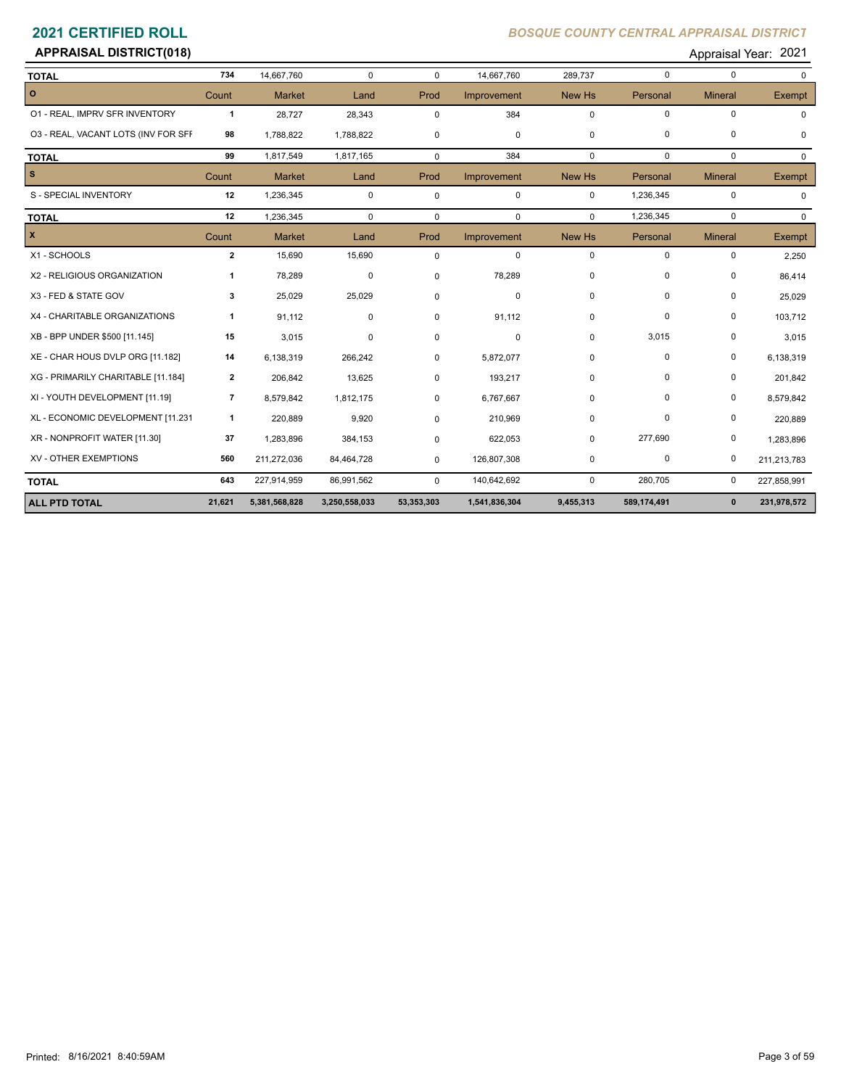# **APPRAISAL DISTRICT(018)** Appraisal Year: 2021

| <b>TOTAL</b>                        | 734                      | 14,667,760    | 0             | $\Omega$    | 14,667,760    | 289,737     | $\mathbf 0$ | $\mathbf 0$    | $\Omega$    |
|-------------------------------------|--------------------------|---------------|---------------|-------------|---------------|-------------|-------------|----------------|-------------|
| $\circ$                             | Count                    | <b>Market</b> | Land          | Prod        | Improvement   | New Hs      | Personal    | <b>Mineral</b> | Exempt      |
| 01 - REAL, IMPRV SFR INVENTORY      | $\mathbf{1}$             | 28,727        | 28,343        | $\Omega$    | 384           | $\mathbf 0$ | $\mathbf 0$ | $\mathbf 0$    |             |
| 03 - REAL, VACANT LOTS (INV FOR SFF | 98                       | 1,788,822     | 1,788,822     | 0           | 0             | $\Omega$    | $\mathbf 0$ | $\mathbf 0$    | 0           |
| <b>TOTAL</b>                        | 99                       | 1,817,549     | 1,817,165     | $\mathbf 0$ | 384           | $\mathbf 0$ | $\mathbf 0$ | $\mathbf 0$    | $\Omega$    |
| <b>S</b>                            | Count                    | <b>Market</b> | Land          | Prod        | Improvement   | New Hs      | Personal    | <b>Mineral</b> | Exempt      |
| S - SPECIAL INVENTORY               | 12                       | 1,236,345     | $\mathbf 0$   | $\mathbf 0$ | $\mathbf 0$   | $\mathbf 0$ | 1,236,345   | $\mathbf 0$    | 0           |
| <b>TOTAL</b>                        | 12                       | 1,236,345     | $\mathbf 0$   | 0           | 0             | $\Omega$    | 1,236,345   | $\mathbf 0$    | $\Omega$    |
| $\mathbf{x}$                        | Count                    | <b>Market</b> | Land          | Prod        | Improvement   | New Hs      | Personal    | <b>Mineral</b> | Exempt      |
| X1 - SCHOOLS                        | $\overline{2}$           | 15,690        | 15,690        | $\mathbf 0$ | 0             | $\mathbf 0$ | $\mathbf 0$ | $\mathbf 0$    | 2,250       |
| X2 - RELIGIOUS ORGANIZATION         | 1                        | 78,289        | $\mathbf 0$   | 0           | 78,289        | $\Omega$    | $\mathbf 0$ | $\mathbf 0$    | 86,414      |
| X3 - FED & STATE GOV                | 3                        | 25,029        | 25,029        | $\Omega$    | 0             | $\mathbf 0$ | 0           | 0              | 25,029      |
| X4 - CHARITABLE ORGANIZATIONS       | 1                        | 91,112        | $\mathbf 0$   | $\Omega$    | 91,112        | 0           | $\pmb{0}$   | $\pmb{0}$      | 103,712     |
| XB - BPP UNDER \$500 [11.145]       | 15                       | 3,015         | 0             | 0           | 0             | 0           | 3,015       | $\mathbf 0$    | 3,015       |
| XE - CHAR HOUS DVLP ORG [11.182]    | 14                       | 6,138,319     | 266,242       | 0           | 5,872,077     | $\mathbf 0$ | $\mathbf 0$ | $\mathbf 0$    | 6,138,319   |
| XG - PRIMARILY CHARITABLE [11.184]  | $\mathbf{2}$             | 206,842       | 13,625        | 0           | 193,217       | $\Omega$    | $\Omega$    | 0              | 201,842     |
| XI - YOUTH DEVELOPMENT [11.19]      | $\overline{\phantom{a}}$ | 8,579,842     | 1,812,175     | 0           | 6,767,667     | $\mathbf 0$ | $\mathbf 0$ | $\pmb{0}$      | 8,579,842   |
| XL - ECONOMIC DEVELOPMENT [11.231   | $\mathbf{1}$             | 220,889       | 9,920         | $\Omega$    | 210,969       | $\Omega$    | $\Omega$    | $\mathbf 0$    | 220,889     |
| XR - NONPROFIT WATER [11.30]        | 37                       | 1,283,896     | 384,153       | $\Omega$    | 622,053       | 0           | 277,690     | $\pmb{0}$      | 1,283,896   |
| XV - OTHER EXEMPTIONS               | 560                      | 211,272,036   | 84,464,728    | 0           | 126,807,308   | 0           | 0           | 0              | 211,213,783 |
| <b>TOTAL</b>                        | 643                      | 227,914,959   | 86,991,562    | 0           | 140,642,692   | $\mathbf 0$ | 280,705     | 0              | 227,858,991 |
| <b>ALL PTD TOTAL</b>                | 21,621                   | 5,381,568,828 | 3,250,558,033 | 53,353,303  | 1,541,836,304 | 9,455,313   | 589,174,491 | $\mathbf{0}$   | 231,978,572 |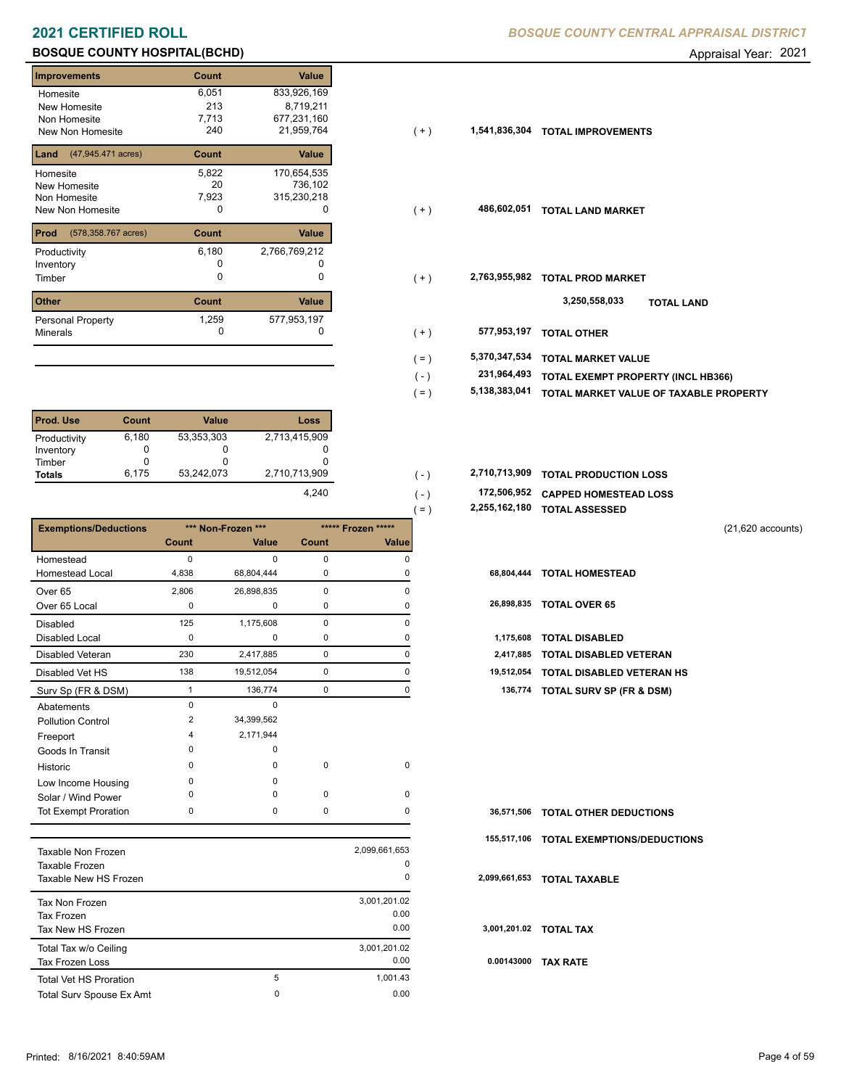# **BOSQUE COUNTY HOSPITAL(BCHD) BOSQUE COUNTY HOSPITAL(BCHD) Appraisal Year: 2021**

| <b>Improvements</b>           | Count | Value         |
|-------------------------------|-------|---------------|
| Homesite                      | 6,051 | 833,926,169   |
| <b>New Homesite</b>           | 213   | 8,719,211     |
| Non Homesite                  | 7,713 | 677,231,160   |
| <b>New Non Homesite</b>       | 240   | 21,959,764    |
| (47,945.471 acres)<br>Land    | Count | Value         |
| Homesite                      | 5,822 | 170,654,535   |
| New Homesite                  | 20    | 736,102       |
| Non Homesite                  | 7,923 | 315,230,218   |
| New Non Homesite              | O     | O             |
| (578, 358. 767 acres)<br>Prod | Count | Value         |
| Productivity                  | 6,180 | 2,766,769,212 |
| Inventory                     |       |               |
| Timber                        | 0     | 0             |
| <b>Other</b>                  | Count | Value         |
| <b>Personal Property</b>      | 1,259 | 577,953,197   |
| <b>Minerals</b>               | O     | O             |

| Prod. Use     | Count | <b>Value</b> | Loss          |
|---------------|-------|--------------|---------------|
| Productivity  | 6,180 | 53,353,303   | 2,713,415,909 |
| Inventory     |       | O            |               |
| Timber        |       | O            |               |
| <b>Totals</b> | 6.175 | 53,242,073   | 2,710,713,909 |
|               |       |              | 4.240         |

|                              |       |                    |             |                    | 2,255,162,180<br>$=$ | <b>TOTAL ASSESSED</b>               |                     |
|------------------------------|-------|--------------------|-------------|--------------------|----------------------|-------------------------------------|---------------------|
| <b>Exemptions/Deductions</b> |       | *** Non-Frozen *** |             | ***** Frozen ***** |                      |                                     | $(21,620$ accounts) |
|                              | Count | <b>Value</b>       | Count       | Value              |                      |                                     |                     |
| Homestead                    | 0     | $\Omega$           | $\mathbf 0$ | 0                  |                      |                                     |                     |
| <b>Homestead Local</b>       | 4,838 | 68,804,444         | 0           |                    | 68,804,444           | <b>TOTAL HOMESTEAD</b>              |                     |
| Over <sub>65</sub>           | 2,806 | 26,898,835         | 0           | 0                  |                      |                                     |                     |
| Over 65 Local                | 0     | 0                  | 0           | 0                  | 26,898,835           | <b>TOTAL OVER 65</b>                |                     |
| <b>Disabled</b>              | 125   | 1,175,608          | 0           | $\Omega$           |                      |                                     |                     |
| <b>Disabled Local</b>        | 0     | $\mathbf 0$        | 0           |                    | 1,175,608            | <b>TOTAL DISABLED</b>               |                     |
| <b>Disabled Veteran</b>      | 230   | 2,417,885          | 0           | 0                  | 2,417,885            | <b>TOTAL DISABLED VETERAN</b>       |                     |
| Disabled Vet HS              | 138   | 19,512,054         | 0           | 0                  | 19,512,054           | TOTAL DISABLED VETERAN HS           |                     |
| Surv Sp (FR & DSM)           |       | 136,774            | 0           | 0                  | 136,774              | <b>TOTAL SURV SP (FR &amp; DSM)</b> |                     |
| Abatements                   | 0     | $\mathbf 0$        |             |                    |                      |                                     |                     |
| <b>Pollution Control</b>     | 2     | 34,399,562         |             |                    |                      |                                     |                     |
| Freeport                     | 4     | 2,171,944          |             |                    |                      |                                     |                     |
| Goods In Transit             | 0     | 0                  |             |                    |                      |                                     |                     |
| Historic                     | 0     | 0                  | $\mathbf 0$ | 0                  |                      |                                     |                     |
| Low Income Housing           | 0     | 0                  |             |                    |                      |                                     |                     |
| Solar / Wind Power           | 0     | 0                  | 0           | 0                  |                      |                                     |                     |
| <b>Tot Exempt Proration</b>  | 0     | 0                  | 0           | 0                  | 36,571,506           | <b>TOTAL OTHER DEDUCTIONS</b>       |                     |
|                              |       |                    |             |                    | 155,517,106          | <b>TOTAL EXEMPTIONS/DEDUCTIONS</b>  |                     |

| Taxable Non Frozen<br>Taxable Frozen<br>Taxable New HS Frozen |   | 2,099,661,653<br>0<br>0      | 2,099 |
|---------------------------------------------------------------|---|------------------------------|-------|
| Tax Non Frozen<br>Tax Frozen<br>Tax New HS Frozen             |   | 3,001,201.02<br>0.00<br>0.00 | 3,00  |
| Total Tax w/o Ceiling<br>Tax Frozen Loss                      |   | 3.001.201.02<br>0.00         | 0.0   |
| <b>Total Vet HS Proration</b>                                 | 5 | 1.001.43<br>0.00             |       |
| Total Surv Spouse Ex Amt                                      | 0 |                              |       |

| Homesite                                 | 6,051 | 833,926,169   |         |               |                                        |
|------------------------------------------|-------|---------------|---------|---------------|----------------------------------------|
| New Homesite                             | 213   | 8,719,211     |         |               |                                        |
| Non Homesite                             | 7,713 | 677,231,160   |         |               |                                        |
| New Non Homesite                         | 240   | 21,959,764    | $(+)$   | 1,541,836,304 | <b>TOTAL IMPROVEMENTS</b>              |
| <b>Land</b> $(47,945.471 \text{ acres})$ | Count | Value         |         |               |                                        |
| Homesite                                 | 5,822 | 170,654,535   |         |               |                                        |
| New Homesite                             | 20    | 736,102       |         |               |                                        |
| Non Homesite                             | 7,923 | 315,230,218   |         |               |                                        |
| New Non Homesite                         | 0     | 0             | $(+)$   | 486,602,051   | <b>TOTAL LAND MARKET</b>               |
| <b>Prod</b> (578,358.767 acres)          | Count | Value         |         |               |                                        |
| Productivity                             | 6,180 | 2,766,769,212 |         |               |                                        |
| Inventory                                |       |               |         |               |                                        |
| Timber                                   | 0     | $\Omega$      | $(+)$   | 2,763,955,982 | <b>TOTAL PROD MARKET</b>               |
| Other                                    | Count | Value         |         |               | 3,250,558,033<br><b>TOTAL LAND</b>     |
| Personal Property                        | 1,259 | 577,953,197   |         |               |                                        |
| Minerals                                 | 0     |               | $(+)$   | 577,953,197   | <b>TOTAL OTHER</b>                     |
|                                          |       |               | $( = )$ | 5,370,347,534 | <b>TOTAL MARKET VALUE</b>              |
|                                          |       |               | $(-)$   | 231,964,493   | TOTAL EXEMPT PROPERTY (INCL HB366)     |
|                                          |       |               | ( = )   | 5,138,383,041 | TOTAL MARKET VALUE OF TAXABLE PROPERTY |

| 2,710,713,909 |  | 2,710,713,909 TOTAL PRODUCTION LOSS |  |
|---------------|--|-------------------------------------|--|
|               |  |                                     |  |

- **172,506,952 CAPPED HOMESTEAD LOSS**
- **2,255,162,180 TOTAL ASSESSED** ( = )

 $( - )$  $( - )$ 

| 1,175,608 TOTAL DISABLED             |
|--------------------------------------|
| 2,417,885 TOTAL DISABLED VETERAN     |
| 19,512,054 TOTAL DISABLED VETERAN HS |
| 136,774 TOTAL SURV SP (FR & DSM)     |

|               | 36,571,506 TOTAL OTHER DEDUCTIONS       |
|---------------|-----------------------------------------|
|               | 155,517,106 TOTAL EXEMPTIONS/DEDUCTIONS |
| 2,099,661,653 | <b>TOTAL TAXABLE</b>                    |
|               |                                         |
|               | 3,001,201.02 TOTAL TAX                  |
| 0.00143000    | <b>TAX RATE</b>                         |
|               |                                         |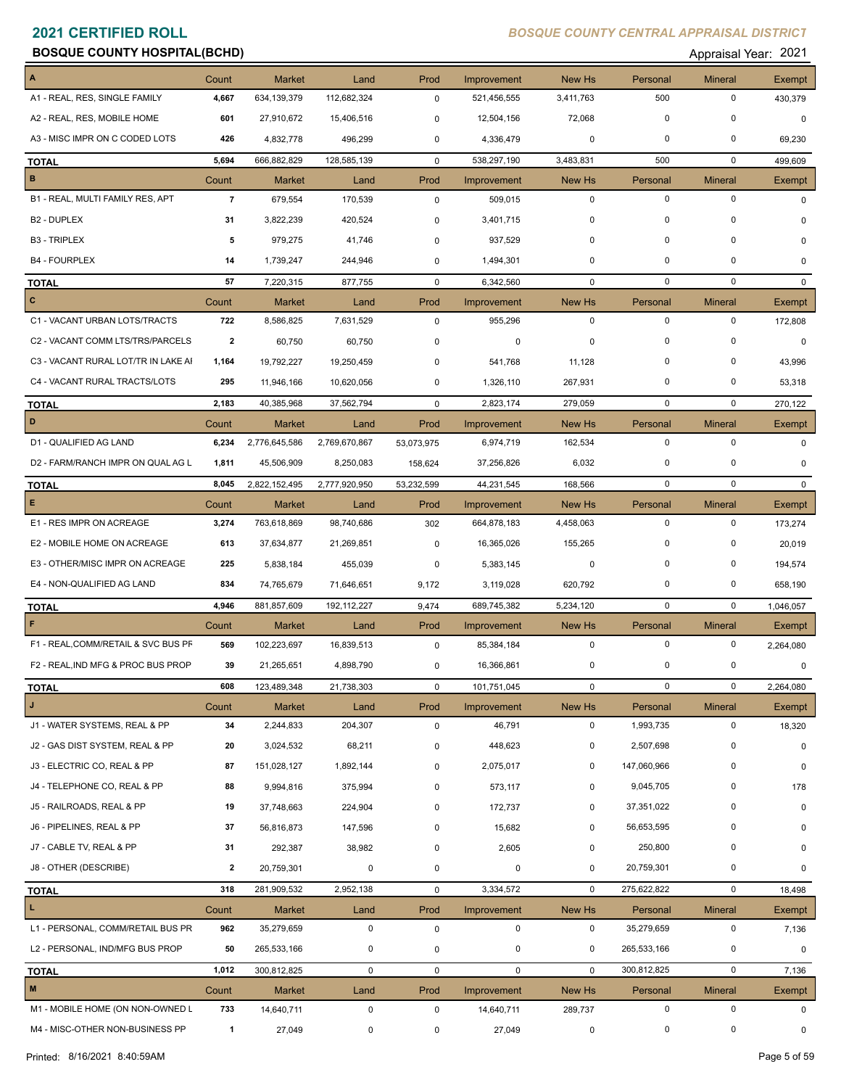**Appraisal Year: 2021** 

| A                                   | Count          | <b>Market</b> | Land          | Prod        | Improvement | New Hs       | Personal    | <b>Mineral</b> | Exempt        |
|-------------------------------------|----------------|---------------|---------------|-------------|-------------|--------------|-------------|----------------|---------------|
| A1 - REAL, RES, SINGLE FAMILY       | 4,667          | 634,139,379   | 112,682,324   | $\mathbf 0$ | 521,456,555 | 3,411,763    | 500         | $\mathbf 0$    | 430,379       |
| A2 - REAL, RES, MOBILE HOME         | 601            | 27,910,672    | 15,406,516    | 0           | 12,504,156  | 72,068       | $\mathbf 0$ | $\mathbf 0$    | $\mathbf 0$   |
| A3 - MISC IMPR ON C CODED LOTS      | 426            | 4,832,778     | 496,299       | 0           | 4,336,479   | 0            | 0           | 0              | 69,230        |
| <b>TOTAL</b>                        | 5,694          | 666,882,829   | 128,585,139   | $\mathbf 0$ | 538,297,190 | 3,483,831    | 500         | $\mathbf 0$    | 499,609       |
| $\, {\bf B}$                        | Count          | <b>Market</b> | Land          | Prod        | Improvement | New Hs       | Personal    | <b>Mineral</b> | <b>Exempt</b> |
| B1 - REAL, MULTI FAMILY RES, APT    | $\overline{7}$ | 679,554       | 170,539       | 0           | 509,015     | $\mathbf 0$  | $\mathbf 0$ | $\mathbf 0$    | $\Omega$      |
| B <sub>2</sub> - DUPLEX             | 31             | 3,822,239     | 420,524       | 0           | 3,401,715   | 0            | $\mathbf 0$ | $\mathbf 0$    | $\Omega$      |
| <b>B3 - TRIPLEX</b>                 | 5              | 979,275       | 41,746        | $\mathbf 0$ | 937,529     | 0            | $\mathbf 0$ | $\mathbf 0$    | $\Omega$      |
| <b>B4 - FOURPLEX</b>                | 14             | 1,739,247     | 244,946       | 0           | 1,494,301   | 0            | $\mathbf 0$ | 0              | 0             |
| <b>TOTAL</b>                        | 57             | 7,220,315     | 877,755       | $\mathbf 0$ | 6,342,560   | $\mathbf 0$  | $\mathbf 0$ | $\mathbf 0$    | $\Omega$      |
| $\mathbf{C}$                        | Count          | <b>Market</b> | Land          | Prod        | Improvement | New Hs       | Personal    | <b>Mineral</b> | Exempt        |
| C1 - VACANT URBAN LOTS/TRACTS       | 722            | 8,586,825     | 7,631,529     | 0           | 955,296     | 0            | $\mathbf 0$ | $\mathbf 0$    | 172,808       |
| C2 - VACANT COMM LTS/TRS/PARCELS    | $\mathbf{2}$   | 60,750        | 60,750        | 0           | 0           | 0            | $\mathbf 0$ | $\mathbf 0$    | $\mathbf 0$   |
| C3 - VACANT RURAL LOT/TR IN LAKE AI | 1,164          | 19,792,227    | 19,250,459    | $\mathbf 0$ | 541,768     | 11,128       | $\mathbf 0$ | $\mathbf 0$    | 43,996        |
| C4 - VACANT RURAL TRACTS/LOTS       | 295            | 11,946,166    | 10,620,056    | 0           | 1,326,110   | 267,931      | 0           | 0              | 53,318        |
| <b>TOTAL</b>                        | 2,183          | 40,385,968    | 37,562,794    | $\mathbf 0$ | 2,823,174   | 279,059      | $\mathbf 0$ | $\mathbf 0$    | 270,122       |
| D                                   | Count          | <b>Market</b> | Land          | Prod        | Improvement | New Hs       | Personal    | Mineral        | Exempt        |
| D1 - QUALIFIED AG LAND              | 6,234          | 2,776,645,586 | 2,769,670,867 | 53,073,975  | 6,974,719   | 162,534      | $\mathbf 0$ | $\mathbf 0$    | $\Omega$      |
| D2 - FARM/RANCH IMPR ON QUAL AG L   | 1,811          | 45,506,909    | 8,250,083     | 158,624     | 37,256,826  | 6,032        | 0           | $\mathbf 0$    | $\Omega$      |
| <b>TOTAL</b>                        | 8,045          | 2,822,152,495 | 2,777,920,950 | 53,232,599  | 44,231,545  | 168,566      | $\mathbf 0$ | $\mathbf 0$    | $\Omega$      |
| $\mathsf E$                         | Count          | <b>Market</b> | Land          | Prod        | Improvement | New Hs       | Personal    | <b>Mineral</b> | Exempt        |
| E1 - RES IMPR ON ACREAGE            | 3,274          | 763,618,869   | 98,740,686    | 302         | 664,878,183 | 4,458,063    | $\mathbf 0$ | 0              | 173,274       |
| E2 - MOBILE HOME ON ACREAGE         | 613            | 37,634,877    | 21,269,851    | 0           | 16,365,026  | 155,265      | $\mathbf 0$ | 0              | 20,019        |
| E3 - OTHER/MISC IMPR ON ACREAGE     | 225            | 5,838,184     | 455,039       | 0           | 5,383,145   | 0            | $\mathbf 0$ | 0              | 194,574       |
| E4 - NON-QUALIFIED AG LAND          | 834            | 74,765,679    |               |             | 3,119,028   | 620,792      | 0           | 0              |               |
|                                     |                |               | 71,646,651    | 9,172       |             |              |             |                | 658,190       |
| <b>TOTAL</b><br>$\mathsf F$         | 4,946          | 881,857,609   | 192, 112, 227 | 9,474       | 689,745,382 | 5,234,120    | $\mathbf 0$ | $\mathbf 0$    | 1,046,057     |
|                                     | Count          | <b>Market</b> | Land          | Prod        | Improvement | New Hs       | Personal    | <b>Mineral</b> | Exempt        |
| F1 - REAL, COMM/RETAIL & SVC BUS PF | 569            | 102,223,697   | 16,839,513    | 0           | 85,384,184  | $\mathbf 0$  | $\mathbf 0$ | 0              | 2,264,080     |
| F2 - REAL, IND MFG & PROC BUS PROP  | 39             | 21,265,651    | 4,898,790     | 0           | 16,366,861  | 0            | 0           | $\pmb{0}$      | $\mathbf 0$   |
| <b>TOTAL</b>                        | 608            | 123,489,348   | 21,738,303    | 0           | 101,751,045 | 0            | $\mathbf 0$ | $\pmb{0}$      | 2,264,080     |
| J                                   | Count          | <b>Market</b> | Land          | Prod        | Improvement | New Hs       | Personal    | <b>Mineral</b> | Exempt        |
| J1 - WATER SYSTEMS, REAL & PP       | 34             | 2,244,833     | 204,307       | 0           | 46,791      | $\mathbf 0$  | 1,993,735   | 0              | 18,320        |
| J2 - GAS DIST SYSTEM, REAL & PP     | 20             | 3,024,532     | 68,211        | 0           | 448,623     | 0            | 2,507,698   | 0              | 0             |
| J3 - ELECTRIC CO, REAL & PP         | 87             | 151,028,127   | 1,892,144     | 0           | 2,075,017   | 0            | 147,060,966 | 0              | 0             |
| J4 - TELEPHONE CO, REAL & PP        | 88             | 9,994,816     | 375,994       | $\pmb{0}$   | 573,117     | 0            | 9,045,705   | 0              | 178           |
| J5 - RAILROADS, REAL & PP           | 19             | 37,748,663    | 224,904       | 0           | 172,737     | 0            | 37,351,022  | 0              | $\mathbf 0$   |
| J6 - PIPELINES, REAL & PP           | 37             | 56,816,873    | 147,596       | 0           | 15,682      | 0            | 56,653,595  | 0              | 0             |
| J7 - CABLE TV, REAL & PP            | 31             | 292,387       | 38,982        | 0           | 2,605       | 0            | 250,800     | 0              | 0             |
| J8 - OTHER (DESCRIBE)               | $\mathbf{2}$   | 20,759,301    | 0             | 0           | 0           | 0            | 20,759,301  | 0              | 0             |
| <b>TOTAL</b>                        | 318            | 281,909,532   | 2,952,138     | 0           | 3,334,572   | $\mathbf 0$  | 275,622,822 | 0              | 18,498        |
| L.                                  | Count          | Market        | Land          | Prod        | Improvement | New Hs       | Personal    | <b>Mineral</b> | Exempt        |
| L1 - PERSONAL, COMM/RETAIL BUS PR   | 962            | 35,279,659    | $\mathbf 0$   | 0           | 0           | 0            | 35,279,659  | 0              | 7,136         |
| L2 - PERSONAL, IND/MFG BUS PROP     | 50             | 265,533,166   | $\mathbf 0$   | 0           | 0           | 0            | 265,533,166 | 0              | 0             |
| <b>TOTAL</b>                        | 1,012          | 300,812,825   | $\mathbf 0$   | 0           | $\mathbf 0$ | $\mathbf{0}$ | 300,812,825 | $\pmb{0}$      | 7,136         |
| M                                   | Count          | Market        | Land          | Prod        | Improvement | New Hs       | Personal    | <b>Mineral</b> | Exempt        |
| M1 - MOBILE HOME (ON NON-OWNED L    | 733            | 14,640,711    | 0             | 0           | 14,640,711  | 289,737      | 0           | 0              | 0             |
| M4 - MISC-OTHER NON-BUSINESS PP     | $\overline{1}$ | 27,049        | 0             | 0           | 27,049      | 0            | 0           | $\pmb{0}$      | 0             |
|                                     |                |               |               |             |             |              |             |                |               |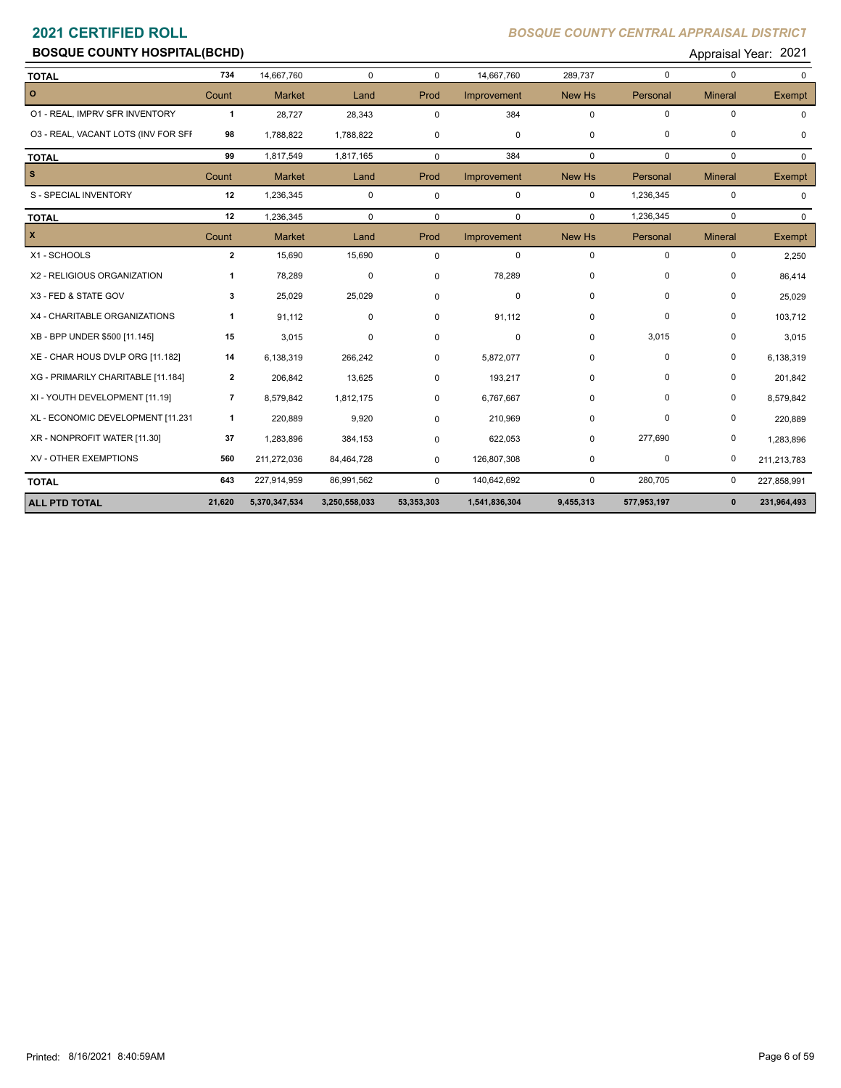# **BOSQUE COUNTY HOSPITAL(BCHD) BOSQUE COUNTY HOSPITAL(BCHD) Appraisal Year: 2021**

| <b>TOTAL</b>                        | 734            | 14,667,760    | $\mathbf 0$   | $\Omega$    | 14,667,760    | 289,737     | $\mathbf 0$ | $\mathbf 0$    | $\Omega$     |
|-------------------------------------|----------------|---------------|---------------|-------------|---------------|-------------|-------------|----------------|--------------|
| $\overline{\phantom{0}}$            | Count          | <b>Market</b> | Land          | Prod        | Improvement   | New Hs      | Personal    | <b>Mineral</b> | Exempt       |
| 01 - REAL, IMPRV SFR INVENTORY      | $\mathbf{1}$   | 28,727        | 28,343        | $\Omega$    | 384           | $\mathbf 0$ | $\mathbf 0$ | $\mathbf 0$    |              |
| 03 - REAL, VACANT LOTS (INV FOR SFF | 98             | 1,788,822     | 1,788,822     | 0           | 0             | $\mathbf 0$ | $\mathbf 0$ | $\pmb{0}$      | 0            |
| <b>TOTAL</b>                        | 99             | 1,817,549     | 1,817,165     | $\mathbf 0$ | 384           | $\mathbf 0$ | $\Omega$    | $\mathbf 0$    | $\Omega$     |
| $\vert$ s                           | Count          | <b>Market</b> | Land          | Prod        | Improvement   | New Hs      | Personal    | <b>Mineral</b> | Exempt       |
| S - SPECIAL INVENTORY               | 12             | 1,236,345     | $\pmb{0}$     | $\mathbf 0$ | 0             | $\mathbf 0$ | 1,236,345   | 0              | <sup>0</sup> |
| <b>TOTAL</b>                        | 12             | 1,236,345     | $\Omega$      | 0           | $\mathbf 0$   | $\Omega$    | 1,236,345   | $\mathbf 0$    | $\Omega$     |
| $\mathbf{x}$                        | Count          | <b>Market</b> | Land          | Prod        | Improvement   | New Hs      | Personal    | <b>Mineral</b> | Exempt       |
| X1 - SCHOOLS                        | $\overline{2}$ | 15,690        | 15,690        | $\mathbf 0$ | $\mathbf 0$   | $\mathbf 0$ | $\mathbf 0$ | $\mathbf 0$    | 2,250        |
| X2 - RELIGIOUS ORGANIZATION         | 1              | 78,289        | 0             | 0           | 78,289        | 0           | $\mathbf 0$ | 0              | 86,414       |
| X3 - FED & STATE GOV                | 3              | 25,029        | 25,029        | 0           | 0             | $\mathbf 0$ | $\Omega$    | 0              | 25,029       |
| X4 - CHARITABLE ORGANIZATIONS       | $\mathbf{1}$   | 91,112        | $\mathbf 0$   | 0           | 91,112        | 0           | $\mathbf 0$ | 0              | 103,712      |
| XB - BPP UNDER \$500 [11.145]       | 15             | 3,015         | 0             | 0           | $\pmb{0}$     | $\mathbf 0$ | 3,015       | 0              | 3,015        |
| XE - CHAR HOUS DVLP ORG [11.182]    | 14             | 6,138,319     | 266,242       | $\Omega$    | 5,872,077     | 0           | $\mathbf 0$ | $\pmb{0}$      | 6,138,319    |
| XG - PRIMARILY CHARITABLE [11.184]  | 2              | 206,842       | 13,625        | $\Omega$    | 193,217       | $\mathbf 0$ | 0           | $\mathbf 0$    | 201,842      |
| XI - YOUTH DEVELOPMENT [11.19]      | $\overline{7}$ | 8,579,842     | 1,812,175     | $\Omega$    | 6,767,667     | $\mathbf 0$ | $\Omega$    | 0              | 8,579,842    |
| XL - ECONOMIC DEVELOPMENT [11.231   | 1              | 220,889       | 9,920         | 0           | 210,969       | 0           | $\Omega$    | $\pmb{0}$      | 220,889      |
| XR - NONPROFIT WATER [11.30]        | 37             | 1,283,896     | 384,153       | 0           | 622,053       | $\mathbf 0$ | 277,690     | $\pmb{0}$      | 1,283,896    |
| XV - OTHER EXEMPTIONS               | 560            | 211,272,036   | 84,464,728    | 0           | 126,807,308   | 0           | 0           | $\mathbf 0$    | 211,213,783  |
| <b>TOTAL</b>                        | 643            | 227,914,959   | 86,991,562    | $\mathbf 0$ | 140,642,692   | $\mathbf 0$ | 280,705     | 0              | 227,858,991  |
| <b>ALL PTD TOTAL</b>                | 21,620         | 5,370,347,534 | 3,250,558,033 | 53,353,303  | 1,541,836,304 | 9,455,313   | 577,953,197 | $\mathbf{0}$   | 231,964,493  |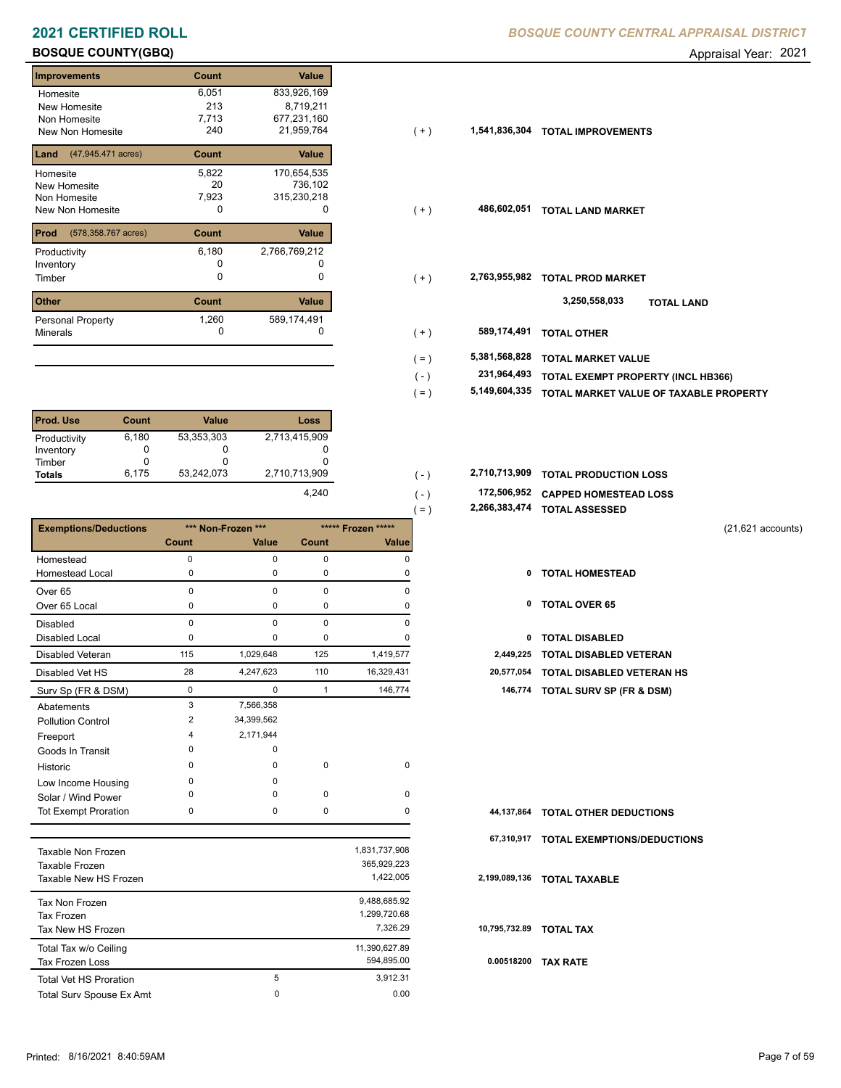# **BOSQUE COUNTY(GBQ)** Appraisal Year: 2021

| Improvements                | Count | <b>Value</b>  |
|-----------------------------|-------|---------------|
| Homesite                    | 6,051 | 833,926,169   |
| New Homesite                | 213   | 8,719,211     |
| Non Homesite                | 7,713 | 677,231,160   |
| New Non Homesite            | 240   | 21,959,764    |
| Land<br>(47,945.471 acres)  | Count | Value         |
| Homesite                    | 5,822 | 170,654,535   |
| New Homesite                | 20    | 736,102       |
| Non Homesite                | 7,923 | 315,230,218   |
| New Non Homesite            | 0     |               |
| Prod<br>(578,358.767 acres) | Count | Value         |
| Productivity                | 6,180 | 2,766,769,212 |
| Inventory                   |       |               |
| Timber                      | O     | O             |
| <b>Other</b>                | Count | Value         |
| <b>Personal Property</b>    | 1,260 | 589,174,491   |
| <b>Minerals</b>             | 0     |               |

| <b>Prod. Use</b> | Count | <b>Value</b> | Loss          |
|------------------|-------|--------------|---------------|
| Productivity     | 6,180 | 53,353,303   | 2,713,415,909 |
| Inventory        |       | 0            |               |
| Timber           |       |              |               |
| <b>Totals</b>    | 6.175 | 53,242,073   | 2,710,713,909 |
|                  |       |              | 4,240         |

|                              |             |                    |                |                    | . = )<br>2,200,303,474 | <b>TOTAL ASSESSED</b>              |
|------------------------------|-------------|--------------------|----------------|--------------------|------------------------|------------------------------------|
| <b>Exemptions/Deductions</b> |             | *** Non-Frozen *** |                | ***** Frozen ***** |                        | $(21,621$ accounts)                |
|                              | Count       | <b>Value</b>       | <b>Count</b>   | Value              |                        |                                    |
| Homestead                    | 0           | $\Omega$           | $\mathbf 0$    | $\Omega$           |                        |                                    |
| <b>Homestead Local</b>       | 0           | $\Omega$           | 0              | 0                  | 0                      | <b>TOTAL HOMESTEAD</b>             |
| Over <sub>65</sub>           | $\mathbf 0$ | 0                  | $\mathbf 0$    | 0                  |                        |                                    |
| Over 65 Local                | 0           | 0                  | 0              | $\Omega$           | 0                      | <b>TOTAL OVER 65</b>               |
| <b>Disabled</b>              | $\mathbf 0$ | $\Omega$           | $\mathbf 0$    | $\Omega$           |                        |                                    |
| <b>Disabled Local</b>        | $\Omega$    | $\Omega$           | $\mathbf 0$    | $\Omega$           | 0                      | <b>TOTAL DISABLED</b>              |
| Disabled Veteran             | 115         | 1,029,648          | 125            | 1,419,577          | 2,449,225              | <b>TOTAL DISABLED VETERAN</b>      |
| Disabled Vet HS              | 28          | 4,247,623          | 110            | 16,329,431         | 20,577,054             | <b>TOTAL DISABLED VETERAN HS</b>   |
| Surv Sp (FR & DSM)           | 0           | $\mathbf 0$        | $\overline{1}$ | 146,774            |                        | 146,774 TOTAL SURV SP (FR & DSM)   |
| Abatements                   | 3           | 7,566,358          |                |                    |                        |                                    |
| <b>Pollution Control</b>     | 2           | 34,399,562         |                |                    |                        |                                    |
| Freeport                     |             | 2,171,944          |                |                    |                        |                                    |
| Goods In Transit             | $\Omega$    | $\Omega$           |                |                    |                        |                                    |
| Historic                     | $\Omega$    | $\Omega$           | 0              | 0                  |                        |                                    |
| Low Income Housing           | 0           | $\Omega$           |                |                    |                        |                                    |
| Solar / Wind Power           | $\Omega$    | $\Omega$           | $\mathbf 0$    | $\mathbf 0$        |                        |                                    |
| <b>Tot Exempt Proration</b>  | 0           | 0                  | 0              | $\Omega$           | 44,137,864             | <b>TOTAL OTHER DEDUCTIONS</b>      |
|                              |             |                    |                |                    | 67,310,917             | <b>TOTAL EXEMPTIONS/DEDUCTIONS</b> |
| <b>Taxable Non Frozen</b>    |             |                    |                | 1,831,737,908      |                        |                                    |
| Taxable Frozen               |             |                    |                | 365,929,223        |                        |                                    |
| Taxable New HS Frozen        |             |                    |                | 1,422,005          | 2,199,089,136          | <b>TOTAL TAXABLE</b>               |
|                              |             |                    |                |                    |                        |                                    |

| Tax Non Frozen                |   | 9,488,685.92  |       |
|-------------------------------|---|---------------|-------|
| <b>Tax Frozen</b>             |   | 1,299,720.68  |       |
| Tax New HS Frozen             |   | 7.326.29      | 10,79 |
| Total Tax w/o Ceiling         |   | 11,390,627.89 |       |
| <b>Tax Frozen Loss</b>        |   | 594.895.00    | 0.0   |
| <b>Total Vet HS Proration</b> | 5 | 3.912.31      |       |
| Total Surv Spouse Ex Amt      | 0 | 0.00          |       |

| Homesite                                 | 6,051 | 833,926,169   |         |               |                                        |
|------------------------------------------|-------|---------------|---------|---------------|----------------------------------------|
| New Homesite                             | 213   | 8,719,211     |         |               |                                        |
| Non Homesite                             | 7,713 | 677,231,160   |         |               |                                        |
| New Non Homesite                         | 240   | 21,959,764    | $(+)$   | 1,541,836,304 | <b>TOTAL IMPROVEMENTS</b>              |
| <b>Land</b> $(47,945.471 \text{ acres})$ | Count | Value         |         |               |                                        |
| Homesite                                 | 5,822 | 170,654,535   |         |               |                                        |
| New Homesite                             | 20    | 736,102       |         |               |                                        |
| Non Homesite                             | 7,923 | 315,230,218   |         |               |                                        |
| New Non Homesite                         | 0     | 0             | $(+)$   | 486,602,051   | <b>TOTAL LAND MARKET</b>               |
| <b>Prod</b> (578,358.767 acres)          | Count | Value         |         |               |                                        |
| Productivity                             | 6,180 | 2,766,769,212 |         |               |                                        |
| Inventory                                |       |               |         |               |                                        |
| Timber                                   | 0     | 0             | $(+)$   | 2,763,955,982 | <b>TOTAL PROD MARKET</b>               |
| Other                                    | Count | Value         |         |               | 3,250,558,033<br><b>TOTAL LAND</b>     |
| Personal Property                        | 1,260 | 589,174,491   |         |               |                                        |
| Minerals                                 | 0     |               | $(+)$   | 589,174,491   | <b>TOTAL OTHER</b>                     |
|                                          |       |               | $( = )$ | 5,381,568,828 | <b>TOTAL MARKET VALUE</b>              |
|                                          |       |               | $(-)$   | 231,964,493   | TOTAL EXEMPT PROPERTY (INCL HB366)     |
|                                          |       |               | ( = )   | 5,149,604,335 | TOTAL MARKET VALUE OF TAXABLE PROPERTY |

| 2,710,713,909 |  | 2,710,713,909 TOTAL PRODUCTION LOSS |  |
|---------------|--|-------------------------------------|--|
|               |  |                                     |  |

- **172,506,952 CAPPED HOMESTEAD LOSS** ( )
- **2,266,383,474 TOTAL ASSESSED** ( = )

- 
- 
- 
- 
- 28 4,247,623 110 16,329,431 **20,577,054 TOTAL DISABLED VETERAN HS**
- Surv Sp (FR & DSM) 0 0 1 146,774 **146,774 TOTAL SURV SP (FR & DSM)**

|                         | 44,137,864 TOTAL OTHER DEDUCTIONS      |
|-------------------------|----------------------------------------|
|                         | 67,310,917 TOTAL EXEMPTIONS/DEDUCTIONS |
|                         | 2.199,089,136 TOTAL TAXABLE            |
| 10,795,732.89 TOTAL TAX |                                        |
| 0.00518200              | <b>TAX RATE</b>                        |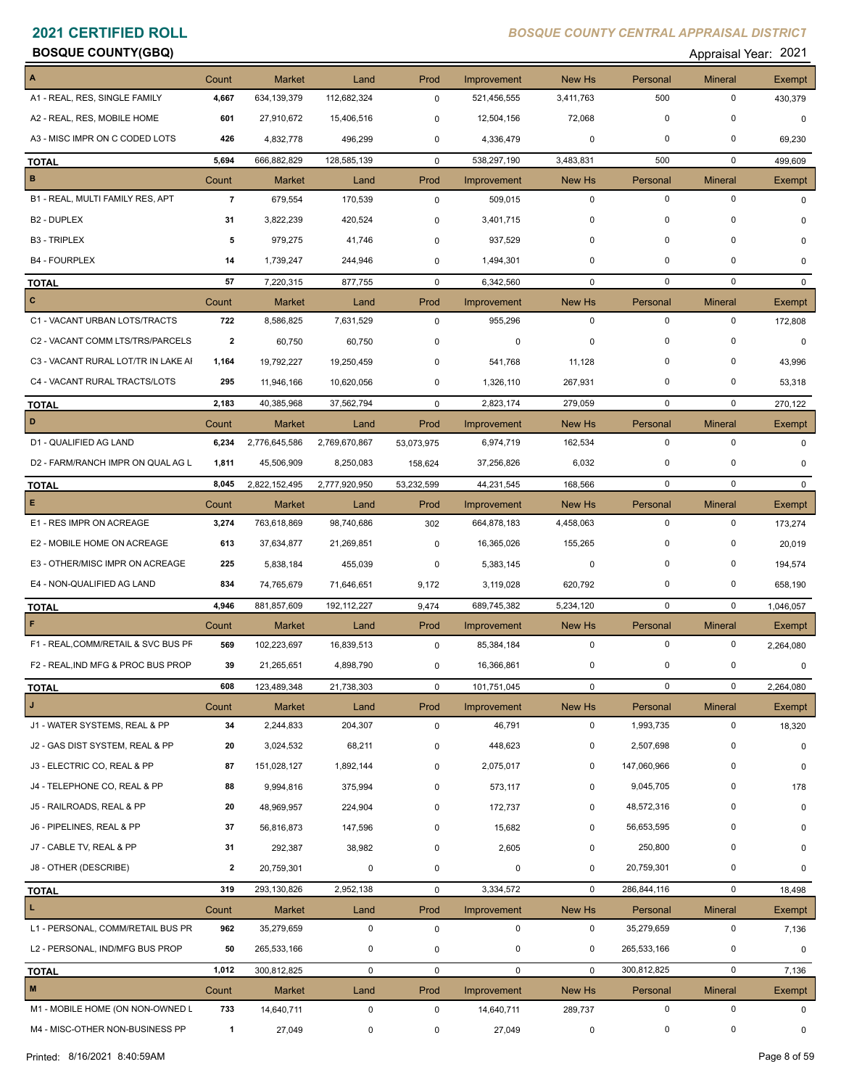# **BOSQUE COUNTY(GBQ)** Appraisal Year: 2021

| A                                   | Count                   | <b>Market</b> | Land          | Prod           | Improvement | New Hs         | Personal       | <b>Mineral</b> | Exempt       |
|-------------------------------------|-------------------------|---------------|---------------|----------------|-------------|----------------|----------------|----------------|--------------|
| A1 - REAL, RES, SINGLE FAMILY       | 4,667                   | 634,139,379   | 112,682,324   | $\mathbf 0$    | 521,456,555 | 3,411,763      | 500            | $\mathbf 0$    | 430,379      |
| A2 - REAL, RES, MOBILE HOME         | 601                     | 27,910,672    | 15,406,516    | 0              | 12,504,156  | 72,068         | $\mathbf 0$    | $\mathbf 0$    | $\mathbf 0$  |
| A3 - MISC IMPR ON C CODED LOTS      | 426                     | 4,832,778     | 496,299       | 0              | 4,336,479   | 0              | 0              | $\mathbf 0$    | 69,230       |
| <b>TOTAL</b>                        | 5,694                   | 666,882,829   | 128,585,139   | $\mathbf 0$    | 538,297,190 | 3,483,831      | 500            | $\mathbf 0$    | 499,609      |
| $\, {\bf B}$                        | Count                   | <b>Market</b> | Land          | Prod           | Improvement | New Hs         | Personal       | <b>Mineral</b> | Exempt       |
| B1 - REAL, MULTI FAMILY RES, APT    | $\overline{7}$          | 679,554       | 170,539       | $\mathbf 0$    | 509,015     | $\mathbf 0$    | $\mathbf 0$    | $\mathbf 0$    | $\mathbf 0$  |
| B <sub>2</sub> - DUPLEX             | 31                      | 3,822,239     | 420,524       | 0              | 3,401,715   | 0              | 0              | $\mathbf 0$    | $\Omega$     |
| <b>B3 - TRIPLEX</b>                 | 5                       | 979,275       | 41,746        | $\mathbf 0$    | 937,529     | 0              | $\mathbf 0$    | $\Omega$       | 0            |
| <b>B4 - FOURPLEX</b>                | 14                      | 1,739,247     | 244,946       | 0              | 1,494,301   | 0              | 0              | 0              | $\mathbf 0$  |
| <b>TOTAL</b>                        | 57                      | 7,220,315     | 877,755       | $\mathbf 0$    | 6,342,560   | $\mathbf 0$    | $\mathbf 0$    | $\mathbf 0$    | $\mathbf{0}$ |
| $\mathbf{C}$                        | Count                   | Market        | Land          | Prod           | Improvement | New Hs         | Personal       | <b>Mineral</b> | Exempt       |
| C1 - VACANT URBAN LOTS/TRACTS       | 722                     | 8,586,825     | 7,631,529     | 0              | 955,296     | $\mathbf 0$    | $\mathbf 0$    | 0              | 172,808      |
| C2 - VACANT COMM LTS/TRS/PARCELS    | $\overline{2}$          | 60,750        | 60,750        | 0              | 0           | $\mathbf 0$    | 0              | $\Omega$       | 0            |
| C3 - VACANT RURAL LOT/TR IN LAKE AI | 1,164                   | 19,792,227    | 19,250,459    | 0              | 541,768     | 11,128         | $\mathbf 0$    | 0              | 43,996       |
| C4 - VACANT RURAL TRACTS/LOTS       | 295                     | 11,946,166    | 10,620,056    | 0              | 1,326,110   | 267,931        | 0              | $\mathbf 0$    | 53,318       |
| <b>TOTAL</b>                        | 2,183                   | 40,385,968    | 37,562,794    | $\mathbf 0$    | 2,823,174   | 279,059        | $\mathbf 0$    | $\mathbf 0$    | 270,122      |
| D                                   | Count                   | Market        | Land          | Prod           | Improvement | New Hs         | Personal       | Mineral        | Exempt       |
| D1 - QUALIFIED AG LAND              | 6,234                   | 2,776,645,586 | 2,769,670,867 | 53,073,975     | 6,974,719   | 162,534        | 0              | $\mathbf 0$    | 0            |
| D2 - FARM/RANCH IMPR ON QUAL AG L   | 1,811                   | 45,506,909    | 8,250,083     | 158,624        | 37,256,826  | 6,032          | 0              | 0              | 0            |
| <b>TOTAL</b>                        | 8,045                   | 2,822,152,495 | 2,777,920,950 | 53,232,599     | 44,231,545  | 168,566        | $\mathbf 0$    | $\mathbf 0$    | $\mathbf{0}$ |
| E.                                  | Count                   | <b>Market</b> | Land          | Prod           | Improvement | New Hs         | Personal       | <b>Mineral</b> | Exempt       |
| E1 - RES IMPR ON ACREAGE            | 3,274                   | 763,618,869   | 98,740,686    | 302            | 664,878,183 | 4,458,063      | $\mathbf 0$    | $\mathbf 0$    | 173,274      |
| E2 - MOBILE HOME ON ACREAGE         | 613                     | 37,634,877    | 21,269,851    | 0              | 16,365,026  | 155,265        | $\mathbf 0$    | 0              | 20,019       |
| E3 - OTHER/MISC IMPR ON ACREAGE     | 225                     | 5,838,184     | 455,039       | 0              | 5,383,145   | $\mathbf 0$    | 0              | $\mathbf 0$    | 194,574      |
| E4 - NON-QUALIFIED AG LAND          | 834                     | 74,765,679    | 71,646,651    | 9,172          | 3,119,028   | 620,792        | 0              | 0              | 658,190      |
| <b>TOTAL</b>                        | 4,946                   | 881,857,609   | 192, 112, 227 | 9,474          | 689,745,382 | 5,234,120      | $\mathbf 0$    | $\mathbf 0$    | 1,046,057    |
| F                                   | Count                   | Market        | Land          | Prod           | Improvement | New Hs         | Personal       | Mineral        | Exempt       |
| F1 - REAL, COMM/RETAIL & SVC BUS PF | 569                     | 102,223,697   | 16,839,513    | $\mathbf 0$    | 85,384,184  | $\mathbf 0$    | $\mathbf 0$    | 0              | 2,264,080    |
| F2 - REAL, IND MFG & PROC BUS PROP  | 39                      | 21,265,651    | 4,898,790     | $\mathbf 0$    | 16,366,861  | 0              | 0              | 0              | 0            |
| <u>TOTAL</u>                        | 608                     | 123,489,348   | 21,738,303    | $\overline{0}$ | 101,751,045 | $\overline{0}$ | $\overline{0}$ | $\overline{0}$ | 2,264,080    |
| J                                   | Count                   | Market        | Land          | Prod           | Improvement | New Hs         | Personal       | <b>Mineral</b> | Exempt       |
| J1 - WATER SYSTEMS, REAL & PP       | 34                      | 2,244,833     | 204,307       | $\mathbf 0$    | 46,791      | $\mathbf 0$    | 1,993,735      | $\mathsf 0$    | 18,320       |
| J2 - GAS DIST SYSTEM, REAL & PP     | 20                      | 3,024,532     | 68,211        | 0              | 448,623     | 0              | 2,507,698      | 0              | 0            |
| J3 - ELECTRIC CO, REAL & PP         | 87                      | 151,028,127   | 1,892,144     | 0              | 2,075,017   | 0              | 147,060,966    | 0              | 0            |
| J4 - TELEPHONE CO, REAL & PP        | 88                      | 9,994,816     | 375,994       | 0              | 573,117     | 0              | 9,045,705      | 0              | 178          |
| J5 - RAILROADS, REAL & PP           | 20                      | 48,969,957    | 224,904       | 0              | 172,737     | 0              | 48,572,316     | 0              | $\mathbf 0$  |
| J6 - PIPELINES, REAL & PP           | 37                      | 56,816,873    | 147,596       | 0              | 15,682      | 0              | 56,653,595     | 0              | $\Omega$     |
| J7 - CABLE TV, REAL & PP            | 31                      | 292,387       | 38,982        | 0              | 2,605       | 0              | 250,800        | 0              | $\Omega$     |
| J8 - OTHER (DESCRIBE)               | $\overline{\mathbf{2}}$ | 20,759,301    | $\mathbf 0$   | 0              | $\mathbf 0$ | 0              | 20,759,301     | $\mathbf 0$    | 0            |
| <b>TOTAL</b>                        | 319                     | 293,130,826   | 2,952,138     | $\mathsf{O}$   | 3,334,572   | $\mathbf 0$    | 286,844,116    | $\mathbf 0$    | 18,498       |
| $\mathbf{L}$                        | Count                   | <b>Market</b> | Land          | Prod           | Improvement | New Hs         | Personal       | <b>Mineral</b> | Exempt       |
| L1 - PERSONAL, COMM/RETAIL BUS PR   | 962                     | 35,279,659    | $\mathbf 0$   | $\mathbf 0$    | 0           | 0              | 35,279,659     | 0              | 7,136        |
| L2 - PERSONAL, IND/MFG BUS PROP     | 50                      | 265,533,166   | 0             | 0              | 0           | $\mathbf 0$    | 265,533,166    | 0              | 0            |
| <b>TOTAL</b>                        | 1,012                   | 300,812,825   | $\mathbf 0$   | $\mathsf{O}$   | $\mathbf 0$ | $\mathbf 0$    | 300,812,825    | $\mathbf 0$    | 7,136        |
| $\pmb{\mathsf{M}}$                  | Count                   | <b>Market</b> | Land          | Prod           | Improvement | New Hs         | Personal       | <b>Mineral</b> | Exempt       |
| M1 - MOBILE HOME (ON NON-OWNED L    | 733                     | 14,640,711    | $\mathbf 0$   | $\mathbf 0$    | 14,640,711  | 289,737        | 0              | $\mathbf 0$    | 0            |
| M4 - MISC-OTHER NON-BUSINESS PP     | $\mathbf{1}$            | 27,049        | 0             | 0              | 27,049      | 0              | 0              | 0              | 0            |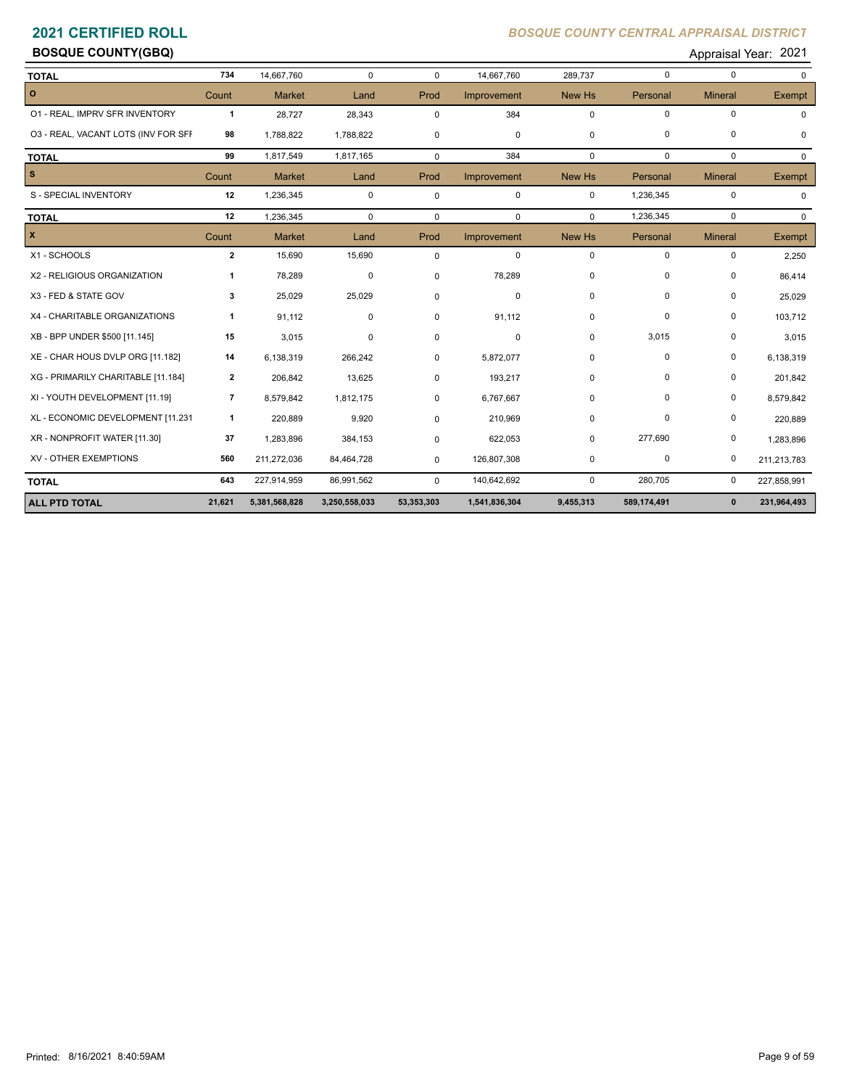# **BOSQUE COUNTY(GBQ)** Appraisal Year: 2021

| <b>TOTAL</b>                        | 734                      | 14,667,760    | $\Omega$      | $\mathbf 0$ | 14,667,760    | 289,737     | $\mathbf 0$ | $\Omega$       | $\Omega$     |
|-------------------------------------|--------------------------|---------------|---------------|-------------|---------------|-------------|-------------|----------------|--------------|
| $\circ$                             | Count                    | <b>Market</b> | Land          | Prod        | Improvement   | New Hs      | Personal    | <b>Mineral</b> | Exempt       |
| 01 - REAL, IMPRV SFR INVENTORY      | $\mathbf{1}$             | 28,727        | 28,343        | 0           | 384           | $\mathbf 0$ | $\mathbf 0$ | $\pmb{0}$      | <sup>0</sup> |
| 03 - REAL, VACANT LOTS (INV FOR SFF | 98                       | 1,788,822     | 1,788,822     | 0           | $\mathbf 0$   | $\mathbf 0$ | $\mathbf 0$ | 0              | 0            |
| <b>TOTAL</b>                        | 99                       | 1,817,549     | 1,817,165     | $\mathbf 0$ | 384           | $\mathbf 0$ | $\mathbf 0$ | $\mathbf 0$    | $\Omega$     |
| $\vert$ s                           | Count                    | <b>Market</b> | Land          | Prod        | Improvement   | New Hs      | Personal    | <b>Mineral</b> | Exempt       |
| S - SPECIAL INVENTORY               | 12                       | 1,236,345     | 0             | 0           | $\mathbf 0$   | $\mathbf 0$ | 1,236,345   | $\mathbf 0$    | $\Omega$     |
| <b>TOTAL</b>                        | 12                       | 1,236,345     | $\Omega$      | $\mathbf 0$ | $\mathbf 0$   | $\Omega$    | 1,236,345   | $\mathbf 0$    | $\Omega$     |
| $\mathbf{x}$                        | Count                    | <b>Market</b> | Land          | Prod        | Improvement   | New Hs      | Personal    | <b>Mineral</b> | Exempt       |
| X1 - SCHOOLS                        | $\overline{\mathbf{2}}$  | 15,690        | 15,690        | 0           | $\mathbf 0$   | $\mathbf 0$ | $\mathbf 0$ | $\pmb{0}$      | 2,250        |
| X2 - RELIGIOUS ORGANIZATION         | 1                        | 78,289        | 0             | 0           | 78,289        | $\Omega$    | $\mathbf 0$ | $\mathbf 0$    | 86,414       |
| X3 - FED & STATE GOV                | 3                        | 25,029        | 25,029        | 0           | 0             | $\mathbf 0$ | $\mathbf 0$ | $\pmb{0}$      | 25,029       |
| X4 - CHARITABLE ORGANIZATIONS       | 1                        | 91,112        | 0             | 0           | 91,112        | $\mathbf 0$ | $\mathbf 0$ | $\pmb{0}$      | 103,712      |
| XB - BPP UNDER \$500 [11.145]       | 15                       | 3,015         | 0             | 0           | $\mathbf 0$   | $\mathbf 0$ | 3,015       | $\pmb{0}$      | 3,015        |
| XE - CHAR HOUS DVLP ORG [11.182]    | 14                       | 6,138,319     | 266,242       | 0           | 5,872,077     | $\mathbf 0$ | $\mathbf 0$ | $\pmb{0}$      | 6,138,319    |
| XG - PRIMARILY CHARITABLE [11.184]  | $\mathbf{2}$             | 206,842       | 13,625        | 0           | 193,217       | $\mathbf 0$ | $\mathbf 0$ | $\mathbf 0$    | 201,842      |
| XI - YOUTH DEVELOPMENT [11.19]      | $\overline{\phantom{a}}$ | 8,579,842     | 1,812,175     | 0           | 6,767,667     | $\mathbf 0$ | $\mathbf 0$ | 0              | 8,579,842    |
| XL - ECONOMIC DEVELOPMENT [11.231   | 1                        | 220,889       | 9,920         | $\Omega$    | 210,969       | $\mathbf 0$ | $\mathbf 0$ | $\mathbf 0$    | 220,889      |
| XR - NONPROFIT WATER [11.30]        | 37                       | 1,283,896     | 384,153       | 0           | 622,053       | $\mathbf 0$ | 277,690     | $\pmb{0}$      | 1,283,896    |
| XV - OTHER EXEMPTIONS               | 560                      | 211,272,036   | 84,464,728    | $\mathbf 0$ | 126,807,308   | 0           | 0           | 0              | 211,213,783  |
| <b>TOTAL</b>                        | 643                      | 227,914,959   | 86,991,562    | $\mathbf 0$ | 140,642,692   | $\mathbf 0$ | 280,705     | 0              | 227,858,991  |
| <b>ALL PTD TOTAL</b>                | 21,621                   | 5,381,568,828 | 3,250,558,033 | 53,353,303  | 1,541,836,304 | 9,455,313   | 589,174,491 | $\mathbf{0}$   | 231,964,493  |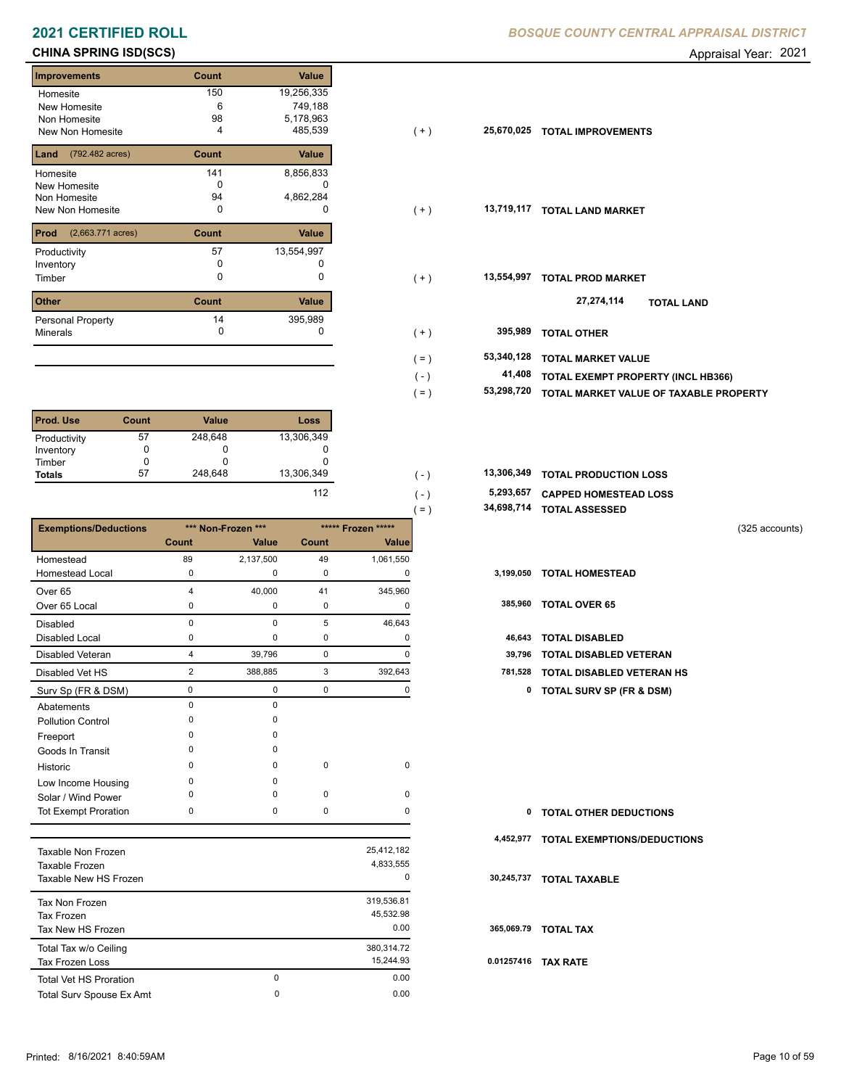### **CHINA SPRING ISD(SCS)** Appraisal Year: 2021

| <b>Improvements</b>                 | Count | <b>Value</b> |
|-------------------------------------|-------|--------------|
| Homesite                            | 150   | 19,256,335   |
| New Homesite                        | 6     | 749,188      |
| Non Homesite                        | 98    | 5,178,963    |
| <b>New Non Homesite</b>             | 4     | 485,539      |
| (792.482 acres)<br>Land             | Count | Value        |
| Homesite                            | 141   | 8,856,833    |
| New Homesite                        | n     |              |
| Non Homesite                        | 94    | 4,862,284    |
| New Non Homesite                    | 0     | O            |
| Prod<br>$(2,663.771 \text{ acres})$ | Count | Value        |
| Productivity                        | 57    | 13,554,997   |
| Inventory                           | O     |              |
| Timber                              | 0     | 0            |
| <b>Other</b>                        | Count | Value        |
| <b>Personal Property</b>            | 14    | 395,989      |
| <b>Minerals</b>                     | 0     | 0            |

| <b>Prod. Use</b> | Count | <b>Value</b> | Loss       |
|------------------|-------|--------------|------------|
| Productivity     | 57    | 248,648      | 13,306,349 |
| Inventory        |       | O            |            |
| Timber           |       |              |            |
| <b>Totals</b>    | 57    | 248.648      | 13,306,349 |
|                  |       |              |            |

|                              |             |                    |             |                     | $=$ )        | 34,698,714 TOTAL ASSESSED           |  |
|------------------------------|-------------|--------------------|-------------|---------------------|--------------|-------------------------------------|--|
| <b>Exemptions/Deductions</b> |             | *** Non-Frozen *** |             | ***** Frozen *****  |              | (325 accounts)                      |  |
|                              | Count       | Value              | Count       | Value               |              |                                     |  |
| Homestead                    | 89          | 2,137,500          | 49          | 1,061,550           |              |                                     |  |
| <b>Homestead Local</b>       | 0           | 0                  | 0           | 0                   |              | 3,199,050 TOTAL HOMESTEAD           |  |
| Over <sub>65</sub>           | Δ           | 40,000             | 41          | 345,960             |              |                                     |  |
| Over 65 Local                | 0           | 0                  | 0           | 0                   | 385,960      | <b>TOTAL OVER 65</b>                |  |
| <b>Disabled</b>              | $\mathbf 0$ | 0                  | 5           | 46,643              |              |                                     |  |
| <b>Disabled Local</b>        | $\Omega$    | $\Omega$           | 0           | 0                   | 46,643       | <b>TOTAL DISABLED</b>               |  |
| <b>Disabled Veteran</b>      | 4           | 39,796             | $\pmb{0}$   | 0                   | 39,796       | <b>TOTAL DISABLED VETERAN</b>       |  |
| Disabled Vet HS              | 2           | 388,885            | 3           | 392,643             | 781,528      | <b>TOTAL DISABLED VETERAN HS</b>    |  |
| Surv Sp (FR & DSM)           | 0           | 0                  | 0           | 0                   | $\mathbf{0}$ | <b>TOTAL SURV SP (FR &amp; DSM)</b> |  |
| Abatements                   | $\Omega$    | $\Omega$           |             |                     |              |                                     |  |
| <b>Pollution Control</b>     | n           | $\Omega$           |             |                     |              |                                     |  |
| Freeport                     | n           | $\Omega$           |             |                     |              |                                     |  |
| Goods In Transit             |             | 0                  |             |                     |              |                                     |  |
| Historic                     | ŋ           | $\Omega$           | $\pmb{0}$   | 0                   |              |                                     |  |
| Low Income Housing           | O           | 0                  |             |                     |              |                                     |  |
| Solar / Wind Power           | n           | $\Omega$           | $\mathbf 0$ | 0                   |              |                                     |  |
| <b>Tot Exempt Proration</b>  | 0           | 0                  | 0           | 0                   | 0            | <b>TOTAL OTHER DEDUCTIONS</b>       |  |
|                              |             |                    |             |                     | 4,452,977    | <b>TOTAL EXEMPTIONS/DEDUCTIONS</b>  |  |
| <b>Taxable Non Frozen</b>    |             |                    |             | 25,412,182          |              |                                     |  |
| Taxable Frozen<br>.          |             |                    |             | 4,833,555<br>$\sim$ |              | $0.0015707 - 0.0015 - 0.0001$       |  |

| Taxable Frozen<br>Taxable New HS Frozen |   | 4,833,555<br>0 | 30  |
|-----------------------------------------|---|----------------|-----|
| Tax Non Frozen                          |   | 319,536.81     |     |
| Tax Frozen                              |   | 45,532.98      |     |
| Tax New HS Frozen                       |   | 0.00           | 36  |
| Total Tax w/o Ceiling                   |   | 380,314.72     |     |
| <b>Tax Frozen Loss</b>                  |   | 15,244.93      | 0.0 |
| <b>Total Vet HS Proration</b>           | 0 | 0.00           |     |
| <b>Total Surv Spouse Ex Amt</b>         | 0 | 0.00           |     |

| 150   | 19,256,335 |       |                           |                                        |
|-------|------------|-------|---------------------------|----------------------------------------|
| 6     | 749,188    |       |                           |                                        |
| 98    | 5,178,963  |       |                           |                                        |
|       | 485,539    | $(+)$ | 25,670,025                | <b>TOTAL IMPROVEMENTS</b>              |
| Count | Value      |       |                           |                                        |
| 141   | 8,856,833  |       |                           |                                        |
| 0     | 0          |       |                           |                                        |
| 94    | 4,862,284  |       |                           |                                        |
| 0     | $\Omega$   | $(+)$ | 13,719,117                | <b>TOTAL LAND MARKET</b>               |
| Count | Value      |       |                           |                                        |
| 57    | 13,554,997 |       |                           |                                        |
| 0     |            |       |                           |                                        |
| 0     | 0          | $(+)$ | 13,554,997                | <b>TOTAL PROD MARKET</b>               |
| Count | Value      |       |                           | 27,274,114<br><b>TOTAL LAND</b>        |
| 14    | 395,989    |       |                           |                                        |
| 0     | 0          | $(+)$ | 395,989                   | <b>TOTAL OTHER</b>                     |
|       |            | (=)   | 53,340,128                | <b>TOTAL MARKET VALUE</b>              |
|       |            |       | 41,408                    | TOTAL EXEMPT PROPERTY (INCL HB366)     |
|       |            |       |                           |                                        |
|       |            |       |                           | TOTAL MARKET VALUE OF TAXABLE PROPERTY |
|       |            |       | $(\mathsf{-})$<br>$( = )$ | 53,298,720                             |

| 13.306.349 | ( – 1 | 13,306,349 TOTAL PRODUCTION LOSS |
|------------|-------|----------------------------------|
| 112        | ۱ – ۱ | 5,293,657 CAPPED HOMESTEAD LOSS  |

 $( = )$ 

| ,199,050 | <b>TOTAL HOMESTEAD</b> |  |
|----------|------------------------|--|
| 385.960  | <b>TOTAL OVER 65</b>   |  |

| 46,643 TOTAL DISABLED         |
|-------------------------------|
| 39.796 TOTAL DISABLED VETERAN |

| 781,528 | TOTAL DISABLED VETERAN HS |
|---------|---------------------------|
|---------|---------------------------|

| 0          | <b>TOTAL OTHER DEDUCTIONS</b>         |
|------------|---------------------------------------|
|            | 4,452,977 TOTAL EXEMPTIONS/DEDUCTIONS |
|            | 30,245,737 TOTAL TAXABLE              |
|            | 365,069.79 TOTAL TAX                  |
| 0.01257416 | <b>TAX RATE</b>                       |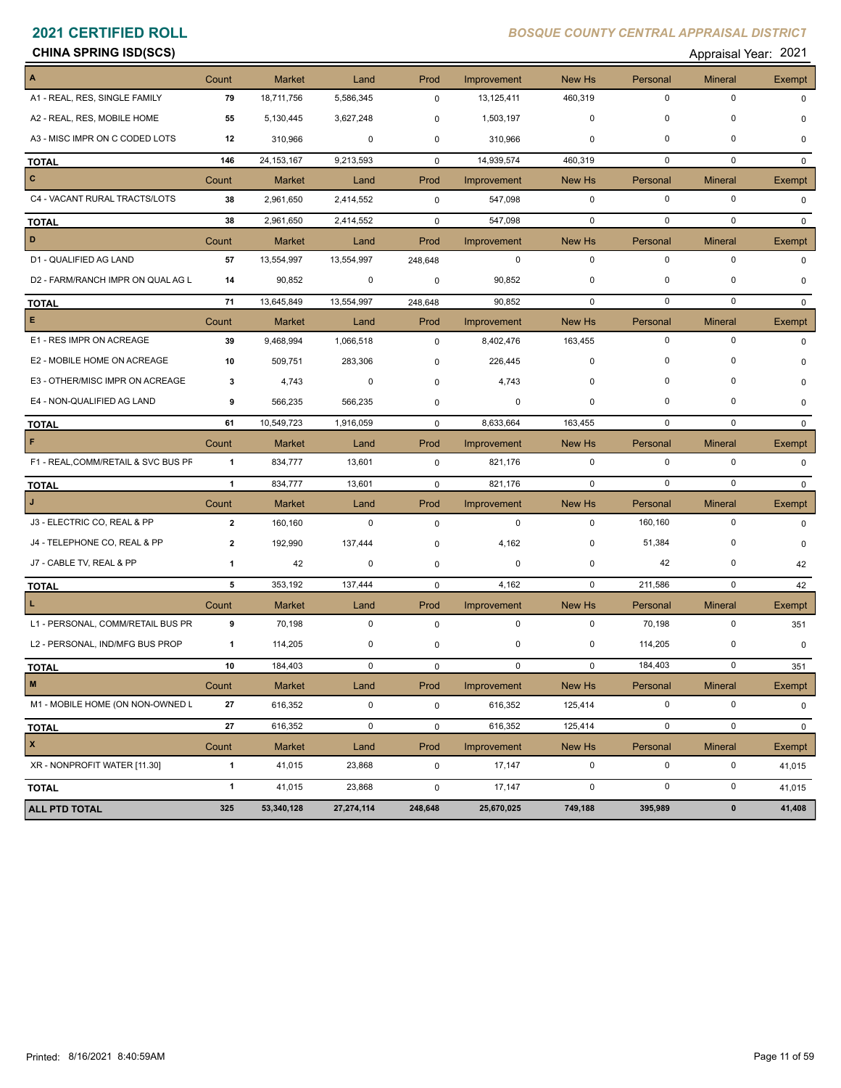### **CHINA SPRING ISD(SCS)** Appraisal Year: 2021

| $\vert$ A                           | Count          | <b>Market</b> | Land         | Prod        | Improvement | New Hs       | Personal    | <b>Mineral</b> | Exempt        |
|-------------------------------------|----------------|---------------|--------------|-------------|-------------|--------------|-------------|----------------|---------------|
| A1 - REAL, RES, SINGLE FAMILY       | 79             | 18,711,756    | 5,586,345    | $\mathbf 0$ | 13,125,411  | 460,319      | 0           | 0              | 0             |
| A2 - REAL, RES, MOBILE HOME         | 55             | 5,130,445     | 3,627,248    | 0           | 1,503,197   | 0            | 0           | 0              |               |
| A3 - MISC IMPR ON C CODED LOTS      | 12             | 310,966       | $\mathbf 0$  | 0           | 310,966     | 0            | $\mathbf 0$ | 0              | O             |
| <b>TOTAL</b>                        | 146            | 24, 153, 167  | 9,213,593    | $\mathbf 0$ | 14,939,574  | 460,319      | 0           | $\mathbf 0$    | $\Omega$      |
| $\overline{\phantom{a}}$            | Count          | <b>Market</b> | Land         | Prod        | Improvement | New Hs       | Personal    | <b>Mineral</b> | <b>Exempt</b> |
| C4 - VACANT RURAL TRACTS/LOTS       | 38             | 2,961,650     | 2,414,552    | $\mathbf 0$ | 547,098     | $\mathbf 0$  | $\mathbf 0$ | $\mathbf 0$    | $\Omega$      |
| <b>TOTAL</b>                        | 38             | 2,961,650     | 2,414,552    | $\mathbf 0$ | 547,098     | $\mathbf 0$  | $\mathbf 0$ | $\mathbf 0$    | $\Omega$      |
| $\vert$ D                           | Count          | <b>Market</b> | Land         | Prod        | Improvement | New Hs       | Personal    | <b>Mineral</b> | Exempt        |
| D1 - QUALIFIED AG LAND              | 57             | 13,554,997    | 13,554,997   | 248,648     | 0           | $\mathbf 0$  | $\mathbf 0$ | 0              | $\Omega$      |
| D2 - FARM/RANCH IMPR ON QUAL AG L   | 14             | 90,852        | 0            | 0           | 90,852      | 0            | 0           | 0              | $\Omega$      |
| <b>TOTAL</b>                        | 71             | 13,645,849    | 13,554,997   | 248,648     | 90,852      | 0            | 0           | $\mathbf 0$    | $\mathbf{0}$  |
| E                                   | Count          | <b>Market</b> | Land         | Prod        | Improvement | New Hs       | Personal    | <b>Mineral</b> | Exempt        |
| E1 - RES IMPR ON ACREAGE            | 39             | 9,468,994     | 1,066,518    | $\mathbf 0$ | 8,402,476   | 163,455      | $\mathbf 0$ | 0              | $\Omega$      |
| E2 - MOBILE HOME ON ACREAGE         | 10             | 509,751       | 283,306      | 0           | 226,445     | $\Omega$     | $\Omega$    | 0              |               |
| E3 - OTHER/MISC IMPR ON ACREAGE     | 3              | 4,743         | 0            | 0           | 4,743       | 0            | 0           | 0              |               |
| E4 - NON-QUALIFIED AG LAND          | 9              | 566,235       | 566,235      | 0           | 0           | $\mathbf 0$  | $\mathbf 0$ | 0              | n             |
| <b>TOTAL</b>                        | 61             | 10,549,723    | 1,916,059    | $\mathbf 0$ | 8,633,664   | 163,455      | 0           | 0              | $\Omega$      |
| $\mathsf F$                         | Count          | <b>Market</b> | Land         | Prod        | Improvement | New Hs       | Personal    | <b>Mineral</b> | Exempt        |
| F1 - REAL, COMM/RETAIL & SVC BUS PF | $\overline{1}$ | 834,777       | 13,601       | 0           | 821,176     | 0            | 0           | 0              | 0             |
| <b>TOTAL</b>                        | $\mathbf{1}$   | 834,777       | 13,601       | $\mathbf 0$ | 821,176     | $\mathbf{0}$ | 0           | $\mathbf 0$    | $\Omega$      |
| $\mathbf{J}$                        | Count          | <b>Market</b> | Land         | Prod        | Improvement | New Hs       | Personal    | <b>Mineral</b> | Exempt        |
| J3 - ELECTRIC CO, REAL & PP         | $\mathbf{2}$   | 160,160       | $\mathbf 0$  | $\mathbf 0$ | $\mathbf 0$ | $\mathbf 0$  | 160,160     | $\pmb{0}$      | $\Omega$      |
| J4 - TELEPHONE CO, REAL & PP        | 2              | 192,990       | 137,444      | 0           | 4,162       | 0            | 51,384      | 0              | $\Omega$      |
| J7 - CABLE TV, REAL & PP            | 1              | 42            | 0            | 0           | 0           | 0            | 42          | 0              | 42            |
| <b>TOTAL</b>                        | 5              | 353,192       | 137,444      | $\mathbf 0$ | 4,162       | $\mathbf 0$  | 211,586     | $\mathbf 0$    | 42            |
| T.                                  | Count          | <b>Market</b> | Land         | Prod        | Improvement | New Hs       | Personal    | <b>Mineral</b> | Exempt        |
| L1 - PERSONAL, COMM/RETAIL BUS PR   | 9              | 70,198        | $\mathbf 0$  | $\mathbf 0$ | $\mathbf 0$ | $\mathbf 0$  | 70,198      | $\pmb{0}$      | 351           |
| L2 - PERSONAL, IND/MFG BUS PROP     | $\mathbf{1}$   | 114,205       | 0            | 0           | 0           | 0            | 114,205     | 0              | 0             |
| <b>TOTAL</b>                        | 10             | 184,403       | $\mathbf{0}$ | $\mathbf 0$ | $\mathbf 0$ | $\mathbf 0$  | 184,403     | $\mathbf 0$    | 351           |
| $\overline{\phantom{a}}$ M          | Count          | Market        | Land         | Prod        | Improvement | New Hs       | Personal    | Mineral        | Exempt        |
| M1 - MOBILE HOME (ON NON-OWNED L    | 27             | 616,352       | 0            | 0           | 616,352     | 125,414      | 0           | 0              | 0             |
| <b>TOTAL</b>                        | 27             | 616,352       | $\mathbf 0$  | $\mathsf 0$ | 616,352     | 125,414      | $\mathbf 0$ | $\pmb{0}$      | $\mathbf 0$   |
| $\vert x \vert$                     | Count          | <b>Market</b> | Land         | Prod        | Improvement | New Hs       | Personal    | <b>Mineral</b> | Exempt        |
| XR - NONPROFIT WATER [11.30]        | $\mathbf{1}$   | 41,015        | 23,868       | $\mathbf 0$ | 17,147      | 0            | 0           | $\pmb{0}$      | 41,015        |
| <b>TOTAL</b>                        | $\mathbf{1}$   | 41,015        | 23,868       | $\mathbf 0$ | 17,147      | $\mathsf 0$  | $\pmb{0}$   | $\pmb{0}$      | 41,015        |
| ALL PTD TOTAL                       | 325            | 53,340,128    | 27,274,114   | 248,648     | 25,670,025  | 749,188      | 395,989     | $\pmb{0}$      | 41,408        |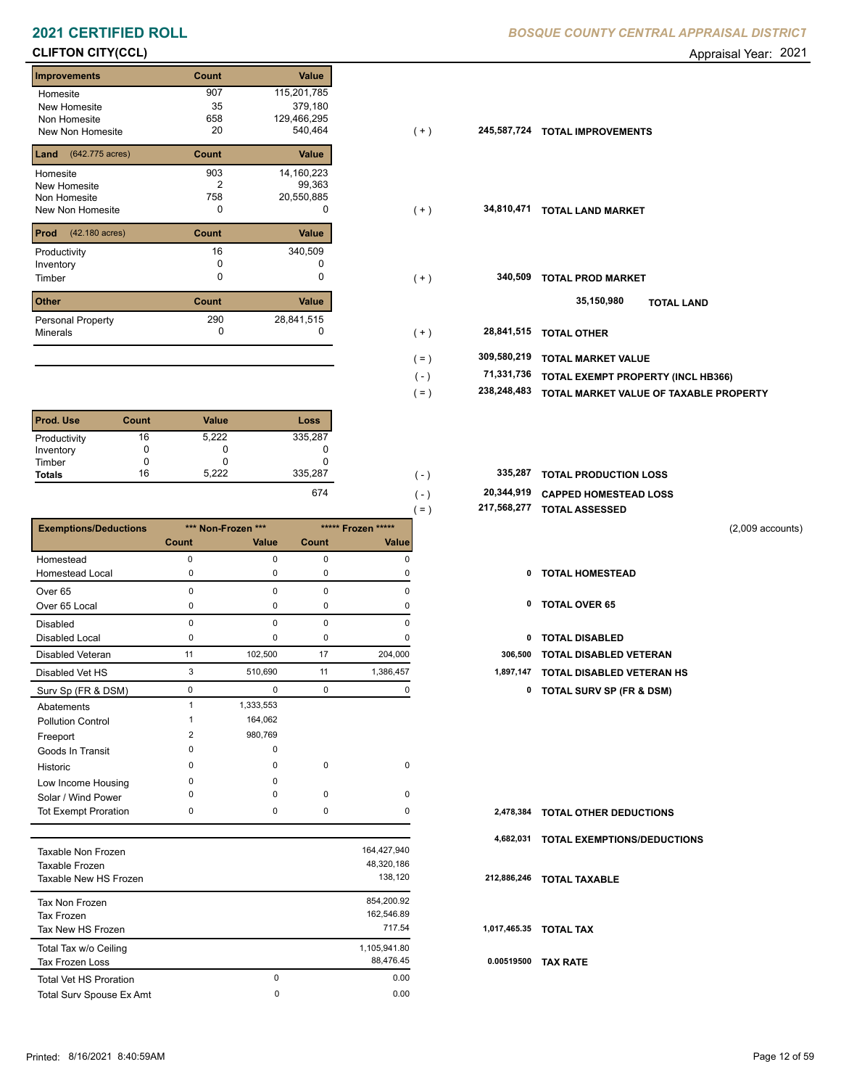# **CLIFTON CITY(CCL)** Appraisal Year: 2021

| <b>Improvements</b>      | Count | Value        |
|--------------------------|-------|--------------|
| Homesite                 | 907   | 115,201,785  |
| New Homesite             | 35    | 379,180      |
| Non Homesite             | 658   | 129,466,295  |
| <b>New Non Homesite</b>  | 20    | 540,464      |
| (642.775 acres)<br>Land  | Count | Value        |
| Homesite                 | 903   | 14, 160, 223 |
| New Homesite             | 2     | 99,363       |
| Non Homesite             | 758   | 20,550,885   |
| New Non Homesite         | 0     | O            |
| Prod<br>(42.180 acres)   | Count | <b>Value</b> |
| Productivity             | 16    | 340,509      |
| Inventory                | n     |              |
| Timber                   | O     | 0            |
| <b>Other</b>             | Count | Value        |
| <b>Personal Property</b> | 290   | 28,841,515   |
| <b>Minerals</b>          | 0     | 0            |

| <b>Prod. Use</b> | Count | <b>Value</b> | Loss              |
|------------------|-------|--------------|-------------------|
| Productivity     | 16    | 5,222        | 335,287           |
| Inventory        |       | O            |                   |
| Timber           |       |              |                   |
| <b>Totals</b>    | 16    | 5.222        | 335,287           |
|                  |       |              | $\sim$ 7 $\prime$ |

|                              |                |                    |             |                    | $( = )$ | 217,568,277  | <b>TOTAL ASSESSED</b>            |                    |
|------------------------------|----------------|--------------------|-------------|--------------------|---------|--------------|----------------------------------|--------------------|
| <b>Exemptions/Deductions</b> |                | *** Non-Frozen *** |             | ***** Frozen ***** |         |              |                                  | $(2,009$ accounts) |
|                              | <b>Count</b>   | Value              | Count       | Value              |         |              |                                  |                    |
| Homestead                    | $\Omega$       | $\Omega$           | 0           | O                  |         |              |                                  |                    |
| <b>Homestead Local</b>       | 0              | 0                  | 0           | 0                  |         | 0            | <b>TOTAL HOMESTEAD</b>           |                    |
| Over <sub>65</sub>           | $\Omega$       | $\Omega$           | $\Omega$    | $\Omega$           |         |              |                                  |                    |
| Over 65 Local                | 0              | 0                  | 0           | 0                  |         | 0            | <b>TOTAL OVER 65</b>             |                    |
| <b>Disabled</b>              | $\Omega$       | $\Omega$           | $\mathbf 0$ | $\Omega$           |         |              |                                  |                    |
| Disabled Local               | $\Omega$       | $\Omega$           | 0           | n                  |         | $\mathbf{0}$ | <b>TOTAL DISABLED</b>            |                    |
| <b>Disabled Veteran</b>      | 11             | 102,500            | 17          | 204,000            |         | 306,500      | <b>TOTAL DISABLED VETERAN</b>    |                    |
| Disabled Vet HS              | 3              | 510,690            | 11          | 1,386,457          |         | 1,897,147    | <b>TOTAL DISABLED VETERAN HS</b> |                    |
| Surv Sp (FR & DSM)           | $\mathbf 0$    | $\Omega$           | $\mathbf 0$ | 0                  |         |              | 0 TOTAL SURV SP (FR & DSM)       |                    |
| Abatements                   | $\overline{1}$ | 1,333,553          |             |                    |         |              |                                  |                    |
| <b>Pollution Control</b>     |                | 164,062            |             |                    |         |              |                                  |                    |
| Freeport                     | $\overline{2}$ | 980,769            |             |                    |         |              |                                  |                    |
| Goods In Transit             | $\Omega$       | 0                  |             |                    |         |              |                                  |                    |
| Historic                     | $\Omega$       | $\Omega$           | 0           | $\mathbf 0$        |         |              |                                  |                    |
| Low Income Housing           | $\Omega$       | $\Omega$           |             |                    |         |              |                                  |                    |
| Solar / Wind Power           | n              | $\Omega$           | $\mathbf 0$ | $\mathbf 0$        |         |              |                                  |                    |
| <b>Tot Exempt Proration</b>  | 0              | 0                  | $\mathbf 0$ | $\Omega$           |         | 2,478,384    | <b>TOTAL OTHER DEDUCTIONS</b>    |                    |
|                              |                |                    |             |                    |         | 4,682,031    | TOTAL EXEMPTIONS/DEDUCTIONS      |                    |
| <b>Taxable Non Frozen</b>    |                |                    |             | 164,427,940        |         |              |                                  |                    |
| Taxable Frozen               |                |                    |             | 48,320,186         |         |              |                                  |                    |
| Taxable New HS Frozen        |                |                    |             | 138,120            |         | 212,886,246  | <b>TOTAL TAXABLE</b>             |                    |
|                              |                |                    |             |                    |         |              |                                  |                    |

| Tax Non Frozen                  |          | 854,200.92   |      |
|---------------------------------|----------|--------------|------|
| Tax Frozen                      |          | 162,546.89   |      |
| Tax New HS Frozen               |          | 717.54       | 1,01 |
| Total Tax w/o Ceiling           |          | 1,105,941.80 |      |
| <b>Tax Frozen Loss</b>          |          | 88.476.45    | 0.0  |
| <b>Total Vet HS Proration</b>   | 0        | 0.00         |      |
| <b>Total Surv Spouse Ex Amt</b> | $\Omega$ | 0.00         |      |

| Homesite                              | 907   | 115,201,785 |         |             |                                        |
|---------------------------------------|-------|-------------|---------|-------------|----------------------------------------|
| New Homesite                          | 35    | 379,180     |         |             |                                        |
| Non Homesite                          | 658   | 129,466,295 |         |             |                                        |
| New Non Homesite                      | 20    | 540,464     | $(+)$   | 245,587,724 | <b>TOTAL IMPROVEMENTS</b>              |
| <b>Land</b> $(642.775 \text{ acres})$ | Count | Value       |         |             |                                        |
| Homesite                              | 903   | 14,160,223  |         |             |                                        |
| New Homesite                          | 2     | 99,363      |         |             |                                        |
| Non Homesite                          | 758   | 20,550,885  |         |             |                                        |
| New Non Homesite                      | 0     | 0           | $(+)$   | 34,810,471  | <b>TOTAL LAND MARKET</b>               |
| <b>Prod</b> (42.180 acres)            | Count | Value       |         |             |                                        |
| Productivity                          | 16    | 340,509     |         |             |                                        |
| Inventory                             | 0     |             |         |             |                                        |
| Timber                                | 0     | 0           | $(+)$   | 340,509     | <b>TOTAL PROD MARKET</b>               |
| Other                                 | Count | Value       |         |             | 35,150,980<br><b>TOTAL LAND</b>        |
| Personal Property                     | 290   | 28,841,515  |         |             |                                        |
| Minerals                              | 0     |             | $(+)$   | 28,841,515  | <b>TOTAL OTHER</b>                     |
|                                       |       |             | $( = )$ | 309,580,219 | <b>TOTAL MARKET VALUE</b>              |
|                                       |       |             | $(-)$   | 71,331,736  | TOTAL EXEMPT PROPERTY (INCL HB366)     |
|                                       |       |             | $( = )$ | 238,248,483 | TOTAL MARKET VALUE OF TAXABLE PROPERTY |
|                                       |       |             |         |             |                                        |
|                                       |       |             |         |             |                                        |

| 335,287 |  | 335,287 TOTAL PRODUCTION LOSS |
|---------|--|-------------------------------|
|         |  |                               |

 **20,344,919 CAPPED HOMESTEAD LOSS** 674 (-) 20

 $( = )$ 

 **217,568,277 TOTAL ASSESSED**

- 
- 
- 
- 
- 3 510,690 11 1,386,457 **1,897,147 TOTAL DISABLED VETERAN HS**
- Surv Sp (FR & DSM) 0 0 0 0 **0 TOTAL SURV SP (FR & DSM)**

| 2,478,384   | <b>TOTAL OTHER DEDUCTIONS</b>      |
|-------------|------------------------------------|
| 4,682,031   | <b>TOTAL EXEMPTIONS/DEDUCTIONS</b> |
| 212,886,246 | <b>TOTAL TAXABLE</b>               |
|             | 1,017,465.35 TOTAL TAX             |
| 0.00519500  | <b>TAX RATE</b>                    |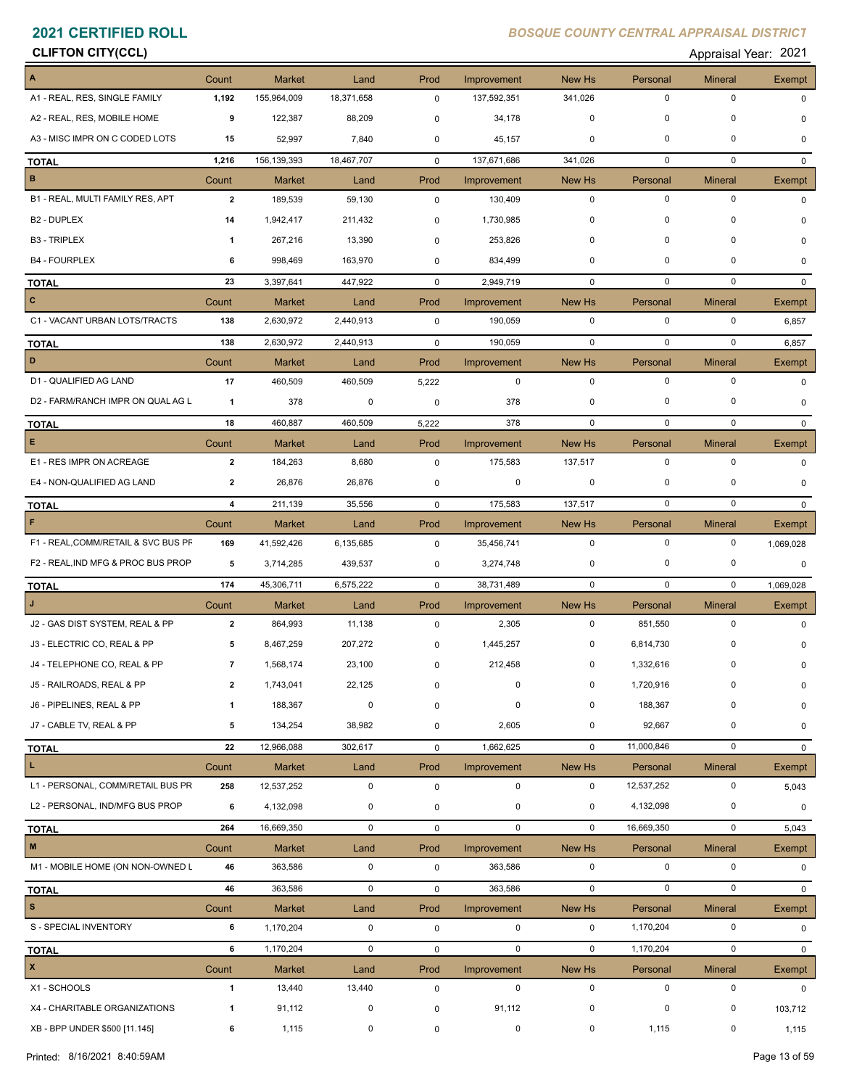# **CLIFTON CITY(CCL)** Appraisal Year: 2021

|  | Appraisal Year: 202 |  |
|--|---------------------|--|
|  |                     |  |

| A                                   | Count          | <b>Market</b> | Land        | Prod         | Improvement | New Hs         | Personal    | <b>Mineral</b> | Exempt        |
|-------------------------------------|----------------|---------------|-------------|--------------|-------------|----------------|-------------|----------------|---------------|
| A1 - REAL, RES, SINGLE FAMILY       | 1,192          | 155,964,009   | 18,371,658  | $\mathbf 0$  | 137,592,351 | 341,026        | $\mathbf 0$ | 0              | $\Omega$      |
| A2 - REAL, RES, MOBILE HOME         | 9              | 122,387       | 88,209      | $\mathbf 0$  | 34,178      | 0              | 0           | 0              | 0             |
| A3 - MISC IMPR ON C CODED LOTS      | 15             | 52,997        | 7,840       | 0            | 45,157      | 0              | $\mathbf 0$ | 0              | $\Omega$      |
| <b>TOTAL</b>                        | 1,216          | 156,139,393   | 18,467,707  | $\mathbf 0$  | 137,671,686 | 341,026        | 0           | $\mathbf 0$    | $\Omega$      |
| $\, {\bf B}$                        | Count          | <b>Market</b> | Land        | Prod         | Improvement | New Hs         | Personal    | <b>Mineral</b> | <b>Exempt</b> |
| B1 - REAL, MULTI FAMILY RES, APT    | $\overline{2}$ | 189,539       | 59,130      | $\mathbf 0$  | 130,409     | $\mathbf 0$    | $\mathbf 0$ | 0              | $\Omega$      |
| <b>B2 - DUPLEX</b>                  | 14             | 1,942,417     | 211,432     | 0            | 1,730,985   | 0              | $\mathbf 0$ | 0              | $\Omega$      |
| <b>B3 - TRIPLEX</b>                 | -1             | 267,216       | 13,390      | $\mathbf 0$  | 253,826     | 0              | $\mathbf 0$ | 0              | 0             |
| <b>B4 - FOURPLEX</b>                | 6              | 998,469       | 163,970     | $\mathbf 0$  | 834,499     | 0              | $\mathbf 0$ | 0              | $\Omega$      |
| <b>TOTAL</b>                        | 23             | 3,397,641     | 447,922     | $\mathbf 0$  | 2,949,719   | $\mathbf 0$    | $\mathbf 0$ | $\mathbf 0$    | $\Omega$      |
| $\mathbf{C}$                        | Count          | Market        | Land        | Prod         | Improvement | New Hs         | Personal    | <b>Mineral</b> | Exempt        |
| C1 - VACANT URBAN LOTS/TRACTS       | 138            | 2,630,972     | 2,440,913   | $\mathbf 0$  | 190,059     | $\mathbf 0$    | $\mathbf 0$ | $\mathbf 0$    | 6,857         |
| <b>TOTAL</b>                        | 138            | 2,630,972     | 2,440,913   | $\mathbf 0$  | 190,059     | $\mathbf 0$    | $\mathbf 0$ | $\mathbf 0$    | 6,857         |
| $\mathbf D$                         | Count          | <b>Market</b> | Land        | Prod         | Improvement | New Hs         | Personal    | <b>Mineral</b> | Exempt        |
| D1 - QUALIFIED AG LAND              | 17             | 460,509       | 460,509     | 5,222        | $\mathbf 0$ | $\mathbf 0$    | $\mathbf 0$ | $\mathbf 0$    | $\Omega$      |
| D2 - FARM/RANCH IMPR ON QUAL AG L   | $\mathbf{1}$   | 378           | 0           | 0            | 378         | 0              | $\mathbf 0$ | $\mathbf 0$    | 0             |
| <b>TOTAL</b>                        | 18             | 460,887       | 460,509     | 5,222        | 378         | $\mathbf 0$    | $\mathbf 0$ | $\mathbf 0$    | $\mathbf{0}$  |
| $\mathsf E$                         | Count          | <b>Market</b> | Land        | Prod         | Improvement | New Hs         | Personal    | <b>Mineral</b> | Exempt        |
| E1 - RES IMPR ON ACREAGE            | $\overline{2}$ | 184,263       | 8,680       | 0            | 175,583     | 137,517        | $\mathbf 0$ | $\mathbf 0$    | $\mathbf{0}$  |
| E4 - NON-QUALIFIED AG LAND          | $\overline{2}$ | 26,876        | 26,876      | 0            | 0           | $\mathbf 0$    | 0           | 0              | $\Omega$      |
| <b>TOTAL</b>                        | 4              | 211,139       | 35,556      | $\mathbf 0$  | 175,583     | 137,517        | $\mathbf 0$ | $\mathbf 0$    | $\mathbf{0}$  |
| F                                   | Count          | <b>Market</b> | Land        | Prod         | Improvement | New Hs         | Personal    | <b>Mineral</b> | Exempt        |
| F1 - REAL, COMM/RETAIL & SVC BUS PF | 169            | 41,592,426    | 6,135,685   | $\mathbf 0$  | 35,456,741  | $\mathbf 0$    | $\mathbf 0$ | 0              | 1,069,028     |
| F2 - REAL, IND MFG & PROC BUS PROP  | 5              | 3,714,285     | 439,537     | 0            | 3,274,748   | 0              | 0           | 0              | $\mathbf 0$   |
| <b>TOTAL</b>                        | 174            | 45,306,711    | 6,575,222   | $\mathbf 0$  | 38,731,489  | $\mathbf 0$    | 0           | $\mathbf 0$    | 1,069,028     |
|                                     | Count          | <b>Market</b> | Land        | Prod         | Improvement | New Hs         | Personal    | <b>Mineral</b> | <b>Exempt</b> |
| J2 - GAS DIST SYSTEM, REAL & PP     | $\overline{2}$ | 864,993       | 11,138      | 0            | 2,305       | $\mathbf 0$    | 851,550     | $\mathbf 0$    | $\Omega$      |
| J3 - ELECTRIC CO, REAL & PP         | 5              | 8,467,259     | 207,272     | 0            | 1,445,257   | 0              | 6,814,730   | $\Omega$       | $\Omega$      |
| J4 - TELEPHONE CO, REAL & PP        | 7              | 1,568,174     | 23,100      | 0            | 212,458     | 0              | 1,332,616   | 0              | 0             |
| J5 - RAILROADS, REAL & PP           | $\mathbf{2}$   | 1,743,041     | 22,125      |              |             | $\mathbf{0}$   | 1,720,916   | 0              |               |
| J6 - PIPELINES, REAL & PP           | 1              | 188,367       | 0           | 0            | 0           | 0              | 188,367     | 0              | $\Omega$      |
| J7 - CABLE TV, REAL & PP            | 5              | 134,254       | 38,982      | 0            | 2,605       | $\mathbf 0$    | 92,667      | $\mathbf 0$    | $\mathbf 0$   |
| <b>TOTAL</b>                        | 22             | 12,966,088    | 302,617     | $\mathbf 0$  | 1,662,625   | $\mathbf 0$    | 11,000,846  | 0              | $\mathbf{0}$  |
| L.                                  | Count          | Market        | Land        | Prod         | Improvement | New Hs         | Personal    | <b>Mineral</b> | Exempt        |
| L1 - PERSONAL, COMM/RETAIL BUS PR   | 258            | 12,537,252    | $\mathbf 0$ | $\mathbf 0$  | 0           | 0              | 12,537,252  | 0              | 5,043         |
| L2 - PERSONAL, IND/MFG BUS PROP     | 6              | 4,132,098     | $\pmb{0}$   | $\mathbf 0$  | 0           | 0              | 4,132,098   | $\pmb{0}$      | 0             |
| <b>TOTAL</b>                        | 264            | 16,669,350    | $\mathsf 0$ | $\mathbf 0$  | $\mathbf 0$ | $\mathbf 0$    | 16,669,350  | 0              | 5,043         |
| $\mathbf M$                         | Count          | Market        | Land        | Prod         | Improvement | New Hs         | Personal    | <b>Mineral</b> | Exempt        |
| M1 - MOBILE HOME (ON NON-OWNED L    | 46             | 363,586       | $\mathbf 0$ | 0            | 363,586     | $\mathbf 0$    | $\mathbf 0$ | 0              | 0             |
| <b>TOTAL</b>                        | 46             | 363,586       | $\mathbf 0$ | $\mathsf{O}$ | 363,586     | $\overline{0}$ | $\mathbf 0$ | 0              | $\mathbf{0}$  |
| $\mathbf{s}$                        | Count          | Market        | Land        | Prod         | Improvement | New Hs         | Personal    | <b>Mineral</b> | <b>Exempt</b> |
| S - SPECIAL INVENTORY               | 6              | 1,170,204     | $\mathbf 0$ | $\mathsf 0$  | $\mathbf 0$ | $\mathbf 0$    | 1,170,204   | $\mathbf 0$    | $\Omega$      |
| <b>TOTAL</b>                        | 6              | 1,170,204     | $\mathbf 0$ | $\mathbf 0$  | $\mathbf 0$ | $\mathbf 0$    | 1,170,204   | 0              | $\mathbf{0}$  |
| $\mathbf{x}$                        | Count          | <b>Market</b> | Land        | Prod         | Improvement | New Hs         | Personal    | <b>Mineral</b> | Exempt        |
| X1 - SCHOOLS                        | $\mathbf{1}$   | 13,440        | 13,440      | $\mathbf 0$  | $\mathbf 0$ | $\mathbf 0$    | $\mathbf 0$ | 0              | $\mathbf{0}$  |
| X4 - CHARITABLE ORGANIZATIONS       | $\mathbf{1}$   | 91,112        | 0           | 0            | 91,112      | 0              | 0           | 0              | 103,712       |
| XB - BPP UNDER \$500 [11.145]       | 6              | 1,115         | $\mathbf 0$ | 0            | 0           | 0              | 1,115       | 0              | 1,115         |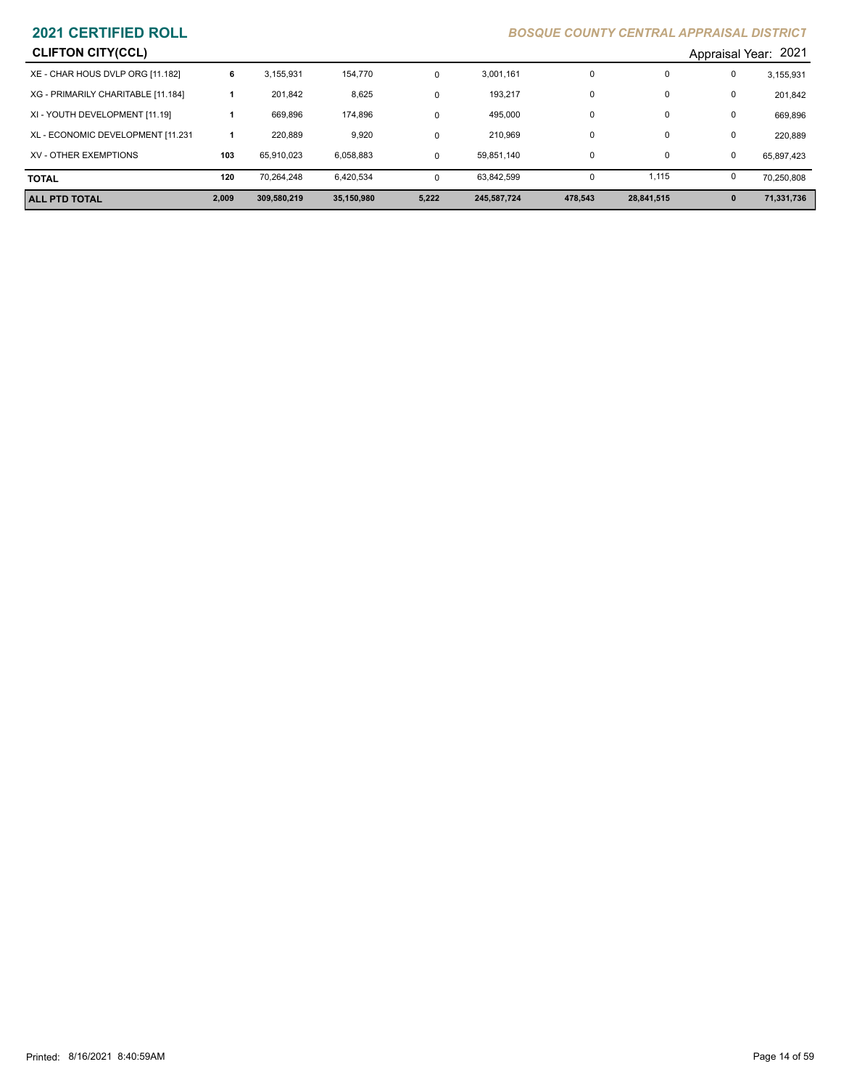| <b>ALL PTD TOTAL</b>               | 2,009 | 309,580,219 | 35,150,980 | 5,222        | 245,587,724 | 478,543 | 28,841,515 | $\mathbf{0}$ | 71,331,736           |
|------------------------------------|-------|-------------|------------|--------------|-------------|---------|------------|--------------|----------------------|
| <b>TOTAL</b>                       | 120   | 70.264.248  | 6.420.534  | $\Omega$     | 63.842.599  | 0       | 1,115      | 0            | 70.250.808           |
| XV - OTHER EXEMPTIONS              | 103   | 65.910.023  | 6.058.883  | $\mathbf{0}$ | 59.851.140  | 0       | $\Omega$   | 0            | 65.897.423           |
| XL - ECONOMIC DEVELOPMENT [11.231  |       | 220.889     | 9,920      | 0            | 210,969     | 0       | $\Omega$   | 0            | 220,889              |
| XI - YOUTH DEVELOPMENT [11.19]     |       | 669.896     | 174,896    | 0            | 495,000     | 0       | $\Omega$   | 0            | 669,896              |
| XG - PRIMARILY CHARITABLE [11.184] |       | 201.842     | 8,625      | 0            | 193,217     | 0       | $\Omega$   | 0            | 201,842              |
| XE - CHAR HOUS DVLP ORG [11.182]   | 6     | 3.155.931   | 154.770    | 0            | 3,001,161   | 0       |            | 0            | 3,155,931            |
| <b>CLIFTON CITY(CCL)</b>           |       |             |            |              |             |         |            |              | Appraisal Year: 2021 |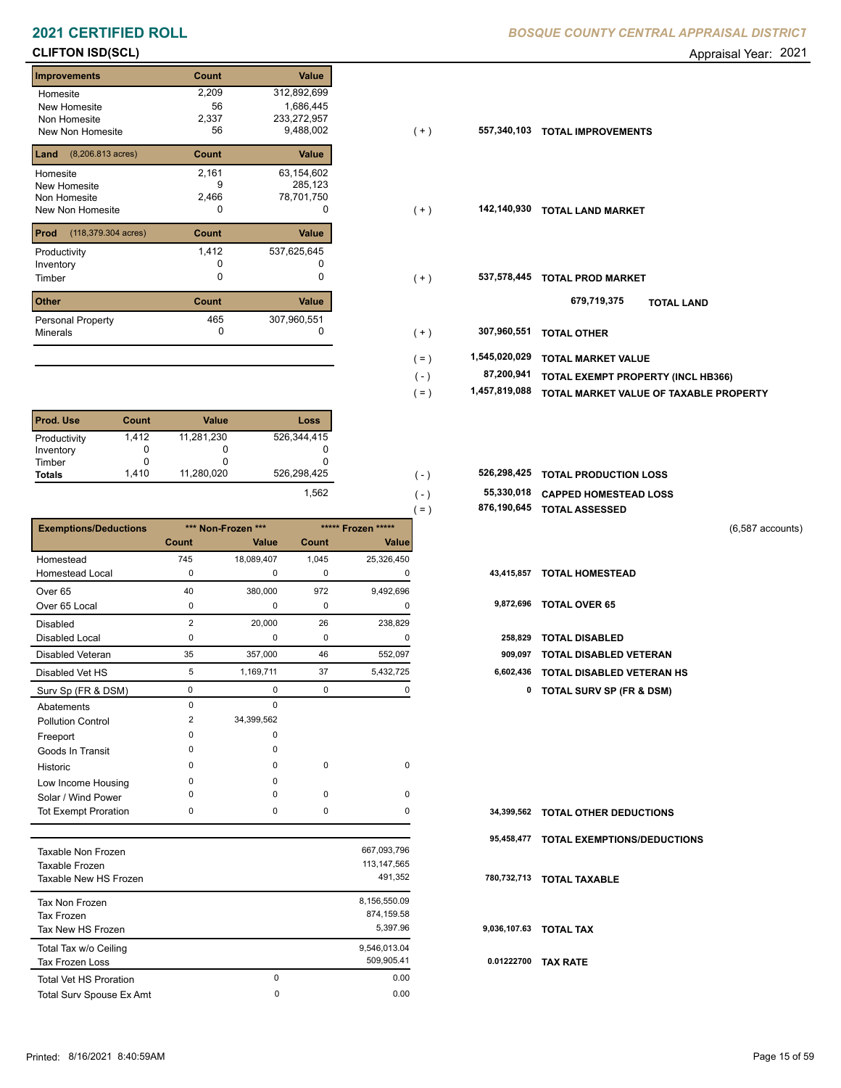# **CLIFTON ISD(SCL)** Appraisal Year: 2021

| Value<br><b>Improvements</b><br>Count                 |
|-------------------------------------------------------|
| 2,209<br>312,892,699<br>Homesite                      |
| 1,686,445<br>56<br>New Homesite                       |
| 233,272,957<br>2,337<br>Non Homesite                  |
| 9,488,002<br>56<br><b>New Non Homesite</b>            |
|                                                       |
| $(8,206.813 \text{ acres})$<br>Land<br>Value<br>Count |
| 63,154,602<br>2,161<br>Homesite                       |
| 285,123<br>9<br>New Homesite                          |
| 2,466<br>78,701,750<br>Non Homesite                   |
| New Non Homesite<br>0<br>0                            |
| Value<br>(118,379.304 acres)<br>Count<br>Prod         |
| 1,412<br>537,625,645<br>Productivity                  |
| O<br>Inventory                                        |
| 0<br>0<br>Timber                                      |
| <b>Other</b><br>Count<br>Value                        |
|                                                       |
| 465<br>307,960,551<br>Personal Property               |
| 0<br>Minerals<br>0                                    |

| <b>Prod. Use</b> | Count | <b>Value</b> | Loss        |
|------------------|-------|--------------|-------------|
| Productivity     | 1,412 | 11,281,230   | 526,344,415 |
| Inventory        | 0     |              |             |
| Timber           |       | O            |             |
| <b>Totals</b>    | 1.410 | 11,280,020   | 526,298,425 |
|                  |       |              | 1.562       |

|                              |                |                    |       |                    | 876,190,645<br>$( = )$ | <b>TOTAL ASSESSED</b>               |
|------------------------------|----------------|--------------------|-------|--------------------|------------------------|-------------------------------------|
| <b>Exemptions/Deductions</b> |                | *** Non-Frozen *** |       | ***** Frozen ***** |                        | $(6,587$ accounts)                  |
|                              | <b>Count</b>   | <b>Value</b>       | Count | <b>Value</b>       |                        |                                     |
| Homestead                    | 745            | 18,089,407         | 1,045 | 25,326,450         |                        |                                     |
| <b>Homestead Local</b>       | $\Omega$       | $\mathbf 0$        | 0     | 0                  | 43,415,857             | <b>TOTAL HOMESTEAD</b>              |
| Over <sub>65</sub>           | 40             | 380,000            | 972   | 9,492,696          |                        |                                     |
| Over 65 Local                | 0              | 0                  | 0     | 0                  | 9,872,696              | <b>TOTAL OVER 65</b>                |
| Disabled                     | $\overline{2}$ | 20,000             | 26    | 238,829            |                        |                                     |
| <b>Disabled Local</b>        | $\Omega$       | $\mathbf 0$        | 0     | $\Omega$           | 258,829                | <b>TOTAL DISABLED</b>               |
| <b>Disabled Veteran</b>      | 35             | 357,000            | 46    | 552,097            | 909,097                | <b>TOTAL DISABLED VETERAN</b>       |
| Disabled Vet HS              | 5              | 1,169,711          | 37    | 5,432,725          | 6,602,436              | <b>TOTAL DISABLED VETERAN HS</b>    |
| Surv Sp (FR & DSM)           | 0              | 0                  | 0     | 0                  | 0                      | <b>TOTAL SURV SP (FR &amp; DSM)</b> |
| Abatements                   | $\Omega$       | $\mathbf 0$        |       |                    |                        |                                     |
| <b>Pollution Control</b>     | 2              | 34,399,562         |       |                    |                        |                                     |
| Freeport                     |                | 0                  |       |                    |                        |                                     |
| Goods In Transit             | <sup>0</sup>   | $\Omega$           |       |                    |                        |                                     |
| Historic                     | $\Omega$       | 0                  | 0     | 0                  |                        |                                     |
| Low Income Housing           | <sup>0</sup>   | $\Omega$           |       |                    |                        |                                     |
| Solar / Wind Power           |                | $\Omega$           | 0     | 0                  |                        |                                     |
| <b>Tot Exempt Proration</b>  | 0              | 0                  | 0     | 0                  | 34,399,562             | <b>TOTAL OTHER DEDUCTIONS</b>       |
|                              |                |                    |       | 0.07000700         | 95,458,477             | TOTAL EXEMPTIONS/DEDUCTIONS         |

| Taxable Non Frozen<br>Taxable Frozen<br>Taxable New HS Frozen |   | 667,093,796<br>113.147.565<br>491,352  | 780  |
|---------------------------------------------------------------|---|----------------------------------------|------|
| Tax Non Frozen<br>Tax Frozen<br>Tax New HS Frozen             |   | 8,156,550.09<br>874.159.58<br>5.397.96 | 9,03 |
| Total Tax w/o Ceiling<br>Tax Frozen Loss                      |   | 9.546.013.04<br>509.905.41             | 0.0  |
| <b>Total Vet HS Proration</b>                                 | 0 | 0.00                                   |      |
| Total Surv Spouse Ex Amt                                      | 0 | 0.00                                   |      |

| Homesite<br>New Homesite                | 2,209<br>56 | 312,892,699<br>1,686,445 |           |               |                                           |
|-----------------------------------------|-------------|--------------------------|-----------|---------------|-------------------------------------------|
| Non Homesite                            | 2,337       | 233,272,957              |           |               |                                           |
| New Non Homesite                        | 56          | 9,488,002                | $(+)$     | 557,340,103   | <b>TOTAL IMPROVEMENTS</b>                 |
| <b>Land</b> $(8,206.813 \text{ acres})$ | Count       | Value                    |           |               |                                           |
| Homesite                                | 2,161       | 63,154,602               |           |               |                                           |
| New Homesite                            | 9           | 285,123                  |           |               |                                           |
| Non Homesite                            | 2,466       | 78,701,750               |           |               |                                           |
| New Non Homesite                        | 0           | 0                        | $(+)$     | 142,140,930   | <b>TOTAL LAND MARKET</b>                  |
| <b>Prod</b> (118,379.304 acres)         | Count       | Value                    |           |               |                                           |
| Productivity                            | 1,412       | 537,625,645              |           |               |                                           |
| Inventory                               |             |                          |           |               |                                           |
| Timber                                  | 0           | 0                        | $(+)$     | 537,578,445   | <b>TOTAL PROD MARKET</b>                  |
| Other                                   | Count       | Value                    |           |               | 679,719,375<br><b>TOTAL LAND</b>          |
| Personal Property                       | 465         | 307,960,551              |           |               |                                           |
| Minerals                                | 0           |                          | $(+)$     | 307,960,551   | <b>TOTAL OTHER</b>                        |
|                                         |             |                          | $( = )$   | 1,545,020,029 | <b>TOTAL MARKET VALUE</b>                 |
|                                         |             |                          | $(\cdot)$ | 87,200,941    | <b>TOTAL EXEMPT PROPERTY (INCL HB366)</b> |
|                                         |             |                          |           |               |                                           |

| $( = )$ | 1,457,819,088 TOTAL MARKET VALUE OF TAXABLE PROPERTY |  |
|---------|------------------------------------------------------|--|
|         |                                                      |  |

| 526,298,425 |  | 526,298,425 TOTAL PRODUCTION LOSS |
|-------------|--|-----------------------------------|
|             |  |                                   |

 $( = )$ 

| $(-)$ |                    | 55,330,018 CAPPED HOMESTEAD LOSS |
|-------|--------------------|----------------------------------|
|       | <b>ARA JAA AJE</b> |                                  |

| 876,190,645 TOTAL ASSESSED |  |
|----------------------------|--|
|                            |  |

- 
- 

| 258,829 TOTAL DISABLED              |
|-------------------------------------|
| 909.097 TOTAL DISABLED VETERAN      |
| 6,602,436 TOTAL DISABLED VETERAN HS |

| 34,399,562 TOTAL OTHER DEDUCTIONS      |
|----------------------------------------|
| 95,458,477 TOTAL EXEMPTIONS/DEDUCTIONS |
| 780,732,713 TOTAL TAXABLE              |
| 9,036,107.63 TOTAL TAX                 |
| 0.01222700 TAX RATE                    |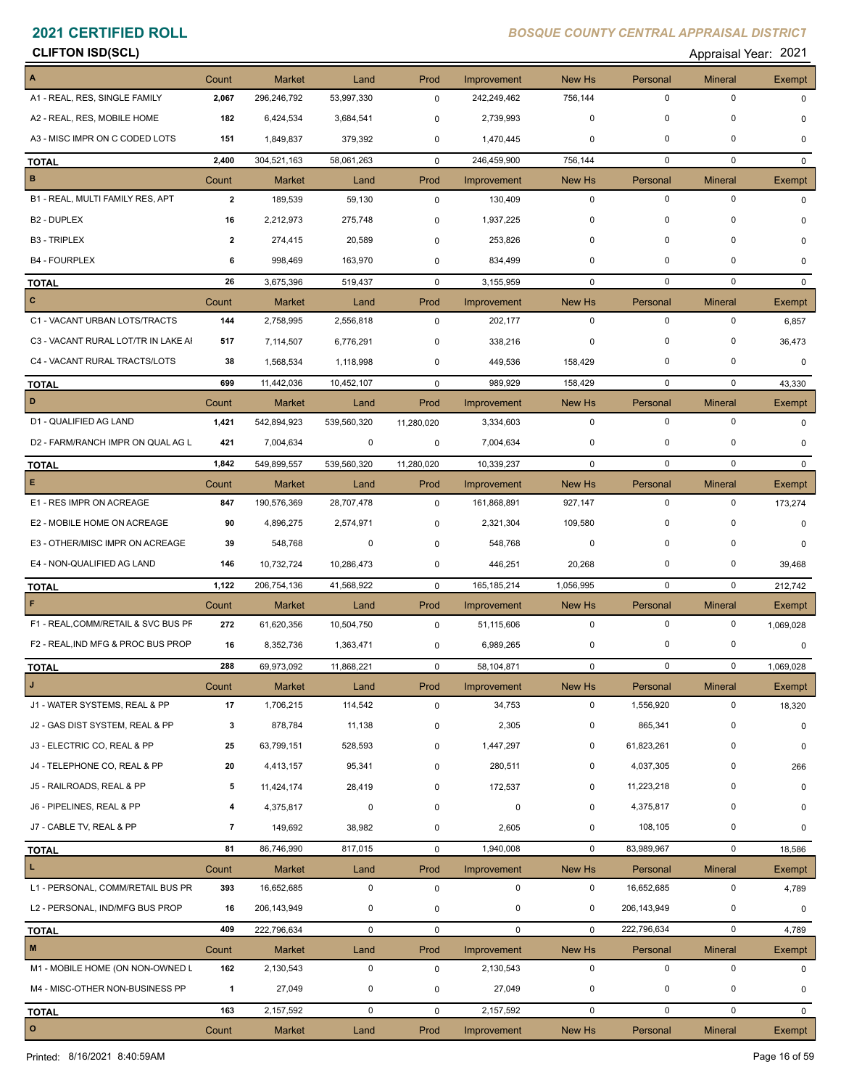# **CLIFTON ISD(SCL)** Appraisal Year: 2021

|                                     | Count        | <b>Market</b> | Land        | Prod        | Improvement   | New Hs       | Personal    | <b>Mineral</b> | Exempt       |
|-------------------------------------|--------------|---------------|-------------|-------------|---------------|--------------|-------------|----------------|--------------|
| A1 - REAL, RES, SINGLE FAMILY       | 2,067        | 296,246,792   | 53,997,330  | $\mathbf 0$ | 242,249,462   | 756,144      | $\mathbf 0$ | $\mathbf 0$    | $\Omega$     |
| A2 - REAL, RES, MOBILE HOME         | 182          | 6,424,534     | 3,684,541   | 0           | 2,739,993     | 0            | 0           | 0              | $\Omega$     |
| A3 - MISC IMPR ON C CODED LOTS      | 151          | 1,849,837     | 379,392     | 0           | 1,470,445     | 0            | 0           | $\mathbf 0$    | $\Omega$     |
| <b>TOTAL</b>                        | 2,400        | 304,521,163   | 58,061,263  | $\mathbf 0$ | 246,459,900   | 756,144      | $\mathbf 0$ | $\mathbf 0$    | $\mathbf{0}$ |
| $\, {\bf B}$                        | Count        | <b>Market</b> | Land        | Prod        | Improvement   | New Hs       | Personal    | <b>Mineral</b> | Exempt       |
| B1 - REAL, MULTI FAMILY RES, APT    | $\mathbf{2}$ | 189,539       | 59,130      | 0           | 130,409       | 0            | $\mathbf 0$ | $\mathbf 0$    | 0            |
| B <sub>2</sub> - DUPLEX             | 16           | 2,212,973     | 275,748     | 0           | 1,937,225     | 0            | 0           | 0              | $\Omega$     |
| <b>B3 - TRIPLEX</b>                 | $\mathbf{2}$ | 274,415       | 20,589      | $\mathbf 0$ | 253,826       | 0            | $\mathbf 0$ | 0              | $\Omega$     |
| <b>B4 - FOURPLEX</b>                | 6            | 998,469       | 163,970     | 0           | 834,499       | 0            | 0           | 0              | 0            |
| <b>TOTAL</b>                        | 26           | 3,675,396     | 519,437     | $\mathbf 0$ | 3,155,959     | 0            | $\mathbf 0$ | $\mathbf 0$    | $\mathbf{0}$ |
| c                                   | Count        | <b>Market</b> | Land        | Prod        | Improvement   | New Hs       | Personal    | <b>Mineral</b> | Exempt       |
| C1 - VACANT URBAN LOTS/TRACTS       | 144          | 2,758,995     | 2,556,818   | 0           | 202,177       | 0            | $\mathbf 0$ | $\pmb{0}$      | 6,857        |
| C3 - VACANT RURAL LOT/TR IN LAKE AI | 517          | 7,114,507     | 6,776,291   | 0           | 338,216       | 0            | 0           | 0              | 36,473       |
| C4 - VACANT RURAL TRACTS/LOTS       | 38           | 1,568,534     | 1,118,998   | 0           | 449,536       | 158,429      | 0           | 0              | $\Omega$     |
| <b>TOTAL</b>                        | 699          | 11,442,036    | 10,452,107  | 0           | 989,929       | 158,429      | $\mathbf 0$ | $\mathbf 0$    | 43,330       |
| D                                   | Count        | <b>Market</b> | Land        | Prod        | Improvement   | New Hs       | Personal    | <b>Mineral</b> | Exempt       |
| D1 - QUALIFIED AG LAND              | 1,421        | 542,894,923   | 539,560,320 | 11,280,020  | 3,334,603     | 0            | $\mathbf 0$ | $\mathbf 0$    | 0            |
| D2 - FARM/RANCH IMPR ON QUAL AG L   | 421          | 7,004,634     | 0           | 0           | 7,004,634     | 0            | 0           | 0              | 0            |
| <b>TOTAL</b>                        | 1,842        | 549,899,557   | 539,560,320 | 11,280,020  | 10,339,237    | $\mathbf 0$  | $\mathbf 0$ | $\mathbf 0$    | $\Omega$     |
| Е                                   | Count        | <b>Market</b> | Land        | Prod        | Improvement   | New Hs       | Personal    | <b>Mineral</b> | Exempt       |
| E1 - RES IMPR ON ACREAGE            | 847          | 190,576,369   | 28,707,478  | 0           | 161,868,891   | 927,147      | $\mathbf 0$ | $\mathbf 0$    | 173,274      |
| E2 - MOBILE HOME ON ACREAGE         | 90           | 4,896,275     | 2,574,971   | 0           | 2,321,304     | 109,580      | 0           | 0              | 0            |
| E3 - OTHER/MISC IMPR ON ACREAGE     | 39           | 548,768       | $\mathbf 0$ | 0           | 548,768       | 0            | 0           | 0              | 0            |
| E4 - NON-QUALIFIED AG LAND          | 146          | 10,732,724    | 10,286,473  | 0           | 446,251       | 20,268       | 0           | 0              | 39,468       |
| <b>TOTAL</b>                        | 1,122        | 206,754,136   | 41,568,922  | $\mathbf 0$ | 165, 185, 214 | 1,056,995    | $\mathbf 0$ | $\mathbf 0$    | 212,742      |
| F                                   | Count        | Market        | Land        | Prod        | Improvement   | New Hs       | Personal    | <b>Mineral</b> | Exempt       |
| F1 - REAL, COMM/RETAIL & SVC BUS PF | 272          | 61,620,356    | 10,504,750  | 0           | 51,115,606    | $\mathbf 0$  | $\mathbf 0$ | 0              | 1,069,028    |
| F2 - REAL, IND MFG & PROC BUS PROP  | 16           | 8,352,736     | 1,363,471   | 0           | 6,989,265     | 0            | 0           | 0              | 0            |
| <b>TOTAL</b>                        | 288          | 69,973,092    | 11,868,221  | $\mathbf 0$ | 58,104,871    | $\mathbf 0$  | $\mathbf 0$ | $\mathbf 0$    | 1,069,028    |
| $\mathbf{J}$                        | Count        | Market        | Land        | Prod        | Improvement   | New Hs       | Personal    | Mineral        | Exempt       |
| J1 - WATER SYSTEMS, REAL & PP       | 17           | 1,706,215     | 114,542     | $\mathbf 0$ | 34,753        | 0            | 1,556,920   | $\pmb{0}$      | 18,320       |
| J2 - GAS DIST SYSTEM, REAL & PP     | 3            | 878,784       | 11,138      | $\pmb{0}$   | 2,305         | 0            | 865,341     | 0              | $\mathbf 0$  |
| J3 - ELECTRIC CO, REAL & PP         | 25           | 63,799,151    | 528,593     | 0           | 1,447,297     | 0            | 61,823,261  | 0              | 0            |
| J4 - TELEPHONE CO, REAL & PP        | 20           | 4,413,157     | 95,341      | 0           | 280,511       | 0            | 4,037,305   | 0              | 266          |
| J5 - RAILROADS, REAL & PP           | 5            | 11,424,174    | 28,419      | 0           | 172,537       | 0            | 11,223,218  | 0              | 0            |
| J6 - PIPELINES, REAL & PP           | 4            | 4,375,817     | $\mathbf 0$ | 0           | $\mathbf 0$   | 0            | 4,375,817   | 0              | 0            |
| J7 - CABLE TV, REAL & PP            | 7            | 149,692       | 38,982      | $\pmb{0}$   | 2,605         | 0            | 108,105     | 0              | 0            |
| <b>TOTAL</b>                        | 81           | 86,746,990    | 817,015     | 0           | 1,940,008     | $\mathbf 0$  | 83,989,967  | $\pmb{0}$      | 18,586       |
| L                                   | Count        | Market        | Land        | Prod        | Improvement   | New Hs       | Personal    | <b>Mineral</b> | Exempt       |
| L1 - PERSONAL, COMM/RETAIL BUS PR   | 393          | 16,652,685    | $\mathbf 0$ | $\pmb{0}$   | $\mathbf 0$   | 0            | 16,652,685  | 0              | 4,789        |
| L2 - PERSONAL, IND/MFG BUS PROP     | 16           | 206, 143, 949 | 0           | 0           | 0             | 0            | 206,143,949 | 0              | 0            |
| <b>TOTAL</b>                        | 409          | 222,796,634   | $\mathbf 0$ | 0           | $\mathbf 0$   | $\mathbf{0}$ | 222,796,634 | $\pmb{0}$      | 4,789        |
| $\mathsf{M}\xspace$                 | Count        | <b>Market</b> | Land        | Prod        | Improvement   | New Hs       | Personal    | <b>Mineral</b> | Exempt       |
| M1 - MOBILE HOME (ON NON-OWNED L    | 162          | 2,130,543     | 0           | $\pmb{0}$   | 2,130,543     | 0            | $\mathbf 0$ | $\mathbf 0$    | 0            |
| M4 - MISC-OTHER NON-BUSINESS PP     | $\mathbf{1}$ | 27,049        | 0           | 0           | 27,049        | 0            | 0           | 0              | 0            |
| <b>TOTAL</b>                        | 163          | 2,157,592     | $\mathbf 0$ | 0           | 2,157,592     | 0            | $\mathbf 0$ | $\pmb{0}$      | $\mathbf{0}$ |
| $\mathbf{o}$                        | Count        | Market        | Land        | Prod        | Improvement   | New Hs       | Personal    | <b>Mineral</b> | Exempt       |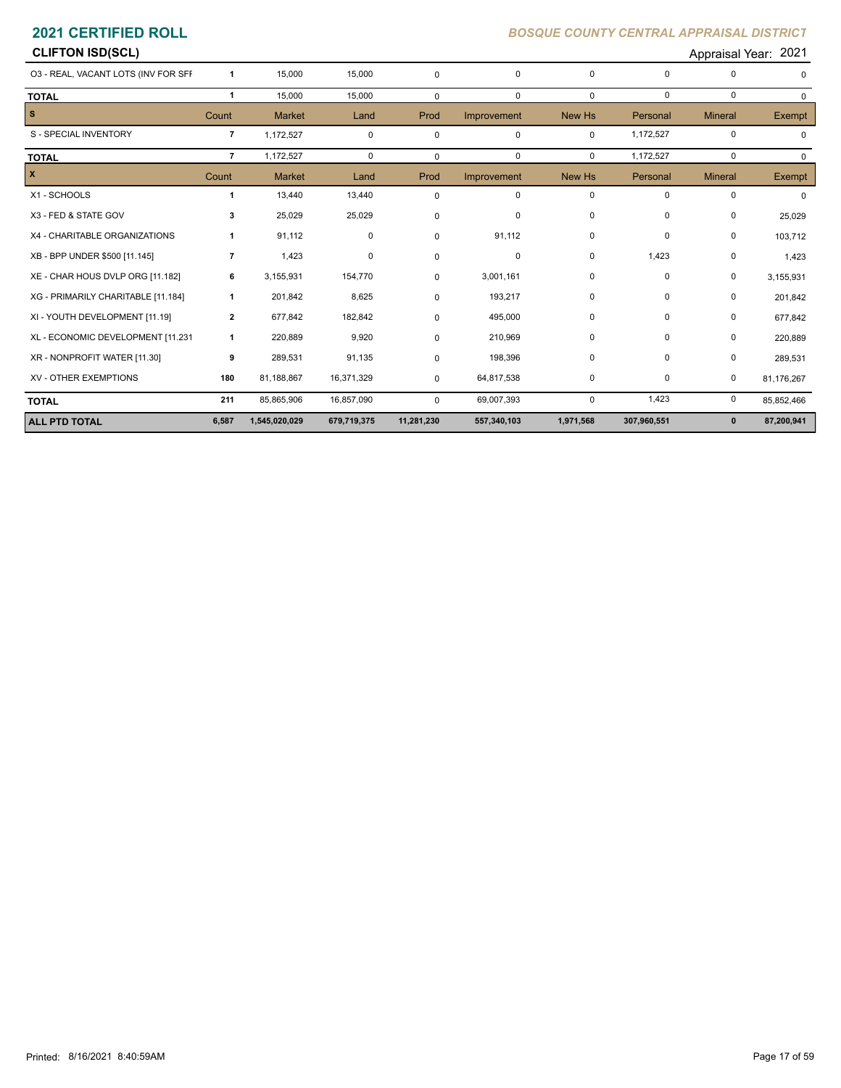# **CLIFTON ISD(SCL)** Appraisal Year: 2021 O3 - REAL, VACANT LOTS (INV FOR SFR) **1** 15,000 15,000 0 0 0 0 0 0 **TOTAL 1** 15,000 15,000 0 0 0 0 0 0 **S** Count Market Land Prod Improvement New Hs Personal Mineral Exempt S - SPECIAL INVENTORY **7** 1,172,527 0 0 0 0 0 1,172,527 0 0 0 **TOTAL 7** 1,172,527 0 0 0 0 1,172,527 0 0 **X** Count Market Land Prod Improvement New Hs Personal Mineral Exempt X1 - SCHOOLS **1** 13,440 13,440 0 0 0 0 0 0 X3 - FED & STATE GOV **3** 25,029 25,029 0 0 0 0 0 25,029 X4 - CHARITABLE ORGANIZATIONS **1** 91,112 0 0 91,112 0 0 0 0 103,712<br>XB - BPP UNDER \$500 [11.145] **7** 1,423 0 0 0 0 0 0 1,423 0 1,423 XE - CHAR HOUS DVLP ORG [11.182] **6** 3,155,931 154,770 0 3,001,161 0 0 0 0 3,155,931 XG - PRIMARILY CHARITABLE [11.184] 1 201,842 8,625 0 193,217 0 0 201,842<br>XI - YOUTH DEVELOPMENT [11.19] 2 677,842 182,842 0 495,000 0 677,842<br>X XR - NONPROFIT WATER [11.30] **9** 289,531 91,135 0 198,396 0 0 0 289,531 XV - OTHER EXEMPTIONS **180** 81,188,867 16,371,329 0 64,817,538 0 0 0 81,176,267 **TOTAL 211** 85,865,906 16,857,090 0 69,007,393 0 1,423 0 85,852,466 **ALL PTD TOTAL 6,587 1,545,020,029 679,719,375 11,281,230 557,340,103 1,971,568 307,960,551 0 87,200,941**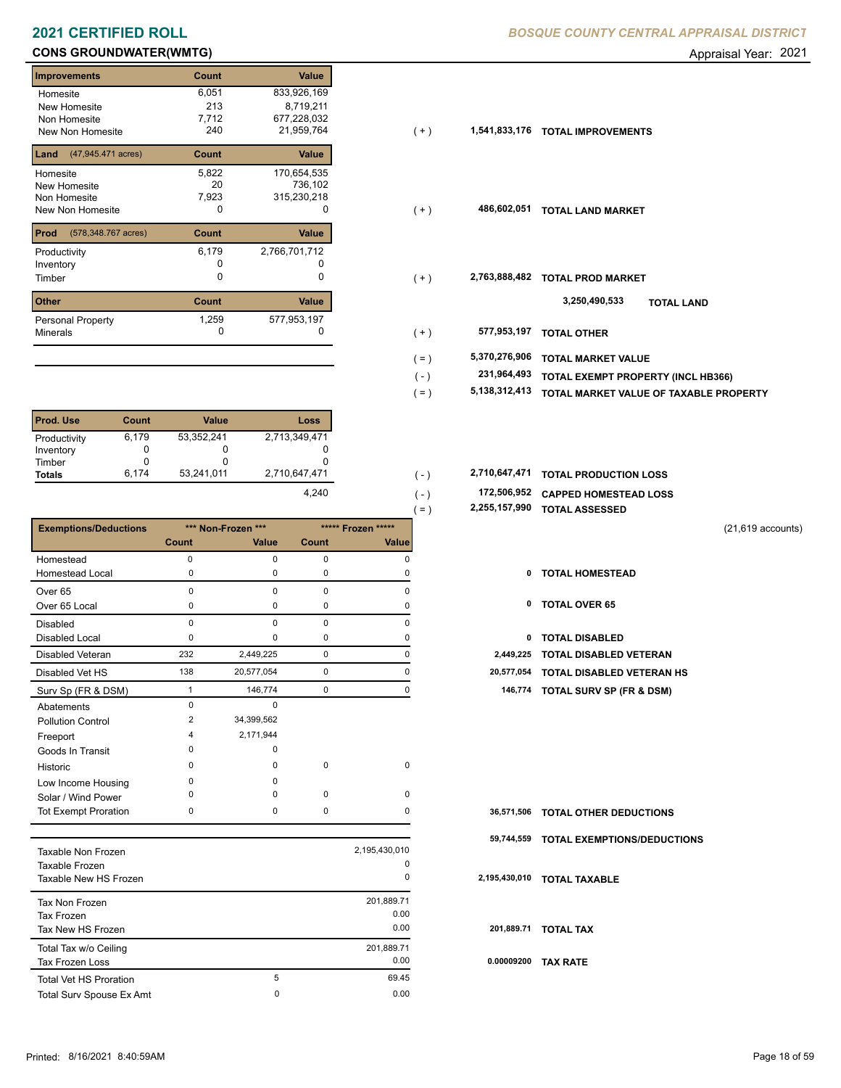# **CONS GROUNDWATER(WMTG) CONS GROUNDWATER(WMTG) Appraisal Year: 2021**

|                                    |              |               |       |               | . .                                |
|------------------------------------|--------------|---------------|-------|---------------|------------------------------------|
| Improvements                       | Count        | Value         |       |               |                                    |
| Homesite                           | 6,051        | 833,926,169   |       |               |                                    |
| New Homesite                       | 213          | 8,719,211     |       |               |                                    |
| Non Homesite                       | 7,712        | 677,228,032   |       |               |                                    |
| New Non Homesite                   | 240          | 21,959,764    | $(+)$ | 1,541,833,176 | <b>TOTAL IMPROVEMENTS</b>          |
| (47,945.471 acres)<br>Land         | Count        | Value         |       |               |                                    |
| Homesite                           | 5,822        | 170,654,535   |       |               |                                    |
| New Homesite                       | 20           | 736,102       |       |               |                                    |
| Non Homesite                       | 7,923        | 315,230,218   |       |               |                                    |
| New Non Homesite                   | 0            | 0             | $(+)$ | 486,602,051   | <b>TOTAL LAND MARKET</b>           |
| <b>Prod</b><br>(578,348.767 acres) | Count        | Value         |       |               |                                    |
| Productivity                       | 6,179        | 2,766,701,712 |       |               |                                    |
| Inventory                          | 0            |               |       |               |                                    |
| Timber                             | 0            | $\mathbf 0$   | $(+)$ | 2,763,888,482 | <b>TOTAL PROD MARKET</b>           |
| Other                              | <b>Count</b> | Value         |       |               | 3,250,490,533<br><b>TOTAL LAND</b> |
| Personal Property                  | 1,259        | 577,953,197   |       |               |                                    |
| Minerals                           | 0            | 0             | $+$   | 577,953,197   | <b>TOTAL OTHER</b>                 |

| <b>Prod. Use</b> | Count | <b>Value</b> | Loss          |
|------------------|-------|--------------|---------------|
| Productivity     | 6,179 | 53,352,241   | 2,713,349,471 |
| Inventory        | 0     | O            |               |
| Timber           |       | O            |               |
| <b>Totals</b>    | 6.174 | 53,241,011   | 2,710,647,471 |
|                  |       |              | 4.240         |

|                              |             |                    |              |                    | $=$ )<br>4,400,107, <i>33</i> 0 | TUTAL ASSESSED                      |                     |
|------------------------------|-------------|--------------------|--------------|--------------------|---------------------------------|-------------------------------------|---------------------|
| <b>Exemptions/Deductions</b> |             | *** Non-Frozen *** |              | ***** Frozen ***** |                                 |                                     | $(21,619$ accounts) |
|                              | Count       | <b>Value</b>       | <b>Count</b> | <b>Value</b>       |                                 |                                     |                     |
| Homestead                    | $\Omega$    | $\Omega$           | $\mathbf 0$  | $\Omega$           |                                 |                                     |                     |
| <b>Homestead Local</b>       | 0           | 0                  | 0            | 0                  | 0                               | <b>TOTAL HOMESTEAD</b>              |                     |
| Over <sub>65</sub>           | $\Omega$    | $\Omega$           | $\Omega$     | O                  |                                 |                                     |                     |
| Over 65 Local                | 0           | 0                  | 0            |                    | 0                               | <b>TOTAL OVER 65</b>                |                     |
| <b>Disabled</b>              | $\Omega$    | $\Omega$           | $\Omega$     | $\Omega$           |                                 |                                     |                     |
| <b>Disabled Local</b>        | $\Omega$    | $\Omega$           | 0            |                    | 0                               | <b>TOTAL DISABLED</b>               |                     |
| Disabled Veteran             | 232         | 2,449,225          | $\mathbf 0$  | $\Omega$           | 2,449,225                       | <b>TOTAL DISABLED VETERAN</b>       |                     |
| Disabled Vet HS              | 138         | 20,577,054         | $\mathbf 0$  | $\Omega$           | 20,577,054                      | TOTAL DISABLED VETERAN HS           |                     |
| Surv Sp (FR & DSM)           |             | 146,774            | 0            | 0                  | 146,774                         | <b>TOTAL SURV SP (FR &amp; DSM)</b> |                     |
| Abatements                   | $\mathbf 0$ | $\mathbf 0$        |              |                    |                                 |                                     |                     |
| <b>Pollution Control</b>     | 2           | 34,399,562         |              |                    |                                 |                                     |                     |
| Freeport                     | Δ           | 2,171,944          |              |                    |                                 |                                     |                     |
| Goods In Transit             | n           | $\Omega$           |              |                    |                                 |                                     |                     |
| Historic                     | $\Omega$    | $\Omega$           | $\mathbf 0$  | $\Omega$           |                                 |                                     |                     |
| Low Income Housing           | $\Omega$    | $\Omega$           |              |                    |                                 |                                     |                     |
| Solar / Wind Power           | n           | U                  | $\mathbf 0$  | $\Omega$           |                                 |                                     |                     |
| <b>Tot Exempt Proration</b>  | 0           | 0                  | $\mathbf 0$  | O                  | 36,571,506                      | <b>TOTAL OTHER DEDUCTIONS</b>       |                     |
|                              |             |                    |              |                    | 59,744,559                      | <b>TOTAL EXEMPTIONS/DEDUCTIONS</b>  |                     |
| <b>Taxable Non Frozen</b>    |             |                    |              | 2,195,430,010      |                                 |                                     |                     |

| Taxable Non Frozen<br>Taxable Frozen<br>Taxable New HS Frozen |   | 2,195,430,010<br>0<br>0 | 2,195           |
|---------------------------------------------------------------|---|-------------------------|-----------------|
| Tax Non Frozen<br><b>Tax Frozen</b>                           |   | 201,889.71<br>0.00      |                 |
| Tax New HS Frozen                                             |   | 0.00                    | 20 <sub>2</sub> |
| Total Tax w/o Ceiling<br><b>Tax Frozen Loss</b>               |   | 201,889.71<br>0.00      | 0.0             |
| <b>Total Vet HS Proration</b>                                 | 5 | 69.45                   |                 |
| Total Surv Spouse Ex Amt                                      | 0 | 0.00                    |                 |
|                                                               |   |                         |                 |

| 240 | 21,959,764 |  | 1,541,833,176 TOTAL IMPROVEMENTS |
|-----|------------|--|----------------------------------|

- $(+)$
- $(+)$ 
	- **TOTAL LAND 3,250,490,533**
- 0 0 **577,953,197 TOTAL OTHER**  $(+)$
- **5,370,276,906 TOTAL MARKET VALUE** ( = )
- **TOTAL EXEMPT PROPERTY (INCL HB366)** ( )  **231,964,493**
- **5,138,312,413 TOTAL MARKET VALUE OF TAXABLE PROPERTY** ( = )
- 2,710,647,471 **10TAL PRODUCTION LOSS** 
	- **172,506,952 CAPPED HOMESTEAD LOSS**
	- **2,255,157,990 TOTAL ASSESSED** ( = )

 $( - )$ 

- 
- 
- 
- 
- 138 20,577,054 0 0 **20,577,054 TOTAL DISABLED VETERAN HS**
	- Surv Sp (FR & DSM) 1 146,774 0 0 **146,774 TOTAL SURV SP (FR & DSM)**

|            | 36,571,506 TOTAL OTHER DEDUCTIONS      |
|------------|----------------------------------------|
|            | 59,744,559 TOTAL EXEMPTIONS/DEDUCTIONS |
|            | 2,195,430,010 TOTAL TAXABLE            |
|            |                                        |
|            |                                        |
|            | 201.889.71 TOTAL TAX                   |
| 0.00009200 | <b>TAX RATE</b>                        |
|            |                                        |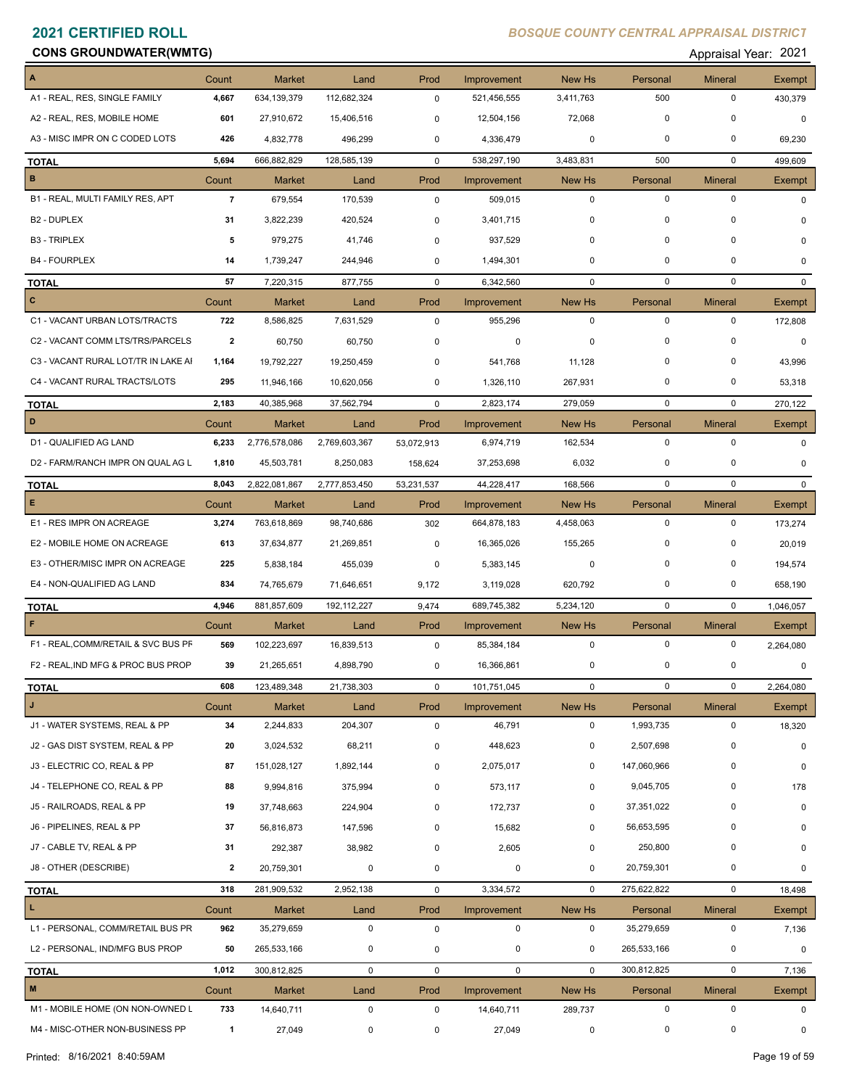### **CONS GROUNDWATER(WMTG) CONS GROUNDWATER(WMTG) Appraisal Year: 2021**

| A                                   | Count          | <b>Market</b> | Land          | Prod        | Improvement | New Hs       | Personal    | <b>Mineral</b> | <b>Exempt</b> |
|-------------------------------------|----------------|---------------|---------------|-------------|-------------|--------------|-------------|----------------|---------------|
| A1 - REAL, RES, SINGLE FAMILY       | 4,667          | 634,139,379   | 112,682,324   | $\mathbf 0$ | 521,456,555 | 3,411,763    | 500         | $\pmb{0}$      | 430,379       |
| A2 - REAL, RES, MOBILE HOME         | 601            | 27,910,672    | 15,406,516    | 0           | 12,504,156  | 72,068       | $\mathbf 0$ | $\mathbf 0$    | $\Omega$      |
| A3 - MISC IMPR ON C CODED LOTS      | 426            | 4,832,778     | 496,299       | 0           | 4,336,479   | 0            | 0           | 0              | 69,230        |
| <b>TOTAL</b>                        | 5,694          | 666,882,829   | 128,585,139   | $\mathbf 0$ | 538,297,190 | 3,483,831    | 500         | $\mathbf 0$    | 499,609       |
| $\, {\bf B}$                        | Count          | <b>Market</b> | Land          | Prod        | Improvement | New Hs       | Personal    | <b>Mineral</b> | Exempt        |
| B1 - REAL, MULTI FAMILY RES, APT    | $\overline{7}$ | 679,554       | 170,539       | 0           | 509,015     | 0            | $\mathbf 0$ | $\mathbf 0$    | 0             |
| <b>B2 - DUPLEX</b>                  | 31             | 3,822,239     | 420,524       | 0           | 3,401,715   | 0            | $\mathbf 0$ | $\mathbf 0$    | $\Omega$      |
| <b>B3 - TRIPLEX</b>                 | 5              | 979,275       | 41,746        | $\mathbf 0$ | 937,529     | 0            | $\mathbf 0$ | $\mathbf 0$    | $\Omega$      |
| <b>B4 - FOURPLEX</b>                | 14             | 1,739,247     | 244,946       | 0           | 1,494,301   | 0            | 0           | 0              | 0             |
| <b>TOTAL</b>                        | 57             | 7,220,315     | 877,755       | $\mathbf 0$ | 6,342,560   | $\mathbf 0$  | $\mathbf 0$ | $\mathbf 0$    | $\mathbf{0}$  |
| $\mathbf{C}$                        | Count          | <b>Market</b> | Land          | Prod        | Improvement | New Hs       | Personal    | <b>Mineral</b> | <b>Exempt</b> |
| C1 - VACANT URBAN LOTS/TRACTS       | 722            | 8,586,825     | 7,631,529     | $\mathbf 0$ | 955,296     | $\mathbf 0$  | $\mathbf 0$ | 0              | 172,808       |
| C2 - VACANT COMM LTS/TRS/PARCELS    | 2              | 60,750        | 60,750        | 0           | 0           | 0            | $\mathbf 0$ | $\mathbf 0$    | $\Omega$      |
| C3 - VACANT RURAL LOT/TR IN LAKE AI | 1,164          | 19,792,227    | 19,250,459    | $\mathbf 0$ | 541,768     | 11,128       | $\mathbf 0$ | $\mathbf 0$    | 43,996        |
| C4 - VACANT RURAL TRACTS/LOTS       | 295            | 11,946,166    | 10,620,056    | 0           | 1,326,110   | 267,931      | 0           | 0              | 53,318        |
| <b>TOTAL</b>                        | 2,183          | 40,385,968    | 37,562,794    | $\mathbf 0$ | 2,823,174   | 279,059      | $\mathbf 0$ | $\mathbf 0$    | 270,122       |
| D                                   | Count          | <b>Market</b> | Land          | Prod        | Improvement | New Hs       | Personal    | <b>Mineral</b> | Exempt        |
| D1 - QUALIFIED AG LAND              | 6,233          | 2,776,578,086 | 2,769,603,367 | 53,072,913  | 6,974,719   | 162,534      | $\mathbf 0$ | $\mathbf 0$    | 0             |
| D2 - FARM/RANCH IMPR ON QUAL AG L   | 1,810          | 45,503,781    | 8,250,083     | 158,624     | 37,253,698  | 6,032        | 0           | $\mathbf 0$    | $\mathbf 0$   |
| <b>TOTAL</b>                        | 8,043          | 2,822,081,867 | 2,777,853,450 | 53,231,537  | 44,228,417  | 168,566      | $\mathbf 0$ | $\mathbf 0$    | $\mathbf{0}$  |
| E                                   | Count          | <b>Market</b> | Land          | Prod        | Improvement | New Hs       | Personal    | <b>Mineral</b> | Exempt        |
| E1 - RES IMPR ON ACREAGE            | 3,274          | 763,618,869   | 98,740,686    | 302         | 664,878,183 | 4,458,063    | $\mathbf 0$ | $\mathbf 0$    | 173,274       |
| E2 - MOBILE HOME ON ACREAGE         | 613            | 37,634,877    | 21,269,851    | 0           | 16,365,026  | 155,265      | $\mathbf 0$ | 0              | 20,019        |
| E3 - OTHER/MISC IMPR ON ACREAGE     | 225            | 5,838,184     | 455,039       | 0           | 5,383,145   | 0            | $\mathbf 0$ | $\mathbf 0$    | 194,574       |
| E4 - NON-QUALIFIED AG LAND          | 834            | 74,765,679    | 71,646,651    | 9,172       | 3,119,028   | 620,792      | $\mathbf 0$ | $\mathbf 0$    | 658,190       |
| <b>TOTAL</b>                        | 4,946          | 881,857,609   | 192, 112, 227 | 9,474       | 689,745,382 | 5,234,120    | $\mathbf 0$ | $\mathbf 0$    | 1,046,057     |
| F                                   | Count          | <b>Market</b> | Land          | Prod        | Improvement | New Hs       | Personal    | <b>Mineral</b> | Exempt        |
| F1 - REAL, COMM/RETAIL & SVC BUS PF | 569            | 102,223,697   | 16,839,513    | 0           | 85,384,184  | 0            | $\mathbf 0$ | 0              | 2,264,080     |
| F2 - REAL, IND MFG & PROC BUS PROP  | 39             | 21,265,651    | 4,898,790     | 0           | 16,366,861  | 0            | 0           | 0              | $\mathbf 0$   |
| <b>TOTAL</b>                        | 608            | 123,489,348   | 21,738,303    | $\pmb{0}$   | 101,751,045 | 0            | 0           | 0              | 2,264,080     |
| J.                                  | Count          | Market        | Land          | Prod        | Improvement | New Hs       | Personal    | <b>Mineral</b> | Exempt        |
| J1 - WATER SYSTEMS, REAL & PP       | 34             | 2,244,833     | 204,307       | 0           | 46,791      | 0            | 1,993,735   | 0              | 18,320        |
| J2 - GAS DIST SYSTEM, REAL & PP     | 20             | 3,024,532     | 68,211        | 0           | 448,623     | 0            | 2,507,698   | 0              | 0             |
| J3 - ELECTRIC CO, REAL & PP         | 87             | 151,028,127   | 1,892,144     | 0           | 2,075,017   | 0            | 147,060,966 | $\mathbf 0$    | 0             |
| J4 - TELEPHONE CO, REAL & PP        | 88             | 9,994,816     | 375,994       | 0           | 573,117     | 0            | 9,045,705   | 0              | 178           |
| J5 - RAILROADS, REAL & PP           | 19             | 37,748,663    | 224,904       | 0           | 172,737     | 0            | 37,351,022  | $\mathbf 0$    | 0             |
| J6 - PIPELINES, REAL & PP           | 37             | 56,816,873    | 147,596       | 0           | 15,682      | 0            | 56,653,595  | 0              | 0             |
| J7 - CABLE TV, REAL & PP            | 31             | 292,387       | 38,982        | 0           | 2,605       | 0            | 250,800     | 0              | 0             |
| J8 - OTHER (DESCRIBE)               | $\mathbf{2}$   | 20,759,301    | $\mathbf 0$   | 0           | $\pmb{0}$   | 0            | 20,759,301  | 0              | 0             |
| <b>TOTAL</b>                        | 318            | 281,909,532   | 2,952,138     | 0           | 3,334,572   | $\mathbf 0$  | 275,622,822 | $\pmb{0}$      | 18,498        |
| L                                   | Count          | <b>Market</b> | Land          | Prod        | Improvement | New Hs       | Personal    | <b>Mineral</b> | Exempt        |
| L1 - PERSONAL, COMM/RETAIL BUS PR   | 962            | 35,279,659    | $\mathbf 0$   | $\mathsf 0$ | 0           | 0            | 35,279,659  | $\pmb{0}$      | 7,136         |
| L2 - PERSONAL, IND/MFG BUS PROP     | 50             | 265,533,166   | 0             | 0           | $\mathbf 0$ | 0            | 265,533,166 | 0              | 0             |
| <b>TOTAL</b>                        | 1,012          | 300,812,825   | $\mathbf 0$   | $\mathbf 0$ | $\mathbf 0$ | $\mathbf{0}$ | 300,812,825 | $\pmb{0}$      | 7,136         |
| M                                   | Count          | Market        | Land          | Prod        | Improvement | New Hs       | Personal    | <b>Mineral</b> | Exempt        |
| M1 - MOBILE HOME (ON NON-OWNED L    | 733            | 14,640,711    | $\mathbf 0$   | 0           | 14,640,711  | 289,737      | $\mathbf 0$ | $\pmb{0}$      | 0             |
| M4 - MISC-OTHER NON-BUSINESS PP     | $\overline{1}$ | 27,049        | 0             | 0           | 27,049      | 0            | 0           | $\pmb{0}$      | 0             |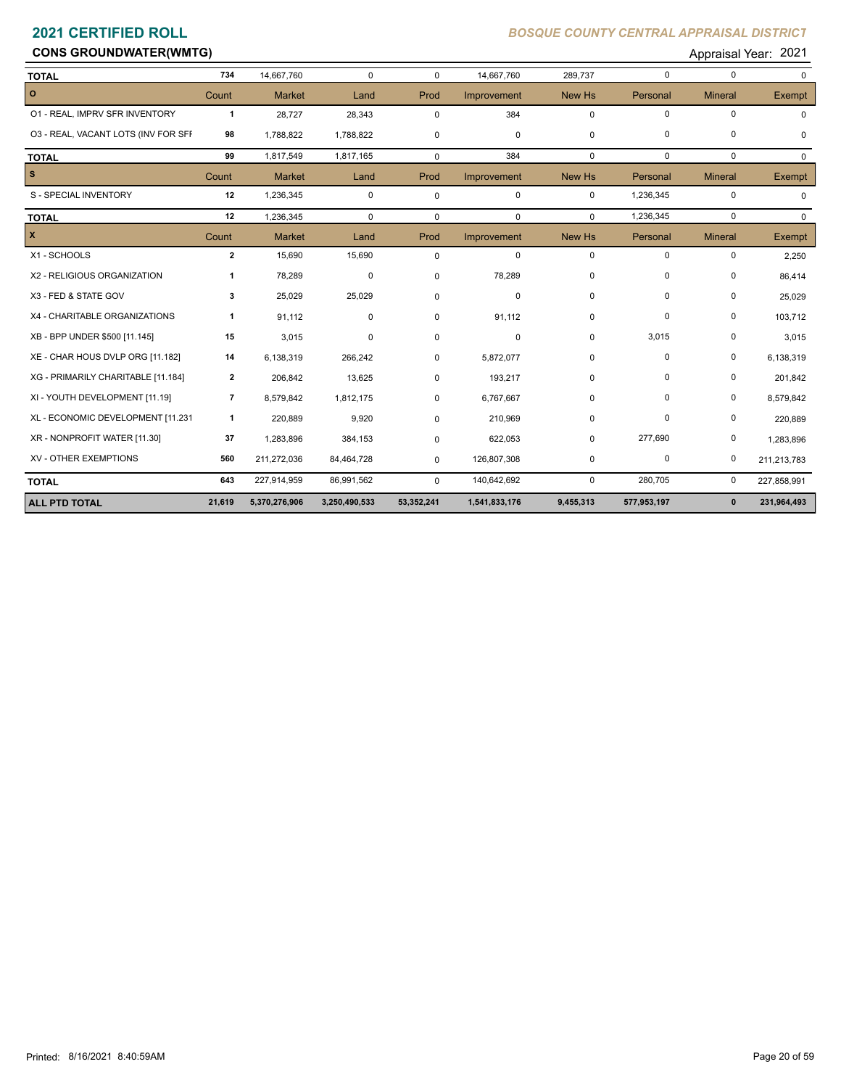# **CONS GROUNDWATER(WMTG) CONS GROUNDWATER(WMTG) Appraisal Year: 2021**

| <b>TOTAL</b>                        | 734            | 14,667,760    | $\mathbf 0$   | $\Omega$   | 14,667,760    | 289,737     | $\mathbf 0$ | $\mathbf 0$    | $\Omega$      |
|-------------------------------------|----------------|---------------|---------------|------------|---------------|-------------|-------------|----------------|---------------|
| $\circ$                             | Count          | <b>Market</b> | Land          | Prod       | Improvement   | New Hs      | Personal    | <b>Mineral</b> | <b>Exempt</b> |
| 01 - REAL, IMPRV SFR INVENTORY      | $\mathbf{1}$   | 28,727        | 28,343        | 0          | 384           | $\Omega$    | $\mathbf 0$ | $\mathbf 0$    | 0             |
| 03 - REAL, VACANT LOTS (INV FOR SFF | 98             | 1,788,822     | 1,788,822     | 0          | 0             | $\mathbf 0$ | $\mathbf 0$ | $\mathbf 0$    | 0             |
| <b>TOTAL</b>                        | 99             | 1,817,549     | 1,817,165     | $\Omega$   | 384           | $\mathbf 0$ | $\mathbf 0$ | $\mathbf 0$    | $\Omega$      |
| l s                                 | Count          | <b>Market</b> | Land          | Prod       | Improvement   | New Hs      | Personal    | <b>Mineral</b> | Exempt        |
| S - SPECIAL INVENTORY               | 12             | 1,236,345     | $\mathbf 0$   | 0          | $\mathbf 0$   | $\mathbf 0$ | 1,236,345   | $\mathbf 0$    | 0             |
| <b>TOTAL</b>                        | 12             | 1,236,345     | $\mathbf 0$   | 0          | 0             | $\Omega$    | 1,236,345   | 0              | $\Omega$      |
| $\mathbf{x}$                        | Count          | <b>Market</b> | Land          | Prod       | Improvement   | New Hs      | Personal    | <b>Mineral</b> | Exempt        |
| X1 - SCHOOLS                        | $\mathbf{2}$   | 15,690        | 15,690        | 0          | 0             | $\mathbf 0$ | $\mathbf 0$ | $\mathbf 0$    | 2,250         |
| X2 - RELIGIOUS ORGANIZATION         | 1              | 78,289        | 0             | 0          | 78,289        | $\mathbf 0$ | 0           | 0              | 86,414        |
| X3 - FED & STATE GOV                | 3              | 25,029        | 25,029        | 0          | 0             | $\Omega$    | $\Omega$    | $\mathbf 0$    | 25,029        |
| X4 - CHARITABLE ORGANIZATIONS       | 1              | 91,112        | 0             | 0          | 91,112        | $\mathbf 0$ | 0           | 0              | 103,712       |
| XB - BPP UNDER \$500 [11.145]       | 15             | 3,015         | $\mathbf 0$   | 0          | 0             | $\Omega$    | 3,015       | 0              | 3,015         |
| XE - CHAR HOUS DVLP ORG [11.182]    | 14             | 6,138,319     | 266,242       | $\Omega$   | 5,872,077     | $\mathbf 0$ | $\mathbf 0$ | $\pmb{0}$      | 6,138,319     |
| XG - PRIMARILY CHARITABLE [11.184]  | $\mathbf{2}$   | 206,842       | 13,625        | $\Omega$   | 193,217       | 0           | 0           | 0              | 201,842       |
| XI - YOUTH DEVELOPMENT [11.19]      | $\overline{7}$ | 8,579,842     | 1,812,175     | 0          | 6,767,667     | 0           | $\Omega$    | $\mathbf 0$    | 8,579,842     |
| XL - ECONOMIC DEVELOPMENT [11.231   | $\mathbf{1}$   | 220,889       | 9,920         | 0          | 210,969       | $\mathbf 0$ | $\mathbf 0$ | $\mathbf 0$    | 220,889       |
| XR - NONPROFIT WATER [11.30]        | 37             | 1,283,896     | 384,153       | 0          | 622,053       | $\Omega$    | 277,690     | 0              | 1,283,896     |
| XV - OTHER EXEMPTIONS               | 560            | 211,272,036   | 84,464,728    | 0          | 126,807,308   | $\mathbf 0$ | $\mathbf 0$ | $\mathbf 0$    | 211,213,783   |
| <b>TOTAL</b>                        | 643            | 227,914,959   | 86,991,562    | $\Omega$   | 140,642,692   | 0           | 280,705     | 0              | 227,858,991   |
| <b>ALL PTD TOTAL</b>                | 21,619         | 5,370,276,906 | 3,250,490,533 | 53,352,241 | 1,541,833,176 | 9,455,313   | 577,953,197 | $\mathbf{0}$   | 231,964,493   |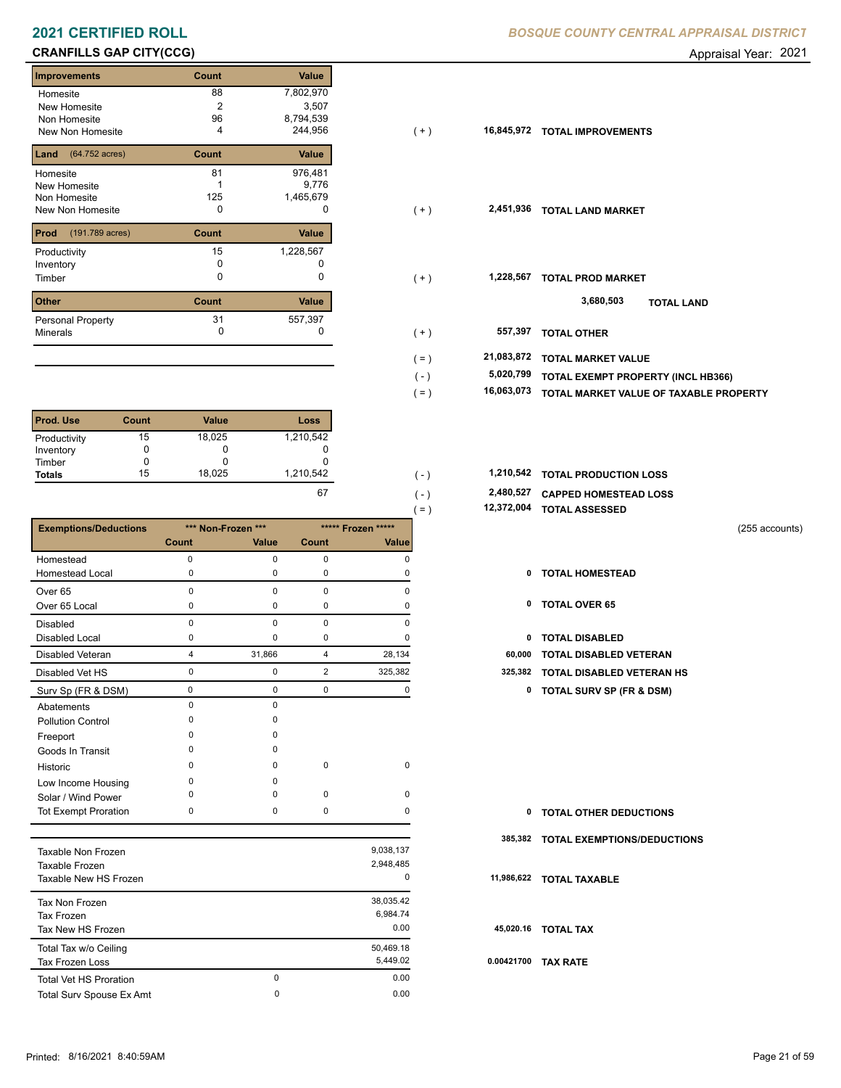# **CRANFILLS GAP CITY(CCG) CRANFILLS GAP CITY(CCG) Appraisal Year: 2021**

| <b>Improvements</b>     | Count | <b>Value</b> |
|-------------------------|-------|--------------|
| Homesite                | 88    | 7,802,970    |
| New Homesite            | 2     | 3,507        |
| Non Homesite            | 96    | 8,794,539    |
| New Non Homesite        | 4     | 244,956      |
| (64.752 acres)<br>Land  | Count | Value        |
| Homesite                | 81    | 976,481      |
| <b>New Homesite</b>     |       | 9,776        |
| Non Homesite            | 125   | 1,465,679    |
| New Non Homesite        | 0     | O            |
| Prod<br>(191.789 acres) | Count | Value        |
| Productivity            | 15    | 1,228,567    |
| Inventory               | O     |              |
| Timber                  | 0     | 0            |
| <b>Other</b>            | Count | Value        |
| Personal Property       | 31    | 557,397      |
| <b>Minerals</b>         | 0     | O            |

| <b>Prod. Use</b> | Count | <b>Value</b> | Loss      |
|------------------|-------|--------------|-----------|
| Productivity     | 15    | 18,025       | 1,210,542 |
| Inventory        |       | O            |           |
| Timber           |       |              |           |
| <b>Totals</b>    | 15    | 18.025       | 1,210,542 |
|                  |       |              | $-$       |

|                              |             |                    |                |                    | $( = )$    | 12,372,004 TOTAL ASSESSED           |                |
|------------------------------|-------------|--------------------|----------------|--------------------|------------|-------------------------------------|----------------|
| <b>Exemptions/Deductions</b> |             | *** Non-Frozen *** |                | ***** Frozen ***** |            |                                     | (255 accounts) |
|                              | Count       | Value              | Count          | Value              |            |                                     |                |
| Homestead                    | $\mathbf 0$ | 0                  | 0              | $\Omega$           |            |                                     |                |
| <b>Homestead Local</b>       | 0           | 0                  | 0              | 0                  | 0          | <b>TOTAL HOMESTEAD</b>              |                |
| Over <sub>65</sub>           | 0           | 0                  | 0              | $\Omega$           |            |                                     |                |
| Over 65 Local                | 0           | 0                  | 0              | 0                  | 0          | <b>TOTAL OVER 65</b>                |                |
| <b>Disabled</b>              | $\Omega$    | 0                  | 0              | $\Omega$           |            |                                     |                |
| Disabled Local               | 0           | 0                  | 0              | 0                  | 0          | <b>TOTAL DISABLED</b>               |                |
| Disabled Veteran             | 4           | 31,866             | 4              | 28,134             | 60,000     | <b>TOTAL DISABLED VETERAN</b>       |                |
| Disabled Vet HS              | $\mathbf 0$ | 0                  | $\overline{2}$ | 325,382            | 325,382    | <b>TOTAL DISABLED VETERAN HS</b>    |                |
| Surv Sp (FR & DSM)           | $\mathbf 0$ | $\mathbf 0$        | $\mathbf 0$    | 0                  | 0          | <b>TOTAL SURV SP (FR &amp; DSM)</b> |                |
| Abatements                   | $\Omega$    | 0                  |                |                    |            |                                     |                |
| <b>Pollution Control</b>     | ŋ           | O                  |                |                    |            |                                     |                |
| Freeport                     | ŋ           | O                  |                |                    |            |                                     |                |
| Goods In Transit             | n           | O                  |                |                    |            |                                     |                |
| Historic                     | O           | $\Omega$           | $\mathbf 0$    | $\mathbf 0$        |            |                                     |                |
| Low Income Housing           | 0           | 0                  |                |                    |            |                                     |                |
| Solar / Wind Power           | n           | $\Omega$           | $\mathbf 0$    | $\Omega$           |            |                                     |                |
| <b>Tot Exempt Proration</b>  | $\Omega$    | 0                  | $\mathbf 0$    | $\Omega$           | 0          | <b>TOTAL OTHER DEDUCTIONS</b>       |                |
|                              |             |                    |                |                    | 385,382    | <b>TOTAL EXEMPTIONS/DEDUCTIONS</b>  |                |
| <b>Taxable Non Frozen</b>    |             |                    |                | 9,038,137          |            |                                     |                |
| Taxable Frozen               |             |                    |                | 2,948,485          |            |                                     |                |
| Taxable New HS Frozen        |             |                    |                | $\Omega$           | 11,986,622 | <b>TOTAL TAXABLE</b>                |                |
| Tax Non Frozen               |             |                    |                | 38,035.42          |            |                                     |                |
| <b>Tax Frozen</b>            |             |                    |                | 6,984.74           |            |                                     |                |

Tax New HS Frozen 0.00

Total Tax w/o Ceiling 60,469.18<br>
Tax Frozen Loss 50,469.02

Total Surv Spouse Ex Amt 0.00

Tax Frozen Loss

Total Vet HS Proration

### **2021 CERTIFIED ROLL** *BOSQUE COUNTY CENTRAL APPRAISAL DISTRICT*

| Homesite                             | ୪୪    | 7,802,970<br>3,507 |       |            |                                           |
|--------------------------------------|-------|--------------------|-------|------------|-------------------------------------------|
| New Homesite                         | 96    | 8,794,539          |       |            |                                           |
| Non Homesite<br>New Non Homesite     | 4     | 244,956            | $(+)$ | 16,845,972 | <b>TOTAL IMPROVEMENTS</b>                 |
|                                      |       |                    |       |            |                                           |
| <b>Land</b> $(64.752 \text{ acres})$ | Count | Value              |       |            |                                           |
| Homesite                             | 81    | 976,481            |       |            |                                           |
| New Homesite                         |       | 9,776              |       |            |                                           |
| Non Homesite                         | 125   | 1,465,679          |       |            |                                           |
| New Non Homesite                     | 0     | 0                  | $(+)$ | 2,451,936  | <b>TOTAL LAND MARKET</b>                  |
|                                      |       |                    |       |            |                                           |
| <b>Prod</b> (191.789 acres)          | Count | Value              |       |            |                                           |
| Productivity                         | 15    | 1,228,567          |       |            |                                           |
| Inventory                            |       |                    |       |            |                                           |
| Timber                               | 0     | 0                  | $(+)$ | 1,228,567  | <b>TOTAL PROD MARKET</b>                  |
|                                      |       |                    |       |            |                                           |
| Other                                | Count | Value              |       |            | 3,680,503<br><b>TOTAL LAND</b>            |
| Personal Property                    | 31    | 557,397            |       |            |                                           |
| Minerals                             | 0     | 0                  | $(+)$ | 557,397    | <b>TOTAL OTHER</b>                        |
|                                      |       |                    |       |            |                                           |
|                                      |       |                    | (=)   | 21,083,872 | <b>TOTAL MARKET VALUE</b>                 |
|                                      |       |                    | $(-)$ | 5,020,799  | <b>TOTAL EXEMPT PROPERTY (INCL HB366)</b> |
|                                      |       |                    |       |            |                                           |

 **16,063,073 TOTAL MARKET VALUE OF TAXABLE PROPERTY**

| 1,210,542 | . – | 1,210,542 TOTAL PRODUCTION LOSS |
|-----------|-----|---------------------------------|
| 67        | . – | 2,480,527 CAPPED HOMESTEAD LOSS |

 **12,372,004 TOTAL ASSESSED**

(  $=$  )

0 0.00

0

- 
- 
- 
- 
- 0 0 2 325,382 **325,382 TOTAL DISABLED VETERAN HS**
	- Surv Sp (FR & DSM) 0 0 0 0 **0 TOTAL SURV SP (FR & DSM)**

| 0          | <b>TOTAL OTHER DEDUCTIONS</b>       |
|------------|-------------------------------------|
|            | 385,382 TOTAL EXEMPTIONS/DEDUCTIONS |
|            | 11,986,622 TOTAL TAXABLE            |
|            | 45,020.16 TOTAL TAX                 |
| 0.00421700 | <b>TAX RATE</b>                     |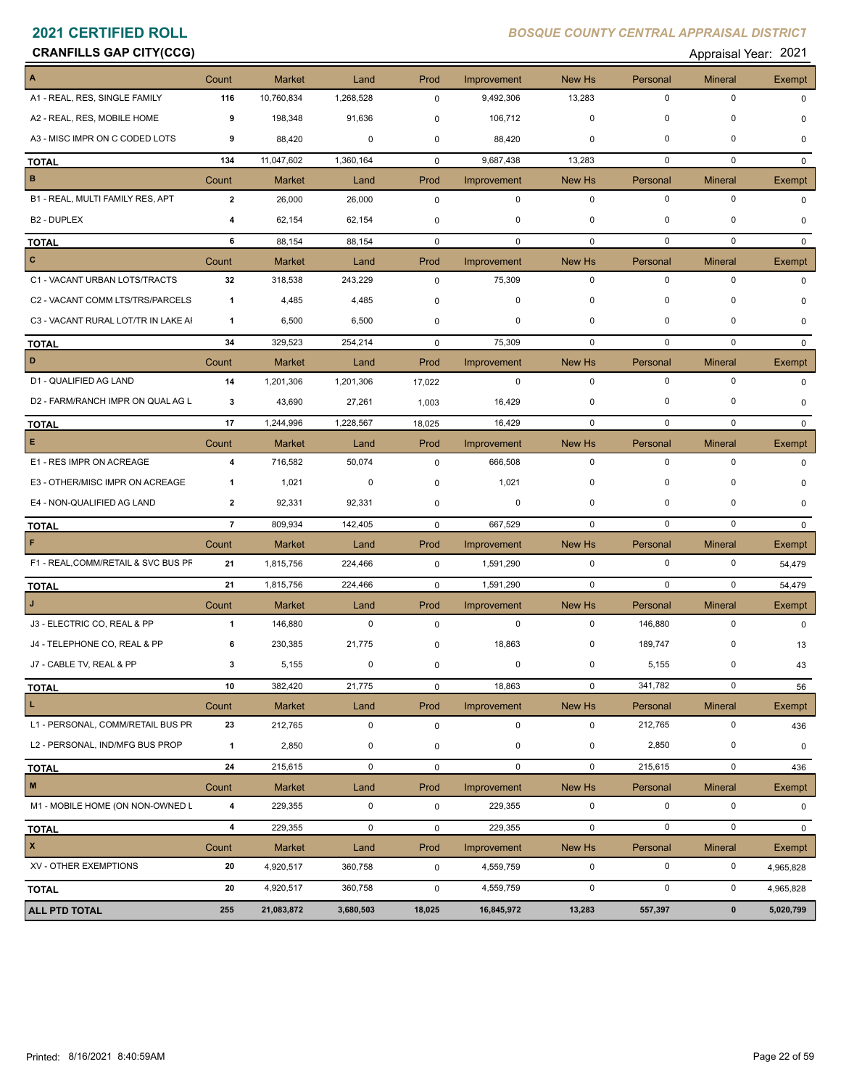# **CRANFILLS GAP CITY(CCG) CRANFILLS GAP CITY(CCG) Appraisal Year: 2021**

| Appraisal Year: 202 |  |
|---------------------|--|
|---------------------|--|

| A                                   | Count                   | Market        | Land        | Prod        | Improvement | New Hs      | Personal    | <b>Mineral</b> | Exempt        |
|-------------------------------------|-------------------------|---------------|-------------|-------------|-------------|-------------|-------------|----------------|---------------|
| A1 - REAL, RES, SINGLE FAMILY       | 116                     | 10,760,834    | 1,268,528   | 0           | 9,492,306   | 13,283      | $\mathbf 0$ | $\mathbf 0$    | U             |
| A2 - REAL, RES, MOBILE HOME         | 9                       | 198,348       | 91,636      | 0           | 106,712     | $\mathbf 0$ | $\mathbf 0$ | $\mathbf 0$    | n             |
| A3 - MISC IMPR ON C CODED LOTS      | 9                       | 88,420        | 0           | 0           | 88,420      | 0           | $\mathbf 0$ | $\mathbf 0$    | 0             |
| <b>TOTAL</b>                        | 134                     | 11,047,602    | 1,360,164   | $\mathbf 0$ | 9,687,438   | 13,283      | 0           | $\mathbf 0$    | $\mathbf{0}$  |
| B                                   | Count                   | <b>Market</b> | Land        | Prod        | Improvement | New Hs      | Personal    | <b>Mineral</b> | Exempt        |
| B1 - REAL, MULTI FAMILY RES, APT    | $\overline{2}$          | 26,000        | 26,000      | 0           | $\pmb{0}$   | $\mathbf 0$ | $\mathbf 0$ | $\mathbf 0$    | $\Omega$      |
| B <sub>2</sub> - DUPLEX             | 4                       | 62,154        | 62,154      | 0           | 0           | $\mathbf 0$ | 0           | $\Omega$       | n             |
| <b>TOTAL</b>                        | 6                       | 88,154        | 88,154      | $\mathbf 0$ | $\mathbf 0$ | $\mathbf 0$ | $\mathbf 0$ | $\mathbf 0$    | $\Omega$      |
| c                                   | Count                   | <b>Market</b> | Land        | Prod        | Improvement | New Hs      | Personal    | Mineral        | Exempt        |
| C1 - VACANT URBAN LOTS/TRACTS       | 32                      | 318,538       | 243,229     | $\mathbf 0$ | 75,309      | $\mathbf 0$ | $\mathbf 0$ | $\mathbf 0$    | 0             |
| C2 - VACANT COMM LTS/TRS/PARCELS    | $\mathbf{1}$            | 4,485         | 4,485       | $\mathbf 0$ | 0           | 0           | $\mathbf 0$ | 0              |               |
| C3 - VACANT RURAL LOT/TR IN LAKE AI | $\mathbf{1}$            | 6,500         | 6,500       | $\mathbf 0$ | 0           | $\mathbf 0$ | $\mathbf 0$ | 0              | 0             |
| <b>TOTAL</b>                        | 34                      | 329,523       | 254,214     | $\mathbf 0$ | 75,309      | $\mathbf 0$ | 0           | $\mathbf 0$    | $\Omega$      |
| D                                   | Count                   | <b>Market</b> | Land        | Prod        | Improvement | New Hs      | Personal    | <b>Mineral</b> | Exempt        |
| D1 - QUALIFIED AG LAND              | 14                      | 1,201,306     | 1,201,306   | 17,022      | $\pmb{0}$   | $\mathbf 0$ | $\mathbf 0$ | $\mathbf 0$    | $\Omega$      |
| D2 - FARM/RANCH IMPR ON QUAL AG L   | 3                       | 43,690        | 27,261      | 1,003       | 16,429      | 0           | 0           | 0              | <sup>0</sup>  |
| <b>TOTAL</b>                        | 17                      | 1,244,996     | 1,228,567   | 18,025      | 16,429      | $\mathbf 0$ | $\mathbf 0$ | $\mathbf 0$    | $\Omega$      |
| E                                   | Count                   | Market        | Land        | Prod        | Improvement | New Hs      | Personal    | <b>Mineral</b> | Exempt        |
| E1 - RES IMPR ON ACREAGE            | 4                       | 716,582       | 50,074      | $\mathbf 0$ | 666,508     | $\mathbf 0$ | $\mathbf 0$ | $\mathbf 0$    | <sup>n</sup>  |
| E3 - OTHER/MISC IMPR ON ACREAGE     | $\mathbf{1}$            | 1,021         | 0           | $\mathbf 0$ | 1,021       | 0           | $\pmb{0}$   | $\mathbf 0$    |               |
| E4 - NON-QUALIFIED AG LAND          | $\overline{2}$          | 92,331        | 92,331      | 0           | 0           | $\mathbf 0$ | $\mathbf 0$ | 0              |               |
| <b>TOTAL</b>                        | $\overline{7}$          | 809,934       | 142,405     | $\mathbf 0$ | 667,529     | $\mathbf 0$ | $\mathbf 0$ | $\mathbf 0$    | <sup>n</sup>  |
| F                                   | Count                   | <b>Market</b> | Land        | Prod        | Improvement | New Hs      | Personal    | <b>Mineral</b> | Exempt        |
| F1 - REAL, COMM/RETAIL & SVC BUS PF | 21                      | 1,815,756     | 224,466     | 0           | 1,591,290   | $\mathbf 0$ | $\mathbf 0$ | $\mathbf 0$    | 54,479        |
| <b>TOTAL</b>                        | 21                      | 1,815,756     | 224,466     | $\mathbf 0$ | 1,591,290   | $\mathbf 0$ | $\mathbf 0$ | $\mathbf 0$    | 54,479        |
| J                                   | Count                   | <b>Market</b> | Land        | Prod        | Improvement | New Hs      | Personal    | <b>Mineral</b> | <b>Exempt</b> |
| J3 - ELECTRIC CO, REAL & PP         | $\mathbf{1}$            | 146,880       | $\mathbf 0$ | 0           | $\mathbf 0$ | $\mathbf 0$ | 146,880     | 0              | 0             |
| J4 - TELEPHONE CO, REAL & PP        | 6                       | 230,385       | 21,775      | 0           | 18,863      | $\mathbf 0$ | 189,747     | 0              | 13            |
| J7 - CABLE TV, REAL & PP            | 3                       | 5,155         | 0           | 0           | 0           | 0           | 5,155       | 0              | 43            |
| <b>TOTAL</b>                        | 10                      | 382,420       | 21,775      | 0           | 18,863      | 0           | 341,782     | 0              | 56            |
| L.                                  | Count                   | Market        | Land        | Prod        | Improvement | New Hs      | Personal    | <b>Mineral</b> | Exempt        |
| L1 - PERSONAL, COMM/RETAIL BUS PR   | 23                      | 212,765       | 0           | $\mathbf 0$ | 0           | 0           | 212,765     | 0              | 436           |
| L2 - PERSONAL, IND/MFG BUS PROP     | $\mathbf{1}$            | 2,850         | 0           | 0           | 0           | 0           | 2,850       | 0              | $\mathbf 0$   |
| <b>TOTAL</b>                        | 24                      | 215,615       | 0           | $\mathbf 0$ | $\mathbf 0$ | $\mathbf 0$ | 215,615     | $\mathbf 0$    | 436           |
| $\mathsf{M}\xspace$                 | Count                   | <b>Market</b> | Land        | Prod        | Improvement | New Hs      | Personal    | Mineral        | <b>Exempt</b> |
| M1 - MOBILE HOME (ON NON-OWNED L    | $\overline{\mathbf{4}}$ | 229,355       | $\mathbf 0$ | $\mathbf 0$ | 229,355     | $\mathbf 0$ | 0           | $\mathbf 0$    | $\mathbf{0}$  |
| <b>TOTAL</b>                        | $\boldsymbol{4}$        | 229,355       | 0           | 0           | 229,355     | $\mathsf 0$ | $\pmb{0}$   | $\pmb{0}$      | 0             |
| $\pmb{\mathsf{x}}$                  | Count                   | Market        | Land        | Prod        | Improvement | New Hs      | Personal    | <b>Mineral</b> | Exempt        |
| XV - OTHER EXEMPTIONS               | 20                      | 4,920,517     | 360,758     | 0           | 4,559,759   | $\mathbf 0$ | $\mathbf 0$ | 0              | 4,965,828     |
| <b>TOTAL</b>                        | 20                      | 4,920,517     | 360,758     | 0           | 4,559,759   | $\mathbf 0$ | $\mathbf 0$ | $\mathbf 0$    | 4,965,828     |
| <b>ALL PTD TOTAL</b>                | 255                     | 21,083,872    | 3,680,503   | 18,025      | 16,845,972  | 13,283      | 557,397     | $\pmb{0}$      | 5,020,799     |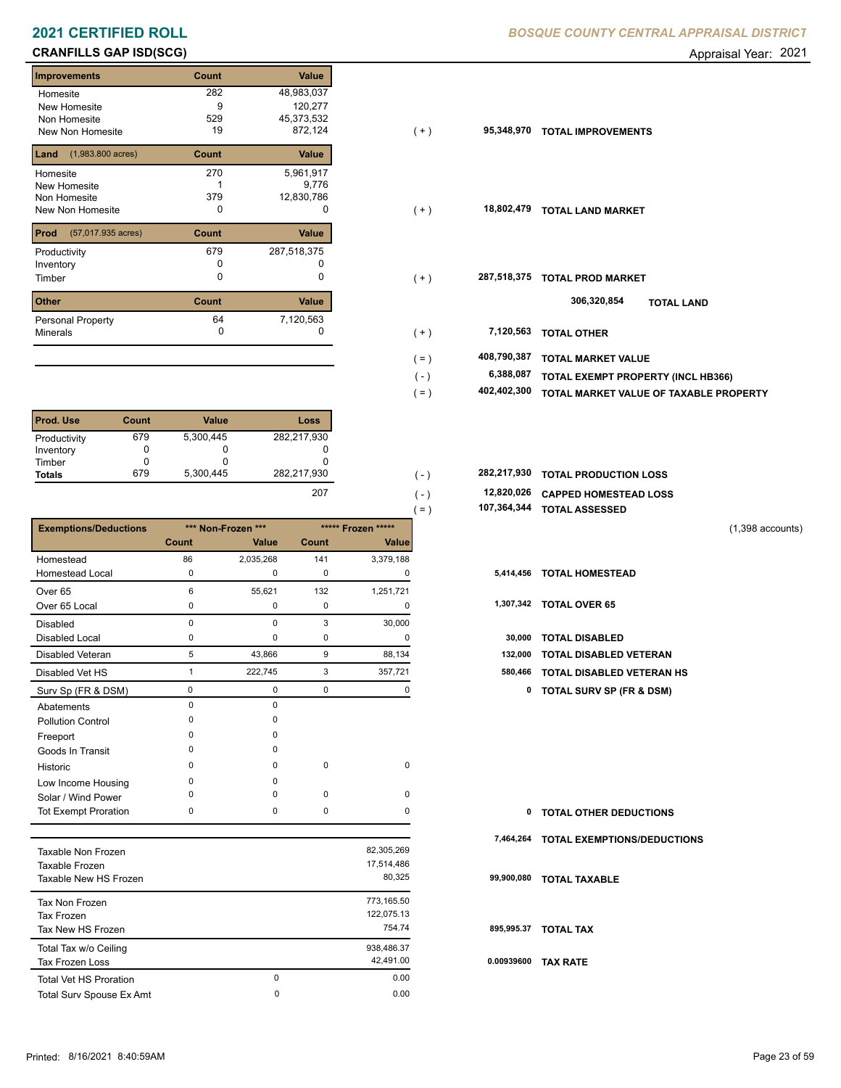# **CRANFILLS GAP ISD(SCG) CRANFILLS GAP ISD(SCG) Appraisal Year: 2021**

| <b>Improvements</b>                 | Count | <b>Value</b> |
|-------------------------------------|-------|--------------|
| Homesite                            | 282   | 48,983,037   |
| New Homesite                        | 9     | 120,277      |
| Non Homesite                        | 529   | 45,373,532   |
| New Non Homesite                    | 19    | 872,124      |
| $(1,983.800 \text{ acres})$<br>Land | Count | Value        |
| Homesite                            | 270   | 5,961,917    |
| New Homesite                        |       | 9,776        |
| Non Homesite                        | 379   | 12,830,786   |
| New Non Homesite                    | 0     | O            |
| Prod<br>(57,017.935 acres)          | Count | <b>Value</b> |
| Productivity                        | 679   | 287,518,375  |
| Inventory                           | O     |              |
| Timber                              | 0     | 0            |
| <b>Other</b>                        | Count | Value        |
| <b>Personal Property</b>            | 64    | 7,120,563    |
| <b>Minerals</b>                     | 0     | 0            |

| <b>Prod. Use</b> | Count | <b>Value</b> | Loss        |
|------------------|-------|--------------|-------------|
| Productivity     | 679   | 5,300,445    | 282,217,930 |
| Inventory        |       | O            |             |
| Timber           |       |              |             |
| <b>Totals</b>    | 679   | 5,300,445    | 282,217,930 |
|                  |       |              | $\sim$      |

|                              |              |                    |              |                    | 107,364,344<br>$( = )$ | <b>TOTAL ASSESSED</b>               |                    |
|------------------------------|--------------|--------------------|--------------|--------------------|------------------------|-------------------------------------|--------------------|
| <b>Exemptions/Deductions</b> |              | *** Non-Frozen *** |              | ***** Frozen ***** |                        |                                     | $(1,398$ accounts) |
|                              | <b>Count</b> | <b>Value</b>       | <b>Count</b> | Value              |                        |                                     |                    |
| Homestead                    | 86           | 2,035,268          | 141          | 3,379,188          |                        |                                     |                    |
| Homestead Local              | 0            | $\mathbf 0$        | 0            | 0                  | 5,414,456              | <b>TOTAL HOMESTEAD</b>              |                    |
| Over <sub>65</sub>           | 6            | 55,621             | 132          | 1,251,721          |                        |                                     |                    |
| Over 65 Local                | $\Omega$     | 0                  | 0            | 0                  | 1,307,342              | <b>TOTAL OVER 65</b>                |                    |
| <b>Disabled</b>              | $\Omega$     | $\Omega$           | 3            | 30,000             |                        |                                     |                    |
| Disabled Local               | 0            | 0                  | 0            | $\Omega$           | 30,000                 | <b>TOTAL DISABLED</b>               |                    |
| <b>Disabled Veteran</b>      | 5            | 43,866             | 9            | 88,134             | 132,000                | TOTAL DISABLED VETERAN              |                    |
| Disabled Vet HS              |              | 222,745            | 3            | 357,721            | 580,466                | <b>TOTAL DISABLED VETERAN HS</b>    |                    |
| Surv Sp (FR & DSM)           | 0            | 0                  | 0            | 0                  | $\mathbf 0$            | <b>TOTAL SURV SP (FR &amp; DSM)</b> |                    |
| Abatements                   | $\Omega$     | $\mathbf 0$        |              |                    |                        |                                     |                    |
| <b>Pollution Control</b>     | $\Omega$     | 0                  |              |                    |                        |                                     |                    |
| Freeport                     | $\Omega$     | $\Omega$           |              |                    |                        |                                     |                    |
| Goods In Transit             | $\Omega$     | $\Omega$           |              |                    |                        |                                     |                    |
| Historic                     | $\Omega$     | $\Omega$           | 0            | 0                  |                        |                                     |                    |
| Low Income Housing           | $\Omega$     | $\Omega$           |              |                    |                        |                                     |                    |
| Solar / Wind Power           | ŋ            | $\Omega$           | 0            | 0                  |                        |                                     |                    |
| Tot Exempt Proration         | 0            | 0                  | 0            | 0                  | 0                      | <b>TOTAL OTHER DEDUCTIONS</b>       |                    |
|                              |              |                    |              |                    | 7,464,264              | <b>TOTAL EXEMPTIONS/DEDUCTIONS</b>  |                    |
| Taxable Non Frozen           |              |                    |              | 82,305,269         |                        |                                     |                    |

|                               |   | ---------  |     |
|-------------------------------|---|------------|-----|
| Taxable Frozen                |   | 17,514,486 |     |
| Taxable New HS Frozen         |   | 80,325     | 99. |
| Tax Non Frozen                |   | 773,165.50 |     |
| Tax Frozen                    |   | 122,075.13 |     |
| Tax New HS Frozen             |   | 754.74     | 89  |
| Total Tax w/o Ceiling         |   | 938,486.37 |     |
| <b>Tax Frozen Loss</b>        |   | 42.491.00  | 0.0 |
| <b>Total Vet HS Proration</b> | 0 | 0.00       |     |
| Total Surv Spouse Ex Amt      | 0 | 0.00       |     |
|                               |   |            |     |

| Homesite                                | 282   | 48,983,037  |                |             |                                        |
|-----------------------------------------|-------|-------------|----------------|-------------|----------------------------------------|
| New Homesite                            | 9     | 120,277     |                |             |                                        |
| Non Homesite                            | 529   | 45,373,532  |                |             |                                        |
| New Non Homesite                        | 19    | 872,124     | $(+)$          | 95,348,970  | <b>TOTAL IMPROVEMENTS</b>              |
| <b>Land</b> $(1,983.800 \text{ acres})$ | Count | Value       |                |             |                                        |
| Homesite                                | 270   | 5,961,917   |                |             |                                        |
| New Homesite                            |       | 9,776       |                |             |                                        |
| Non Homesite                            | 379   | 12,830,786  |                |             |                                        |
| New Non Homesite                        | 0     | 0           | $(+)$          | 18,802,479  | <b>TOTAL LAND MARKET</b>               |
| <b>Prod</b> (57,017.935 acres)          | Count | Value       |                |             |                                        |
| Productivity                            | 679   | 287,518,375 |                |             |                                        |
| Inventory                               | 0     |             |                |             |                                        |
| Timber                                  | 0     | 0           | $(+)$          | 287,518,375 | <b>TOTAL PROD MARKET</b>               |
| Other                                   | Count | Value       |                |             | 306,320,854<br><b>TOTAL LAND</b>       |
| Personal Property                       | 64    | 7,120,563   |                |             |                                        |
| Minerals                                | 0     | 0           | $(+)$          | 7,120,563   | <b>TOTAL OTHER</b>                     |
|                                         |       |             | $( = )$        | 408,790,387 | <b>TOTAL MARKET VALUE</b>              |
|                                         |       |             |                | 6,388,087   |                                        |
|                                         |       |             | $(\mathsf{-})$ |             | TOTAL EXEMPT PROPERTY (INCL HB366)     |
|                                         |       |             | $( = )$        | 402,402,300 | TOTAL MARKET VALUE OF TAXABLE PROPERTY |
|                                         |       |             |                |             |                                        |

| 282,217,930 |  | 282,217,930 TOTAL PRODUCTION LOSS |  |
|-------------|--|-----------------------------------|--|
| 207         |  | 12,820,026 CAPPED HOMESTEAD LOSS  |  |

| 107,364,344 TOTAL ASSESSED |
|----------------------------|

| 30,000 TOTAL DISABLED             |
|-----------------------------------|
| 132,000 TOTAL DISABLED VETERAN    |
| 580,466 TOTAL DISABLED VETERAN HS |

| 0          | <b>TOTAL OTHER DEDUCTIONS</b>         |
|------------|---------------------------------------|
|            | 7,464,264 TOTAL EXEMPTIONS/DEDUCTIONS |
| 99,900,080 | <b>TOTAL TAXABLE</b>                  |
|            | 895.995.37 TOTAL TAX                  |
| 0.00939600 | <b>TAX RATE</b>                       |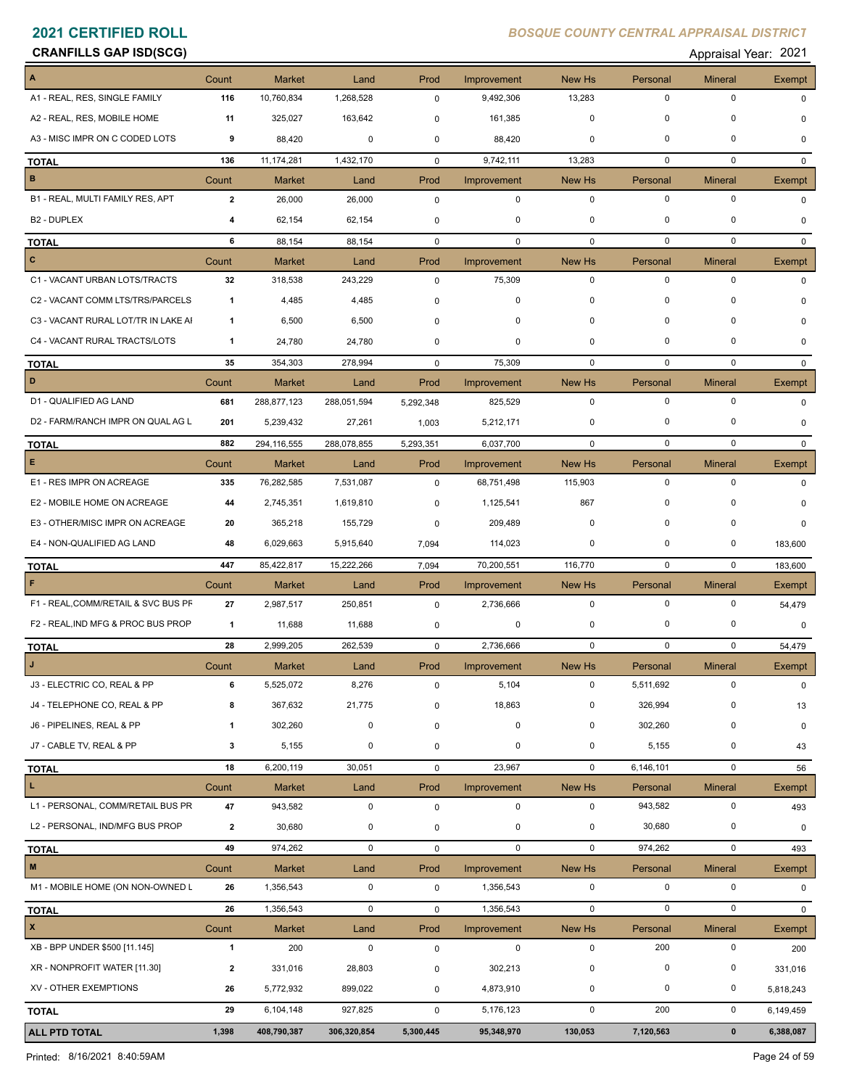### **CRANFILLS GAP ISD(SCG)** Appraisal Year: 2021

| A                                   | Count        | <b>Market</b> | Land        | Prod         | Improvement        | <b>New Hs</b> | Personal    | <b>Mineral</b> | <b>Exempt</b> |
|-------------------------------------|--------------|---------------|-------------|--------------|--------------------|---------------|-------------|----------------|---------------|
| A1 - REAL, RES, SINGLE FAMILY       | 116          | 10,760,834    | 1,268,528   | 0            | 9,492,306          | 13,283        | 0           | 0              | 0             |
| A2 - REAL, RES, MOBILE HOME         | 11           | 325,027       | 163,642     | 0            | 161,385            | $\mathbf 0$   | 0           | 0              | 0             |
| A3 - MISC IMPR ON C CODED LOTS      | 9            | 88,420        | 0           | 0            | 88,420             | 0             | 0           | 0              | 0             |
| <b>TOTAL</b>                        | 136          | 11,174,281    | 1,432,170   | 0            | 9,742,111          | 13,283        | $\mathbf 0$ | $\mathbf 0$    | $\Omega$      |
| В                                   | Count        | <b>Market</b> | Land        | Prod         | Improvement        | New Hs        | Personal    | <b>Mineral</b> | Exempt        |
| B1 - REAL, MULTI FAMILY RES, APT    | $\mathbf{2}$ | 26,000        | 26,000      | $\mathsf 0$  | $\mathbf 0$        | $\mathbf 0$   | $\mathbf 0$ | $\mathbf 0$    | $\Omega$      |
| B <sub>2</sub> - DUPLEX             | 4            | 62,154        | 62,154      | 0            | 0                  | 0             | 0           | 0              | 0             |
| <b>TOTAL</b>                        | 6            | 88,154        | 88,154      | $\mathbf 0$  | 0                  | $\mathbf 0$   | $\mathbf 0$ | $\mathbf 0$    | $\mathbf{0}$  |
| c                                   | Count        | <b>Market</b> | Land        | Prod         | Improvement        | New Hs        | Personal    | <b>Mineral</b> | Exempt        |
| C1 - VACANT URBAN LOTS/TRACTS       | 32           | 318,538       | 243,229     | $\mathbf 0$  | 75,309             | $\mathbf 0$   | $\mathbf 0$ | $\mathbf 0$    | $\Omega$      |
| C2 - VACANT COMM LTS/TRS/PARCELS    | $\mathbf{1}$ | 4,485         | 4,485       | 0            | 0                  | 0             | 0           | 0              | <sup>0</sup>  |
| C3 - VACANT RURAL LOT/TR IN LAKE AI | -1           | 6,500         | 6,500       | 0            | 0                  | 0             | $\mathbf 0$ | 0              | $\Omega$      |
| C4 - VACANT RURAL TRACTS/LOTS       | 1            | 24,780        | 24,780      | 0            | 0                  | 0             | 0           | 0              | $\Omega$      |
| <b>TOTAL</b>                        | 35           | 354,303       | 278,994     | $\mathbf 0$  | 75,309             | $\mathbf 0$   | $\mathbf 0$ | $\mathbf 0$    | $\Omega$      |
| D                                   | Count        | <b>Market</b> | Land        | Prod         | <b>Improvement</b> | New Hs        | Personal    | <b>Mineral</b> | <b>Exempt</b> |
| D1 - QUALIFIED AG LAND              | 681          | 288,877,123   | 288,051,594 | 5,292,348    | 825,529            | $\mathbf 0$   | $\mathbf 0$ | $\mathbf 0$    | $\Omega$      |
| D2 - FARM/RANCH IMPR ON QUAL AG L   | 201          | 5,239,432     | 27,261      | 1,003        | 5,212,171          | 0             | 0           | $\mathbf 0$    | $\Omega$      |
| <b>TOTAL</b>                        | 882          | 294,116,555   | 288,078,855 | 5,293,351    | 6,037,700          | 0             | $\mathbf 0$ | $\mathbf 0$    | $\mathbf{0}$  |
| E                                   | Count        | <b>Market</b> | Land        | Prod         | Improvement        | New Hs        | Personal    | <b>Mineral</b> | Exempt        |
| E1 - RES IMPR ON ACREAGE            | 335          | 76,282,585    | 7,531,087   | 0            | 68,751,498         | 115,903       | $\mathbf 0$ | $\mathbf 0$    | 0             |
| E2 - MOBILE HOME ON ACREAGE         | 44           | 2,745,351     | 1,619,810   | 0            | 1,125,541          | 867           | $\mathbf 0$ | $\Omega$       | $\Omega$      |
| E3 - OTHER/MISC IMPR ON ACREAGE     | 20           | 365,218       | 155,729     | 0            | 209,489            | 0             | 0           | 0              | $\Omega$      |
| E4 - NON-QUALIFIED AG LAND          | 48           | 6,029,663     | 5,915,640   | 7,094        | 114,023            | 0             | 0           | 0              | 183,600       |
| <b>TOTAL</b>                        | 447          | 85,422,817    | 15,222,266  | 7,094        | 70,200,551         | 116,770       | 0           | 0              | 183,600       |
| F                                   | Count        | <b>Market</b> | Land        | Prod         | Improvement        | New Hs        | Personal    | <b>Mineral</b> | Exempt        |
| F1 - REAL, COMM/RETAIL & SVC BUS PF | 27           | 2,987,517     | 250,851     | 0            | 2,736,666          | 0             | $\mathbf 0$ | 0              | 54,479        |
| F2 - REAL, IND MFG & PROC BUS PROP  | -1           | 11,688        | 11,688      | 0            | 0                  | 0             | 0           | 0              | 0             |
| <b>TOTAL</b>                        | 28           | 2,999,205     | 262,539     | $\mathbf 0$  | 2,736,666          | 0             | $\pmb{0}$   | 0              | 54,479        |
|                                     | Count        | <b>Market</b> | Land        | Prod         | Improvement        | New Hs        | Personal    | <b>Mineral</b> | Exempt        |
| J3 - ELECTRIC CO, REAL & PP         | 6            | 5,525,072     | 8,276       | $\mathbf{0}$ | 5,104              | 0             | 5,511,692   | 0              | $\mathbf 0$   |
| J4 - TELEPHONE CO, REAL & PP        | 8            | 367,632       | 21,775      | 0            | 18,863             | 0             | 326,994     | 0              | 13            |
| J6 - PIPELINES, REAL & PP           | 1            | 302,260       | $\mathbf 0$ | $\mathbf 0$  | 0                  | 0             | 302,260     | $\mathbf 0$    | 0             |
| J7 - CABLE TV, REAL & PP            | 3            | 5,155         | $\mathbf 0$ | 0            | 0                  | 0             | 5,155       | $\pmb{0}$      | 43            |
| <b>TOTAL</b>                        | 18           | 6,200,119     | 30,051      | 0            | 23,967             | 0             | 6,146,101   | 0              | 56            |
| L.                                  | Count        | <b>Market</b> | Land        | Prod         | Improvement        | New Hs        | Personal    | <b>Mineral</b> | Exempt        |
| L1 - PERSONAL, COMM/RETAIL BUS PR   | 47           | 943,582       | $\mathbf 0$ | $\mathsf 0$  | $\mathbf 0$        | $\mathbf 0$   | 943,582     | 0              | 493           |
| L2 - PERSONAL, IND/MFG BUS PROP     | $\mathbf{2}$ | 30,680        | 0           | 0            | 0                  | 0             | 30,680      | 0              | 0             |
| <b>TOTAL</b>                        | 49           | 974,262       | $\mathbf 0$ | 0            | $\mathbf 0$        | 0             | 974,262     | $\mathbf 0$    | 493           |
| $\pmb{\mathsf{M}}$                  | Count        | <b>Market</b> | Land        | Prod         | Improvement        | New Hs        | Personal    | <b>Mineral</b> | <b>Exempt</b> |
| M1 - MOBILE HOME (ON NON-OWNED L    | 26           | 1,356,543     | $\mathbf 0$ | $\mathbf 0$  | 1,356,543          | $\mathbf 0$   | $\mathbf 0$ | $\mathbf 0$    | 0             |
| <b>TOTAL</b>                        | 26           | 1,356,543     | $\mathsf 0$ | $\mathsf{O}$ | 1,356,543          | $\mathsf 0$   | $\mathsf 0$ | $\mathbf 0$    | $\mathbf{0}$  |
| $\pmb{\mathsf{x}}$                  | Count        | <b>Market</b> | Land        | Prod         | Improvement        | New Hs        | Personal    | <b>Mineral</b> | Exempt        |
| XB - BPP UNDER \$500 [11.145]       | $\mathbf{1}$ | 200           | $\mathsf 0$ | $\mathsf 0$  | $\pmb{0}$          | 0             | 200         | $\mathbf 0$    | 200           |
| XR - NONPROFIT WATER [11.30]        | $\mathbf{2}$ | 331,016       | 28,803      | $\pmb{0}$    | 302,213            | 0             | $\pmb{0}$   | $\pmb{0}$      | 331,016       |
| XV - OTHER EXEMPTIONS               | 26           | 5,772,932     | 899,022     | $\pmb{0}$    | 4,873,910          | 0             | $\mathbf 0$ | $\pmb{0}$      | 5,818,243     |
|                                     | 29           | 6,104,148     |             | 0            |                    | 0             | 200         | $\mathbf 0$    |               |
| <b>TOTAL</b>                        |              |               | 927,825     |              | 5,176,123          |               |             |                | 6,149,459     |
| ALL PTD TOTAL                       | 1,398        | 408,790,387   | 306,320,854 | 5,300,445    | 95,348,970         | 130,053       | 7,120,563   | $\pmb{0}$      | 6,388,087     |

Printed: 8/16/2021 8:40:59AM Page 24 of 59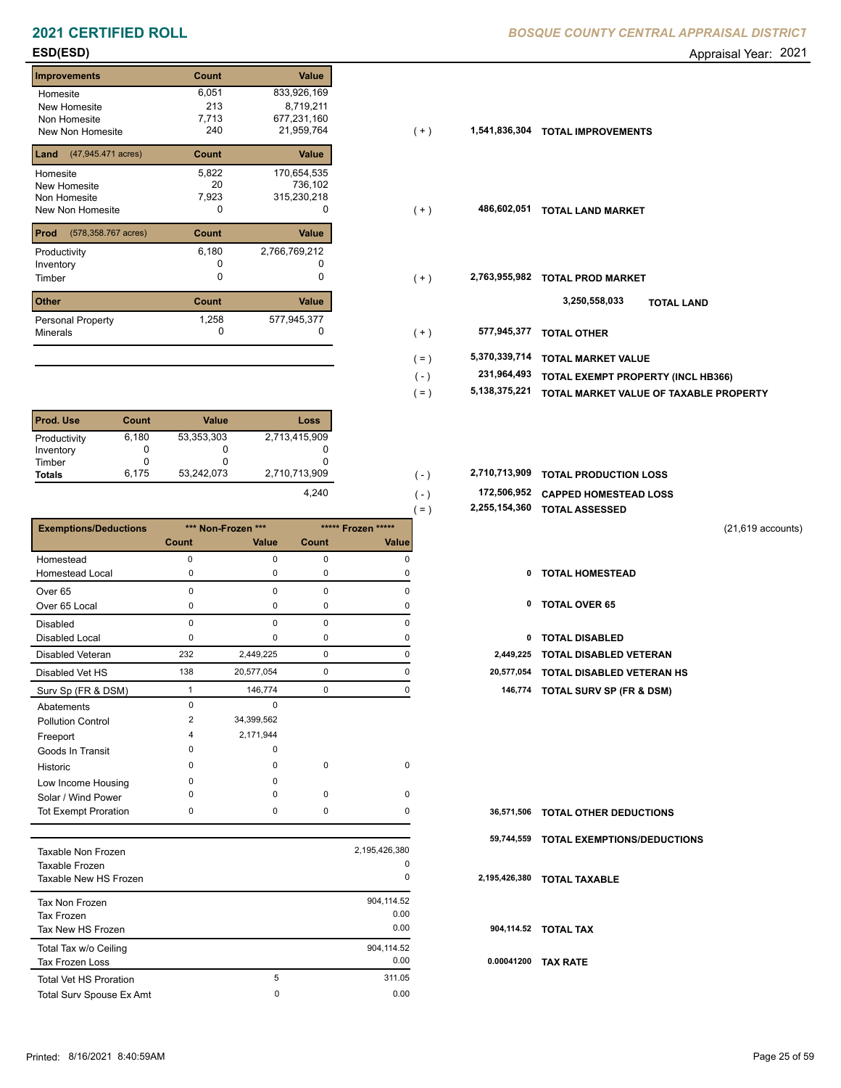| <b>Improvements</b>         | Count | Value         |
|-----------------------------|-------|---------------|
| Homesite                    | 6,051 | 833,926,169   |
| New Homesite                | 213   | 8,719,211     |
| Non Homesite                | 7,713 | 677,231,160   |
| New Non Homesite            | 240   | 21,959,764    |
| (47,945.471 acres)<br>Land  | Count | <b>Value</b>  |
| Homesite                    | 5,822 | 170,654,535   |
| New Homesite                | 20    | 736,102       |
| Non Homesite                | 7,923 | 315,230,218   |
| New Non Homesite            | 0     | 0             |
| Prod<br>(578,358.767 acres) | Count | Value         |
| Productivity                | 6,180 | 2,766,769,212 |
| Inventory                   |       |               |
| Timber                      | O     | 0             |
| <b>Other</b>                | Count | Value         |
| <b>Personal Property</b>    | 1,258 | 577,945,377   |
| <b>Minerals</b>             | 0     | 0             |

| <b>Prod. Use</b> | Count | <b>Value</b> | Loss          |
|------------------|-------|--------------|---------------|
| Productivity     | 6,180 | 53,353,303   | 2,713,415,909 |
| Inventory        |       |              |               |
| Timber           |       | O            |               |
| <b>Totals</b>    | 6,175 | 53,242,073   | 2,710,713,909 |
|                  |       |              | 4.240         |

|                              |          |                    |              | ( – )              | -,---,.-.,--- | <b>IVIAL AJJEJJED</b>               |
|------------------------------|----------|--------------------|--------------|--------------------|---------------|-------------------------------------|
| <b>Exemptions/Deductions</b> |          | *** Non-Frozen *** |              | ***** Frozen ***** |               | $(21, 619$ accounts)                |
|                              | Count    | <b>Value</b>       | <b>Count</b> | <b>Value</b>       |               |                                     |
| Homestead                    | $\Omega$ | 0                  | $\mathbf 0$  | $\Omega$           |               |                                     |
| <b>Homestead Local</b>       | 0        | 0                  | 0            |                    | 0             | <b>TOTAL HOMESTEAD</b>              |
| Over <sub>65</sub>           | $\Omega$ | $\Omega$           | $\mathbf 0$  | O                  |               |                                     |
| Over 65 Local                | 0        | 0                  | 0            | 0                  | 0             | <b>TOTAL OVER 65</b>                |
| <b>Disabled</b>              | $\Omega$ | $\Omega$           | $\mathbf 0$  | $\Omega$           |               |                                     |
| <b>Disabled Local</b>        | 0        | 0                  | 0            |                    | 0             | <b>TOTAL DISABLED</b>               |
| Disabled Veteran             | 232      | 2,449,225          | 0            | O                  | 2,449,225     | TOTAL DISABLED VETERAN              |
| Disabled Vet HS              | 138      | 20,577,054         | 0            | O                  | 20,577,054    | TOTAL DISABLED VETERAN HS           |
| Surv Sp (FR & DSM)           |          | 146,774            | 0            | $\Omega$           | 146,774       | <b>TOTAL SURV SP (FR &amp; DSM)</b> |
| Abatements                   | $\Omega$ | $\Omega$           |              |                    |               |                                     |
| <b>Pollution Control</b>     | 2        | 34,399,562         |              |                    |               |                                     |
| Freeport                     |          | 2,171,944          |              |                    |               |                                     |
| Goods In Transit             | O        | $\Omega$           |              |                    |               |                                     |
| Historic                     | 0        | 0                  | $\mathbf 0$  | $\mathbf 0$        |               |                                     |
| Low Income Housing           | $\Omega$ | $\Omega$           |              |                    |               |                                     |
| Solar / Wind Power           | $\Omega$ | $\Omega$           | $\mathbf 0$  | $\mathbf 0$        |               |                                     |
| <b>Tot Exempt Proration</b>  | 0        | 0                  | $\mathbf 0$  | $\Omega$           | 36,571,506    | <b>TOTAL OTHER DEDUCTIONS</b>       |
|                              |          |                    |              |                    | 59,744,559    | <b>TOTAL EXEMPTIONS/DEDUCTIONS</b>  |
| Toyoble Non Frozen           |          |                    |              | 2 195 426 380      |               |                                     |

| Taxable Non Frozen            |   | 2,195,426,380 |       |
|-------------------------------|---|---------------|-------|
| Taxable Frozen                |   | 0             |       |
| Taxable New HS Frozen         |   | 0             | 2,195 |
| Tax Non Frozen                |   | 904,114.52    |       |
| Tax Frozen                    |   | 0.00          |       |
| Tax New HS Frozen             |   | 0.00          | 90    |
| Total Tax w/o Ceiling         |   | 904.114.52    |       |
| <b>Tax Frozen Loss</b>        |   | 0.00          | 0.0   |
| <b>Total Vet HS Proration</b> | 5 | 311.05        |       |
| Total Surv Spouse Ex Amt      | 0 | 0.00          |       |

**ESD(ESD)** Appraisal Year: 2021

| Homesite                                 | 6,051 | 833,926,169   |         |               |                                        |
|------------------------------------------|-------|---------------|---------|---------------|----------------------------------------|
| New Homesite                             | 213   | 8,719,211     |         |               |                                        |
| Non Homesite                             | 7,713 | 677,231,160   |         |               |                                        |
| New Non Homesite                         | 240   | 21,959,764    | $(+)$   | 1,541,836,304 | <b>TOTAL IMPROVEMENTS</b>              |
| <b>Land</b> $(47,945.471 \text{ acres})$ | Count | Value         |         |               |                                        |
| Homesite                                 | 5,822 | 170,654,535   |         |               |                                        |
| New Homesite                             | 20    | 736,102       |         |               |                                        |
| Non Homesite                             | 7,923 | 315,230,218   |         |               |                                        |
| New Non Homesite                         | 0     | O             | $(+)$   | 486,602,051   | <b>TOTAL LAND MARKET</b>               |
| <b>Prod</b> (578,358.767 acres)          | Count | Value         |         |               |                                        |
| Productivity                             | 6,180 | 2,766,769,212 |         |               |                                        |
| Inventory                                |       |               |         |               |                                        |
| Timber                                   | 0     |               | $(+)$   | 2,763,955,982 | <b>TOTAL PROD MARKET</b>               |
| Other                                    | Count | Value         |         |               | 3,250,558,033<br><b>TOTAL LAND</b>     |
| Personal Property                        | 1,258 | 577,945,377   |         |               |                                        |
| Minerals                                 | 0     |               | $(+)$   | 577,945,377   | <b>TOTAL OTHER</b>                     |
|                                          |       |               | $( = )$ | 5,370,339,714 | <b>TOTAL MARKET VALUE</b>              |
|                                          |       |               | $(-)$   | 231,964,493   | TOTAL EXEMPT PROPERTY (INCL HB366)     |
|                                          |       |               | $( = )$ | 5,138,375,221 |                                        |
|                                          |       |               |         |               | TOTAL MARKET VALUE OF TAXABLE PROPERTY |

| 2,710,713,909 |  | 2,710,713,909 TOTAL PRODUCTION LOSS |
|---------------|--|-------------------------------------|
|               |  |                                     |

 **172,506,952 CAPPED HOMESTEAD LOSS** ( - )

 **2,255,154,360 TOTAL ASSESSED** ( = )

- 
- 
- 
- 
- 138 20,577,054 0 0 **20,577,054 TOTAL DISABLED VETERAN HS**
	- Surv Sp (FR & DSM) 1 146,774 0 0 **146,774 TOTAL SURV SP (FR & DSM)**

|            | 36,571,506 TOTAL OTHER DEDUCTIONS  |
|------------|------------------------------------|
| 59,744,559 | <b>TOTAL EXEMPTIONS/DEDUCTIONS</b> |
|            | 2,195,426,380 TOTAL TAXABLE        |
|            | 904,114.52 TOTAL TAX               |
| 0.00041200 | <b>TAX RATE</b>                    |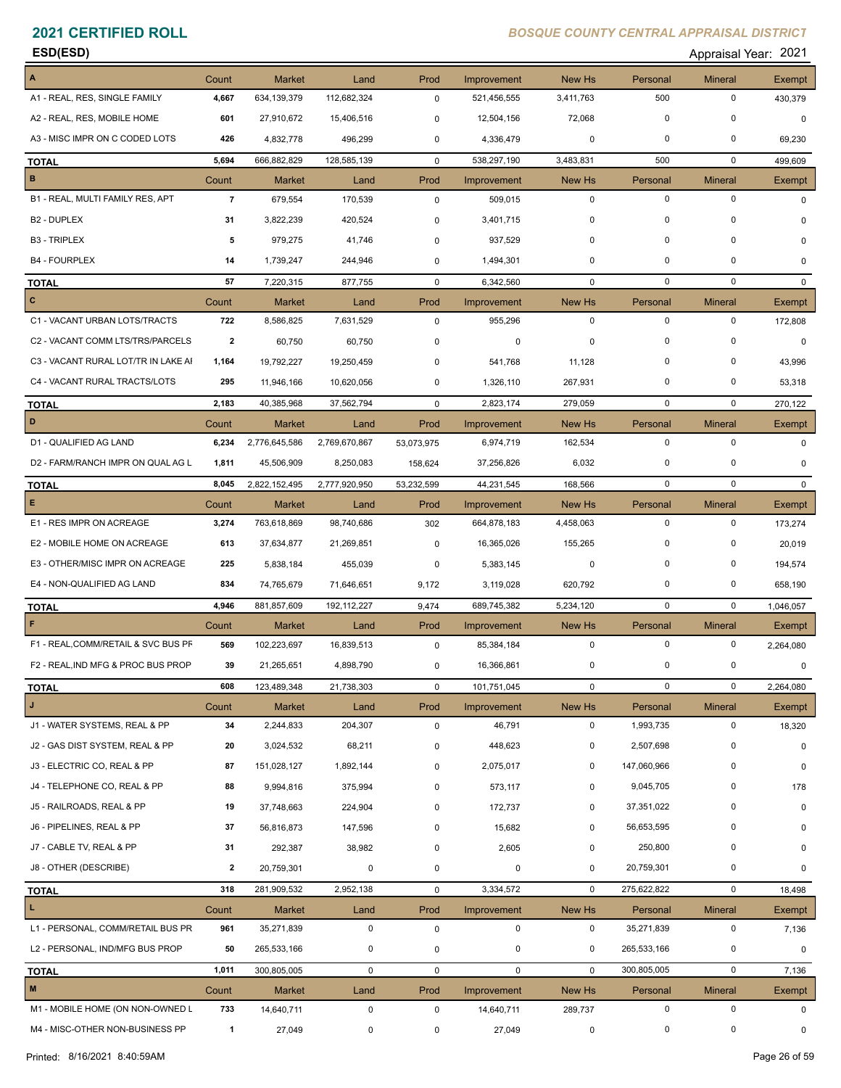**ESD(ESD)** Appraisal Year: 2021

| A                                   | Count          | Market        | Land          | Prod         | Improvement        | New Hs       | Personal    | <b>Mineral</b> | Exempt       |
|-------------------------------------|----------------|---------------|---------------|--------------|--------------------|--------------|-------------|----------------|--------------|
| A1 - REAL, RES, SINGLE FAMILY       | 4,667          | 634,139,379   | 112,682,324   | $\mathbf 0$  | 521,456,555        | 3,411,763    | 500         | $\mathbf 0$    | 430,379      |
| A2 - REAL, RES, MOBILE HOME         | 601            | 27,910,672    | 15,406,516    | 0            | 12,504,156         | 72,068       | $\pmb{0}$   | 0              | $\mathbf 0$  |
| A3 - MISC IMPR ON C CODED LOTS      | 426            | 4,832,778     | 496,299       | $\mathbf 0$  | 4,336,479          | 0            | $\mathbf 0$ | 0              | 69,230       |
| <b>TOTAL</b>                        | 5,694          | 666,882,829   | 128,585,139   | $\mathbf 0$  | 538,297,190        | 3,483,831    | 500         | $\mathbf 0$    | 499,609      |
| $\, {\bf B}$                        | Count          | <b>Market</b> | Land          | Prod         | Improvement        | New Hs       | Personal    | <b>Mineral</b> | Exempt       |
| B1 - REAL, MULTI FAMILY RES, APT    | $\overline{7}$ | 679,554       | 170,539       | 0            | 509,015            | $\mathbf 0$  | $\mathbf 0$ | $\mathbf 0$    | $\Omega$     |
| B <sub>2</sub> - DUPLEX             | 31             | 3,822,239     | 420,524       | 0            | 3,401,715          | $\mathbf 0$  | $\mathbf 0$ | 0              | 0            |
| <b>B3 - TRIPLEX</b>                 | 5              | 979,275       | 41,746        | 0            | 937,529            | 0            | 0           | 0              | $\Omega$     |
| <b>B4 - FOURPLEX</b>                | 14             | 1,739,247     | 244,946       | 0            | 1,494,301          | $\mathbf 0$  | 0           | 0              | $\Omega$     |
| <b>TOTAL</b>                        | 57             | 7,220,315     | 877,755       | $\mathbf 0$  | 6,342,560          | $\mathbf 0$  | $\mathbf 0$ | $\mathbf 0$    | $\Omega$     |
| $\mathbf{C}$                        | Count          | <b>Market</b> | Land          | Prod         | Improvement        | New Hs       | Personal    | <b>Mineral</b> | Exempt       |
| C1 - VACANT URBAN LOTS/TRACTS       | 722            | 8,586,825     | 7,631,529     | $\mathbf 0$  | 955,296            | $\mathbf 0$  | $\mathbf 0$ | $\mathbf 0$    | 172,808      |
| C2 - VACANT COMM LTS/TRS/PARCELS    | 2              | 60,750        | 60,750        | $\mathbf 0$  | 0                  | 0            | 0           | 0              | $\Omega$     |
| C3 - VACANT RURAL LOT/TR IN LAKE AI | 1,164          | 19,792,227    | 19,250,459    | $\mathbf 0$  | 541,768            | 11,128       | 0           | 0              | 43,996       |
| C4 - VACANT RURAL TRACTS/LOTS       | 295            | 11,946,166    | 10,620,056    | 0            | 1,326,110          | 267,931      | 0           | 0              | 53,318       |
| <b>TOTAL</b>                        | 2,183          | 40,385,968    | 37,562,794    | $\mathbf 0$  | 2,823,174          | 279,059      | $\mathbf 0$ | $\mathbf 0$    | 270,122      |
| D                                   | Count          | <b>Market</b> | Land          | Prod         | Improvement        | New Hs       | Personal    | <b>Mineral</b> | Exempt       |
| D1 - QUALIFIED AG LAND              | 6,234          | 2,776,645,586 | 2,769,670,867 | 53,073,975   | 6,974,719          | 162,534      | $\mathbf 0$ | $\mathbf 0$    | $\mathbf 0$  |
| D2 - FARM/RANCH IMPR ON QUAL AG L   | 1,811          | 45,506,909    | 8,250,083     | 158,624      | 37,256,826         | 6,032        | 0           | 0              | 0            |
| <b>TOTAL</b>                        | 8,045          | 2,822,152,495 | 2,777,920,950 | 53,232,599   | 44,231,545         | 168,566      | $\mathbf 0$ | $\mathbf 0$    | $\mathbf{0}$ |
| E                                   | Count          | <b>Market</b> | Land          | Prod         | <b>Improvement</b> | New Hs       | Personal    | <b>Mineral</b> | Exempt       |
| E1 - RES IMPR ON ACREAGE            | 3,274          | 763,618,869   | 98,740,686    | 302          | 664,878,183        | 4,458,063    | $\mathbf 0$ | $\mathbf 0$    | 173,274      |
| E2 - MOBILE HOME ON ACREAGE         | 613            | 37,634,877    | 21,269,851    | 0            | 16,365,026         | 155,265      | $\pmb{0}$   | $\Omega$       | 20,019       |
| E3 - OTHER/MISC IMPR ON ACREAGE     | 225            | 5,838,184     | 455,039       | 0            | 5,383,145          | 0            | 0           | 0              | 194,574      |
| E4 - NON-QUALIFIED AG LAND          | 834            | 74,765,679    | 71,646,651    | 9,172        | 3,119,028          | 620,792      | 0           | 0              | 658,190      |
| <b>TOTAL</b>                        | 4,946          | 881,857,609   | 192, 112, 227 | 9,474        | 689,745,382        | 5,234,120    | $\mathbf 0$ | $\mathbf 0$    | 1,046,057    |
| F                                   | Count          | <b>Market</b> | Land          | Prod         | Improvement        | New Hs       | Personal    | <b>Mineral</b> | Exempt       |
| F1 - REAL, COMM/RETAIL & SVC BUS PF | 569            | 102,223,697   | 16,839,513    | 0            | 85,384,184         | $\mathbf 0$  | $\mathbf 0$ | 0              | 2,264,080    |
| F2 - REAL, IND MFG & PROC BUS PROP  | 39             | 21,265,651    | 4,898,790     | 0            | 16,366,861         | 0            | $\mathbf 0$ | $\pmb{0}$      | 0            |
| <b>TOTAL</b>                        | 608            | 123,489,348   | 21,738,303    | 0            | 101,751,045        | 0            | 0           | 0              | 2,264,080    |
| $\bf J$                             | Count          | <b>Market</b> | Land          | Prod         | Improvement        | New Hs       | Personal    | <b>Mineral</b> | Exempt       |
| J1 - WATER SYSTEMS, REAL & PP       | 34             | 2,244,833     | 204,307       | 0            | 46,791             | $\mathbf 0$  | 1,993,735   | $\mathsf 0$    | 18,320       |
| J2 - GAS DIST SYSTEM, REAL & PP     | 20             | 3,024,532     | 68,211        | 0            | 448,623            | 0            | 2,507,698   | 0              | $\mathbf 0$  |
| J3 - ELECTRIC CO, REAL & PP         | 87             | 151,028,127   | 1,892,144     | 0            | 2,075,017          | 0            | 147,060,966 | $\mathbf 0$    | $\mathbf 0$  |
| J4 - TELEPHONE CO, REAL & PP        | 88             | 9,994,816     | 375,994       | $\mathbf 0$  | 573,117            | 0            | 9,045,705   | 0              | 178          |
| J5 - RAILROADS, REAL & PP           | 19             | 37,748,663    | 224,904       | 0            | 172,737            | 0            | 37,351,022  | 0              | 0            |
| J6 - PIPELINES, REAL & PP           | 37             | 56,816,873    | 147,596       | 0            | 15,682             | 0            | 56,653,595  | 0              | 0            |
| J7 - CABLE TV, REAL & PP            | 31             | 292,387       | 38,982        | 0            | 2,605              | 0            | 250,800     | 0              | 0            |
| J8 - OTHER (DESCRIBE)               | $\overline{2}$ | 20,759,301    | 0             | 0            | 0                  | 0            | 20,759,301  | 0              | 0            |
| <b>TOTAL</b>                        | 318            | 281,909,532   | 2,952,138     | $\mathsf{O}$ | 3,334,572          | $\mathbf 0$  | 275,622,822 | $\mathbf 0$    | 18,498       |
| L.                                  | Count          | Market        | Land          | Prod         | Improvement        | New Hs       | Personal    | <b>Mineral</b> | Exempt       |
| L1 - PERSONAL, COMM/RETAIL BUS PR   | 961            | 35,271,839    | 0             | $\mathsf 0$  | 0                  | $\mathbf 0$  | 35,271,839  | $\mathsf 0$    | 7,136        |
| L2 - PERSONAL, IND/MFG BUS PROP     | 50             | 265,533,166   | 0             | 0            | 0                  | 0            | 265,533,166 | 0              | 0            |
| <b>TOTAL</b>                        | 1,011          | 300,805,005   | 0             | $\mathbf 0$  | $\mathbf 0$        | $\mathbf{0}$ | 300,805,005 | 0              | 7,136        |
| M                                   | Count          | Market        | Land          | Prod         | Improvement        | New Hs       | Personal    | <b>Mineral</b> | Exempt       |
| M1 - MOBILE HOME (ON NON-OWNED L    | 733            | 14,640,711    | 0             | 0            | 14,640,711         | 289,737      | $\mathbf 0$ | $\mathbf 0$    | 0            |
| M4 - MISC-OTHER NON-BUSINESS PP     | $\mathbf{1}$   | 27,049        | 0             | 0            | 27,049             | $\mathbf 0$  | $\mathbf 0$ | 0              |              |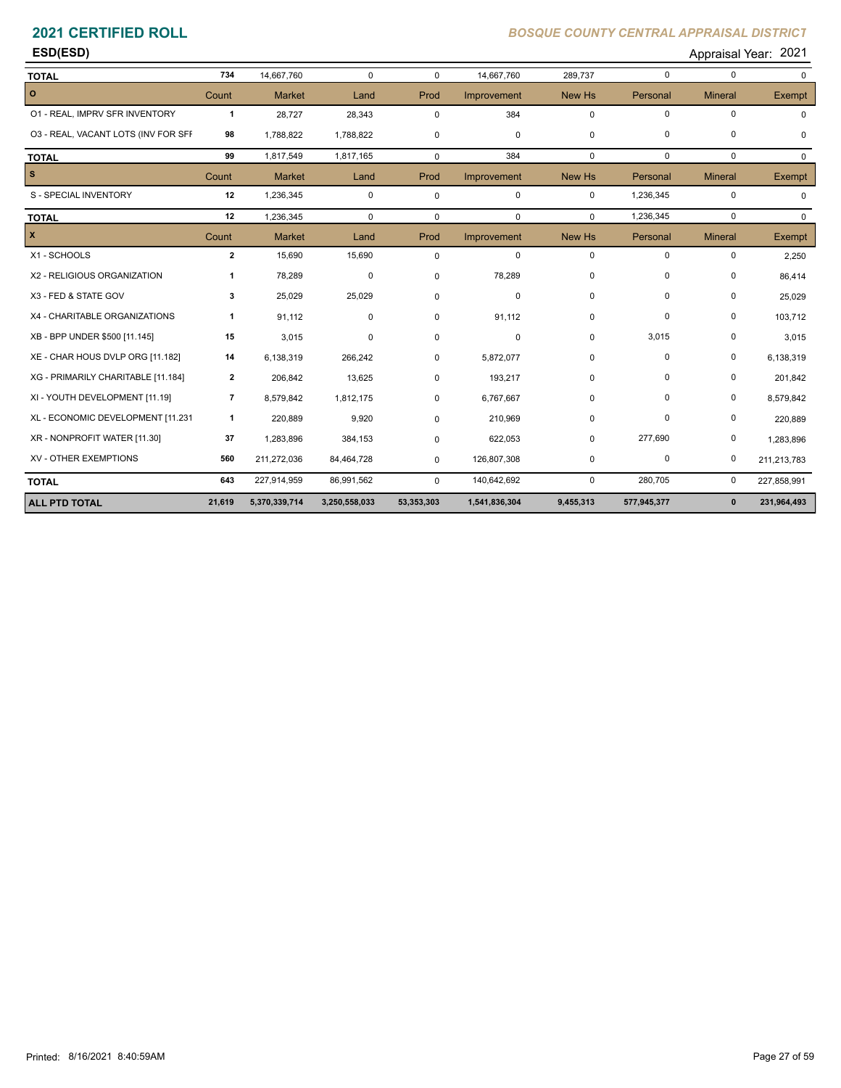| <b>ESD(ESD)</b> | 2021<br>Appraisal Year: |
|-----------------|-------------------------|
|                 |                         |

| <b>TOTAL</b>                        | 734            | 14,667,760    | $\mathbf 0$   | $\Omega$    | 14,667,760    | 289,737     | $\mathbf 0$ | $\mathbf 0$    | $\Omega$      |
|-------------------------------------|----------------|---------------|---------------|-------------|---------------|-------------|-------------|----------------|---------------|
| $\circ$                             | Count          | <b>Market</b> | Land          | Prod        | Improvement   | New Hs      | Personal    | <b>Mineral</b> | <b>Exempt</b> |
| 01 - REAL, IMPRV SFR INVENTORY      | $\mathbf{1}$   | 28,727        | 28,343        | 0           | 384           | $\mathbf 0$ | $\mathbf 0$ | $\mathbf 0$    |               |
| 03 - REAL, VACANT LOTS (INV FOR SFF | 98             | 1,788,822     | 1,788,822     | 0           | 0             | 0           | $\mathbf 0$ | $\mathbf 0$    | $\mathbf 0$   |
| <b>TOTAL</b>                        | 99             | 1,817,549     | 1,817,165     | $\Omega$    | 384           | $\mathbf 0$ | $\mathbf 0$ | $\mathbf 0$    | $\Omega$      |
| l s                                 | Count          | <b>Market</b> | Land          | Prod        | Improvement   | New Hs      | Personal    | <b>Mineral</b> | Exempt        |
| S - SPECIAL INVENTORY               | 12             | 1,236,345     | $\mathbf 0$   | $\mathbf 0$ | $\mathbf 0$   | $\mathbf 0$ | 1,236,345   | $\mathbf 0$    | $\mathbf 0$   |
| <b>TOTAL</b>                        | 12             | 1,236,345     | $\mathbf 0$   | $\mathbf 0$ | 0             | $\Omega$    | 1,236,345   | $\mathbf 0$    | $\Omega$      |
| $\mathbf{x}$                        | Count          | <b>Market</b> | Land          | Prod        | Improvement   | New Hs      | Personal    | <b>Mineral</b> | <b>Exempt</b> |
| X1 - SCHOOLS                        | $\mathbf{2}$   | 15,690        | 15,690        | 0           | $\mathbf 0$   | $\mathbf 0$ | $\mathbf 0$ | $\pmb{0}$      | 2,250         |
| X2 - RELIGIOUS ORGANIZATION         | 1              | 78,289        | 0             | 0           | 78,289        | $\mathbf 0$ | $\Omega$    | 0              | 86,414        |
| X3 - FED & STATE GOV                | 3              | 25,029        | 25,029        | $\Omega$    | 0             | $\Omega$    | $\Omega$    | $\mathbf 0$    | 25,029        |
| X4 - CHARITABLE ORGANIZATIONS       | 1              | 91,112        | 0             | 0           | 91,112        | 0           | $\mathbf 0$ | $\mathbf 0$    | 103,712       |
| XB - BPP UNDER \$500 [11.145]       | 15             | 3,015         | 0             | 0           | 0             | 0           | 3,015       | 0              | 3,015         |
| XE - CHAR HOUS DVLP ORG [11.182]    | 14             | 6,138,319     | 266,242       | $\Omega$    | 5,872,077     | $\Omega$    | $\mathbf 0$ | $\pmb{0}$      | 6,138,319     |
| XG - PRIMARILY CHARITABLE [11.184]  | $\overline{2}$ | 206,842       | 13,625        | 0           | 193,217       | 0           | $\Omega$    | 0              | 201,842       |
| XI - YOUTH DEVELOPMENT [11.19]      | 7              | 8,579,842     | 1,812,175     | $\Omega$    | 6,767,667     | 0           | 0           | $\pmb{0}$      | 8,579,842     |
| XL - ECONOMIC DEVELOPMENT [11.231   | $\mathbf{1}$   | 220,889       | 9,920         | $\Omega$    | 210,969       | $\Omega$    | $\Omega$    | $\mathbf 0$    | 220,889       |
| XR - NONPROFIT WATER [11.30]        | 37             | 1,283,896     | 384,153       | 0           | 622,053       | 0           | 277,690     | $\pmb{0}$      | 1,283,896     |
| XV - OTHER EXEMPTIONS               | 560            | 211,272,036   | 84,464,728    | 0           | 126,807,308   | $\mathbf 0$ | $\pmb{0}$   | $\mathbf 0$    | 211,213,783   |
| <b>TOTAL</b>                        | 643            | 227,914,959   | 86,991,562    | 0           | 140,642,692   | $\mathbf 0$ | 280,705     | 0              | 227,858,991   |
| <b>ALL PTD TOTAL</b>                | 21,619         | 5,370,339,714 | 3,250,558,033 | 53,353,303  | 1,541,836,304 | 9,455,313   | 577,945,377 | $\mathbf{0}$   | 231,964,493   |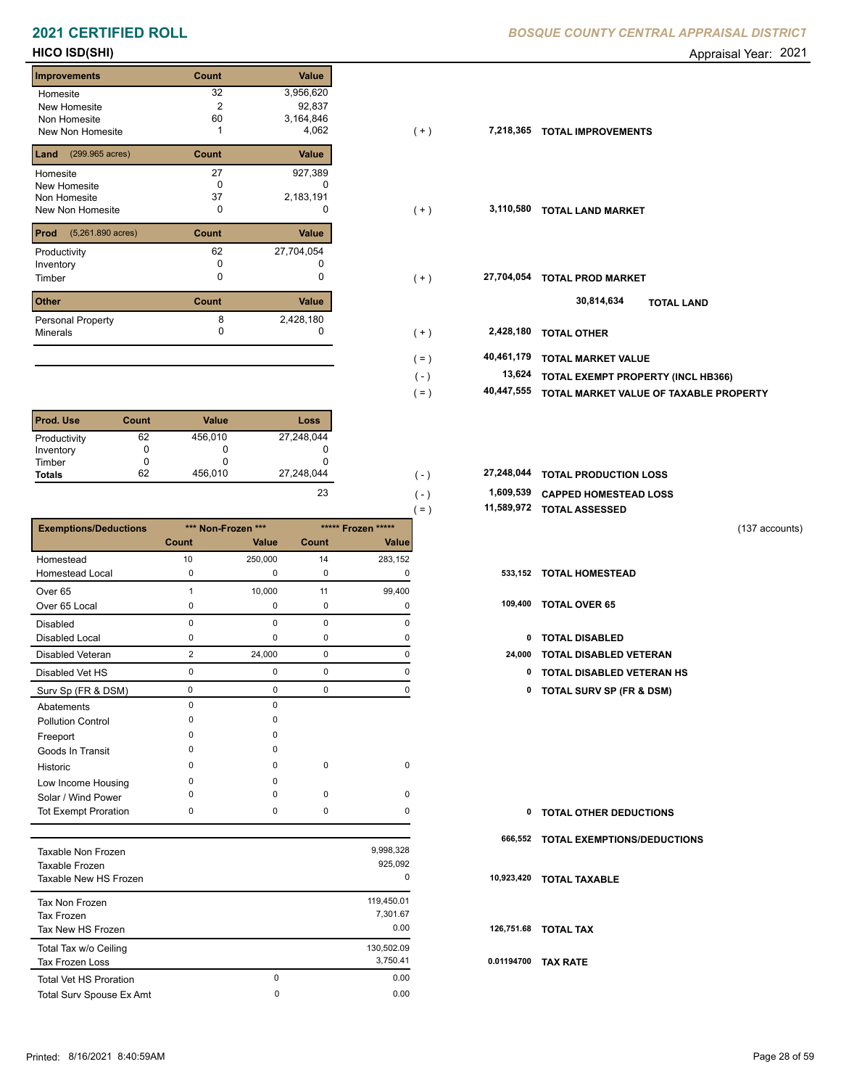| <b>Improvements</b>                 | Count                    | <b>Value</b> |
|-------------------------------------|--------------------------|--------------|
| Homesite                            | 32                       | 3,956,620    |
| New Homesite                        | $\overline{2}$           | 92,837       |
| Non Homesite                        | 60                       | 3,164,846    |
| New Non Homesite                    |                          | 4,062        |
| (299.965 acres)<br>Land             | Count                    | Value        |
| Homesite                            | 27                       | 927,389      |
| New Homesite                        | <sup>0</sup>             |              |
| Non Homesite                        | 37                       | 2,183,191    |
| New Non Homesite                    | O                        | O            |
| Prod<br>$(5,261.890 \text{ acres})$ | Count                    | Value        |
| Productivity                        | 62                       | 27,704,054   |
| Inventory                           | 0                        | O            |
| Timber                              | 0                        | 0            |
| $\sim$                              | $\sim$ - $\sim$ - $\sim$ | $1.1 - 1.$   |

| <b>Other</b>             | Count | Value     |
|--------------------------|-------|-----------|
| <b>Personal Property</b> |       | 2,428,180 |
| Minerals                 |       |           |
|                          |       |           |

| <b>Prod. Use</b> | Count | <b>Value</b> | <b>Loss</b> |
|------------------|-------|--------------|-------------|
| Productivity     | 62    | 456,010      | 27,248,044  |
| Inventory        | 0     | O            | 0           |
| Timber           | 0     |              |             |
| <b>Totals</b>    | 62    | 456.010      | 27,248,044  |
|                  |       |              | 23          |

|                              |                |                    |             |                    | $( = )$ | 11,589,972 | <b>TOTAL ASSESSED</b>               |                |
|------------------------------|----------------|--------------------|-------------|--------------------|---------|------------|-------------------------------------|----------------|
| <b>Exemptions/Deductions</b> |                | *** Non-Frozen *** |             | ***** Frozen ***** |         |            |                                     | (137 accounts) |
|                              | <b>Count</b>   | Value              | Count       | Value              |         |            |                                     |                |
| Homestead                    | 10             | 250,000            | 14          | 283,152            |         |            |                                     |                |
| Homestead Local              | $\mathbf 0$    | $\Omega$           | 0           | 0                  |         | 533,152    | <b>TOTAL HOMESTEAD</b>              |                |
| Over <sub>65</sub>           |                | 10,000             | 11          | 99,400             |         |            |                                     |                |
| Over 65 Local                | 0              | 0                  | 0           | 0                  |         | 109,400    | <b>TOTAL OVER 65</b>                |                |
| <b>Disabled</b>              | $\Omega$       | $\Omega$           | $\Omega$    | $\Omega$           |         |            |                                     |                |
| <b>Disabled Local</b>        | 0              | $\Omega$           | 0           | 0                  |         | 0          | <b>TOTAL DISABLED</b>               |                |
| <b>Disabled Veteran</b>      | $\overline{2}$ | 24,000             | $\mathbf 0$ | 0                  |         | 24,000     | <b>TOTAL DISABLED VETERAN</b>       |                |
| Disabled Vet HS              | 0              | 0                  | 0           | $\Omega$           |         | 0          | <b>TOTAL DISABLED VETERAN HS</b>    |                |
| Surv Sp (FR & DSM)           | 0              | $\mathbf 0$        | 0           | 0                  |         | 0          | <b>TOTAL SURV SP (FR &amp; DSM)</b> |                |
| Abatements                   | $\Omega$       | $\Omega$           |             |                    |         |            |                                     |                |
| <b>Pollution Control</b>     | $\Omega$       | $\Omega$           |             |                    |         |            |                                     |                |
| Freeport                     | O              | $\Omega$           |             |                    |         |            |                                     |                |
| Goods In Transit             | n              | $\Omega$           |             |                    |         |            |                                     |                |
| Historic                     | $\Omega$       | 0                  | 0           | $\mathbf 0$        |         |            |                                     |                |
| Low Income Housing           | 0              | $\Omega$           |             |                    |         |            |                                     |                |
| Solar / Wind Power           | O              | $\Omega$           | 0           | $\mathbf 0$        |         |            |                                     |                |
| <b>Tot Exempt Proration</b>  | $\mathbf 0$    | 0                  | $\mathbf 0$ | $\Omega$           |         | 0          | <b>TOTAL OTHER DEDUCTIONS</b>       |                |
|                              |                |                    |             |                    |         | 666,552    | <b>TOTAL EXEMPTIONS/DEDUCTIONS</b>  |                |
| <b>Taxable Non Frozen</b>    |                |                    |             | 9,998,328          |         |            |                                     |                |
| Taxable Frozen               |                |                    |             | 925,092            |         |            |                                     |                |

| Taxable Frozen<br>Taxable New HS Frozen           |   | 925,092<br>0                   | 10  |
|---------------------------------------------------|---|--------------------------------|-----|
| Tax Non Frozen<br>Tax Frozen<br>Tax New HS Frozen |   | 119,450.01<br>7,301.67<br>0.00 | 12  |
| Total Tax w/o Ceiling<br><b>Tax Frozen Loss</b>   |   | 130,502.09<br>3,750.41         | 0.0 |
| <b>Total Vet HS Proration</b>                     | 0 | 0.00                           |     |
| <b>Total Surv Spouse Ex Amt</b>                   | 0 | 0.00                           |     |

### **HICO ISD(SHI)** Appraisal Year: 2021

| New Homesite<br>Non Homesite<br>New Non Homesite | $\overline{2}$<br>60 | 92,837<br>3,164,846<br>4,062 | $(+)$   | 7,218,365  | <b>TOTAL IMPROVEMENTS</b>              |
|--------------------------------------------------|----------------------|------------------------------|---------|------------|----------------------------------------|
| <b>Land</b> $(299.965 \text{ acres})$            | Count                | Value                        |         |            |                                        |
| Homesite                                         | 27                   | 927,389                      |         |            |                                        |
| New Homesite                                     | 0                    |                              |         |            |                                        |
| Non Homesite                                     | 37                   | 2,183,191                    |         |            |                                        |
| New Non Homesite                                 | 0                    | $\Omega$                     | $(+)$   |            | 3,110,580 TOTAL LAND MARKET            |
| <b>Prod</b> (5,261.890 acres)                    | Count                | Value                        |         |            |                                        |
| Productivity                                     | 62                   | 27,704,054                   |         |            |                                        |
| Inventory                                        | 0                    |                              |         |            |                                        |
| Timber                                           | 0                    | 0                            | $(+)$   | 27,704,054 | <b>TOTAL PROD MARKET</b>               |
| Other                                            | Count                | Value                        |         |            | 30,814,634<br><b>TOTAL LAND</b>        |
| Personal Property                                |                      | 2,428,180                    |         |            |                                        |
| Minerals                                         | O                    | 0                            | $(+)$   | 2,428,180  | <b>TOTAL OTHER</b>                     |
|                                                  |                      |                              | $( = )$ | 40,461,179 | <b>TOTAL MARKET VALUE</b>              |
|                                                  |                      |                              | $(-)$   | 13,624     | TOTAL EXEMPT PROPERTY (INCL HB366)     |
|                                                  |                      |                              |         |            |                                        |
|                                                  |                      |                              | $( = )$ | 40,447,555 | TOTAL MARKET VALUE OF TAXABLE PROPERTY |
|                                                  |                      |                              |         |            |                                        |

| 27,248,044 | .      | 27,248,044 TOTAL PRODUCTION LOSS |
|------------|--------|----------------------------------|
| 23         | $\sim$ | 1,609,539 CAPPED HOMESTEAD LOSS  |

**11,589,972 TOTAL ASSESSED**

- 
- -
	-
- 0 0 0 0 **0 TOTAL DISABLED VETERAN HS**
- Surv Sp (FR & DSM) 0 0 0 0 **0 TOTAL SURV SP (FR & DSM)**

| $\mathbf{0}$ | <b>TOTAL OTHER DEDUCTIONS</b>       |
|--------------|-------------------------------------|
|              | 666,552 TOTAL EXEMPTIONS/DEDUCTIONS |
|              | 10,923,420 TOTAL TAXABLE            |
|              | 126,751.68 TOTAL TAX                |
| 0.01194700   | <b>TAX RATE</b>                     |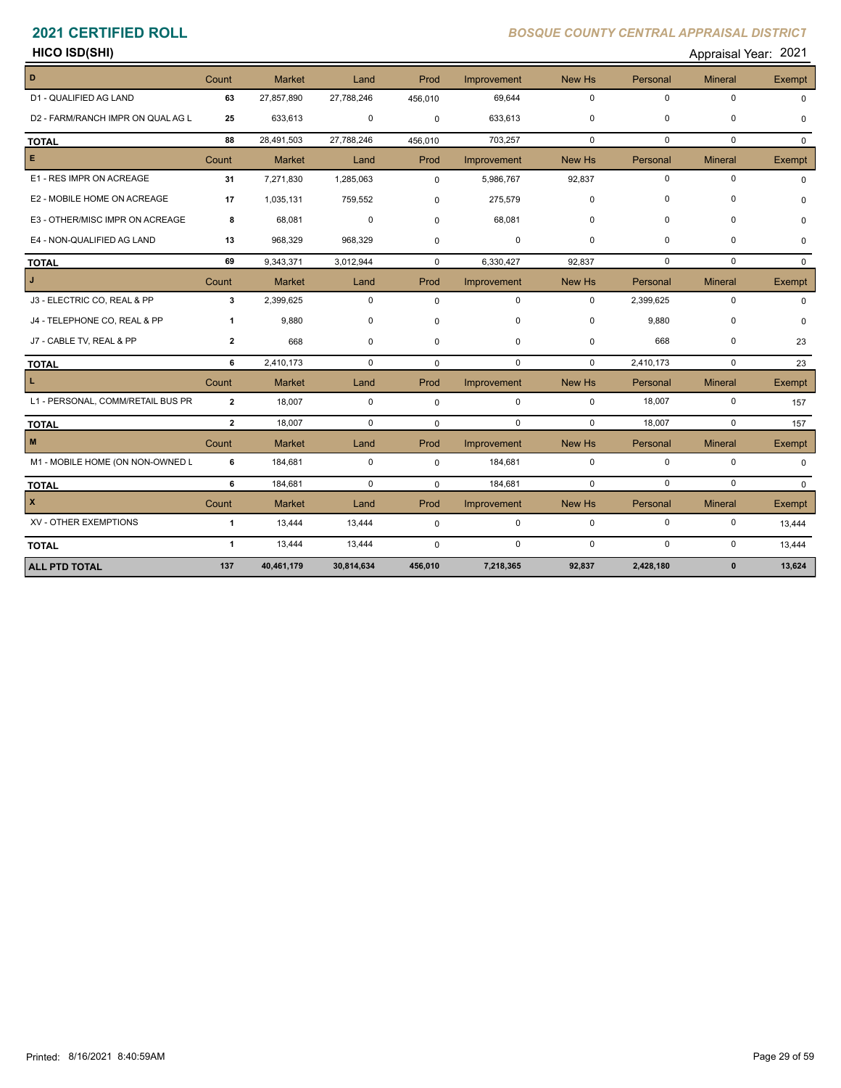|                      | 2021            |
|----------------------|-----------------|
| <b>HICO ISD(SHI)</b> | Appraisal Year: |
|                      |                 |

| D                                 | Count          | <b>Market</b> | Land        | Prod        | Improvement | New Hs      | Personal    | <b>Mineral</b> | Exempt   |
|-----------------------------------|----------------|---------------|-------------|-------------|-------------|-------------|-------------|----------------|----------|
| D1 - QUALIFIED AG LAND            | 63             | 27,857,890    | 27,788,246  | 456,010     | 69,644      | $\mathbf 0$ | $\mathbf 0$ | $\mathbf 0$    | $\Omega$ |
| D2 - FARM/RANCH IMPR ON QUAL AG L | 25             | 633,613       | 0           | $\mathbf 0$ | 633,613     | $\Omega$    | 0           | $\mathbf 0$    |          |
| <b>TOTAL</b>                      | 88             | 28,491,503    | 27,788,246  | 456,010     | 703,257     | $\Omega$    | $\Omega$    | $\mathbf 0$    | $\Omega$ |
| E.                                | Count          | <b>Market</b> | Land        | Prod        | Improvement | New Hs      | Personal    | <b>Mineral</b> | Exempt   |
| E1 - RES IMPR ON ACREAGE          | 31             | 7,271,830     | 1,285,063   | $\mathbf 0$ | 5,986,767   | 92,837      | $\pmb{0}$   | $\pmb{0}$      | $\Omega$ |
| E2 - MOBILE HOME ON ACREAGE       | 17             | 1,035,131     | 759,552     | $\Omega$    | 275,579     | $\Omega$    | $\Omega$    | 0              |          |
| E3 - OTHER/MISC IMPR ON ACREAGE   | 8              | 68,081        | $\mathbf 0$ | $\Omega$    | 68,081      | $\Omega$    | 0           | $\mathbf 0$    |          |
| E4 - NON-QUALIFIED AG LAND        | 13             | 968,329       | 968,329     | $\Omega$    | 0           | 0           | 0           | 0              | O        |
| <b>TOTAL</b>                      | 69             | 9,343,371     | 3,012,944   | $\Omega$    | 6,330,427   | 92,837      | $\Omega$    | $\Omega$       | $\Omega$ |
| J.                                | Count          | <b>Market</b> | Land        | Prod        | Improvement | New Hs      | Personal    | <b>Mineral</b> | Exempt   |
| J3 - ELECTRIC CO, REAL & PP       | 3              | 2,399,625     | $\mathbf 0$ | $\mathbf 0$ | $\mathbf 0$ | $\mathbf 0$ | 2,399,625   | $\mathbf 0$    | $\Omega$ |
| J4 - TELEPHONE CO, REAL & PP      | 1              | 9,880         | 0           | $\mathbf 0$ | $\mathbf 0$ | $\Omega$    | 9,880       | $\mathbf 0$    |          |
| J7 - CABLE TV, REAL & PP          | $\overline{2}$ | 668           | 0           | $\mathbf 0$ | $\mathbf 0$ | 0           | 668         | $\pmb{0}$      | 23       |
| <b>TOTAL</b>                      | 6              | 2,410,173     | $\mathbf 0$ | $\Omega$    | $\mathbf 0$ | $\mathbf 0$ | 2,410,173   | $\mathbf 0$    | 23       |
| L.                                | Count          | <b>Market</b> | Land        | Prod        | Improvement | New Hs      | Personal    | <b>Mineral</b> | Exempt   |
| L1 - PERSONAL, COMM/RETAIL BUS PR | $\overline{2}$ | 18,007        | $\mathbf 0$ | $\mathbf 0$ | $\mathbf 0$ | $\mathbf 0$ | 18,007      | $\pmb{0}$      | 157      |
| <b>TOTAL</b>                      | $\overline{2}$ | 18.007        | $\mathbf 0$ | $\Omega$    | $\mathbf 0$ | $\mathbf 0$ | 18,007      | $\mathbf 0$    | 157      |
| $\mathbf M$                       | Count          | <b>Market</b> | Land        | Prod        | Improvement | New Hs      | Personal    | <b>Mineral</b> | Exempt   |
| M1 - MOBILE HOME (ON NON-OWNED L  | 6              | 184,681       | $\mathbf 0$ | 0           | 184,681     | $\mathbf 0$ | $\mathbf 0$ | $\mathbf 0$    | $\Omega$ |
| <b>TOTAL</b>                      | 6              | 184,681       | $\mathbf 0$ | $\mathbf 0$ | 184,681     | $\mathbf 0$ | $\Omega$    | $\Omega$       | $\Omega$ |
| $\pmb{\times}$                    | Count          | <b>Market</b> | Land        | Prod        | Improvement | New Hs      | Personal    | <b>Mineral</b> | Exempt   |
| XV - OTHER EXEMPTIONS             | $\mathbf{1}$   | 13,444        | 13,444      | $\mathbf 0$ | $\mathbf 0$ | $\mathbf 0$ | $\mathbf 0$ | $\mathbf 0$    | 13,444   |
| <b>TOTAL</b>                      | $\mathbf{1}$   | 13,444        | 13,444      | $\Omega$    | $\mathbf 0$ | $\Omega$    | $\mathbf 0$ | $\mathbf 0$    | 13,444   |
| <b>ALL PTD TOTAL</b>              | 137            | 40,461,179    | 30,814,634  | 456,010     | 7,218,365   | 92,837      | 2,428,180   | $\mathbf{0}$   | 13,624   |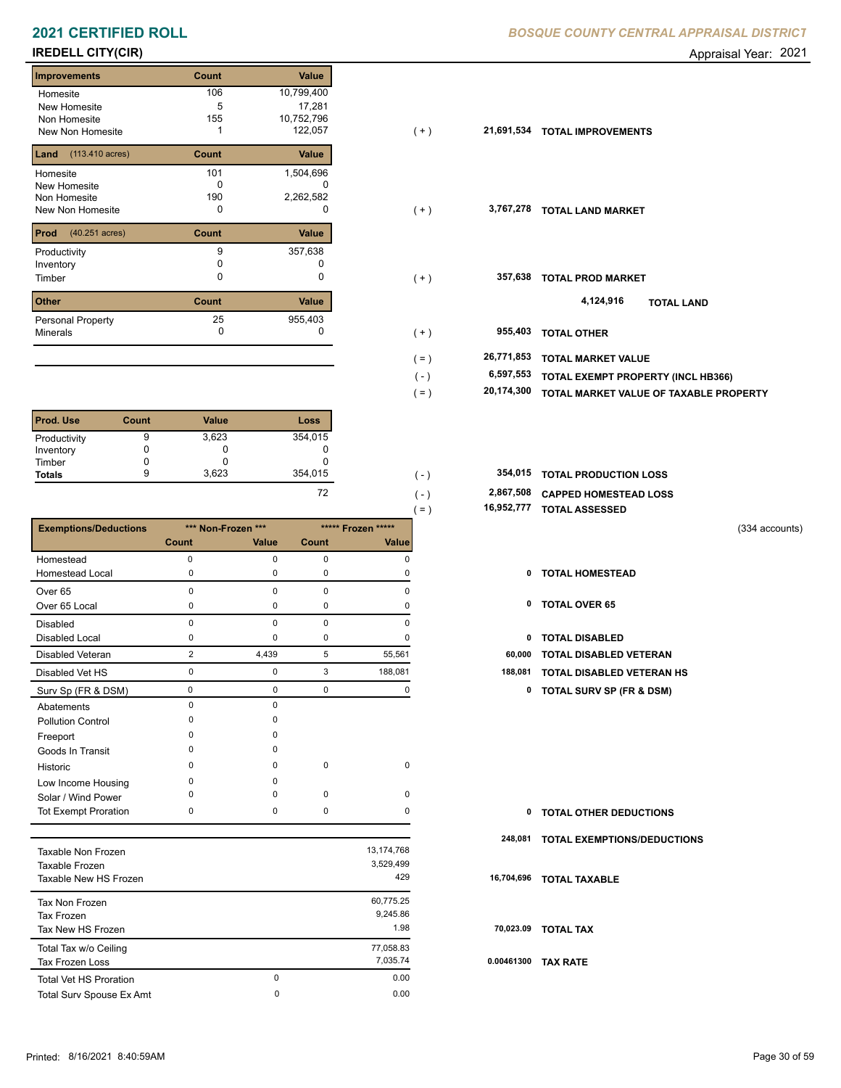# **IREDELL CITY(CIR)** Appraisal Year: 2021

| <b>Improvements</b>                     | Count    | Value        |
|-----------------------------------------|----------|--------------|
| Homesite                                | 106      | 10,799,400   |
| New Homesite                            | 5        | 17,281       |
| Non Homesite                            | 155      | 10,752,796   |
| New Non Homesite                        |          | 122,057      |
|                                         |          |              |
| $(113.410 \text{ acres})$<br>Land       | Count    | <b>Value</b> |
| Homesite                                | 101      | 1,504,696    |
| New Homesite                            | ŋ        |              |
| Non Homesite                            | 190      | 2,262,582    |
| New Non Homesite                        | 0        | O            |
| <b>Prod</b><br>$(40.251 \text{ acres})$ | Count    | Value        |
| Productivity                            | 9        | 357,638      |
| Inventory                               | $\Omega$ |              |
| Timber                                  | O        | 0            |
| <b>Other</b>                            | Count    | Value        |
| <b>Personal Property</b>                | 25       | 955,403      |
| <b>Minerals</b>                         | 0        | 0            |

| <b>Prod. Use</b> | Count | <b>Value</b> | Loss                     |
|------------------|-------|--------------|--------------------------|
| Productivity     | 9     | 3,623        | 354,015                  |
| Inventory        |       | 0            |                          |
| Timber           |       | U            |                          |
| <b>Totals</b>    | 9     | 3,623        | 354,015                  |
|                  |       |              | $\overline{\phantom{a}}$ |

|                              |              |                    |              |                    | $( = )$ | 16,952,777 | <b>TOTAL ASSESSED</b>               |                |
|------------------------------|--------------|--------------------|--------------|--------------------|---------|------------|-------------------------------------|----------------|
| <b>Exemptions/Deductions</b> |              | *** Non-Frozen *** |              | ***** Frozen ***** |         |            |                                     | (334 accounts) |
|                              | <b>Count</b> | Value              | <b>Count</b> | Value              |         |            |                                     |                |
| Homestead                    | $\mathbf 0$  | 0                  | $\mathbf 0$  | $\Omega$           |         |            |                                     |                |
| <b>Homestead Local</b>       | 0            | 0                  | 0            | O                  |         | 0          | <b>TOTAL HOMESTEAD</b>              |                |
| Over <sub>65</sub>           | $\Omega$     | 0                  | 0            | $\Omega$           |         |            |                                     |                |
| Over 65 Local                | 0            | 0                  | 0            | 0                  |         | 0          | <b>TOTAL OVER 65</b>                |                |
| <b>Disabled</b>              | $\Omega$     | $\Omega$           | 0            | $\Omega$           |         |            |                                     |                |
| Disabled Local               | 0            | 0                  | 0            | $\Omega$           |         | 0          | <b>TOTAL DISABLED</b>               |                |
| <b>Disabled Veteran</b>      | 2            | 4,439              | 5            | 55,561             |         | 60,000     | <b>TOTAL DISABLED VETERAN</b>       |                |
| Disabled Vet HS              | 0            | 0                  | 3            | 188,081            |         | 188,081    | TOTAL DISABLED VETERAN HS           |                |
| Surv Sp (FR & DSM)           | $\mathbf 0$  | 0                  | $\mathbf 0$  | 0                  |         | 0          | <b>TOTAL SURV SP (FR &amp; DSM)</b> |                |
| Abatements                   | $\Omega$     | 0                  |              |                    |         |            |                                     |                |
| <b>Pollution Control</b>     | ŋ            |                    |              |                    |         |            |                                     |                |
| Freeport                     | n            |                    |              |                    |         |            |                                     |                |
| Goods In Transit             | n            | n                  |              |                    |         |            |                                     |                |
| Historic                     | n            | $\Omega$           | $\mathbf 0$  | $\mathbf 0$        |         |            |                                     |                |
| Low Income Housing           | <sup>0</sup> | O                  |              |                    |         |            |                                     |                |
| Solar / Wind Power           |              |                    | $\mathbf 0$  | $\Omega$           |         |            |                                     |                |
| <b>Tot Exempt Proration</b>  | $\Omega$     | 0                  | 0            | $\Omega$           |         | 0          | <b>TOTAL OTHER DEDUCTIONS</b>       |                |
|                              |              |                    |              |                    |         | 248,081    | <b>TOTAL EXEMPTIONS/DEDUCTIONS</b>  |                |
| <b>Taxable Non Frozen</b>    |              |                    |              | 13,174,768         |         |            |                                     |                |
| Taxable Frozen               |              |                    |              | 3,529,499          |         |            |                                     |                |
| Taxable New HS Frozen        |              |                    |              | 429                |         | 16,704,696 | <b>TOTAL TAXABLE</b>                |                |

| Taxable New HS Frozen         |   | 429       | 16,            |  |
|-------------------------------|---|-----------|----------------|--|
| Tax Non Frozen                |   | 60,775.25 |                |  |
| Tax Frozen                    |   | 9,245.86  |                |  |
| Tax New HS Frozen             |   | 1.98      | $\overline{7}$ |  |
| Total Tax w/o Ceiling         |   | 77,058.83 |                |  |
| <b>Tax Frozen Loss</b>        |   | 7.035.74  | 0.0            |  |
| <b>Total Vet HS Proration</b> | 0 | 0.00      |                |  |
| Total Surv Spouse Ex Amt      | 0 | 0.00      |                |  |

| Homesite                              | 100   | 10,799,400 |         |            |                                        |
|---------------------------------------|-------|------------|---------|------------|----------------------------------------|
| New Homesite                          | 5     | 17,281     |         |            |                                        |
| Non Homesite                          | 155   | 10,752,796 |         |            |                                        |
| New Non Homesite                      |       | 122,057    | $(+)$   |            | 21,691,534 TOTAL IMPROVEMENTS          |
| <b>Land</b> $(113.410 \text{ acres})$ | Count | Value      |         |            |                                        |
| Homesite                              | 101   | 1,504,696  |         |            |                                        |
| New Homesite                          | 0     | 0          |         |            |                                        |
| Non Homesite                          | 190   | 2,262,582  |         |            |                                        |
| New Non Homesite                      | 0     | 0          | $(+)$   | 3,767,278  | <b>TOTAL LAND MARKET</b>               |
| <b>Prod</b> $(40.251 \text{ acres})$  | Count | Value      |         |            |                                        |
| Productivity                          | 9     | 357,638    |         |            |                                        |
| Inventory                             |       |            |         |            |                                        |
| Timber                                | 0     | 0          | $(+)$   | 357,638    | <b>TOTAL PROD MARKET</b>               |
| <b>Other</b>                          | Count | Value      |         |            | 4,124,916<br><b>TOTAL LAND</b>         |
| Personal Property                     | 25    | 955,403    |         |            |                                        |
| Minerals                              | 0     |            | $(+)$   | 955,403    | <b>TOTAL OTHER</b>                     |
|                                       |       |            | $( = )$ | 26,771,853 | <b>TOTAL MARKET VALUE</b>              |
|                                       |       |            | $(-)$   | 6,597,553  | TOTAL EXEMPT PROPERTY (INCL HB366)     |
|                                       |       |            |         | 20,174,300 |                                        |
|                                       |       |            | $( = )$ |            | TOTAL MARKET VALUE OF TAXABLE PROPERTY |
|                                       |       |            |         |            |                                        |

| 354.015 | 354,015 TOTAL PRODUCTION LOSS   |
|---------|---------------------------------|
| 70      | 2,867,508 CAPPED HOMESTEAD LOSS |

 **16,952,777 TOTAL ASSESSED**

- 
- 
- 
- 
- 0 0 3 188,081 **188,081 TOTAL DISABLED VETERAN HS**
- Surv Sp (FR & DSM) 0 0 0 0 **0 TOTAL SURV SP (FR & DSM)**

| $\mathbf{0}$ | <b>TOTAL OTHER DEDUCTIONS</b>       |
|--------------|-------------------------------------|
|              | 248,081 TOTAL EXEMPTIONS/DEDUCTIONS |
|              | 16,704,696 TOTAL TAXABLE            |
|              | 70,023.09 TOTAL TAX                 |
|              | 0.00461300 TAX RATE                 |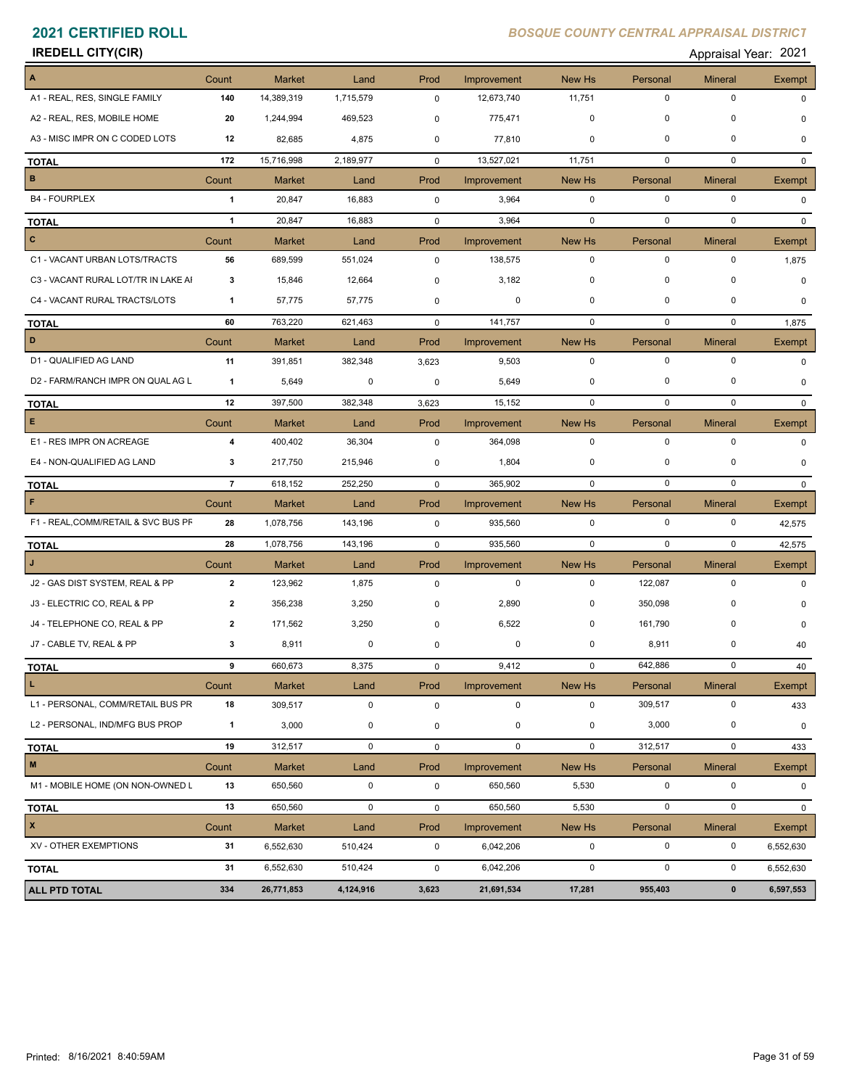# **IREDELL CITY(CIR)** Appraisal Year: 2021

| Appraisal Year: 202 |  |
|---------------------|--|
|---------------------|--|

| $\blacktriangle$                    | Count          | <b>Market</b> | Land        | Prod        | Improvement | New Hs       | Personal    | <b>Mineral</b> | Exempt        |
|-------------------------------------|----------------|---------------|-------------|-------------|-------------|--------------|-------------|----------------|---------------|
| A1 - REAL, RES, SINGLE FAMILY       | 140            | 14,389,319    | 1,715,579   | $\mathbf 0$ | 12,673,740  | 11,751       | $\mathbf 0$ | 0              | $\Omega$      |
| A2 - REAL, RES, MOBILE HOME         | 20             | 1,244,994     | 469,523     | 0           | 775,471     | $\mathbf 0$  | 0           | 0              | $\Omega$      |
| A3 - MISC IMPR ON C CODED LOTS      | 12             | 82,685        | 4,875       | 0           | 77,810      | 0            | 0           | $\mathbf 0$    | 0             |
| <b>TOTAL</b>                        | 172            | 15,716,998    | 2,189,977   | $\mathbf 0$ | 13,527,021  | 11,751       | $\mathbf 0$ | $\mathbf 0$    | $\Omega$      |
| B                                   | Count          | Market        | Land        | Prod        | Improvement | New Hs       | Personal    | <b>Mineral</b> | <b>Exempt</b> |
| <b>B4 - FOURPLEX</b>                | $\mathbf{1}$   | 20,847        | 16,883      | $\mathbf 0$ | 3,964       | $\mathbf 0$  | $\mathbf 0$ | $\mathbf 0$    | 0             |
| <b>TOTAL</b>                        | $\mathbf{1}$   | 20,847        | 16,883      | $\mathbf 0$ | 3,964       | $\mathbf 0$  | $\mathbf 0$ | $\mathbf 0$    | <sup>n</sup>  |
| $\mathbf{c}$                        | Count          | <b>Market</b> | Land        | Prod        | Improvement | New Hs       | Personal    | <b>Mineral</b> | Exempt        |
| C1 - VACANT URBAN LOTS/TRACTS       | 56             | 689,599       | 551,024     | 0           | 138,575     | $\mathbf 0$  | $\mathbf 0$ | $\mathbf 0$    | 1,875         |
| C3 - VACANT RURAL LOT/TR IN LAKE AI | 3              | 15,846        | 12,664      | 0           | 3,182       | 0            | $\mathbf 0$ | $\mathbf 0$    | $\Omega$      |
| C4 - VACANT RURAL TRACTS/LOTS       | $\mathbf{1}$   | 57,775        | 57,775      | 0           | 0           | 0            | 0           | 0              | 0             |
| <b>TOTAL</b>                        | 60             | 763,220       | 621,463     | $\mathbf 0$ | 141,757     | $\mathbf{0}$ | $\mathbf 0$ | $\mathbf 0$    | 1,875         |
| D                                   | Count          | <b>Market</b> | Land        | Prod        | Improvement | New Hs       | Personal    | Mineral        | Exempt        |
| D1 - QUALIFIED AG LAND              | 11             | 391,851       | 382,348     | 3,623       | 9,503       | $\mathbf 0$  | $\mathbf 0$ | $\mathbf 0$    | 0             |
| D2 - FARM/RANCH IMPR ON QUAL AG L   | 1              | 5,649         | 0           | 0           | 5,649       | 0            | $\mathbf 0$ | $\mathbf 0$    | $\Omega$      |
| <b>TOTAL</b>                        | 12             | 397,500       | 382,348     | 3,623       | 15,152      | 0            | $\mathbf 0$ | $\mathbf 0$    | $\Omega$      |
| $\mathsf E$                         | Count          | <b>Market</b> | Land        | Prod        | Improvement | New Hs       | Personal    | <b>Mineral</b> | Exempt        |
| E1 - RES IMPR ON ACREAGE            | 4              | 400,402       | 36,304      | 0           | 364,098     | $\mathbf 0$  | $\mathbf 0$ | $\mathbf 0$    | $\mathbf 0$   |
| E4 - NON-QUALIFIED AG LAND          | 3              | 217,750       | 215,946     | 0           | 1,804       | 0            | 0           | 0              | $\mathbf 0$   |
| <b>TOTAL</b>                        | $\overline{7}$ | 618,152       | 252,250     | $\mathbf 0$ | 365,902     | $\mathbf 0$  | $\mathbf 0$ | $\mathbf 0$    | $\Omega$      |
| F                                   | Count          | <b>Market</b> | Land        | Prod        | Improvement | New Hs       | Personal    | <b>Mineral</b> | Exempt        |
| F1 - REAL, COMM/RETAIL & SVC BUS PF | 28             | 1,078,756     | 143,196     | 0           | 935,560     | $\mathbf 0$  | $\mathbf 0$ | $\mathbf 0$    | 42,575        |
| <b>TOTAL</b>                        | 28             | 1,078,756     | 143,196     | 0           | 935,560     | $\mathbf 0$  | $\mathbf 0$ | $\mathbf 0$    | 42,575        |
| $\mathbf{J}$                        | Count          | <b>Market</b> | Land        | Prod        | Improvement | New Hs       | Personal    | <b>Mineral</b> | Exempt        |
| J2 - GAS DIST SYSTEM, REAL & PP     | $\mathbf{2}$   | 123,962       | 1,875       | $\mathbf 0$ | $\mathbf 0$ | $\mathbf 0$  | 122,087     | $\mathbf 0$    | 0             |
| J3 - ELECTRIC CO, REAL & PP         | 2              | 356,238       | 3,250       | 0           | 2,890       | 0            | 350,098     | 0              |               |
| J4 - TELEPHONE CO, REAL & PP        | $\overline{2}$ | 171,562       | 3,250       | 0           | 6,522       | 0            | 161,790     | $\mathbf 0$    | 0             |
| J7 - CABLE TV, REAL & PP            | 3              | 8,911         | 0           | 0           | $\mathbf 0$ | 0            | 8,911       | 0              | 40            |
| <b>TOTAL</b>                        | 9              | 660,673       | 8,375       | 0           | 9,412       | $\mathbf 0$  | 642,886     | $\mathbf 0$    | 40            |
| L.                                  | Count          | Market        | Land        | Prod        | Improvement | New Hs       | Personal    | <b>Mineral</b> | Exempt        |
| L1 - PERSONAL, COMM/RETAIL BUS PR   | 18             | 309,517       | $\pmb{0}$   | 0           | $\mathbf 0$ | $\mathbf 0$  | 309,517     | $\mathbf 0$    | 433           |
| L2 - PERSONAL, IND/MFG BUS PROP     | $\mathbf{1}$   | 3,000         | $\pmb{0}$   | 0           | $\pmb{0}$   | $\mathbf 0$  | 3,000       | $\pmb{0}$      | 0             |
| <b>TOTAL</b>                        | 19             | 312,517       | $\mathbf 0$ | $\mathsf 0$ | $\mathbf 0$ | $\mathbf 0$  | 312,517     | $\pmb{0}$      | 433           |
| $\mathbf M$                         | Count          | Market        | Land        | Prod        | Improvement | New Hs       | Personal    | <b>Mineral</b> | Exempt        |
| M1 - MOBILE HOME (ON NON-OWNED L    | 13             | 650,560       | $\pmb{0}$   | $\pmb{0}$   | 650,560     | 5,530        | 0           | $\pmb{0}$      | 0             |
| <b>TOTAL</b>                        | 13             | 650,560       | $\mathbf 0$ | 0           | 650,560     | 5,530        | $\mathbf 0$ | $\mathbf 0$    | 0             |
| $\mathbf{x}$                        | Count          | Market        | Land        | Prod        | Improvement | New Hs       | Personal    | <b>Mineral</b> | Exempt        |
| XV - OTHER EXEMPTIONS               | 31             | 6,552,630     | 510,424     | 0           | 6,042,206   | $\mathbf 0$  | $\pmb{0}$   | 0              | 6,552,630     |
| <b>TOTAL</b>                        | 31             | 6,552,630     | 510,424     | 0           | 6,042,206   | $\mathbf 0$  | 0           | $\pmb{0}$      | 6,552,630     |
| ALL PTD TOTAL                       | 334            | 26,771,853    | 4,124,916   | 3,623       | 21,691,534  | 17,281       | 955,403     | $\pmb{0}$      | 6,597,553     |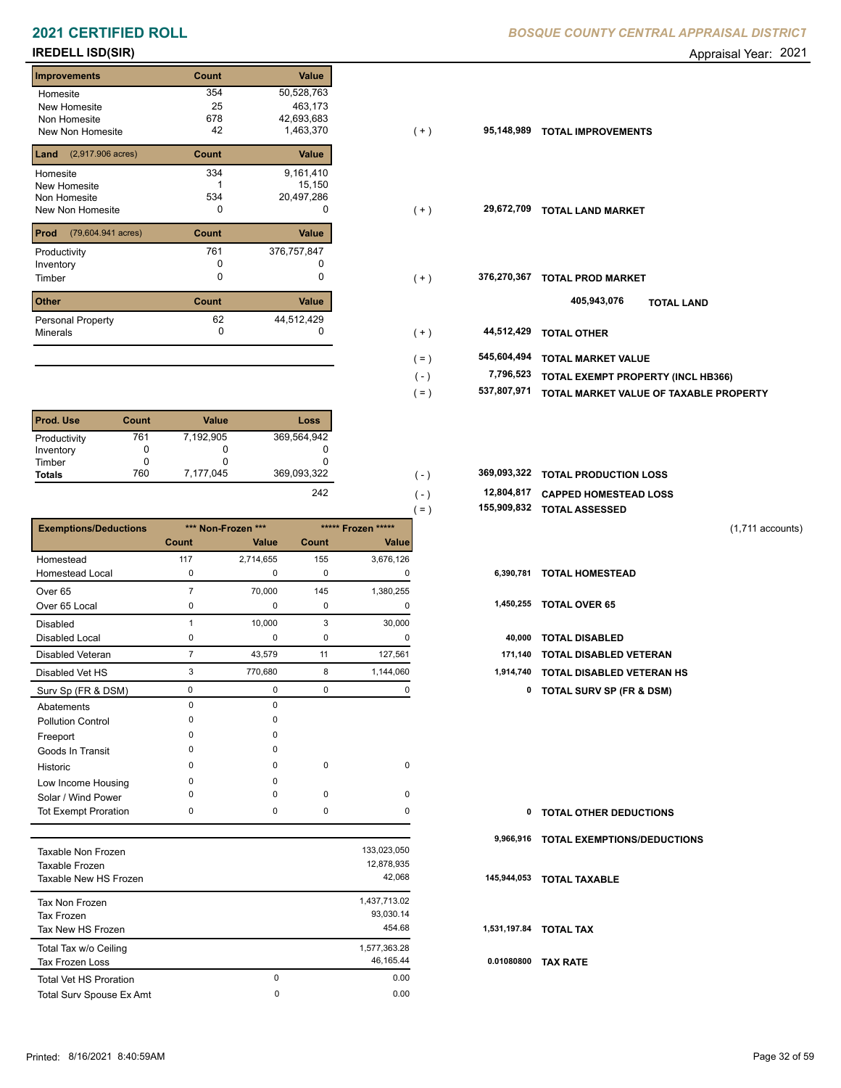## **IREDELL ISD(SIR)** Appraisal Year: 2021

| <b>Improvements</b>                 | Count | <b>Value</b> |
|-------------------------------------|-------|--------------|
| Homesite                            | 354   | 50,528,763   |
| New Homesite                        | 25    | 463,173      |
| Non Homesite                        | 678   | 42,693,683   |
| New Non Homesite                    | 42    | 1,463,370    |
| $(2,917.906 \text{ acres})$<br>Land | Count | <b>Value</b> |
| Homesite                            | 334   | 9,161,410    |
| <b>New Homesite</b>                 |       | 15,150       |
| Non Homesite                        | 534   | 20,497,286   |
| <b>New Non Homesite</b>             | 0     | O            |
| Prod<br>(79,604.941 acres)          | Count | <b>Value</b> |
| Productivity                        | 761   | 376,757,847  |
| Inventory                           | O     |              |
| Timber                              | O     | 0            |
| <b>Other</b>                        | Count | Value        |
| Personal Property                   | 62    | 44,512,429   |
| <b>Minerals</b>                     | 0     | O            |

| Prod. Use     | Count | <b>Value</b> | Loss          |
|---------------|-------|--------------|---------------|
| Productivity  | 761   | 7,192,905    | 369,564,942   |
| Inventory     |       | O            |               |
| Timber        |       | O            |               |
| <b>Totals</b> | 760   | 7,177,045    | 369,093,322   |
|               |       |              | $\sim$ $\sim$ |

|                              |                |                    |       |                    | 155,909,832<br>$( = )$ | <b>TOTAL ASSESSED</b>               |  |
|------------------------------|----------------|--------------------|-------|--------------------|------------------------|-------------------------------------|--|
| <b>Exemptions/Deductions</b> |                | *** Non-Frozen *** |       | ***** Frozen ***** |                        | $(1,711$ accounts)                  |  |
|                              | Count          | Value              | Count | Value              |                        |                                     |  |
| Homestead                    | 117            | 2,714,655          | 155   | 3,676,126          |                        |                                     |  |
| <b>Homestead Local</b>       | $\mathbf 0$    | 0                  | 0     | $\Omega$           | 6,390,781              | <b>TOTAL HOMESTEAD</b>              |  |
| Over <sub>65</sub>           | $\overline{7}$ | 70,000             | 145   | 1,380,255          |                        |                                     |  |
| Over 65 Local                | 0              | 0                  | 0     | O                  | 1,450,255              | <b>TOTAL OVER 65</b>                |  |
| <b>Disabled</b>              |                | 10,000             | 3     | 30,000             |                        |                                     |  |
| Disabled Local               | 0              | 0                  | 0     | 0                  | 40,000                 | <b>TOTAL DISABLED</b>               |  |
| <b>Disabled Veteran</b>      | $\overline{7}$ | 43,579             | 11    | 127,561            | 171,140                | <b>TOTAL DISABLED VETERAN</b>       |  |
| Disabled Vet HS              | 3              | 770,680            | 8     | 1,144,060          | 1,914,740              | <b>TOTAL DISABLED VETERAN HS</b>    |  |
| Surv Sp (FR & DSM)           | 0              | $\mathbf 0$        | 0     | 0                  | 0                      | <b>TOTAL SURV SP (FR &amp; DSM)</b> |  |
| Abatements                   | $\Omega$       | $\Omega$           |       |                    |                        |                                     |  |
| <b>Pollution Control</b>     | ∩              | $\Omega$           |       |                    |                        |                                     |  |
| Freeport                     |                | $\Omega$           |       |                    |                        |                                     |  |
| Goods In Transit             |                | $\Omega$           |       |                    |                        |                                     |  |
| Historic                     | $\Omega$       | $\Omega$           | 0     | $\pmb{0}$          |                        |                                     |  |
| Low Income Housing           | $\Omega$       | $\Omega$           |       |                    |                        |                                     |  |
| Solar / Wind Power           |                | $\Omega$           | 0     | 0                  |                        |                                     |  |
| Tot Exempt Proration         | 0              | 0                  | 0     | 0                  | 0                      | <b>TOTAL OTHER DEDUCTIONS</b>       |  |
|                              |                |                    |       |                    | 9,966,916              | <b>TOTAL EXEMPTIONS/DEDUCTIONS</b>  |  |
| <b>Taxable Non Frozen</b>    |                |                    |       | 133,023,050        |                        |                                     |  |

| laxable Non Frozen            |   | 133,023,050  |      |
|-------------------------------|---|--------------|------|
| Taxable Frozen                |   | 12,878,935   |      |
| Taxable New HS Frozen         |   | 42.068       | 145  |
| Tax Non Frozen                |   | 1,437,713.02 |      |
| Tax Frozen                    |   | 93.030.14    |      |
| Tax New HS Frozen             |   | 454.68       | 1,53 |
| Total Tax w/o Ceiling         |   | 1,577,363.28 |      |
| <b>Tax Frozen Loss</b>        |   | 46.165.44    | 0.0  |
| <b>Total Vet HS Proration</b> | 0 | 0.00         |      |
| Total Surv Spouse Ex Amt      | 0 | 0.00         |      |
|                               |   |              |      |

| 25    | 463,173     |         |                  |                                        |
|-------|-------------|---------|------------------|----------------------------------------|
| 678   | 42,693,683  |         |                  |                                        |
| 42    | 1,463,370   | $(+)$   | 95,148,989       | <b>TOTAL IMPROVEMENTS</b>              |
| Count | Value       |         |                  |                                        |
| 334   | 9,161,410   |         |                  |                                        |
|       | 15,150      |         |                  |                                        |
| 534   | 20,497,286  |         |                  |                                        |
| 0     | 0           | $(+)$   | 29,672,709       | <b>TOTAL LAND MARKET</b>               |
| Count | Value       |         |                  |                                        |
| 761   | 376,757,847 |         |                  |                                        |
| 0     |             |         |                  |                                        |
| 0     | 0           | $(+)$   | 376,270,367      | <b>TOTAL PROD MARKET</b>               |
| Count | Value       |         |                  | 405,943,076<br><b>TOTAL LAND</b>       |
| 62    | 44,512,429  |         |                  |                                        |
| 0     |             | $(+)$   | 44,512,429       | <b>TOTAL OTHER</b>                     |
|       |             | $( = )$ | 545,604,494      | <b>TOTAL MARKET VALUE</b>              |
|       |             |         | 7,796,523        | TOTAL EXEMPT PROPERTY (INCL HB366)     |
|       |             |         |                  |                                        |
|       |             |         |                  | TOTAL MARKET VALUE OF TAXABLE PROPERTY |
|       |             |         | $(-)$<br>$( = )$ | 537,807,971                            |

| 369.093.322 | 369,093,322 TOTAL PRODUCTION LOSS |
|-------------|-----------------------------------|
| - - -       |                                   |

| 242 | 12,804,817 CAPPED HOMESTEAD LOSS |                              |
|-----|----------------------------------|------------------------------|
|     |                                  | $155909832$ $TOTAI$ accreers |

```
 155,909,832 TOTAL ASSESSED
```

| 6,390,781 TOTAL HOMESTEAD |  |
|---------------------------|--|
|                           |  |

| 40,000 TOTAL DISABLED               |
|-------------------------------------|
| 171,140 TOTAL DISABLED VETERAN      |
| 1,914,740 TOTAL DISABLED VETERAN HS |

| 0 | <b>TOTAL OTHER DEDUCTIONS</b>         |
|---|---------------------------------------|
|   | 9,966,916 TOTAL EXEMPTIONS/DEDUCTIONS |
|   | 145,944,053 TOTAL TAXABLE             |
|   | 1,531,197.84 TOTAL TAX                |
|   | 0.01080800 TAX RATE                   |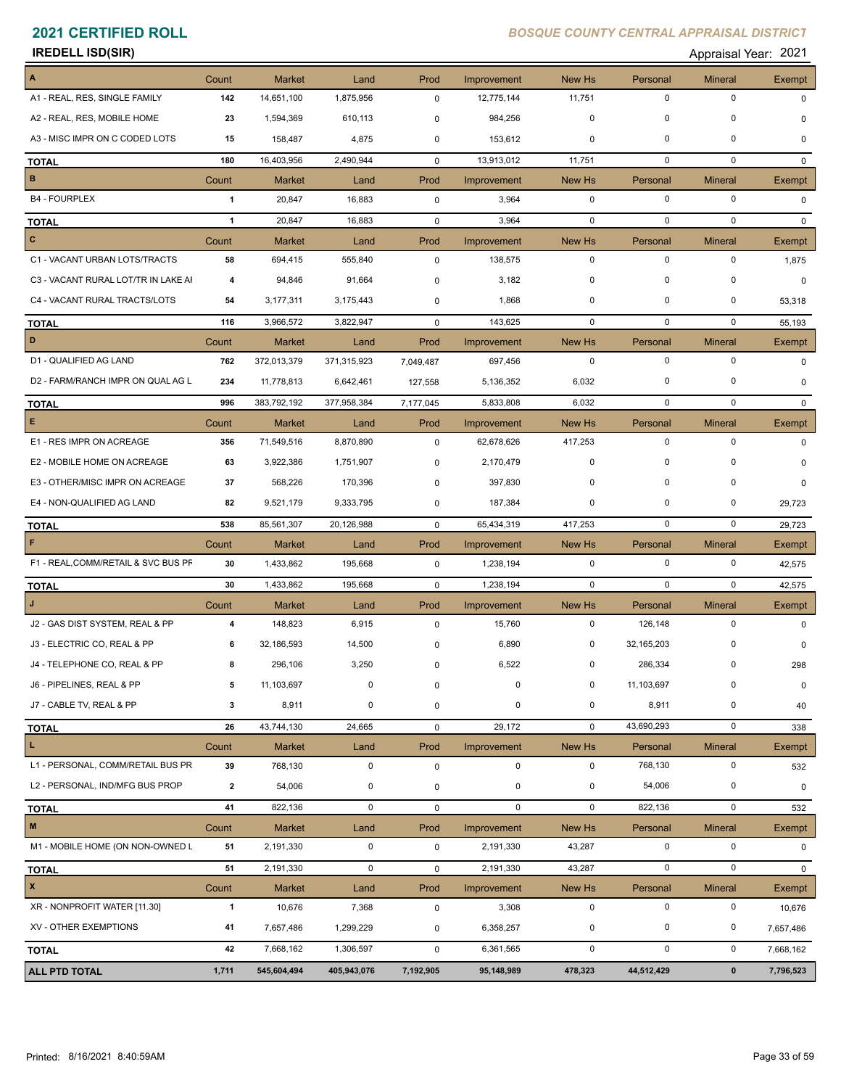| <b>IREDELL ISD(SIR)</b> | Appraisal Year: 2021 |  |
|-------------------------|----------------------|--|
|                         |                      |  |

| $\boldsymbol{\mathsf{A}}$           | Count                   | <b>Market</b> | Land        | Prod        | Improvement | <b>New Hs</b> | Personal    | <b>Mineral</b> | <b>Exempt</b> |
|-------------------------------------|-------------------------|---------------|-------------|-------------|-------------|---------------|-------------|----------------|---------------|
| A1 - REAL, RES, SINGLE FAMILY       | 142                     | 14,651,100    | 1,875,956   | 0           | 12,775,144  | 11,751        | $\mathbf 0$ | $\mathbf 0$    | $\Omega$      |
| A2 - REAL, RES, MOBILE HOME         | 23                      | 1,594,369     | 610,113     | 0           | 984,256     | $\mathbf 0$   | 0           | $\mathbf 0$    | 0             |
| A3 - MISC IMPR ON C CODED LOTS      | 15                      | 158,487       | 4,875       | 0           | 153,612     | $\mathbf 0$   | 0           | $\Omega$       | $\Omega$      |
| <b>TOTAL</b>                        | 180                     | 16,403,956    | 2,490,944   | $\mathbf 0$ | 13,913,012  | 11,751        | $\mathbf 0$ | $\mathbf 0$    | $\Omega$      |
| B                                   | Count                   | Market        | Land        | Prod        | Improvement | New Hs        | Personal    | <b>Mineral</b> | <b>Exempt</b> |
| <b>B4 - FOURPLEX</b>                | $\mathbf{1}$            | 20,847        | 16,883      | $\mathsf 0$ | 3,964       | $\mathbf 0$   | $\mathbf 0$ | $\mathbf 0$    | $\mathbf 0$   |
| <b>TOTAL</b>                        | $\overline{1}$          | 20,847        | 16,883      | $\mathbf 0$ | 3,964       | $\mathbf 0$   | $\mathbf 0$ | $\mathbf 0$    | <sup>n</sup>  |
| $\mathbf{C}$                        | Count                   | <b>Market</b> | Land        | Prod        | Improvement | New Hs        | Personal    | <b>Mineral</b> | Exempt        |
| C1 - VACANT URBAN LOTS/TRACTS       | 58                      | 694,415       | 555,840     | 0           | 138,575     | $\mathbf 0$   | $\mathbf 0$ | $\mathbf 0$    | 1,875         |
| C3 - VACANT RURAL LOT/TR IN LAKE AI | $\overline{\mathbf{4}}$ | 94,846        | 91,664      | 0           | 3,182       | $\mathbf 0$   | $\mathbf 0$ | $\mathbf 0$    | $\mathbf 0$   |
| C4 - VACANT RURAL TRACTS/LOTS       | 54                      | 3,177,311     | 3,175,443   | 0           | 1,868       | $\mathbf 0$   | 0           | 0              | 53,318        |
| <b>TOTAL</b>                        | 116                     | 3,966,572     | 3,822,947   | $\mathbf 0$ | 143,625     | $\mathbf 0$   | $\mathbf 0$ | $\mathbf 0$    | 55,193        |
| D                                   | Count                   | <b>Market</b> | Land        | Prod        | Improvement | New Hs        | Personal    | <b>Mineral</b> | Exempt        |
| D1 - QUALIFIED AG LAND              | 762                     | 372,013,379   | 371,315,923 | 7,049,487   | 697,456     | $\mathbf{0}$  | $\mathbf 0$ | $\mathbf 0$    | 0             |
| D2 - FARM/RANCH IMPR ON QUAL AG L   | 234                     | 11,778,813    | 6,642,461   | 127,558     | 5,136,352   | 6,032         | $\pmb{0}$   | $\mathbf 0$    | $\Omega$      |
| <b>TOTAL</b>                        | 996                     | 383,792,192   | 377,958,384 | 7,177,045   | 5,833,808   | 6,032         | $\mathbf 0$ | $\mathbf 0$    | $\mathbf{0}$  |
| E.                                  | Count                   | Market        | Land        | Prod        | Improvement | New Hs        | Personal    | <b>Mineral</b> | Exempt        |
| E1 - RES IMPR ON ACREAGE            | 356                     | 71,549,516    | 8,870,890   | 0           | 62,678,626  | 417,253       | $\mathbf 0$ | $\mathbf 0$    | $\mathbf 0$   |
| E2 - MOBILE HOME ON ACREAGE         | 63                      | 3,922,386     | 1,751,907   | 0           | 2,170,479   | 0             | 0           | 0              | $\Omega$      |
| E3 - OTHER/MISC IMPR ON ACREAGE     | 37                      | 568,226       | 170,396     | 0           | 397,830     | $\mathbf 0$   | 0           | $\mathbf 0$    | $\Omega$      |
| E4 - NON-QUALIFIED AG LAND          | 82                      | 9,521,179     | 9,333,795   | 0           | 187,384     | 0             | 0           | 0              | 29,723        |
| <b>TOTAL</b>                        | 538                     | 85,561,307    | 20,126,988  | $\mathbf 0$ | 65,434,319  | 417,253       | $\mathbf 0$ | $\mathbf 0$    | 29,723        |
| F                                   | Count                   | <b>Market</b> | Land        | Prod        | Improvement | New Hs        | Personal    | <b>Mineral</b> | Exempt        |
| F1 - REAL, COMM/RETAIL & SVC BUS PF | 30                      | 1,433,862     | 195,668     | 0           | 1,238,194   | $\mathbf 0$   | 0           | 0              | 42,575        |
| <b>TOTAL</b>                        | 30                      | 1,433,862     | 195,668     | $\mathbf 0$ | 1,238,194   | $\mathbf 0$   | $\mathbf 0$ | $\mathbf 0$    | 42,575        |
| J                                   | Count                   | <b>Market</b> | Land        | Prod        | Improvement | New Hs        | Personal    | <b>Mineral</b> | Exempt        |
| J2 - GAS DIST SYSTEM, REAL & PP     | 4                       | 148,823       | 6,915       | $\mathbf 0$ | 15,760      | $\mathbf 0$   | 126,148     | $\mathbf 0$    | $\mathbf 0$   |
| J3 - ELECTRIC CO, REAL & PP         | 6                       | 32,186,593    | 14,500      | 0           | 6,890       | 0             | 32,165,203  | 0              | 0             |
| J4 - TELEPHONE CO, REAL & PP        | 8                       | 296,106       | 3,250       | $\mathbf 0$ | 6,522       | 0             | 286,334     | 0              | 298           |
| J6 - PIPELINES, REAL & PP           | 5                       | 11,103,697    | 0           | 0           | 0           | 0             | 11,103,697  | 0              | 0             |
| J7 - CABLE TV, REAL & PP            | 3                       | 8,911         | 0           | 0           | 0           | 0             | 8,911       | $\mathbf 0$    | 40            |
| <b>TOTAL</b>                        | 26                      | 43,744,130    | 24,665      | $\mathbf 0$ | 29,172      | $\mathbf 0$   | 43,690,293  | $\mathbf 0$    | 338           |
| L.                                  | Count                   | Market        | Land        | Prod        | Improvement | New Hs        | Personal    | Mineral        | Exempt        |
| L1 - PERSONAL, COMM/RETAIL BUS PR   | 39                      | 768,130       | $\mathbf 0$ | 0           | $\mathbf 0$ | $\mathbf 0$   | 768,130     | $\mathbf 0$    | 532           |
| L2 - PERSONAL, IND/MFG BUS PROP     | $\overline{2}$          | 54,006        | 0           | 0           | 0           | 0             | 54,006      | 0              | 0             |
| <b>TOTAL</b>                        | 41                      | 822,136       | 0           | 0           | $\mathbf 0$ | $\mathbf 0$   | 822,136     | $\mathbf 0$    | 532           |
| $\mathbf M$                         | Count                   | Market        | Land        | Prod        | Improvement | New Hs        | Personal    | <b>Mineral</b> | Exempt        |
| M1 - MOBILE HOME (ON NON-OWNED L    | 51                      | 2,191,330     | 0           | 0           | 2,191,330   | 43,287        | $\mathbf 0$ | $\mathbf 0$    | $\mathbf 0$   |
| <b>TOTAL</b>                        | 51                      | 2,191,330     | 0           | $\mathbf 0$ | 2,191,330   | 43,287        | $\mathbf 0$ | $\pmb{0}$      | $\mathbf{0}$  |
| $\pmb{\mathsf{x}}$                  |                         | <b>Market</b> | Land        | Prod        | Improvement | New Hs        | Personal    | <b>Mineral</b> | Exempt        |
|                                     | Count                   |               |             |             |             |               |             |                |               |
| XR - NONPROFIT WATER [11.30]        | $\mathbf{1}$            | 10,676        | 7,368       | $\mathbf 0$ | 3,308       | $\mathbf 0$   | $\mathbf 0$ | 0              | 10,676        |
| XV - OTHER EXEMPTIONS               | 41                      | 7,657,486     | 1,299,229   | 0           | 6,358,257   | 0             | $\mathbf 0$ | 0              | 7,657,486     |
| <b>TOTAL</b>                        | 42                      | 7,668,162     | 1,306,597   | 0           | 6,361,565   | $\mathbf 0$   | $\mathbf 0$ | $\mathbf 0$    | 7,668,162     |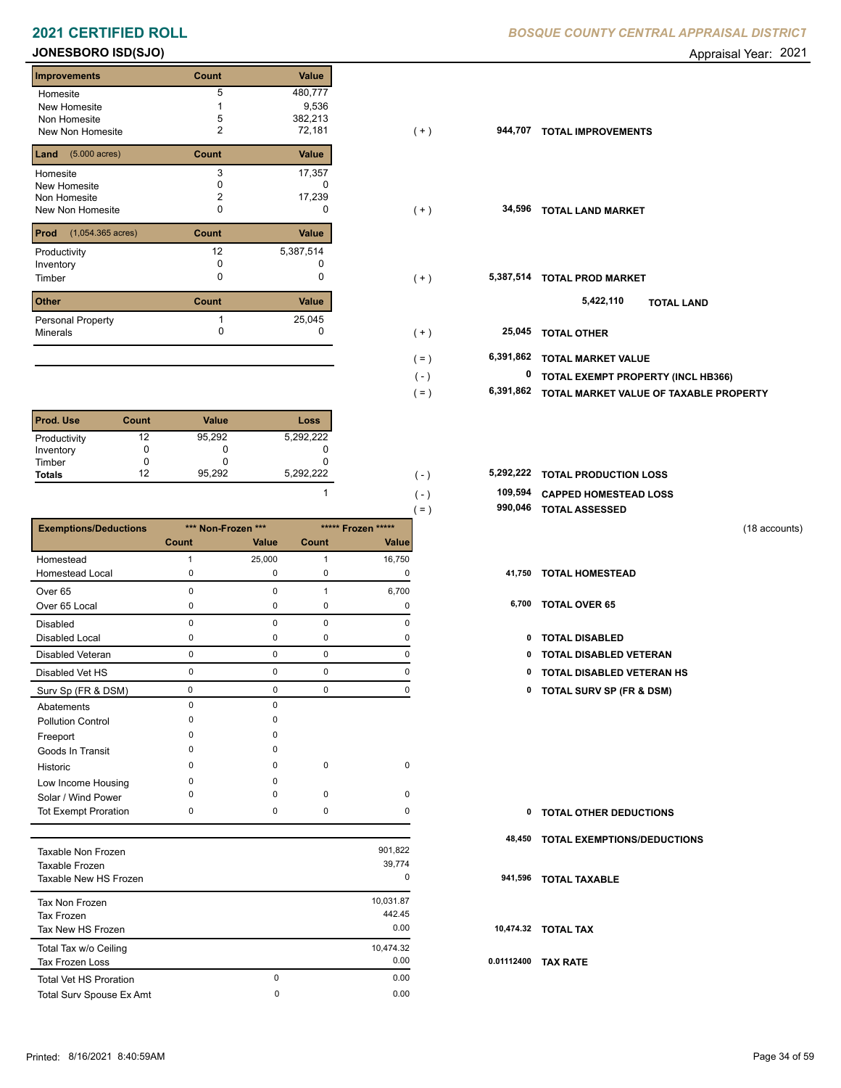### **2021 CERTIFIED ROLL BOSQUE CENTRAL APPRAISE COUNTY CENTRAL BOSQUE COUNTY CENTRAL APPRAISAL DISTRICTION CONTRACT CONTRACT CONTRACT CONTRACT CONTRACT CONTRACT CONTRACT CONTRACT CONTRACT CONTRACT CONTRACT CONTRACT CONTRACT**

### **JONESBORO ISD(SJO)** Appraisal Year: 2021

| <b>Improvements</b>                 | Count | Value        |
|-------------------------------------|-------|--------------|
| Homesite                            | 5     | 480,777      |
| New Homesite                        |       | 9,536        |
| Non Homesite                        | 5     | 382,213      |
| <b>New Non Homesite</b>             | 2     | 72,181       |
| $(5.000 \text{ acres})$<br>Land     | Count | <b>Value</b> |
| Homesite                            | 3     | 17,357       |
| New Homesite                        | 0     | O            |
| Non Homesite                        | 2     | 17,239       |
| New Non Homesite                    | O     | O            |
| Prod<br>$(1,054.365 \text{ acres})$ | Count | Value        |
| Productivity                        | 12    | 5,387,514    |
| Inventory                           | 0     | O            |
| Timber                              | 0     | 0            |
| <b>Other</b>                        | Count | Value        |

| <b>Other</b>             | Count | Value  |
|--------------------------|-------|--------|
| <b>Personal Property</b> |       | 25,045 |
| Minerals                 |       |        |

| <b>Prod. Use</b> | Count | <b>Value</b> | Loss      |
|------------------|-------|--------------|-----------|
| Productivity     | 12    | 95,292       | 5,292,222 |
| Inventory        |       | O            |           |
| Timber           |       | O            |           |
| <b>Totals</b>    | 12    | 95,292       | 5,292,222 |

|                              |              |                    |             |                    | $( = )$ | 990,046 | <b>TOTAL ASSESSED</b>               |               |
|------------------------------|--------------|--------------------|-------------|--------------------|---------|---------|-------------------------------------|---------------|
| <b>Exemptions/Deductions</b> |              | *** Non-Frozen *** |             | ***** Frozen ***** |         |         |                                     | (18 accounts) |
|                              | <b>Count</b> | Value              | Count       | Value              |         |         |                                     |               |
| Homestead                    |              | 25,000             |             | 16,750             |         |         |                                     |               |
| <b>Homestead Local</b>       | 0            | 0                  | 0           | $\mathbf 0$        |         | 41,750  | <b>TOTAL HOMESTEAD</b>              |               |
| Over <sub>65</sub>           | 0            | 0                  | 1           | 6,700              |         |         |                                     |               |
| Over 65 Local                | 0            | 0                  | 0           | 0                  |         | 6,700   | <b>TOTAL OVER 65</b>                |               |
| Disabled                     | $\Omega$     | $\Omega$           | $\mathbf 0$ | $\Omega$           |         |         |                                     |               |
| <b>Disabled Local</b>        | 0            | 0                  | 0           | 0                  |         | 0       | <b>TOTAL DISABLED</b>               |               |
| <b>Disabled Veteran</b>      | $\mathbf 0$  | 0                  | 0           | 0                  |         | 0       | <b>TOTAL DISABLED VETERAN</b>       |               |
| Disabled Vet HS              | 0            | 0                  | 0           | 0                  |         | 0       | <b>TOTAL DISABLED VETERAN HS</b>    |               |
| Surv Sp (FR & DSM)           | 0            | 0                  | 0           | 0                  |         | 0       | <b>TOTAL SURV SP (FR &amp; DSM)</b> |               |
| Abatements                   | $\Omega$     | 0                  |             |                    |         |         |                                     |               |
| <b>Pollution Control</b>     | O            | $\Omega$           |             |                    |         |         |                                     |               |
| Freeport                     | O            | 0                  |             |                    |         |         |                                     |               |
| Goods In Transit             | $\Omega$     | 0                  |             |                    |         |         |                                     |               |
| Historic                     | 0            | 0                  | 0           | $\pmb{0}$          |         |         |                                     |               |
| Low Income Housing           | $\Omega$     | 0                  |             |                    |         |         |                                     |               |
| Solar / Wind Power           | 0            | 0                  | $\mathbf 0$ | 0                  |         |         |                                     |               |
| <b>Tot Exempt Proration</b>  | 0            | 0                  | 0           | 0                  |         | 0       | <b>TOTAL OTHER DEDUCTIONS</b>       |               |
|                              |              |                    |             |                    |         | 48,450  | <b>TOTAL EXEMPTIONS/DEDUCTIONS</b>  |               |
| Taxable Non Frozen           |              |                    |             | 901,822            |         |         |                                     |               |
| Taxable Frozen               |              |                    |             | 39,774             |         |         |                                     |               |
| Taxable New HS Frozen        |              |                    |             | 0                  |         | 941,596 | <b>TOTAL TAXABLE</b>                |               |

| Tax Non Frozen<br>Tax Frozen                    |   | 10,031.87<br>442.45 |     |
|-------------------------------------------------|---|---------------------|-----|
| Tax New HS Frozen                               |   | 0.00                | 1(  |
| Total Tax w/o Ceiling<br><b>Tax Frozen Loss</b> |   | 10,474.32<br>0.00   | 0.0 |
| <b>Total Vet HS Proration</b>                   | 0 | 0.00                |     |
| <b>Total Surv Spouse Ex Amt</b>                 | 0 | 0.00                |     |

| New Homesite<br>Non Homesite<br>New Non Homesite             | 5<br>2      | 9,536<br>382,213<br>72,181 | $(+)$          |           | 944,707 TOTAL IMPROVEMENTS             |
|--------------------------------------------------------------|-------------|----------------------------|----------------|-----------|----------------------------------------|
| <b>Land</b> $(5.000 \text{ acres})$                          | Count       | Value                      |                |           |                                        |
| Homesite<br>New Homesite<br>Non Homesite<br>New Non Homesite | 3<br>0      | 17,357<br>0<br>17,239<br>0 | $(+)$          |           | 34,596 TOTAL LAND MARKET               |
| <b>Prod</b> $(1,054.365 \text{ acres})$<br>Productivity      | Count<br>12 | Value<br>5,387,514         |                |           |                                        |
| Inventory<br>Timber                                          | 0<br>0      | 0                          | $(+)$          |           | 5,387,514 TOTAL PROD MARKET            |
| Other                                                        | Count       | Value                      |                |           | 5,422,110<br><b>TOTAL LAND</b>         |
| Personal Property<br>Minerals                                |             | 25,045<br>0                | $(+)$          | 25,045    | <b>TOTAL OTHER</b>                     |
|                                                              |             |                            | $( = )$        | 6,391,862 | <b>TOTAL MARKET VALUE</b>              |
|                                                              |             |                            | $(\mathsf{-})$ | 0         | TOTAL EXEMPT PROPERTY (INCL HB366)     |
|                                                              |             |                            | $( = )$        | 6,391,862 | TOTAL MARKET VALUE OF TAXABLE PROPERTY |
|                                                              |             |                            |                |           |                                        |

| 5.292.222 | $\overline{a}$ | 5,292,222 TOTAL PRODUCTION LOSS |
|-----------|----------------|---------------------------------|
|           | $\sim$         | 109,594 CAPPED HOMESTEAD LOSS   |

|  | 990,046 TOTAL ASSESSED |
|--|------------------------|
|--|------------------------|

- -
	-
	- 0 0 0 0 **0 TOTAL DISABLED VETERAN HS**
	- Surv Sp (FR & DSM) 0 0 0 0 **0 TOTAL SURV SP (FR & DSM)**

| $\mathbf{0}$ | <b>TOTAL OTHER DEDUCTIONS</b>      |
|--------------|------------------------------------|
| 48,450       | <b>TOTAL EXEMPTIONS/DEDUCTIONS</b> |
| 941,596      | <b>TOTAL TAXABLE</b>               |
|              | 10,474.32 TOTAL TAX                |
| 0.01112400   | <b>TAX RATE</b>                    |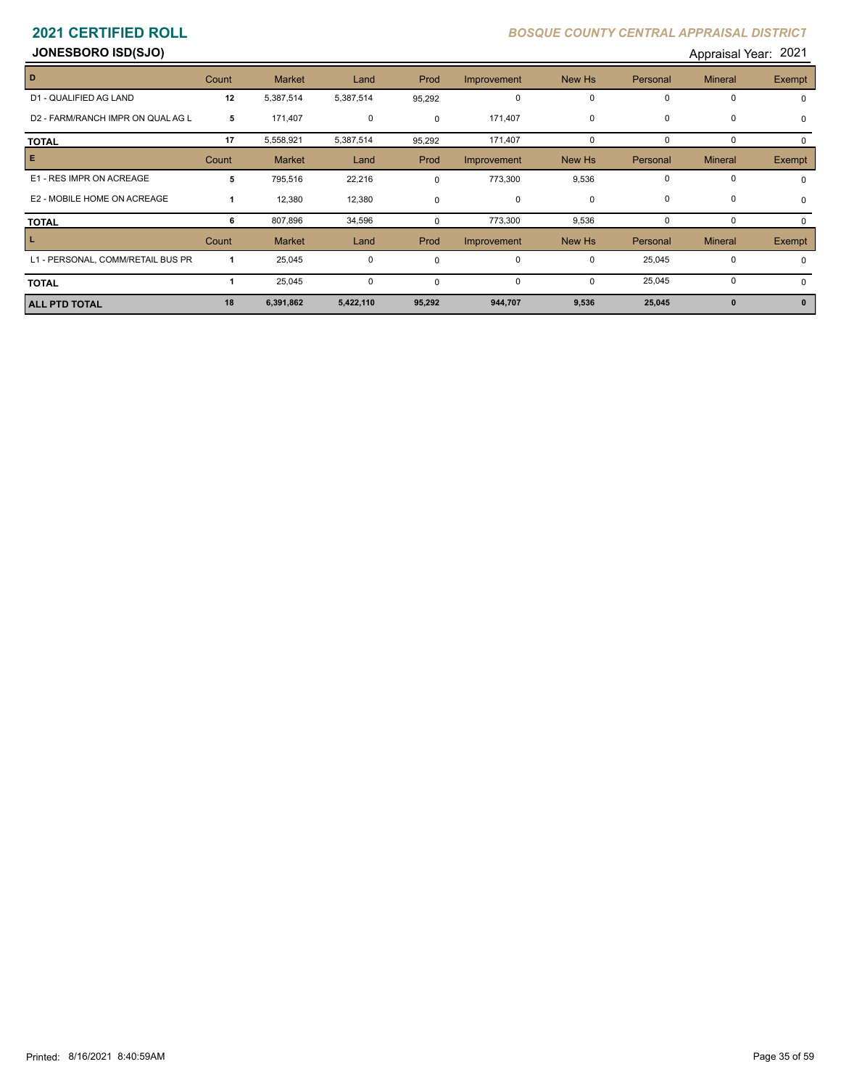**JONESBORO ISD(SJO) Appraisal Year: 2021** 

| D                                 | Count        | <b>Market</b> | Land        | Prod        | Improvement | New Hs      | Personal | <b>Mineral</b> | Exempt        |
|-----------------------------------|--------------|---------------|-------------|-------------|-------------|-------------|----------|----------------|---------------|
| D1 - QUALIFIED AG LAND            | 12           | 5,387,514     | 5,387,514   | 95,292      | 0           | 0           | 0        | 0              | $\Omega$      |
| D2 - FARM/RANCH IMPR ON QUAL AG L | 5            | 171,407       | $\mathbf 0$ | 0           | 171,407     | 0           | 0        | 0              |               |
| <b>TOTAL</b>                      | 17           | 5,558,921     | 5,387,514   | 95,292      | 171,407     | 0           | 0        | 0              |               |
| E.                                | Count        | <b>Market</b> | Land        | Prod        | Improvement | New Hs      | Personal | <b>Mineral</b> | Exempt        |
| E1 - RES IMPR ON ACREAGE          | 5            | 795,516       | 22,216      | $\mathbf 0$ | 773,300     | 9,536       | 0        | 0              |               |
| E2 - MOBILE HOME ON ACREAGE       | $\mathbf{1}$ | 12,380        | 12,380      | $\mathbf 0$ | 0           | $\mathbf 0$ | 0        | 0              |               |
| TOTAL                             | 6            | 807,896       | 34,596      | 0           | 773,300     | 9,536       | 0        | 0              |               |
| L.                                | Count        | <b>Market</b> | Land        | Prod        | Improvement | New Hs      | Personal | <b>Mineral</b> | <b>Exempt</b> |
| L1 - PERSONAL, COMM/RETAIL BUS PR |              | 25,045        | $\mathbf 0$ | $\mathbf 0$ | 0           | 0           | 25,045   | 0              |               |
| TOTAL                             |              | 25,045        | $\mathbf 0$ | $\mathbf 0$ | 0           | $\mathbf 0$ | 25,045   | 0              |               |
| <b>ALL PTD TOTAL</b>              | 18           | 6,391,862     | 5,422,110   | 95,292      | 944,707     | 9,536       | 25,045   | $\mathbf{0}$   |               |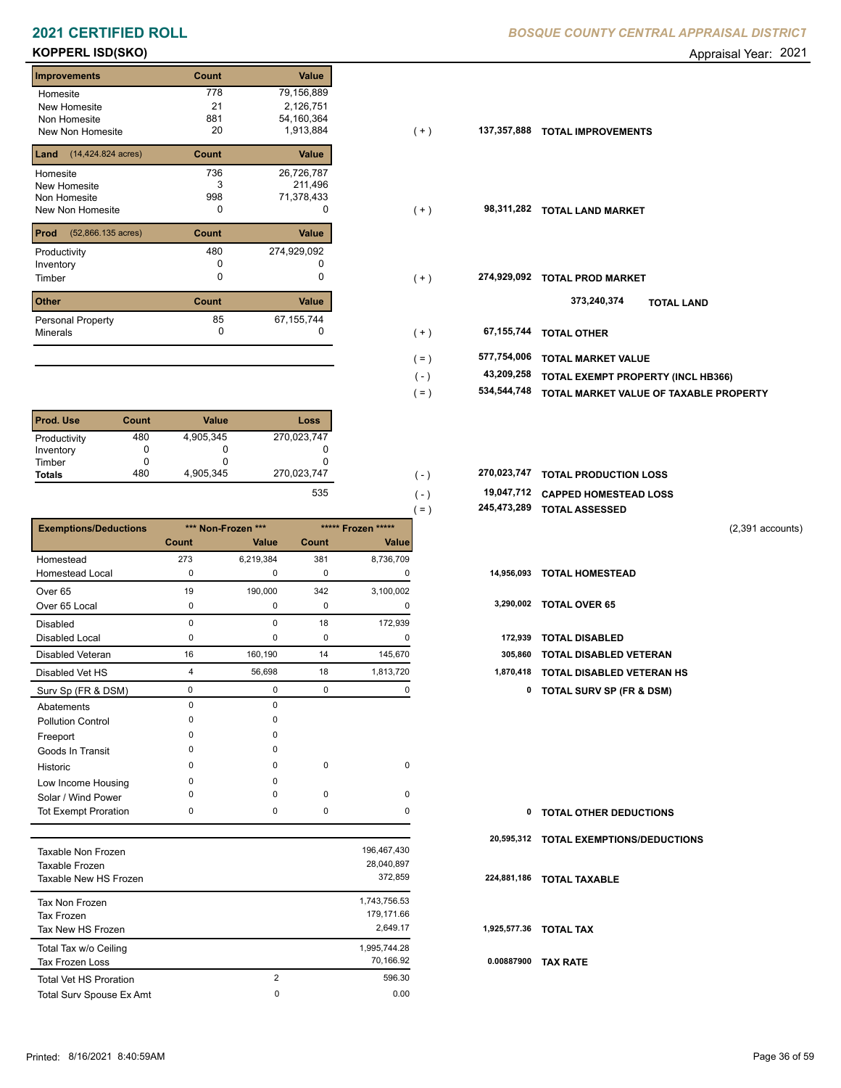# **KOPPERL ISD(SKO)** Appraisal Year: 2021

| <b>Improvements</b>                   | Count | <b>Value</b> |
|---------------------------------------|-------|--------------|
| Homesite                              | 778   | 79,156,889   |
| New Homesite                          | 21    | 2,126,751    |
| Non Homesite                          | 881   | 54,160,364   |
| New Non Homesite                      | 20    | 1,913,884    |
| $(14, 424.824 \text{ acres})$<br>Land | Count | Value        |
| Homesite                              | 736   | 26,726,787   |
| New Homesite                          | 3     | 211,496      |
| Non Homesite                          | 998   | 71,378,433   |
| <b>New Non Homesite</b>               | 0     | O            |
| Prod<br>(52,866.135 acres)            | Count | Value        |
| Productivity                          | 480   | 274,929,092  |
| Inventory                             | O     |              |
| Timber                                | 0     | 0            |
| <b>Other</b>                          | Count | Value        |
| Personal Property                     | 85    | 67,155,744   |
| <b>Minerals</b>                       | 0     | 0            |

| Prod. Use     | Count | <b>Value</b> | Loss        |
|---------------|-------|--------------|-------------|
| Productivity  | 480   | 4,905,345    | 270,023,747 |
| Inventory     |       | O            |             |
| Timber        |       | O            |             |
| <b>Totals</b> | 480   | 4.905.345    | 270,023,747 |
|               |       |              | $-0$        |

|                              |                |                    |       |                    | 245,473,289<br>$=$ ) | <b>TOTAL ASSESSED</b>               |                    |
|------------------------------|----------------|--------------------|-------|--------------------|----------------------|-------------------------------------|--------------------|
| <b>Exemptions/Deductions</b> |                | *** Non-Frozen *** |       | ***** Frozen ***** |                      |                                     | $(2,391$ accounts) |
|                              | Count          | Value              | Count | Value              |                      |                                     |                    |
| Homestead                    | 273            | 6,219,384          | 381   | 8,736,709          |                      |                                     |                    |
| <b>Homestead Local</b>       | 0              | 0                  | 0     | 0                  | 14,956,093           | <b>TOTAL HOMESTEAD</b>              |                    |
| Over 65                      | 19             | 190,000            | 342   | 3,100,002          |                      |                                     |                    |
| Over 65 Local                | 0              | 0                  | 0     | 0                  | 3,290,002            | <b>TOTAL OVER 65</b>                |                    |
| <b>Disabled</b>              | $\Omega$       | 0                  | 18    | 172,939            |                      |                                     |                    |
| <b>Disabled Local</b>        | $\Omega$       | 0                  | 0     | 0                  | 172,939              | <b>TOTAL DISABLED</b>               |                    |
| Disabled Veteran             | 16             | 160,190            | 14    | 145,670            | 305,860              | <b>TOTAL DISABLED VETERAN</b>       |                    |
| Disabled Vet HS              | $\overline{4}$ | 56,698             | 18    | 1,813,720          | 1,870,418            | TOTAL DISABLED VETERAN HS           |                    |
| Surv Sp (FR & DSM)           | 0              | 0                  | 0     | 0                  | 0                    | <b>TOTAL SURV SP (FR &amp; DSM)</b> |                    |
| Abatements                   | 0              | 0                  |       |                    |                      |                                     |                    |
| <b>Pollution Control</b>     | $\Omega$       | $\Omega$           |       |                    |                      |                                     |                    |
| Freeport                     | ∩              | $\Omega$           |       |                    |                      |                                     |                    |
| Goods In Transit             | <sup>0</sup>   | $\Omega$           |       |                    |                      |                                     |                    |
| Historic                     | $\Omega$       | 0                  | 0     | 0                  |                      |                                     |                    |
| Low Income Housing           | <sup>0</sup>   | $\Omega$           |       |                    |                      |                                     |                    |
| Solar / Wind Power           | <sup>0</sup>   | $\Omega$           | 0     | 0                  |                      |                                     |                    |
| Tot Exempt Proration         | $\Omega$       | 0                  | 0     | 0                  | 0                    | <b>TOTAL OTHER DEDUCTIONS</b>       |                    |
|                              |                |                    |       |                    | 20,595,312           | <b>TOTAL EXEMPTIONS/DEDUCTIONS</b>  |                    |
| Taxable Non Erozen           |                |                    |       | 196.467.430        |                      |                                     |                    |

| Taxable Non Frozen            |   | 196,467,430  |      |
|-------------------------------|---|--------------|------|
| Taxable Frozen                |   | 28,040,897   |      |
| Taxable New HS Frozen         |   | 372.859      | 224  |
| Tax Non Frozen                |   | 1.743.756.53 |      |
| <b>Tax Frozen</b>             |   | 179.171.66   |      |
| Tax New HS Frozen             |   | 2.649.17     | 1,92 |
| Total Tax w/o Ceiling         |   | 1,995,744.28 |      |
| Tax Frozen Loss               |   | 70.166.92    | 0.0  |
| <b>Total Vet HS Proration</b> | 2 | 596.30       |      |
| Total Surv Spouse Ex Amt      | 0 | 0.00         |      |
|                               |   |              |      |

| Homesite<br>New Homesite                  | 778<br>21<br>881 | 79,156,889<br>2,126,751<br>54,160,364 |         |             |                                           |
|-------------------------------------------|------------------|---------------------------------------|---------|-------------|-------------------------------------------|
| Non Homesite<br>New Non Homesite          | 20               | 1,913,884                             | $(+)$   | 137,357,888 | <b>TOTAL IMPROVEMENTS</b>                 |
| <b>Land</b> $(14, 424.824 \text{ acres})$ | Count            | Value                                 |         |             |                                           |
| Homesite                                  | 736              | 26,726,787                            |         |             |                                           |
| New Homesite                              | 3                | 211,496                               |         |             |                                           |
| Non Homesite                              | 998              | 71,378,433                            |         |             |                                           |
| New Non Homesite                          | 0                | 0                                     | $(+)$   | 98,311,282  | <b>TOTAL LAND MARKET</b>                  |
| <b>Prod</b> (52,866.135 acres)            | Count            | Value                                 |         |             |                                           |
| Productivity                              | 480              | 274,929,092                           |         |             |                                           |
| Inventory                                 |                  |                                       |         |             |                                           |
| Timber                                    | 0                | 0                                     | $(+)$   | 274,929,092 | <b>TOTAL PROD MARKET</b>                  |
| <b>Other</b>                              | Count            | Value                                 |         |             | 373,240,374<br><b>TOTAL LAND</b>          |
| Personal Property                         | 85               | 67,155,744                            |         |             |                                           |
| Minerals                                  | $\mathbf 0$      | O                                     | $(+)$   | 67,155,744  | <b>TOTAL OTHER</b>                        |
|                                           |                  |                                       | $( = )$ | 577,754,006 | <b>TOTAL MARKET VALUE</b>                 |
|                                           |                  |                                       | (-)     | 43,209,258  | <b>TOTAL EXEMPT PROPERTY (INCL HB366)</b> |
|                                           |                  |                                       | $=$     | 534,544,748 | TOTAL MARKET VALUE OF TAXABLE PROPERTY    |
|                                           |                  |                                       |         |             |                                           |

- **534,544,748 TOTAL MARKET VALUE OF TAXABLE PROPERTY**
- 270,023,747 **270,023,747 TOTAL PRODUCTION LOSS** 
	- **19,047,712 CAPPED HOMESTEAD LOSS** ( - ) 535
		- **245,473,289 TOTAL ASSESSED**

- 
- 

| 172,939 TOTAL DISABLED              |
|-------------------------------------|
| 305,860 TOTAL DISABLED VETERAN      |
| 1,870,418 TOTAL DISABLED VETERAN HS |

| $\mathbf{0}$ | <b>TOTAL OTHER DEDUCTIONS</b>          |
|--------------|----------------------------------------|
|              | 20,595,312 TOTAL EXEMPTIONS/DEDUCTIONS |
|              | 224,881,186 TOTAL TAXABLE              |
|              | 1,925,577.36 TOTAL TAX                 |
| 0.00887900   | <b>TAX RATE</b>                        |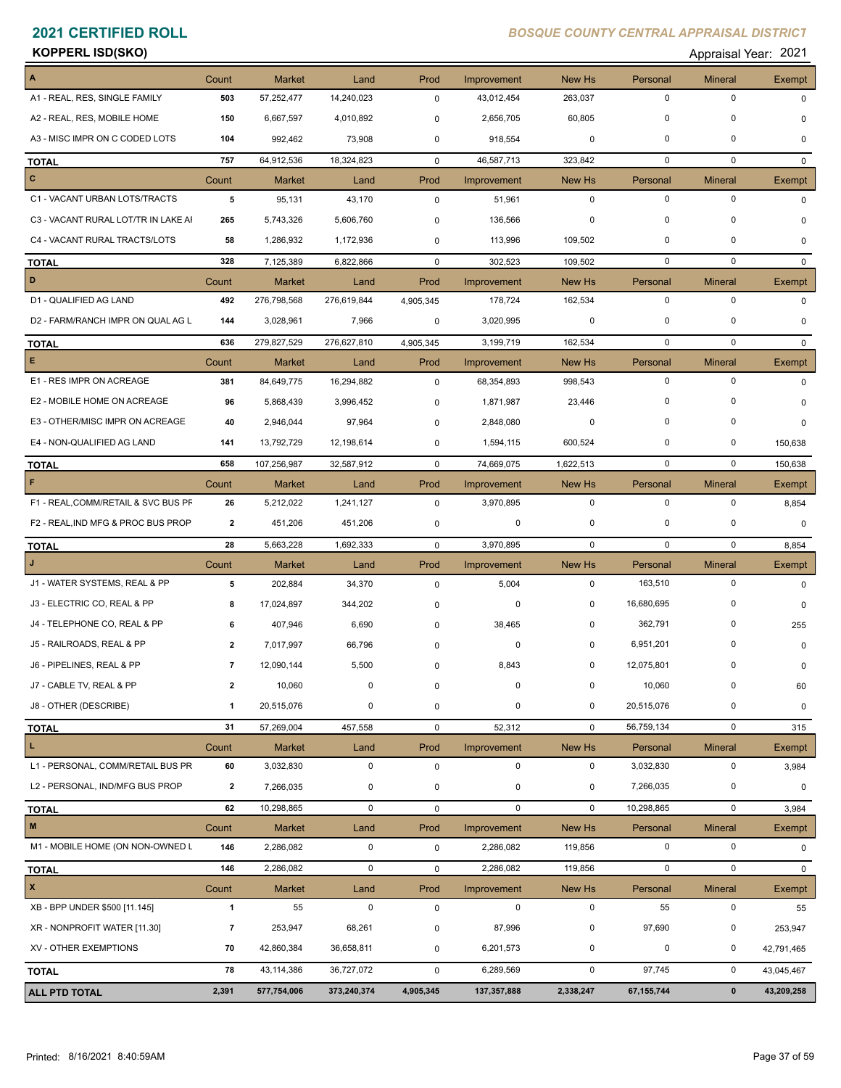### **KOPPERL ISD(SKO)** Appraisal Year: 2021

| Appraisal Year: 202 |  |
|---------------------|--|
|---------------------|--|

| $\mathbf 0$<br>$\mathbf 0$<br>503<br>57,252,477<br>14,240,023<br>0<br>43,012,454<br>263,037<br>0<br>0<br>0<br>150<br>6,667,597<br>4,010,892<br>2,656,705<br>60,805<br>0<br>$\Omega$<br>$\mathbf 0$<br>0<br>992,462<br>73,908<br>918,554<br>0<br>104<br>0<br>0<br>$\mathbf 0$<br>757<br>64,912,536<br>46,587,713<br>0<br>18,324,823<br>$\mathbf 0$<br>323,842<br>$\mathbf{0}$<br>Count<br><b>Market</b><br>Land<br>Prod<br>Improvement<br>New Hs<br>Personal<br><b>Mineral</b><br>Exempt<br>$\mathbf 0$<br>$\mathbf 0$<br>$\mathbf 0$<br>5<br>95,131<br>43,170<br>51,961<br>0<br>0<br>$\mathbf 0$<br>$\mathbf 0$<br>5,743,326<br>136,566<br>0<br>265<br>5,606,760<br>0<br>U<br>$\mathbf 0$<br>0<br>58<br>1,286,932<br>1,172,936<br>113,996<br>109,502<br>0<br>$\Omega$<br>$\mathbf 0$<br>$\mathbf 0$<br>328<br>7,125,389<br>6,822,866<br>302,523<br>109,502<br>$\mathbf 0$<br>$\mathbf{0}$<br>Count<br>Prod<br>Improvement<br>New Hs<br><b>Mineral</b><br>Market<br>Land<br>Personal<br>Exempt<br>492<br>276,798,568<br>0<br>0<br>276,619,844<br>4,905,345<br>178,724<br>162,534<br>0<br>3,028,961<br>7,966<br>3,020,995<br>0<br>0<br>0<br>144<br>0<br><sup>0</sup><br>279,827,529<br>3,199,719<br>162,534<br>$\mathbf 0$<br>$\mathbf 0$<br>636<br>276,627,810<br>4,905,345<br>$\Omega$<br>Count<br><b>Market</b><br>Land<br>Prod<br>New Hs<br>Personal<br><b>Mineral</b><br>Improvement<br>Exempt<br>$\mathbf 0$<br>$\mathbf 0$<br>381<br>84,649,775<br>16,294,882<br>0<br>68,354,893<br>998,543<br>$\Omega$<br>96<br>5,868,439<br>3,996,452<br>1,871,987<br>23,446<br>0<br>0<br>0<br>O<br>0<br>$\Omega$<br>40<br>2,946,044<br>97,964<br>0<br>0<br>2,848,080<br>0<br>13,792,729<br>600,524<br>0<br>$\mathbf 0$<br>141<br>12,198,614<br>0<br>1,594,115<br>150,638<br>$\mathbf 0$<br>658<br>107,256,987<br>$\mathbf 0$<br>32,587,912<br>74,669,075<br>1,622,513<br>150,638<br>0<br>Count<br><b>Market</b><br>Prod<br>New Hs<br>Personal<br><b>Mineral</b><br>Land<br>Improvement<br>Exempt<br>$\mathbf 0$<br>$\mathbf 0$<br>26<br>$\mathbf 0$<br>5,212,022<br>1,241,127<br>0<br>3,970,895<br>8,854<br>0<br>0<br>$\overline{2}$<br>451,206<br>451,206<br>0<br>0<br>0<br>0<br>28<br>$\mathbf 0$<br>$\mathbf 0$<br>1,692,333<br>3,970,895<br>$\mathbf 0$<br>5,663,228<br>0<br>8,854<br>Count<br><b>Market</b><br>Prod<br>Improvement<br>New Hs<br>Personal<br><b>Mineral</b><br>Land<br>Exempt<br>$\mathbf 0$<br>5<br>$\mathbf 0$<br>163,510<br>202,884<br>34,370<br>0<br>5,004<br>$\Omega$<br>16,680,695<br>0<br>17,024,897<br>344,202<br>0<br>0<br>8<br>0<br>0<br>362,791<br>$\mathbf 0$<br>6<br>407,946<br>6,690<br>38,465<br>0<br>255<br>0<br>6,951,201<br>0<br>7,017,997<br>66,796<br>0<br>0<br>$\overline{2}$<br>0<br>0<br>12,090,144<br>5,500<br>8,843<br>0<br>12,075,801<br>0<br>7<br>0<br>0<br>10,060<br>10,060<br>0<br>0<br>$\overline{0}$<br>60<br>20,515,076<br>0<br>0<br>20,515,076<br>0<br>$\mathbf{1}$<br>0<br>0<br>0<br>56,759,134<br>$\mathbf 0$<br>31<br>57,269,004<br>457,558<br>52,312<br>$\mathbf 0$<br>0<br>315<br>Count<br>Market<br>Land<br>Prod<br>Improvement<br>New Hs<br>Personal<br><b>Mineral</b><br>Exempt<br>$\mathbf 0$<br>60<br>3,032,830<br>$\pmb{0}$<br>$\mathbf 0$<br>$\mathbf 0$<br>3,032,830<br>0<br>3,984<br>$\overline{2}$<br>7,266,035<br>0<br>0<br>0<br>7,266,035<br>0<br>0<br>$\mathbf 0$<br>10,298,865<br>$\mathbf 0$<br>62<br>10,298,865<br>$\mathbf 0$<br>$\mathbf 0$<br>$\mathbf 0$<br>0<br>3,984<br>Count<br>Market<br>Land<br>Prod<br>Improvement<br>New Hs<br>Personal<br><b>Mineral</b><br>Exempt<br>0<br>$\mathsf 0$<br>146<br>2,286,082<br>$\pmb{0}$<br>$\pmb{0}$<br>2,286,082<br>119,856<br>0<br>146<br>2,286,082<br>0<br>2,286,082<br>$\mathbf 0$<br>$\pmb{0}$<br>119,856<br>0<br>0<br>Count<br>New Hs<br><b>Market</b><br>Land<br>Prod<br>Improvement<br>Personal<br><b>Mineral</b><br>Exempt<br>$\mathbf{1}$<br>$\pmb{0}$<br>$\pmb{0}$<br>$\mathbf 0$<br>55<br>0<br>55<br>$\pmb{0}$<br>55<br>97,690<br>87,996<br>0<br>7<br>253,947<br>68,261<br>0<br>0<br>253,947<br>$\mathbf 0$<br>$\mathbf 0$<br>70<br>42,860,384<br>36,658,811<br>0<br>0<br>6,201,573<br>42,791,465<br>78<br>$\mathbf 0$<br>43, 114, 386<br>$\mathbf 0$<br>97,745<br>36,727,072<br>0<br>6,289,569<br>43,045,467<br>4,905,345<br>67, 155, 744<br>$\pmb{0}$<br>43,209,258<br>2,391<br>577,754,006<br>373,240,374<br>137,357,888<br>2,338,247 | A                                   | Count | Market | Land | Prod | Improvement | New Hs | Personal | <b>Mineral</b> | Exempt |
|--------------------------------------------------------------------------------------------------------------------------------------------------------------------------------------------------------------------------------------------------------------------------------------------------------------------------------------------------------------------------------------------------------------------------------------------------------------------------------------------------------------------------------------------------------------------------------------------------------------------------------------------------------------------------------------------------------------------------------------------------------------------------------------------------------------------------------------------------------------------------------------------------------------------------------------------------------------------------------------------------------------------------------------------------------------------------------------------------------------------------------------------------------------------------------------------------------------------------------------------------------------------------------------------------------------------------------------------------------------------------------------------------------------------------------------------------------------------------------------------------------------------------------------------------------------------------------------------------------------------------------------------------------------------------------------------------------------------------------------------------------------------------------------------------------------------------------------------------------------------------------------------------------------------------------------------------------------------------------------------------------------------------------------------------------------------------------------------------------------------------------------------------------------------------------------------------------------------------------------------------------------------------------------------------------------------------------------------------------------------------------------------------------------------------------------------------------------------------------------------------------------------------------------------------------------------------------------------------------------------------------------------------------------------------------------------------------------------------------------------------------------------------------------------------------------------------------------------------------------------------------------------------------------------------------------------------------------------------------------------------------------------------------------------------------------------------------------------------------------------------------------------------------------------------------------------------------------------------------------------------------------------------------------------------------------------------------------------------------------------------------------------------------------------------------------------------------------------------------------------------------------------------------------------------------------------------------------------------------------------------------------------------------------------------------------------------------------------------------------------------------------------------------------------------------------------------------------------------------------------------------------------------------------------------------------------------------------------------------------------------------------------------------------------------------------------------------------------------------------------------------------------------------------------------------------------------------------------------------------------------------------------------------------------------------------------------------------------------------------------|-------------------------------------|-------|--------|------|------|-------------|--------|----------|----------------|--------|
|                                                                                                                                                                                                                                                                                                                                                                                                                                                                                                                                                                                                                                                                                                                                                                                                                                                                                                                                                                                                                                                                                                                                                                                                                                                                                                                                                                                                                                                                                                                                                                                                                                                                                                                                                                                                                                                                                                                                                                                                                                                                                                                                                                                                                                                                                                                                                                                                                                                                                                                                                                                                                                                                                                                                                                                                                                                                                                                                                                                                                                                                                                                                                                                                                                                                                                                                                                                                                                                                                                                                                                                                                                                                                                                                                                                                                                                                                                                                                                                                                                                                                                                                                                                                                                                                                                                                                                    | A1 - REAL, RES, SINGLE FAMILY       |       |        |      |      |             |        |          |                |        |
|                                                                                                                                                                                                                                                                                                                                                                                                                                                                                                                                                                                                                                                                                                                                                                                                                                                                                                                                                                                                                                                                                                                                                                                                                                                                                                                                                                                                                                                                                                                                                                                                                                                                                                                                                                                                                                                                                                                                                                                                                                                                                                                                                                                                                                                                                                                                                                                                                                                                                                                                                                                                                                                                                                                                                                                                                                                                                                                                                                                                                                                                                                                                                                                                                                                                                                                                                                                                                                                                                                                                                                                                                                                                                                                                                                                                                                                                                                                                                                                                                                                                                                                                                                                                                                                                                                                                                                    | A2 - REAL, RES, MOBILE HOME         |       |        |      |      |             |        |          |                |        |
|                                                                                                                                                                                                                                                                                                                                                                                                                                                                                                                                                                                                                                                                                                                                                                                                                                                                                                                                                                                                                                                                                                                                                                                                                                                                                                                                                                                                                                                                                                                                                                                                                                                                                                                                                                                                                                                                                                                                                                                                                                                                                                                                                                                                                                                                                                                                                                                                                                                                                                                                                                                                                                                                                                                                                                                                                                                                                                                                                                                                                                                                                                                                                                                                                                                                                                                                                                                                                                                                                                                                                                                                                                                                                                                                                                                                                                                                                                                                                                                                                                                                                                                                                                                                                                                                                                                                                                    | A3 - MISC IMPR ON C CODED LOTS      |       |        |      |      |             |        |          |                |        |
|                                                                                                                                                                                                                                                                                                                                                                                                                                                                                                                                                                                                                                                                                                                                                                                                                                                                                                                                                                                                                                                                                                                                                                                                                                                                                                                                                                                                                                                                                                                                                                                                                                                                                                                                                                                                                                                                                                                                                                                                                                                                                                                                                                                                                                                                                                                                                                                                                                                                                                                                                                                                                                                                                                                                                                                                                                                                                                                                                                                                                                                                                                                                                                                                                                                                                                                                                                                                                                                                                                                                                                                                                                                                                                                                                                                                                                                                                                                                                                                                                                                                                                                                                                                                                                                                                                                                                                    | <b>TOTAL</b>                        |       |        |      |      |             |        |          |                |        |
|                                                                                                                                                                                                                                                                                                                                                                                                                                                                                                                                                                                                                                                                                                                                                                                                                                                                                                                                                                                                                                                                                                                                                                                                                                                                                                                                                                                                                                                                                                                                                                                                                                                                                                                                                                                                                                                                                                                                                                                                                                                                                                                                                                                                                                                                                                                                                                                                                                                                                                                                                                                                                                                                                                                                                                                                                                                                                                                                                                                                                                                                                                                                                                                                                                                                                                                                                                                                                                                                                                                                                                                                                                                                                                                                                                                                                                                                                                                                                                                                                                                                                                                                                                                                                                                                                                                                                                    | $\mathbf{c}$                        |       |        |      |      |             |        |          |                |        |
|                                                                                                                                                                                                                                                                                                                                                                                                                                                                                                                                                                                                                                                                                                                                                                                                                                                                                                                                                                                                                                                                                                                                                                                                                                                                                                                                                                                                                                                                                                                                                                                                                                                                                                                                                                                                                                                                                                                                                                                                                                                                                                                                                                                                                                                                                                                                                                                                                                                                                                                                                                                                                                                                                                                                                                                                                                                                                                                                                                                                                                                                                                                                                                                                                                                                                                                                                                                                                                                                                                                                                                                                                                                                                                                                                                                                                                                                                                                                                                                                                                                                                                                                                                                                                                                                                                                                                                    | C1 - VACANT URBAN LOTS/TRACTS       |       |        |      |      |             |        |          |                |        |
|                                                                                                                                                                                                                                                                                                                                                                                                                                                                                                                                                                                                                                                                                                                                                                                                                                                                                                                                                                                                                                                                                                                                                                                                                                                                                                                                                                                                                                                                                                                                                                                                                                                                                                                                                                                                                                                                                                                                                                                                                                                                                                                                                                                                                                                                                                                                                                                                                                                                                                                                                                                                                                                                                                                                                                                                                                                                                                                                                                                                                                                                                                                                                                                                                                                                                                                                                                                                                                                                                                                                                                                                                                                                                                                                                                                                                                                                                                                                                                                                                                                                                                                                                                                                                                                                                                                                                                    | C3 - VACANT RURAL LOT/TR IN LAKE AI |       |        |      |      |             |        |          |                |        |
|                                                                                                                                                                                                                                                                                                                                                                                                                                                                                                                                                                                                                                                                                                                                                                                                                                                                                                                                                                                                                                                                                                                                                                                                                                                                                                                                                                                                                                                                                                                                                                                                                                                                                                                                                                                                                                                                                                                                                                                                                                                                                                                                                                                                                                                                                                                                                                                                                                                                                                                                                                                                                                                                                                                                                                                                                                                                                                                                                                                                                                                                                                                                                                                                                                                                                                                                                                                                                                                                                                                                                                                                                                                                                                                                                                                                                                                                                                                                                                                                                                                                                                                                                                                                                                                                                                                                                                    | C4 - VACANT RURAL TRACTS/LOTS       |       |        |      |      |             |        |          |                |        |
|                                                                                                                                                                                                                                                                                                                                                                                                                                                                                                                                                                                                                                                                                                                                                                                                                                                                                                                                                                                                                                                                                                                                                                                                                                                                                                                                                                                                                                                                                                                                                                                                                                                                                                                                                                                                                                                                                                                                                                                                                                                                                                                                                                                                                                                                                                                                                                                                                                                                                                                                                                                                                                                                                                                                                                                                                                                                                                                                                                                                                                                                                                                                                                                                                                                                                                                                                                                                                                                                                                                                                                                                                                                                                                                                                                                                                                                                                                                                                                                                                                                                                                                                                                                                                                                                                                                                                                    | <b>TOTAL</b>                        |       |        |      |      |             |        |          |                |        |
|                                                                                                                                                                                                                                                                                                                                                                                                                                                                                                                                                                                                                                                                                                                                                                                                                                                                                                                                                                                                                                                                                                                                                                                                                                                                                                                                                                                                                                                                                                                                                                                                                                                                                                                                                                                                                                                                                                                                                                                                                                                                                                                                                                                                                                                                                                                                                                                                                                                                                                                                                                                                                                                                                                                                                                                                                                                                                                                                                                                                                                                                                                                                                                                                                                                                                                                                                                                                                                                                                                                                                                                                                                                                                                                                                                                                                                                                                                                                                                                                                                                                                                                                                                                                                                                                                                                                                                    | D                                   |       |        |      |      |             |        |          |                |        |
|                                                                                                                                                                                                                                                                                                                                                                                                                                                                                                                                                                                                                                                                                                                                                                                                                                                                                                                                                                                                                                                                                                                                                                                                                                                                                                                                                                                                                                                                                                                                                                                                                                                                                                                                                                                                                                                                                                                                                                                                                                                                                                                                                                                                                                                                                                                                                                                                                                                                                                                                                                                                                                                                                                                                                                                                                                                                                                                                                                                                                                                                                                                                                                                                                                                                                                                                                                                                                                                                                                                                                                                                                                                                                                                                                                                                                                                                                                                                                                                                                                                                                                                                                                                                                                                                                                                                                                    | D1 - QUALIFIED AG LAND              |       |        |      |      |             |        |          |                |        |
|                                                                                                                                                                                                                                                                                                                                                                                                                                                                                                                                                                                                                                                                                                                                                                                                                                                                                                                                                                                                                                                                                                                                                                                                                                                                                                                                                                                                                                                                                                                                                                                                                                                                                                                                                                                                                                                                                                                                                                                                                                                                                                                                                                                                                                                                                                                                                                                                                                                                                                                                                                                                                                                                                                                                                                                                                                                                                                                                                                                                                                                                                                                                                                                                                                                                                                                                                                                                                                                                                                                                                                                                                                                                                                                                                                                                                                                                                                                                                                                                                                                                                                                                                                                                                                                                                                                                                                    | D2 - FARM/RANCH IMPR ON QUAL AG L   |       |        |      |      |             |        |          |                |        |
|                                                                                                                                                                                                                                                                                                                                                                                                                                                                                                                                                                                                                                                                                                                                                                                                                                                                                                                                                                                                                                                                                                                                                                                                                                                                                                                                                                                                                                                                                                                                                                                                                                                                                                                                                                                                                                                                                                                                                                                                                                                                                                                                                                                                                                                                                                                                                                                                                                                                                                                                                                                                                                                                                                                                                                                                                                                                                                                                                                                                                                                                                                                                                                                                                                                                                                                                                                                                                                                                                                                                                                                                                                                                                                                                                                                                                                                                                                                                                                                                                                                                                                                                                                                                                                                                                                                                                                    | <b>TOTAL</b>                        |       |        |      |      |             |        |          |                |        |
|                                                                                                                                                                                                                                                                                                                                                                                                                                                                                                                                                                                                                                                                                                                                                                                                                                                                                                                                                                                                                                                                                                                                                                                                                                                                                                                                                                                                                                                                                                                                                                                                                                                                                                                                                                                                                                                                                                                                                                                                                                                                                                                                                                                                                                                                                                                                                                                                                                                                                                                                                                                                                                                                                                                                                                                                                                                                                                                                                                                                                                                                                                                                                                                                                                                                                                                                                                                                                                                                                                                                                                                                                                                                                                                                                                                                                                                                                                                                                                                                                                                                                                                                                                                                                                                                                                                                                                    | E                                   |       |        |      |      |             |        |          |                |        |
|                                                                                                                                                                                                                                                                                                                                                                                                                                                                                                                                                                                                                                                                                                                                                                                                                                                                                                                                                                                                                                                                                                                                                                                                                                                                                                                                                                                                                                                                                                                                                                                                                                                                                                                                                                                                                                                                                                                                                                                                                                                                                                                                                                                                                                                                                                                                                                                                                                                                                                                                                                                                                                                                                                                                                                                                                                                                                                                                                                                                                                                                                                                                                                                                                                                                                                                                                                                                                                                                                                                                                                                                                                                                                                                                                                                                                                                                                                                                                                                                                                                                                                                                                                                                                                                                                                                                                                    | E1 - RES IMPR ON ACREAGE            |       |        |      |      |             |        |          |                |        |
|                                                                                                                                                                                                                                                                                                                                                                                                                                                                                                                                                                                                                                                                                                                                                                                                                                                                                                                                                                                                                                                                                                                                                                                                                                                                                                                                                                                                                                                                                                                                                                                                                                                                                                                                                                                                                                                                                                                                                                                                                                                                                                                                                                                                                                                                                                                                                                                                                                                                                                                                                                                                                                                                                                                                                                                                                                                                                                                                                                                                                                                                                                                                                                                                                                                                                                                                                                                                                                                                                                                                                                                                                                                                                                                                                                                                                                                                                                                                                                                                                                                                                                                                                                                                                                                                                                                                                                    | E2 - MOBILE HOME ON ACREAGE         |       |        |      |      |             |        |          |                |        |
|                                                                                                                                                                                                                                                                                                                                                                                                                                                                                                                                                                                                                                                                                                                                                                                                                                                                                                                                                                                                                                                                                                                                                                                                                                                                                                                                                                                                                                                                                                                                                                                                                                                                                                                                                                                                                                                                                                                                                                                                                                                                                                                                                                                                                                                                                                                                                                                                                                                                                                                                                                                                                                                                                                                                                                                                                                                                                                                                                                                                                                                                                                                                                                                                                                                                                                                                                                                                                                                                                                                                                                                                                                                                                                                                                                                                                                                                                                                                                                                                                                                                                                                                                                                                                                                                                                                                                                    | E3 - OTHER/MISC IMPR ON ACREAGE     |       |        |      |      |             |        |          |                |        |
|                                                                                                                                                                                                                                                                                                                                                                                                                                                                                                                                                                                                                                                                                                                                                                                                                                                                                                                                                                                                                                                                                                                                                                                                                                                                                                                                                                                                                                                                                                                                                                                                                                                                                                                                                                                                                                                                                                                                                                                                                                                                                                                                                                                                                                                                                                                                                                                                                                                                                                                                                                                                                                                                                                                                                                                                                                                                                                                                                                                                                                                                                                                                                                                                                                                                                                                                                                                                                                                                                                                                                                                                                                                                                                                                                                                                                                                                                                                                                                                                                                                                                                                                                                                                                                                                                                                                                                    | E4 - NON-QUALIFIED AG LAND          |       |        |      |      |             |        |          |                |        |
|                                                                                                                                                                                                                                                                                                                                                                                                                                                                                                                                                                                                                                                                                                                                                                                                                                                                                                                                                                                                                                                                                                                                                                                                                                                                                                                                                                                                                                                                                                                                                                                                                                                                                                                                                                                                                                                                                                                                                                                                                                                                                                                                                                                                                                                                                                                                                                                                                                                                                                                                                                                                                                                                                                                                                                                                                                                                                                                                                                                                                                                                                                                                                                                                                                                                                                                                                                                                                                                                                                                                                                                                                                                                                                                                                                                                                                                                                                                                                                                                                                                                                                                                                                                                                                                                                                                                                                    | <b>TOTAL</b>                        |       |        |      |      |             |        |          |                |        |
|                                                                                                                                                                                                                                                                                                                                                                                                                                                                                                                                                                                                                                                                                                                                                                                                                                                                                                                                                                                                                                                                                                                                                                                                                                                                                                                                                                                                                                                                                                                                                                                                                                                                                                                                                                                                                                                                                                                                                                                                                                                                                                                                                                                                                                                                                                                                                                                                                                                                                                                                                                                                                                                                                                                                                                                                                                                                                                                                                                                                                                                                                                                                                                                                                                                                                                                                                                                                                                                                                                                                                                                                                                                                                                                                                                                                                                                                                                                                                                                                                                                                                                                                                                                                                                                                                                                                                                    | $\mathsf F$                         |       |        |      |      |             |        |          |                |        |
|                                                                                                                                                                                                                                                                                                                                                                                                                                                                                                                                                                                                                                                                                                                                                                                                                                                                                                                                                                                                                                                                                                                                                                                                                                                                                                                                                                                                                                                                                                                                                                                                                                                                                                                                                                                                                                                                                                                                                                                                                                                                                                                                                                                                                                                                                                                                                                                                                                                                                                                                                                                                                                                                                                                                                                                                                                                                                                                                                                                                                                                                                                                                                                                                                                                                                                                                                                                                                                                                                                                                                                                                                                                                                                                                                                                                                                                                                                                                                                                                                                                                                                                                                                                                                                                                                                                                                                    | F1 - REAL, COMM/RETAIL & SVC BUS PF |       |        |      |      |             |        |          |                |        |
|                                                                                                                                                                                                                                                                                                                                                                                                                                                                                                                                                                                                                                                                                                                                                                                                                                                                                                                                                                                                                                                                                                                                                                                                                                                                                                                                                                                                                                                                                                                                                                                                                                                                                                                                                                                                                                                                                                                                                                                                                                                                                                                                                                                                                                                                                                                                                                                                                                                                                                                                                                                                                                                                                                                                                                                                                                                                                                                                                                                                                                                                                                                                                                                                                                                                                                                                                                                                                                                                                                                                                                                                                                                                                                                                                                                                                                                                                                                                                                                                                                                                                                                                                                                                                                                                                                                                                                    | F2 - REAL, IND MFG & PROC BUS PROP  |       |        |      |      |             |        |          |                |        |
|                                                                                                                                                                                                                                                                                                                                                                                                                                                                                                                                                                                                                                                                                                                                                                                                                                                                                                                                                                                                                                                                                                                                                                                                                                                                                                                                                                                                                                                                                                                                                                                                                                                                                                                                                                                                                                                                                                                                                                                                                                                                                                                                                                                                                                                                                                                                                                                                                                                                                                                                                                                                                                                                                                                                                                                                                                                                                                                                                                                                                                                                                                                                                                                                                                                                                                                                                                                                                                                                                                                                                                                                                                                                                                                                                                                                                                                                                                                                                                                                                                                                                                                                                                                                                                                                                                                                                                    | <b>TOTAL</b>                        |       |        |      |      |             |        |          |                |        |
|                                                                                                                                                                                                                                                                                                                                                                                                                                                                                                                                                                                                                                                                                                                                                                                                                                                                                                                                                                                                                                                                                                                                                                                                                                                                                                                                                                                                                                                                                                                                                                                                                                                                                                                                                                                                                                                                                                                                                                                                                                                                                                                                                                                                                                                                                                                                                                                                                                                                                                                                                                                                                                                                                                                                                                                                                                                                                                                                                                                                                                                                                                                                                                                                                                                                                                                                                                                                                                                                                                                                                                                                                                                                                                                                                                                                                                                                                                                                                                                                                                                                                                                                                                                                                                                                                                                                                                    | J                                   |       |        |      |      |             |        |          |                |        |
|                                                                                                                                                                                                                                                                                                                                                                                                                                                                                                                                                                                                                                                                                                                                                                                                                                                                                                                                                                                                                                                                                                                                                                                                                                                                                                                                                                                                                                                                                                                                                                                                                                                                                                                                                                                                                                                                                                                                                                                                                                                                                                                                                                                                                                                                                                                                                                                                                                                                                                                                                                                                                                                                                                                                                                                                                                                                                                                                                                                                                                                                                                                                                                                                                                                                                                                                                                                                                                                                                                                                                                                                                                                                                                                                                                                                                                                                                                                                                                                                                                                                                                                                                                                                                                                                                                                                                                    | J1 - WATER SYSTEMS, REAL & PP       |       |        |      |      |             |        |          |                |        |
|                                                                                                                                                                                                                                                                                                                                                                                                                                                                                                                                                                                                                                                                                                                                                                                                                                                                                                                                                                                                                                                                                                                                                                                                                                                                                                                                                                                                                                                                                                                                                                                                                                                                                                                                                                                                                                                                                                                                                                                                                                                                                                                                                                                                                                                                                                                                                                                                                                                                                                                                                                                                                                                                                                                                                                                                                                                                                                                                                                                                                                                                                                                                                                                                                                                                                                                                                                                                                                                                                                                                                                                                                                                                                                                                                                                                                                                                                                                                                                                                                                                                                                                                                                                                                                                                                                                                                                    | J3 - ELECTRIC CO, REAL & PP         |       |        |      |      |             |        |          |                |        |
|                                                                                                                                                                                                                                                                                                                                                                                                                                                                                                                                                                                                                                                                                                                                                                                                                                                                                                                                                                                                                                                                                                                                                                                                                                                                                                                                                                                                                                                                                                                                                                                                                                                                                                                                                                                                                                                                                                                                                                                                                                                                                                                                                                                                                                                                                                                                                                                                                                                                                                                                                                                                                                                                                                                                                                                                                                                                                                                                                                                                                                                                                                                                                                                                                                                                                                                                                                                                                                                                                                                                                                                                                                                                                                                                                                                                                                                                                                                                                                                                                                                                                                                                                                                                                                                                                                                                                                    | J4 - TELEPHONE CO, REAL & PP        |       |        |      |      |             |        |          |                |        |
|                                                                                                                                                                                                                                                                                                                                                                                                                                                                                                                                                                                                                                                                                                                                                                                                                                                                                                                                                                                                                                                                                                                                                                                                                                                                                                                                                                                                                                                                                                                                                                                                                                                                                                                                                                                                                                                                                                                                                                                                                                                                                                                                                                                                                                                                                                                                                                                                                                                                                                                                                                                                                                                                                                                                                                                                                                                                                                                                                                                                                                                                                                                                                                                                                                                                                                                                                                                                                                                                                                                                                                                                                                                                                                                                                                                                                                                                                                                                                                                                                                                                                                                                                                                                                                                                                                                                                                    | J5 - RAILROADS, REAL & PP           |       |        |      |      |             |        |          |                |        |
|                                                                                                                                                                                                                                                                                                                                                                                                                                                                                                                                                                                                                                                                                                                                                                                                                                                                                                                                                                                                                                                                                                                                                                                                                                                                                                                                                                                                                                                                                                                                                                                                                                                                                                                                                                                                                                                                                                                                                                                                                                                                                                                                                                                                                                                                                                                                                                                                                                                                                                                                                                                                                                                                                                                                                                                                                                                                                                                                                                                                                                                                                                                                                                                                                                                                                                                                                                                                                                                                                                                                                                                                                                                                                                                                                                                                                                                                                                                                                                                                                                                                                                                                                                                                                                                                                                                                                                    | J6 - PIPELINES, REAL & PP           |       |        |      |      |             |        |          |                |        |
|                                                                                                                                                                                                                                                                                                                                                                                                                                                                                                                                                                                                                                                                                                                                                                                                                                                                                                                                                                                                                                                                                                                                                                                                                                                                                                                                                                                                                                                                                                                                                                                                                                                                                                                                                                                                                                                                                                                                                                                                                                                                                                                                                                                                                                                                                                                                                                                                                                                                                                                                                                                                                                                                                                                                                                                                                                                                                                                                                                                                                                                                                                                                                                                                                                                                                                                                                                                                                                                                                                                                                                                                                                                                                                                                                                                                                                                                                                                                                                                                                                                                                                                                                                                                                                                                                                                                                                    | J7 - CABLE TV, REAL & PP            |       |        |      |      |             |        |          |                |        |
|                                                                                                                                                                                                                                                                                                                                                                                                                                                                                                                                                                                                                                                                                                                                                                                                                                                                                                                                                                                                                                                                                                                                                                                                                                                                                                                                                                                                                                                                                                                                                                                                                                                                                                                                                                                                                                                                                                                                                                                                                                                                                                                                                                                                                                                                                                                                                                                                                                                                                                                                                                                                                                                                                                                                                                                                                                                                                                                                                                                                                                                                                                                                                                                                                                                                                                                                                                                                                                                                                                                                                                                                                                                                                                                                                                                                                                                                                                                                                                                                                                                                                                                                                                                                                                                                                                                                                                    | J8 - OTHER (DESCRIBE)               |       |        |      |      |             |        |          |                |        |
|                                                                                                                                                                                                                                                                                                                                                                                                                                                                                                                                                                                                                                                                                                                                                                                                                                                                                                                                                                                                                                                                                                                                                                                                                                                                                                                                                                                                                                                                                                                                                                                                                                                                                                                                                                                                                                                                                                                                                                                                                                                                                                                                                                                                                                                                                                                                                                                                                                                                                                                                                                                                                                                                                                                                                                                                                                                                                                                                                                                                                                                                                                                                                                                                                                                                                                                                                                                                                                                                                                                                                                                                                                                                                                                                                                                                                                                                                                                                                                                                                                                                                                                                                                                                                                                                                                                                                                    | <b>TOTAL</b>                        |       |        |      |      |             |        |          |                |        |
|                                                                                                                                                                                                                                                                                                                                                                                                                                                                                                                                                                                                                                                                                                                                                                                                                                                                                                                                                                                                                                                                                                                                                                                                                                                                                                                                                                                                                                                                                                                                                                                                                                                                                                                                                                                                                                                                                                                                                                                                                                                                                                                                                                                                                                                                                                                                                                                                                                                                                                                                                                                                                                                                                                                                                                                                                                                                                                                                                                                                                                                                                                                                                                                                                                                                                                                                                                                                                                                                                                                                                                                                                                                                                                                                                                                                                                                                                                                                                                                                                                                                                                                                                                                                                                                                                                                                                                    | $\mathbf L$                         |       |        |      |      |             |        |          |                |        |
|                                                                                                                                                                                                                                                                                                                                                                                                                                                                                                                                                                                                                                                                                                                                                                                                                                                                                                                                                                                                                                                                                                                                                                                                                                                                                                                                                                                                                                                                                                                                                                                                                                                                                                                                                                                                                                                                                                                                                                                                                                                                                                                                                                                                                                                                                                                                                                                                                                                                                                                                                                                                                                                                                                                                                                                                                                                                                                                                                                                                                                                                                                                                                                                                                                                                                                                                                                                                                                                                                                                                                                                                                                                                                                                                                                                                                                                                                                                                                                                                                                                                                                                                                                                                                                                                                                                                                                    | L1 - PERSONAL, COMM/RETAIL BUS PR   |       |        |      |      |             |        |          |                |        |
|                                                                                                                                                                                                                                                                                                                                                                                                                                                                                                                                                                                                                                                                                                                                                                                                                                                                                                                                                                                                                                                                                                                                                                                                                                                                                                                                                                                                                                                                                                                                                                                                                                                                                                                                                                                                                                                                                                                                                                                                                                                                                                                                                                                                                                                                                                                                                                                                                                                                                                                                                                                                                                                                                                                                                                                                                                                                                                                                                                                                                                                                                                                                                                                                                                                                                                                                                                                                                                                                                                                                                                                                                                                                                                                                                                                                                                                                                                                                                                                                                                                                                                                                                                                                                                                                                                                                                                    | L2 - PERSONAL, IND/MFG BUS PROP     |       |        |      |      |             |        |          |                |        |
|                                                                                                                                                                                                                                                                                                                                                                                                                                                                                                                                                                                                                                                                                                                                                                                                                                                                                                                                                                                                                                                                                                                                                                                                                                                                                                                                                                                                                                                                                                                                                                                                                                                                                                                                                                                                                                                                                                                                                                                                                                                                                                                                                                                                                                                                                                                                                                                                                                                                                                                                                                                                                                                                                                                                                                                                                                                                                                                                                                                                                                                                                                                                                                                                                                                                                                                                                                                                                                                                                                                                                                                                                                                                                                                                                                                                                                                                                                                                                                                                                                                                                                                                                                                                                                                                                                                                                                    | <b>TOTAL</b>                        |       |        |      |      |             |        |          |                |        |
|                                                                                                                                                                                                                                                                                                                                                                                                                                                                                                                                                                                                                                                                                                                                                                                                                                                                                                                                                                                                                                                                                                                                                                                                                                                                                                                                                                                                                                                                                                                                                                                                                                                                                                                                                                                                                                                                                                                                                                                                                                                                                                                                                                                                                                                                                                                                                                                                                                                                                                                                                                                                                                                                                                                                                                                                                                                                                                                                                                                                                                                                                                                                                                                                                                                                                                                                                                                                                                                                                                                                                                                                                                                                                                                                                                                                                                                                                                                                                                                                                                                                                                                                                                                                                                                                                                                                                                    | $\mathsf{M}$                        |       |        |      |      |             |        |          |                |        |
|                                                                                                                                                                                                                                                                                                                                                                                                                                                                                                                                                                                                                                                                                                                                                                                                                                                                                                                                                                                                                                                                                                                                                                                                                                                                                                                                                                                                                                                                                                                                                                                                                                                                                                                                                                                                                                                                                                                                                                                                                                                                                                                                                                                                                                                                                                                                                                                                                                                                                                                                                                                                                                                                                                                                                                                                                                                                                                                                                                                                                                                                                                                                                                                                                                                                                                                                                                                                                                                                                                                                                                                                                                                                                                                                                                                                                                                                                                                                                                                                                                                                                                                                                                                                                                                                                                                                                                    | M1 - MOBILE HOME (ON NON-OWNED L    |       |        |      |      |             |        |          |                |        |
|                                                                                                                                                                                                                                                                                                                                                                                                                                                                                                                                                                                                                                                                                                                                                                                                                                                                                                                                                                                                                                                                                                                                                                                                                                                                                                                                                                                                                                                                                                                                                                                                                                                                                                                                                                                                                                                                                                                                                                                                                                                                                                                                                                                                                                                                                                                                                                                                                                                                                                                                                                                                                                                                                                                                                                                                                                                                                                                                                                                                                                                                                                                                                                                                                                                                                                                                                                                                                                                                                                                                                                                                                                                                                                                                                                                                                                                                                                                                                                                                                                                                                                                                                                                                                                                                                                                                                                    | <b>TOTAL</b>                        |       |        |      |      |             |        |          |                |        |
|                                                                                                                                                                                                                                                                                                                                                                                                                                                                                                                                                                                                                                                                                                                                                                                                                                                                                                                                                                                                                                                                                                                                                                                                                                                                                                                                                                                                                                                                                                                                                                                                                                                                                                                                                                                                                                                                                                                                                                                                                                                                                                                                                                                                                                                                                                                                                                                                                                                                                                                                                                                                                                                                                                                                                                                                                                                                                                                                                                                                                                                                                                                                                                                                                                                                                                                                                                                                                                                                                                                                                                                                                                                                                                                                                                                                                                                                                                                                                                                                                                                                                                                                                                                                                                                                                                                                                                    | $\mathbf{x}$                        |       |        |      |      |             |        |          |                |        |
|                                                                                                                                                                                                                                                                                                                                                                                                                                                                                                                                                                                                                                                                                                                                                                                                                                                                                                                                                                                                                                                                                                                                                                                                                                                                                                                                                                                                                                                                                                                                                                                                                                                                                                                                                                                                                                                                                                                                                                                                                                                                                                                                                                                                                                                                                                                                                                                                                                                                                                                                                                                                                                                                                                                                                                                                                                                                                                                                                                                                                                                                                                                                                                                                                                                                                                                                                                                                                                                                                                                                                                                                                                                                                                                                                                                                                                                                                                                                                                                                                                                                                                                                                                                                                                                                                                                                                                    | XB - BPP UNDER \$500 [11.145]       |       |        |      |      |             |        |          |                |        |
|                                                                                                                                                                                                                                                                                                                                                                                                                                                                                                                                                                                                                                                                                                                                                                                                                                                                                                                                                                                                                                                                                                                                                                                                                                                                                                                                                                                                                                                                                                                                                                                                                                                                                                                                                                                                                                                                                                                                                                                                                                                                                                                                                                                                                                                                                                                                                                                                                                                                                                                                                                                                                                                                                                                                                                                                                                                                                                                                                                                                                                                                                                                                                                                                                                                                                                                                                                                                                                                                                                                                                                                                                                                                                                                                                                                                                                                                                                                                                                                                                                                                                                                                                                                                                                                                                                                                                                    | XR - NONPROFIT WATER [11.30]        |       |        |      |      |             |        |          |                |        |
|                                                                                                                                                                                                                                                                                                                                                                                                                                                                                                                                                                                                                                                                                                                                                                                                                                                                                                                                                                                                                                                                                                                                                                                                                                                                                                                                                                                                                                                                                                                                                                                                                                                                                                                                                                                                                                                                                                                                                                                                                                                                                                                                                                                                                                                                                                                                                                                                                                                                                                                                                                                                                                                                                                                                                                                                                                                                                                                                                                                                                                                                                                                                                                                                                                                                                                                                                                                                                                                                                                                                                                                                                                                                                                                                                                                                                                                                                                                                                                                                                                                                                                                                                                                                                                                                                                                                                                    | XV - OTHER EXEMPTIONS               |       |        |      |      |             |        |          |                |        |
|                                                                                                                                                                                                                                                                                                                                                                                                                                                                                                                                                                                                                                                                                                                                                                                                                                                                                                                                                                                                                                                                                                                                                                                                                                                                                                                                                                                                                                                                                                                                                                                                                                                                                                                                                                                                                                                                                                                                                                                                                                                                                                                                                                                                                                                                                                                                                                                                                                                                                                                                                                                                                                                                                                                                                                                                                                                                                                                                                                                                                                                                                                                                                                                                                                                                                                                                                                                                                                                                                                                                                                                                                                                                                                                                                                                                                                                                                                                                                                                                                                                                                                                                                                                                                                                                                                                                                                    | <b>TOTAL</b>                        |       |        |      |      |             |        |          |                |        |
|                                                                                                                                                                                                                                                                                                                                                                                                                                                                                                                                                                                                                                                                                                                                                                                                                                                                                                                                                                                                                                                                                                                                                                                                                                                                                                                                                                                                                                                                                                                                                                                                                                                                                                                                                                                                                                                                                                                                                                                                                                                                                                                                                                                                                                                                                                                                                                                                                                                                                                                                                                                                                                                                                                                                                                                                                                                                                                                                                                                                                                                                                                                                                                                                                                                                                                                                                                                                                                                                                                                                                                                                                                                                                                                                                                                                                                                                                                                                                                                                                                                                                                                                                                                                                                                                                                                                                                    | ALL PTD TOTAL                       |       |        |      |      |             |        |          |                |        |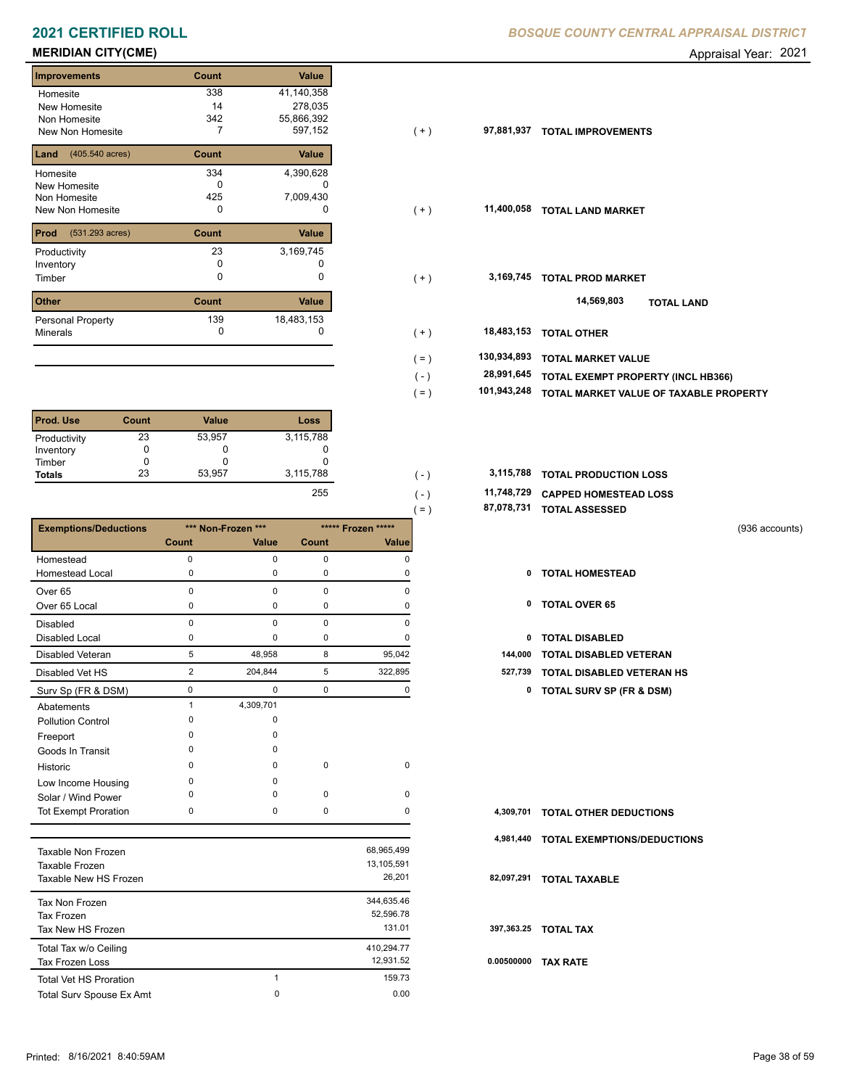# **MERIDIAN CITY(CME)** Appraisal Year: 2021

| <b>Improvements</b>     | Count | <b>Value</b> |
|-------------------------|-------|--------------|
| Homesite                | 338   | 41,140,358   |
| New Homesite            | 14    | 278,035      |
| Non Homesite            | 342   | 55,866,392   |
| <b>New Non Homesite</b> | 7     | 597,152      |
| (405.540 acres)<br>Land | Count | Value        |
| Homesite                | 334   | 4,390,628    |
| New Homesite            | n     |              |
| Non Homesite            | 425   | 7,009,430    |
| New Non Homesite        | 0     | $\Omega$     |
| Prod<br>(531.293 acres) | Count | Value        |
| Productivity            | 23    | 3,169,745    |
| Inventory               | O     |              |
| Timber                  | 0     | 0            |
| <b>Other</b>            | Count | Value        |
| Personal Property       | 139   | 18,483,153   |
| <b>Minerals</b>         | 0     | 0            |

| <b>Prod. Use</b> | Count | <b>Value</b> | Loss       |
|------------------|-------|--------------|------------|
| Productivity     | 23    | 53,957       | 3,115,788  |
| Inventory        |       | O            |            |
| Timber           |       |              |            |
| <b>Totals</b>    | 23    | 53,957       | 3,115,788  |
|                  |       |              | <b>OEE</b> |

|                              |                |                    |             |                    | $( = )$ | 87,078,731 | <b>TOTAL ASSESSED</b>               |                |
|------------------------------|----------------|--------------------|-------------|--------------------|---------|------------|-------------------------------------|----------------|
| <b>Exemptions/Deductions</b> |                | *** Non-Frozen *** |             | ***** Frozen ***** |         |            |                                     | (936 accounts) |
|                              | Count          | Value              | Count       | Value              |         |            |                                     |                |
| Homestead                    | $\mathbf 0$    | 0                  | $\mathbf 0$ | $\Omega$           |         |            |                                     |                |
| <b>Homestead Local</b>       | 0              | $\Omega$           | 0           | O                  |         | 0          | <b>TOTAL HOMESTEAD</b>              |                |
| Over <sub>65</sub>           | $\Omega$       | $\Omega$           | $\mathbf 0$ | $\Omega$           |         |            |                                     |                |
| Over 65 Local                | 0              | 0                  | 0           | $\Omega$           |         | 0          | <b>TOTAL OVER 65</b>                |                |
| <b>Disabled</b>              | $\mathbf 0$    | $\Omega$           | $\mathbf 0$ | $\mathbf 0$        |         |            |                                     |                |
| <b>Disabled Local</b>        | 0              | 0                  | 0           | $\mathbf 0$        |         | 0          | <b>TOTAL DISABLED</b>               |                |
| <b>Disabled Veteran</b>      | 5              | 48,958             | 8           | 95,042             |         | 144,000    | <b>TOTAL DISABLED VETERAN</b>       |                |
| Disabled Vet HS              | $\overline{2}$ | 204,844            | 5           | 322,895            |         | 527,739    | <b>TOTAL DISABLED VETERAN HS</b>    |                |
| Surv Sp (FR & DSM)           | $\mathbf 0$    | $\Omega$           | $\mathbf 0$ | 0                  |         | 0          | <b>TOTAL SURV SP (FR &amp; DSM)</b> |                |
| Abatements                   | 1              | 4,309,701          |             |                    |         |            |                                     |                |
| <b>Pollution Control</b>     | $\Omega$       | $\Omega$           |             |                    |         |            |                                     |                |
| Freeport                     | $\Omega$       | $\Omega$           |             |                    |         |            |                                     |                |
| Goods In Transit             | $\Omega$       | $\Omega$           |             |                    |         |            |                                     |                |
| Historic                     | $\Omega$       | $\Omega$           | $\mathbf 0$ | $\mathbf 0$        |         |            |                                     |                |
| Low Income Housing           | $\Omega$       | $\Omega$           |             |                    |         |            |                                     |                |
| Solar / Wind Power           | 0              | 0                  | 0           | $\mathbf 0$        |         |            |                                     |                |
| <b>Tot Exempt Proration</b>  | 0              | 0                  | 0           | 0                  |         | 4,309,701  | <b>TOTAL OTHER DEDUCTIONS</b>       |                |
|                              |                |                    |             |                    |         | 4,981,440  | <b>TOTAL EXEMPTIONS/DEDUCTIONS</b>  |                |
| Taxable Non Frozen           |                |                    |             | 68,965,499         |         |            |                                     |                |
| Taxable Frozen               |                |                    |             | 13,105,591         |         |            |                                     |                |
| Taxable New HS Frozen        |                |                    |             | 26,201             |         | 82,097,291 | <b>TOTAL TAXABLE</b>                |                |

| Taxable New HS Frozen         |   | 26.201     | 82  |
|-------------------------------|---|------------|-----|
| Tax Non Frozen                |   | 344.635.46 |     |
| Tax Frozen                    |   | 52,596.78  |     |
| Tax New HS Frozen             |   | 131.01     | 39  |
| Total Tax w/o Ceiling         |   | 410,294.77 |     |
| Tax Frozen Loss               |   | 12.931.52  | 0.0 |
| <b>Total Vet HS Proration</b> |   | 159.73     |     |
| Total Surv Spouse Ex Amt      | 0 | 0.00       |     |

| ၁၁ဝ<br>14<br>342<br>7 | 41,140,000<br>278,035<br>55,866,392<br>597,152 | ( + )                  | 97,881,937<br><b>TOTAL IMPROVEMENTS</b>          |
|-----------------------|------------------------------------------------|------------------------|--------------------------------------------------|
| Count                 | Value                                          |                        |                                                  |
| 334                   | 4,390,628                                      |                        |                                                  |
| 0                     | 0                                              |                        |                                                  |
| 425                   | 7,009,430                                      |                        |                                                  |
| 0                     | 0                                              | $(+)$                  | 11,400,058<br><b>TOTAL LAND MARKET</b>           |
| Count                 | Value                                          |                        |                                                  |
| 23                    | 3,169,745                                      |                        |                                                  |
| 0                     |                                                |                        |                                                  |
| 0                     | 0                                              | $(+)$                  | 3,169,745<br><b>TOTAL PROD MARKET</b>            |
| Count                 | Value                                          |                        | 14,569,803<br><b>TOTAL LAND</b>                  |
| 139                   | 18,483,153                                     |                        |                                                  |
| 0                     | 0                                              | $(+)$                  | 18,483,153<br><b>TOTAL OTHER</b>                 |
|                       |                                                | 130,934,893<br>$( = )$ | <b>TOTAL MARKET VALUE</b>                        |
|                       |                                                |                        | 28,991,645<br>TOTAL EXEMPT PROPERTY (INCL HB366) |
|                       |                                                |                        | TOTAL MARKET VALUE OF TAXABLE PROPERTY           |
|                       |                                                |                        |                                                  |
|                       |                                                |                        | $(-)$<br>101,943,248<br>$( = )$                  |

| 3.115.788 | $\overline{\phantom{a}}$ | 3,115,788 TOTAL PRODUCTION LOSS  |
|-----------|--------------------------|----------------------------------|
| 255       | $\overline{\phantom{0}}$ | 11,748,729 CAPPED HOMESTEAD LOSS |

 **87,078,731 TOTAL ASSESSED**

- 
- 
- 
- 2 204,844 5 322,895 **527,739 TOTAL DISABLED VETERAN HS**
	- Surv Sp (FR & DSM) 0 0 0 0 **0 TOTAL SURV SP (FR & DSM)**

|            | 4,309,701 TOTAL OTHER DEDUCTIONS      |
|------------|---------------------------------------|
|            | 4,981,440 TOTAL EXEMPTIONS/DEDUCTIONS |
| 82,097,291 | <b>TOTAL TAXABLE</b>                  |
|            | 397.363.25 TOTAL TAX                  |
| 0.00500000 | <b>TAX RATE</b>                       |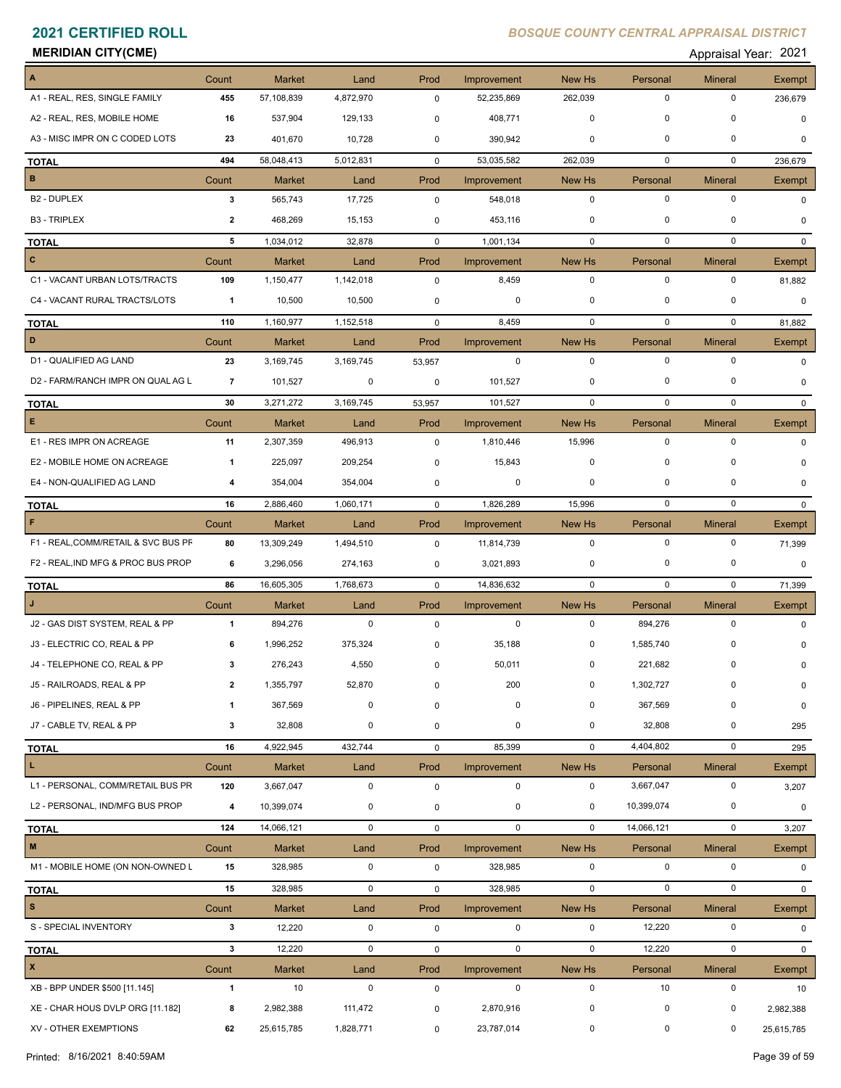### **MERIDIAN CITY(CME)** Appraisal Year: 2021

| Appraisal Year: 202 |  |
|---------------------|--|
|---------------------|--|

| A                                   | Count          | <b>Market</b> | Land        | Prod        | Improvement | New Hs       | Personal    | <b>Mineral</b> | Exempt        |
|-------------------------------------|----------------|---------------|-------------|-------------|-------------|--------------|-------------|----------------|---------------|
| A1 - REAL, RES, SINGLE FAMILY       | 455            | 57,108,839    | 4,872,970   | 0           | 52,235,869  | 262,039      | $\mathbf 0$ | 0              | 236,679       |
| A2 - REAL, RES, MOBILE HOME         | 16             | 537,904       | 129,133     | $\mathbf 0$ | 408,771     | $\mathbf 0$  | 0           | 0              | $\Omega$      |
| A3 - MISC IMPR ON C CODED LOTS      | 23             | 401,670       | 10,728      | $\mathbf 0$ | 390,942     | 0            | $\mathbf 0$ | 0              | 0             |
| <b>TOTAL</b>                        | 494            | 58,048,413    | 5,012,831   | $\mathbf 0$ | 53,035,582  | 262,039      | $\mathbf 0$ | $\mathbf 0$    | 236,679       |
| B                                   | Count          | <b>Market</b> | Land        | Prod        | Improvement | New Hs       | Personal    | <b>Mineral</b> | Exempt        |
| B2 - DUPLEX                         | $\mathbf{3}$   | 565,743       | 17,725      | 0           | 548,018     | $\mathbf 0$  | $\mathbf 0$ | $\mathbf 0$    | $\Omega$      |
| <b>B3 - TRIPLEX</b>                 | $\overline{2}$ | 468,269       | 15,153      | 0           | 453,116     | 0            | 0           | 0              | 0             |
| <b>TOTAL</b>                        | 5              | 1,034,012     | 32,878      | $\mathbf 0$ | 1,001,134   | $\mathbf 0$  | $\mathbf 0$ | $\mathbf 0$    | $\mathbf{0}$  |
| $\mathbf{C}$                        | Count          | <b>Market</b> | Land        | Prod        | Improvement | New Hs       | Personal    | <b>Mineral</b> | Exempt        |
| C1 - VACANT URBAN LOTS/TRACTS       | 109            | 1,150,477     | 1,142,018   | $\mathbf 0$ | 8,459       | $\mathbf 0$  | $\mathbf 0$ | $\mathbf 0$    | 81,882        |
| C4 - VACANT RURAL TRACTS/LOTS       | $\overline{1}$ | 10,500        | 10,500      | 0           | 0           | 0            | 0           | $\mathbf 0$    | $\Omega$      |
| <b>TOTAL</b>                        | 110            | 1,160,977     | 1,152,518   | $\mathbf 0$ | 8,459       | $\mathbf 0$  | $\mathbf 0$ | $\mathbf 0$    | 81,882        |
| D                                   | Count          | <b>Market</b> | Land        | Prod        | Improvement | New Hs       | Personal    | <b>Mineral</b> | Exempt        |
| D1 - QUALIFIED AG LAND              | 23             | 3,169,745     | 3,169,745   | 53,957      | 0           | $\mathbf 0$  | $\mathbf 0$ | $\mathbf 0$    | $\mathbf 0$   |
| D2 - FARM/RANCH IMPR ON QUAL AG L   | 7              | 101,527       | 0           | 0           | 101,527     | 0            | 0           | 0              | $\mathbf 0$   |
| <b>TOTAL</b>                        | 30             | 3,271,272     | 3,169,745   | 53,957      | 101,527     | $\mathbf 0$  | 0           | $\mathbf 0$    | $\Omega$      |
| E                                   | Count          | Market        | Land        | Prod        | Improvement | New Hs       | Personal    | <b>Mineral</b> | Exempt        |
| E1 - RES IMPR ON ACREAGE            | 11             | 2,307,359     | 496,913     | 0           | 1,810,446   | 15,996       | $\mathbf 0$ | $\mathbf 0$    | $\Omega$      |
| E2 - MOBILE HOME ON ACREAGE         | $\mathbf{1}$   | 225,097       | 209,254     | $\pmb{0}$   | 15,843      | $\mathbf 0$  | 0           | 0              | 0             |
| E4 - NON-QUALIFIED AG LAND          | 4              | 354,004       | 354,004     | 0           | 0           | $\mathbf 0$  | $\mathbf 0$ | 0              | $\Omega$      |
| <b>TOTAL</b>                        | 16             | 2,886,460     | 1,060,171   | $\mathbf 0$ | 1,826,289   | 15,996       | 0           | $\mathbf 0$    | $\mathbf{0}$  |
| F                                   | Count          | <b>Market</b> | Land        | Prod        | Improvement | New Hs       | Personal    | <b>Mineral</b> | Exempt        |
| F1 - REAL, COMM/RETAIL & SVC BUS PF | 80             | 13,309,249    | 1,494,510   | $\mathbf 0$ | 11,814,739  | $\mathbf 0$  | $\mathbf 0$ | $\mathbf 0$    | 71,399        |
| F2 - REAL, IND MFG & PROC BUS PROP  | 6              | 3,296,056     | 274,163     | 0           | 3,021,893   | 0            | 0           | 0              | $\mathbf 0$   |
| <b>TOTAL</b>                        | 86             | 16,605,305    | 1,768,673   | $\mathbf 0$ | 14,836,632  | $\mathbf 0$  | $\mathbf 0$ | $\mathbf 0$    | 71,399        |
|                                     | Count          | <b>Market</b> | Land        | Prod        | Improvement | New Hs       | Personal    | <b>Mineral</b> | Exempt        |
| J2 - GAS DIST SYSTEM, REAL & PP     | $\overline{1}$ | 894,276       | $\mathbf 0$ | 0           | $\mathbf 0$ | $\mathbf 0$  | 894,276     | $\mathbf 0$    | 0             |
| J3 - ELECTRIC CO, REAL & PP         | 6              | 1,996,252     | 375,324     | 0           | 35,188      | 0            | 1,585,740   | 0              |               |
| J4 - TELEPHONE CO, REAL & PP        | 3              | 276,243       | 4,550       | 0           | 50,011      | 0            | 221,682     | 0              | 0             |
| J5 - RAILROADS, REAL & PP           |                | 1,355,797     | 52,870      |             | 200         | $\mathbf{0}$ | 1,302,727   |                | 0             |
| J6 - PIPELINES, REAL & PP           | -1             | 367,569       | 0           | $\mathbf 0$ | 0           | 0            | 367,569     | 0              | 0             |
| J7 - CABLE TV, REAL & PP            | 3              | 32,808        | $\mathbf 0$ | 0           | 0           | 0            | 32,808      | 0              | 295           |
| <b>TOTAL</b>                        | 16             | 4,922,945     | 432,744     | $\mathbf 0$ | 85,399      | $\mathbf 0$  | 4,404,802   | $\mathbf 0$    | 295           |
| L.                                  | Count          | Market        | Land        | Prod        | Improvement | New Hs       | Personal    | <b>Mineral</b> | Exempt        |
| L1 - PERSONAL, COMM/RETAIL BUS PR   | 120            | 3,667,047     | 0           | $\pmb{0}$   | $\mathbf 0$ | $\mathbf 0$  | 3,667,047   | $\mathsf 0$    | 3,207         |
| L2 - PERSONAL, IND/MFG BUS PROP     | 4              | 10,399,074    | $\mathbf 0$ | $\pmb{0}$   | $\mathbf 0$ | $\mathbf 0$  | 10,399,074  | 0              | 0             |
| <b>TOTAL</b>                        | 124            | 14,066,121    | $\mathbf 0$ | 0           | $\mathbf 0$ | $\mathbf 0$  | 14,066,121  | $\mathbf 0$    | 3,207         |
| $\mathsf{M}\xspace$                 | Count          | <b>Market</b> | Land        | Prod        | Improvement | New Hs       | Personal    | <b>Mineral</b> | <b>Exempt</b> |
| M1 - MOBILE HOME (ON NON-OWNED L    | 15             | 328,985       | 0           | 0           | 328,985     | $\mathbf 0$  | $\mathbf 0$ | $\mathbf 0$    | 0             |
| <b>TOTAL</b>                        | 15             | 328,985       | $\mathbf 0$ | 0           | 328,985     | $\mathbf 0$  | $\mathsf 0$ | $\mathbf 0$    | $\mathbf{0}$  |
| $\mathbb S$                         | Count          | Market        | Land        | Prod        | Improvement | New Hs       | Personal    | <b>Mineral</b> | Exempt        |
| S - SPECIAL INVENTORY               | $\mathbf{3}$   | 12,220        | $\mathbf 0$ | 0           | $\mathbf 0$ | $\mathbf 0$  | 12,220      | $\mathbf 0$    | $\Omega$      |
| <b>TOTAL</b>                        | $\mathbf{3}$   | 12,220        | $\mathbf 0$ | 0           | $\mathbf 0$ | $\mathbf 0$  | 12,220      | $\mathbf 0$    | $\mathbf{0}$  |
| $\pmb{\mathsf{x}}$                  | Count          | <b>Market</b> | Land        | Prod        | Improvement | New Hs       | Personal    | <b>Mineral</b> | Exempt        |
| XB - BPP UNDER \$500 [11.145]       | $\mathbf{1}$   | 10            | $\mathbf 0$ | 0           | $\mathbf 0$ | $\mathbf 0$  | 10          | $\mathbf 0$    | 10            |
| XE - CHAR HOUS DVLP ORG [11.182]    | 8              | 2,982,388     | 111,472     | 0           | 2,870,916   | 0            | 0           | 0              | 2,982,388     |
| XV - OTHER EXEMPTIONS               | 62             | 25,615,785    | 1,828,771   | 0           | 23,787,014  | 0            | $\mathbf 0$ | 0              | 25,615,785    |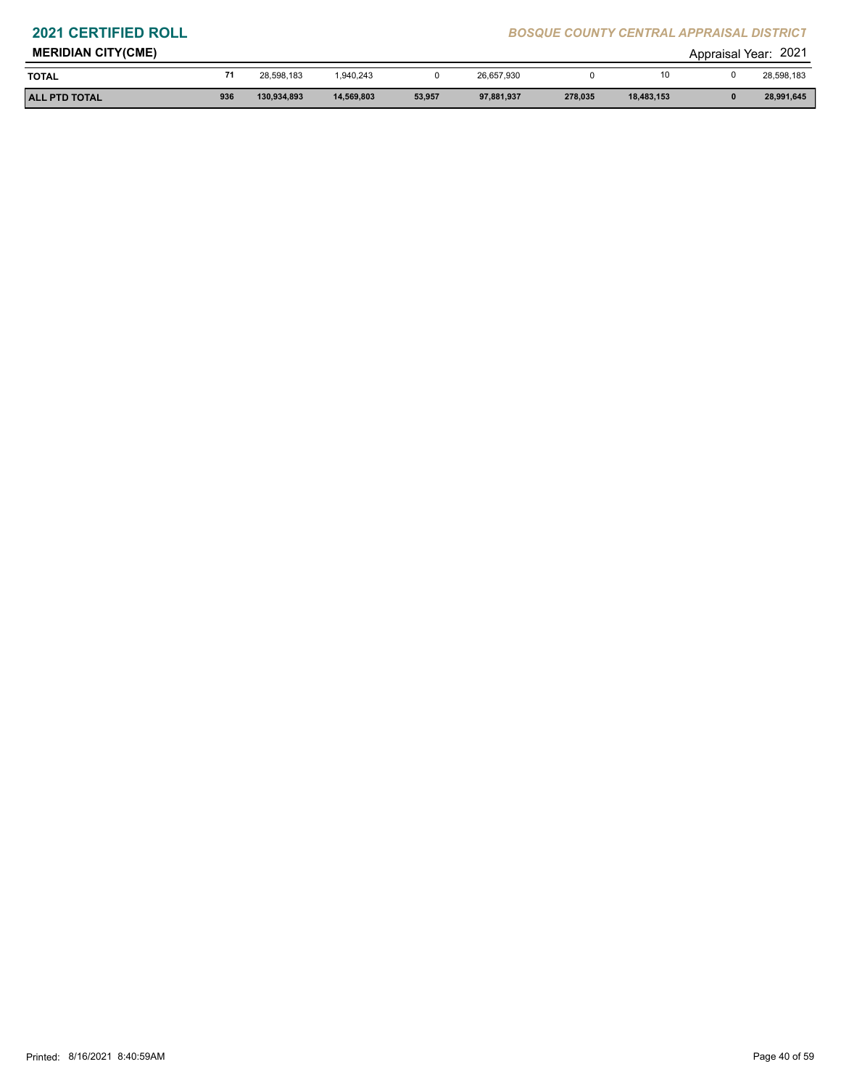| <b>MERIDIAN CITY(CME)</b> |     |             |            |        |            |         |            | Appraisal | 2021<br>'Year: |
|---------------------------|-----|-------------|------------|--------|------------|---------|------------|-----------|----------------|
| <b>TOTAL</b>              |     | 28.598.183  | 1.940.243  |        | 26,657,930 |         |            |           | 28,598,183     |
| <b>ALL PTD TOTAL</b>      | 936 | 130,934,893 | 14,569,803 | 53,957 | 97,881,937 | 278,035 | 18,483,153 |           | 28,991,645     |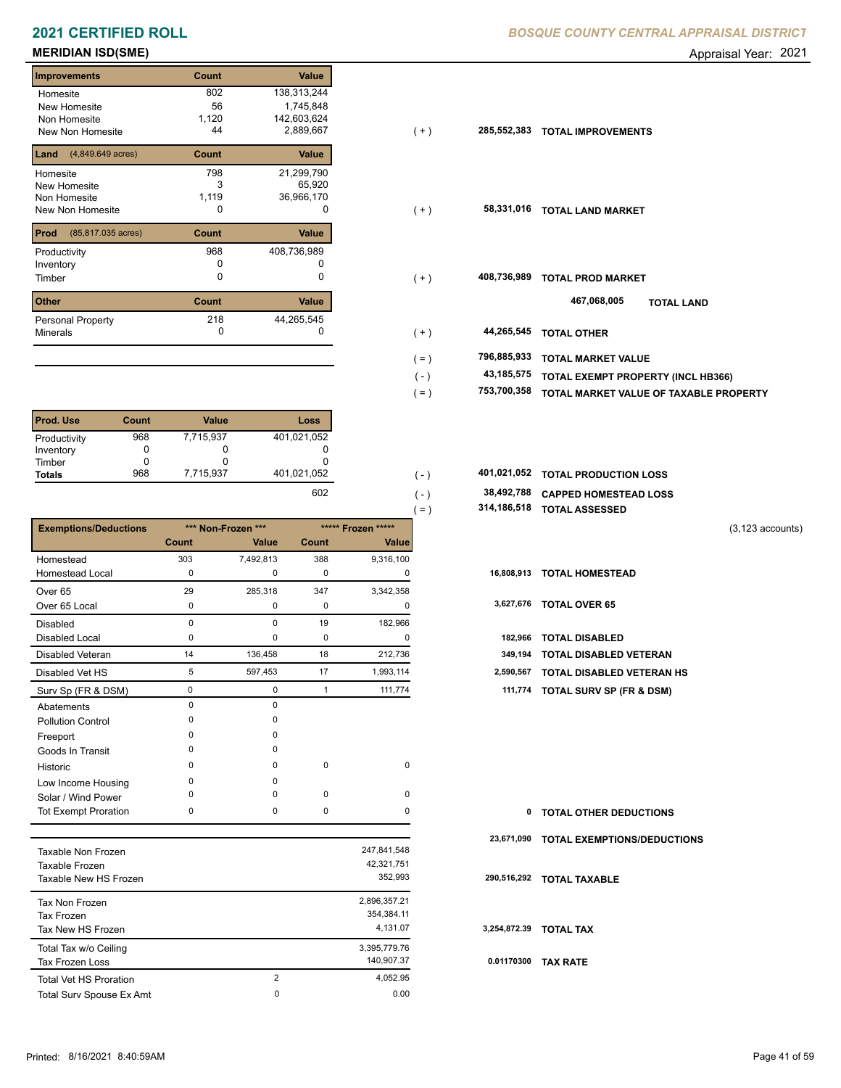# **MERIDIAN ISD(SME)** Appraisal Year: 2021

| <b>Improvements</b>                 | Count | <b>Value</b> |
|-------------------------------------|-------|--------------|
| Homesite                            | 802   | 138,313,244  |
| <b>New Homesite</b>                 | 56    | 1,745,848    |
| Non Homesite                        | 1,120 | 142,603,624  |
| New Non Homesite                    | 44    | 2,889,667    |
| $(4,849.649 \text{ acres})$<br>Land | Count | Value        |
| Homesite                            | 798   | 21,299,790   |
| New Homesite                        | 3     | 65,920       |
| Non Homesite                        | 1,119 | 36,966,170   |
| New Non Homesite                    | 0     | O            |
| Prod<br>(85,817.035 acres)          | Count | Value        |
| Productivity                        | 968   | 408,736,989  |
| Inventory                           | n     |              |
| Timber                              | 0     | O            |
| <b>Other</b>                        | Count | <b>Value</b> |
| <b>Personal Property</b>            | 218   | 44,265,545   |
| <b>Minerals</b>                     | 0     | O            |

| Prod. Use     | Count | <b>Value</b> | Loss        |
|---------------|-------|--------------|-------------|
| Productivity  | 968   | 7,715,937    | 401,021,052 |
| Inventory     |       |              |             |
| Timber        |       |              |             |
| <b>Totals</b> | 968   | 7,715,937    | 401,021,052 |
|               |       |              | $\sim$      |

|                              |              |                    |              |                    | 314,186,518<br>$( = )$ | <b>TOTAL ASSESSED</b>               |
|------------------------------|--------------|--------------------|--------------|--------------------|------------------------|-------------------------------------|
| <b>Exemptions/Deductions</b> |              | *** Non-Frozen *** |              | ***** Frozen ***** |                        | $(3, 123$ accounts)                 |
|                              | Count        | Value              | Count        | <b>Value</b>       |                        |                                     |
| Homestead                    | 303          | 7,492,813          | 388          | 9,316,100          |                        |                                     |
| <b>Homestead Local</b>       | $\Omega$     | 0                  | 0            | 0                  | 16,808,913             | <b>TOTAL HOMESTEAD</b>              |
| Over 65                      | 29           | 285,318            | 347          | 3,342,358          |                        |                                     |
| Over 65 Local                | $\Omega$     | 0                  | 0            | 0                  | 3,627,676              | <b>TOTAL OVER 65</b>                |
| Disabled                     | $\Omega$     | 0                  | 19           | 182,966            |                        |                                     |
| <b>Disabled Local</b>        | $\Omega$     | 0                  | 0            | 0                  | 182,966                | <b>TOTAL DISABLED</b>               |
| Disabled Veteran             | 14           | 136,458            | 18           | 212,736            | 349,194                | <b>TOTAL DISABLED VETERAN</b>       |
| Disabled Vet HS              | 5            | 597,453            | 17           | 1,993,114          | 2,590,567              | <b>TOTAL DISABLED VETERAN HS</b>    |
| Surv Sp (FR & DSM)           | 0            | 0                  | $\mathbf{1}$ | 111,774            | 111,774                | <b>TOTAL SURV SP (FR &amp; DSM)</b> |
| Abatements                   | $\Omega$     | $\mathbf 0$        |              |                    |                        |                                     |
| <b>Pollution Control</b>     | $\Omega$     | 0                  |              |                    |                        |                                     |
| Freeport                     | ∩            | $\Omega$           |              |                    |                        |                                     |
| Goods In Transit             | <sup>0</sup> | $\Omega$           |              |                    |                        |                                     |
| Historic                     | $\Omega$     | $\Omega$           | 0            | 0                  |                        |                                     |
| Low Income Housing           | <sup>0</sup> | $\Omega$           |              |                    |                        |                                     |
| Solar / Wind Power           |              | $\Omega$           | 0            | 0                  |                        |                                     |
| Tot Exempt Proration         | 0            | 0                  | 0            | 0                  | 0                      | <b>TOTAL OTHER DEDUCTIONS</b>       |
|                              |              |                    |              |                    | 23.671.090             | TOTAL EXEMPTIONS/DEDUCTIONS         |

| Taxable Non Frozen<br>Taxable Frozen<br>Taxable New HS Frozen |                | 247.841.548<br>42,321,751<br>352.993   | 290  |
|---------------------------------------------------------------|----------------|----------------------------------------|------|
| Tax Non Frozen<br>Tax Frozen<br>Tax New HS Frozen             |                | 2,896,357.21<br>354,384.11<br>4.131.07 | 3,25 |
| Total Tax w/o Ceiling<br>Tax Frozen Loss                      |                | 3,395,779.76<br>140.907.37             | 0.0  |
| <b>Total Vet HS Proration</b>                                 | $\overline{2}$ | 4.052.95                               |      |
| Total Surv Spouse Ex Amt                                      | 0              | 0.00                                   |      |

| Homesite                                | 802   | 138,313,244 |         |             |                                        |
|-----------------------------------------|-------|-------------|---------|-------------|----------------------------------------|
| New Homesite                            | 56    | 1,745,848   |         |             |                                        |
| Non Homesite                            | 1,120 | 142,603,624 |         |             |                                        |
| New Non Homesite                        | 44    | 2,889,667   | $(+)$   | 285,552,383 | <b>TOTAL IMPROVEMENTS</b>              |
| <b>Land</b> $(4,849.649 \text{ acres})$ | Count | Value       |         |             |                                        |
| Homesite                                | 798   | 21,299,790  |         |             |                                        |
| New Homesite                            |       | 65,920      |         |             |                                        |
| Non Homesite                            | 1,119 | 36,966,170  |         |             |                                        |
| New Non Homesite                        | 0     | 0           | $(+)$   | 58,331,016  | <b>TOTAL LAND MARKET</b>               |
| <b>Prod</b> (85,817.035 acres)          | Count | Value       |         |             |                                        |
| Productivity                            | 968   | 408,736,989 |         |             |                                        |
| Inventory                               | 0     |             |         |             |                                        |
| Timber                                  | 0     |             | $(+)$   | 408,736,989 | <b>TOTAL PROD MARKET</b>               |
| Other                                   | Count | Value       |         |             | 467,068,005<br><b>TOTAL LAND</b>       |
| Personal Property                       | 218   | 44,265,545  |         |             |                                        |
| Minerals                                | 0     | 0           | $(+)$   | 44,265,545  | <b>TOTAL OTHER</b>                     |
|                                         |       |             | $( = )$ | 796,885,933 | <b>TOTAL MARKET VALUE</b>              |
|                                         |       |             | $(-)$   | 43,185,575  | TOTAL EXEMPT PROPERTY (INCL HB366)     |
|                                         |       |             | ( = )   | 753,700,358 | TOTAL MARKET VALUE OF TAXABLE PROPERTY |
|                                         |       |             |         |             |                                        |

| 401,021,052 |  | 401,021,052 TOTAL PRODUCTION LOSS |  |
|-------------|--|-----------------------------------|--|
|             |  |                                   |  |

 $( = )$ 

- **38,492,788 CAPPED HOMESTEAD LOSS**  $602$  (-) 38
	- **314,186,518 TOTAL ASSESSED**

| ,,,     |                                     |
|---------|-------------------------------------|
| 0<br>-  | 182,966 TOTAL DISABLED              |
| 36<br>- | 349.194 TOTAL DISABLED VETERAN      |
| 14      | 2,590,567 TOTAL DISABLED VETERAN HS |
| 74<br>- | 111,774 TOTAL SURV SP (FR & DSM)    |
|         |                                     |

| 0           | <b>TOTAL OTHER DEDUCTIONS</b>          |
|-------------|----------------------------------------|
|             | 23,671,090 TOTAL EXEMPTIONS/DEDUCTIONS |
| 290,516,292 | <b>TOTAL TAXABLE</b>                   |
|             | 3,254,872.39 TOTAL TAX                 |
| 0.01170300  | <b>TAX RATE</b>                        |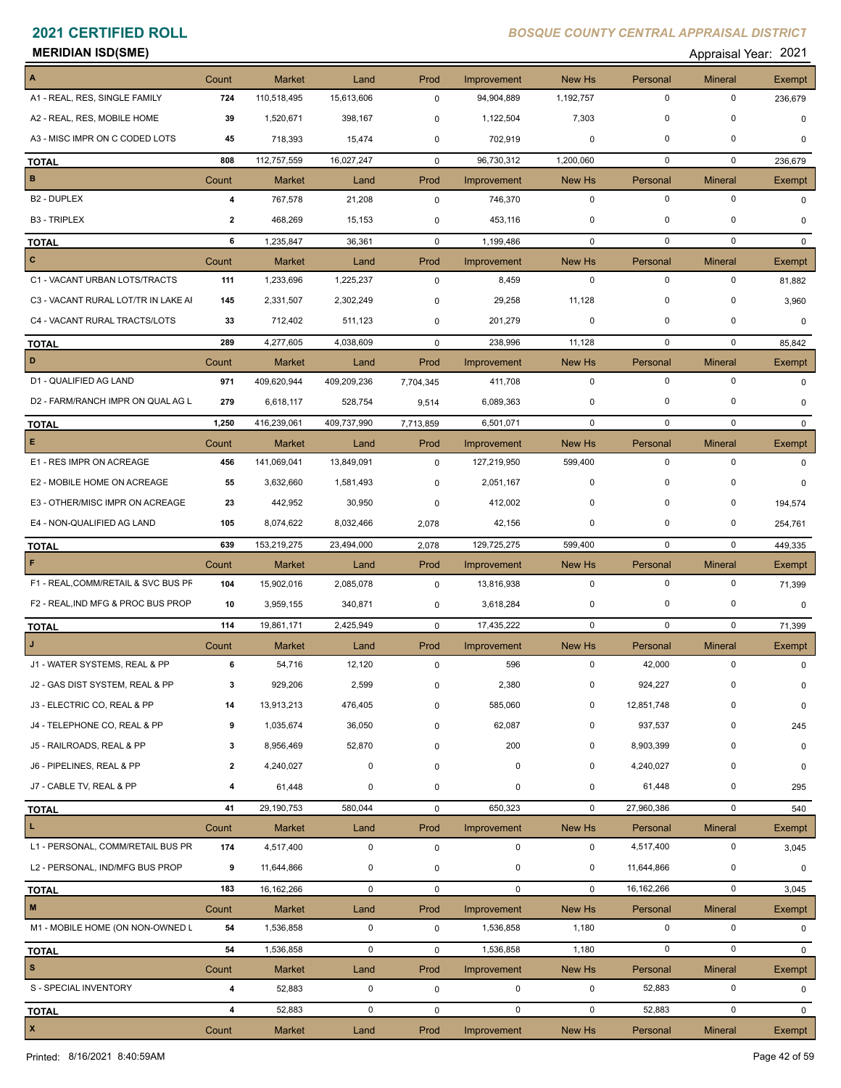| <b>MERIDIAN ISD(SME)</b> | Appraisal Year: 2021 |
|--------------------------|----------------------|
|                          |                      |

| A                                   | Count          | <b>Market</b> | Land        | Prod        | Improvement | New Hs       | Personal     | <b>Mineral</b> | Exempt                |
|-------------------------------------|----------------|---------------|-------------|-------------|-------------|--------------|--------------|----------------|-----------------------|
| A1 - REAL, RES, SINGLE FAMILY       | 724            | 110,518,495   | 15,613,606  | 0           | 94,904,889  | 1,192,757    | $\mathbf 0$  | $\mathbf 0$    | 236,679               |
| A2 - REAL, RES, MOBILE HOME         | 39             | 1,520,671     | 398,167     | 0           | 1,122,504   | 7,303        | 0            | 0              | $\mathbf 0$           |
| A3 - MISC IMPR ON C CODED LOTS      | 45             | 718,393       | 15,474      | 0           | 702,919     | 0            | $\mathbf 0$  | 0              | <sup>0</sup>          |
| <b>TOTAL</b>                        | 808            | 112,757,559   | 16,027,247  | $\mathbf 0$ | 96,730,312  | 1,200,060    | $\mathbf 0$  | $\mathbf 0$    | 236,679               |
| B                                   | Count          | <b>Market</b> | Land        | Prod        | Improvement | New Hs       | Personal     | <b>Mineral</b> | Exempt                |
| <b>B2 - DUPLEX</b>                  | 4              | 767,578       | 21,208      | $\pmb{0}$   | 746,370     | $\mathbf 0$  | $\mathbf 0$  | $\mathbf 0$    | $\Omega$              |
| <b>B3 - TRIPLEX</b>                 | $\overline{2}$ | 468,269       | 15,153      | 0           | 453,116     | $\mathbf 0$  | 0            | 0              | 0                     |
| <b>TOTAL</b>                        | 6              | 1,235,847     | 36,361      | $\mathbf 0$ | 1,199,486   | $\mathbf 0$  | $\mathbf 0$  | $\mathbf 0$    | 0                     |
| $\mathbf{C}$                        | Count          | <b>Market</b> | Land        | Prod        | Improvement | New Hs       | Personal     | <b>Mineral</b> | Exempt                |
| C1 - VACANT URBAN LOTS/TRACTS       | 111            | 1,233,696     | 1,225,237   | 0           | 8,459       | $\mathbf 0$  | $\mathbf 0$  | $\mathbf 0$    | 81,882                |
| C3 - VACANT RURAL LOT/TR IN LAKE AI | 145            | 2,331,507     | 2,302,249   | 0           | 29,258      | 11,128       | $\mathbf 0$  | $\mathbf 0$    | 3,960                 |
| C4 - VACANT RURAL TRACTS/LOTS       | 33             | 712,402       | 511,123     | 0           | 201,279     | 0            | $\mathbf 0$  | $\mathbf 0$    | 0                     |
| <b>TOTAL</b>                        | 289            | 4,277,605     | 4,038,609   | $\Omega$    | 238,996     | 11,128       | $\mathbf 0$  | $\mathbf 0$    | 85,842                |
| D                                   | Count          | <b>Market</b> | Land        | Prod        | Improvement | New Hs       | Personal     | <b>Mineral</b> | Exempt                |
| D1 - QUALIFIED AG LAND              | 971            | 409,620,944   | 409,209,236 | 7,704,345   | 411,708     | $\mathbf 0$  | $\mathbf 0$  | $\mathbf 0$    | $\Omega$              |
| D2 - FARM/RANCH IMPR ON QUAL AG L   | 279            | 6,618,117     | 528,754     | 9,514       | 6,089,363   | 0            | 0            | 0              | $\Omega$              |
| <b>TOTAL</b>                        | 1,250          | 416,239,061   | 409,737,990 | 7,713,859   | 6,501,071   | $\mathbf 0$  | $\mathbf 0$  | $\mathbf 0$    | $\mathbf{0}$          |
| E.                                  | Count          | <b>Market</b> | Land        | Prod        | Improvement | New Hs       | Personal     | <b>Mineral</b> | Exempt                |
| E1 - RES IMPR ON ACREAGE            | 456            | 141,069,041   | 13,849,091  | 0           | 127,219,950 | 599,400      | $\mathbf 0$  | $\mathbf 0$    | 0                     |
| E2 - MOBILE HOME ON ACREAGE         | 55             | 3,632,660     | 1,581,493   | 0           | 2,051,167   | 0            | $\mathbf 0$  | 0              | $\Omega$              |
| E3 - OTHER/MISC IMPR ON ACREAGE     | 23             | 442,952       | 30,950      | 0           | 412,002     | 0            | $\mathbf 0$  | 0              | 194,574               |
| E4 - NON-QUALIFIED AG LAND          | 105            | 8,074,622     | 8,032,466   | 2,078       | 42,156      | 0            | 0            | $\mathbf 0$    | 254,761               |
| <b>TOTAL</b>                        | 639            | 153,219,275   | 23,494,000  | 2,078       | 129,725,275 | 599,400      | $\mathbf 0$  | $\mathbf 0$    | 449,335               |
| F                                   | Count          | <b>Market</b> | Land        | Prod        | Improvement | New Hs       | Personal     | <b>Mineral</b> | Exempt                |
| F1 - REAL, COMM/RETAIL & SVC BUS PF | 104            | 15,902,016    | 2,085,078   | $\pmb{0}$   | 13,816,938  | $\mathbf 0$  | $\mathbf 0$  | 0              | 71,399                |
| F2 - REAL, IND MFG & PROC BUS PROP  | 10             | 3,959,155     | 340,871     | 0           | 3,618,284   | 0            | 0            | 0              | $\mathbf 0$           |
| <b>TOTAL</b>                        | 114            | 19,861,171    | 2,425,949   | $\mathbf 0$ | 17,435,222  | $\mathbf 0$  | $\mathbf 0$  | $\mathbf 0$    | 71,399                |
|                                     | Count          | <b>Market</b> | Land        | Prod        | Improvement | New Hs       | Personal     | <b>Mineral</b> | Exempt                |
| J1 - WATER SYSTEMS, REAL & PP       | 6              | 54,716        | 12,120      | 0           | 596         | $\mathbf 0$  | 42,000       | $\mathbf 0$    | 0                     |
| J2 - GAS DIST SYSTEM, REAL & PP     |                | 929,206       | 2,599       | 0           | 2,380       | $\mathbf{0}$ | 924,227      | $\mathbf 0$    | 0                     |
| J3 - ELECTRIC CO, REAL & PP         | 14             | 13,913,213    | 476,405     | $\mathbf 0$ | 585,060     | 0            | 12,851,748   | 0              | $\mathbf 0$           |
| J4 - TELEPHONE CO, REAL & PP        | 9              | 1,035,674     | 36,050      | 0           | 62,087      | 0            | 937,537      | 0              | 245                   |
| J5 - RAILROADS, REAL & PP           | 3              | 8,956,469     | 52,870      | $\mathbf 0$ | 200         | 0            | 8,903,399    | 0              | 0                     |
| J6 - PIPELINES, REAL & PP           | $\mathbf{2}$   | 4,240,027     | $\mathbf 0$ | 0           | 0           | 0            | 4,240,027    | 0              | 0                     |
| J7 - CABLE TV, REAL & PP            | 4              | 61,448        | $\mathbf 0$ | 0           | $\pmb{0}$   | $\mathbf 0$  | 61,448       | 0              | 295                   |
| <b>TOTAL</b>                        | 41             | 29,190,753    | 580,044     | 0           | 650,323     | $\mathbf 0$  | 27,960,386   | $\mathbf 0$    | 540                   |
| L.                                  | Count          | <b>Market</b> | Land        | Prod        | Improvement | New Hs       | Personal     | <b>Mineral</b> | Exempt                |
| L1 - PERSONAL, COMM/RETAIL BUS PR   | 174            | 4,517,400     | $\mathbf 0$ | $\pmb{0}$   | $\mathbf 0$ | $\mathbf 0$  | 4,517,400    | $\pmb{0}$      | 3,045                 |
| L2 - PERSONAL, IND/MFG BUS PROP     | 9              | 11,644,866    | 0           | 0           | 0           | 0            | 11,644,866   | 0              | 0                     |
| <b>TOTAL</b>                        | 183            | 16,162,266    | $\mathbf 0$ | 0           | $\mathbf 0$ | $\mathbf 0$  | 16, 162, 266 | 0              | 3,045                 |
| $\mathsf{M}\xspace$                 | Count          | <b>Market</b> | Land        | Prod        | Improvement | New Hs       | Personal     | <b>Mineral</b> | Exempt                |
| M1 - MOBILE HOME (ON NON-OWNED L    | 54             | 1,536,858     | 0           | 0           | 1,536,858   | 1,180        | $\mathbf 0$  | $\mathbf 0$    | 0                     |
|                                     | 54             | 1,536,858     | 0           | 0           | 1,536,858   | 1,180        | $\mathbf 0$  | 0              | $\mathbf{0}$          |
| <b>TOTAL</b><br>$\mathbf s$         | Count          | <b>Market</b> | Land        | Prod        | Improvement | New Hs       | Personal     | <b>Mineral</b> |                       |
| S - SPECIAL INVENTORY               | 4              | 52,883        | $\mathsf 0$ | 0           | 0           | $\mathbf 0$  | 52,883       | $\mathbf 0$    | Exempt<br>$\mathbf 0$ |
|                                     |                |               |             |             |             |              |              |                |                       |
| <b>TOTAL</b><br>$\pmb{\mathsf{x}}$  | 4              | 52,883        | $\mathbf 0$ | 0           | $\mathbf 0$ | $\mathbf 0$  | 52,883       | $\mathbf 0$    | $\Omega$              |
|                                     | Count          | Market        | Land        | Prod        | Improvement | New Hs       | Personal     | <b>Mineral</b> | Exempt                |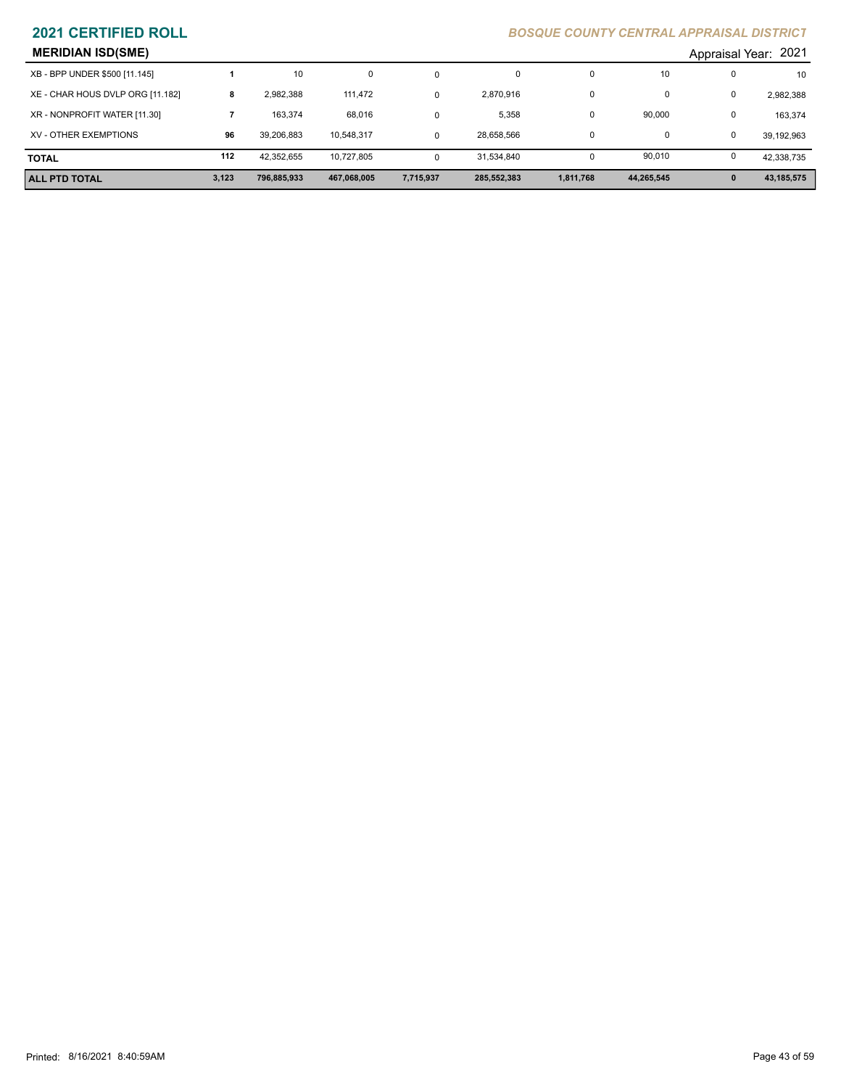| <b>MERIDIAN ISD(SME)</b><br>Appraisal Year: 2021 |       |             |             |           |             |           |            |              |            |
|--------------------------------------------------|-------|-------------|-------------|-----------|-------------|-----------|------------|--------------|------------|
| XB - BPP UNDER \$500 [11.145]                    |       | 10          | 0           |           | 0           |           | 10         |              | 10         |
| XE - CHAR HOUS DVLP ORG [11.182]                 | 8     | 2,982,388   | 111.472     |           | 2,870,916   |           | u          | 0            | 2,982,388  |
| XR - NONPROFIT WATER [11.30]                     |       | 163.374     | 68,016      |           | 5,358       |           | 90,000     | 0            | 163,374    |
| XV - OTHER EXEMPTIONS                            | 96    | 39.206.883  | 10.548.317  |           | 28,658,566  |           | 0          | 0            | 39,192,963 |
| <b>TOTAL</b>                                     | 112   | 42,352,655  | 10.727.805  | $\Omega$  | 31,534,840  |           | 90.010     |              | 42,338,735 |
| <b>ALL PTD TOTAL</b>                             | 3,123 | 796,885,933 | 467,068,005 | 7,715,937 | 285,552,383 | 1,811,768 | 44,265,545 | $\mathbf{0}$ | 43,185,575 |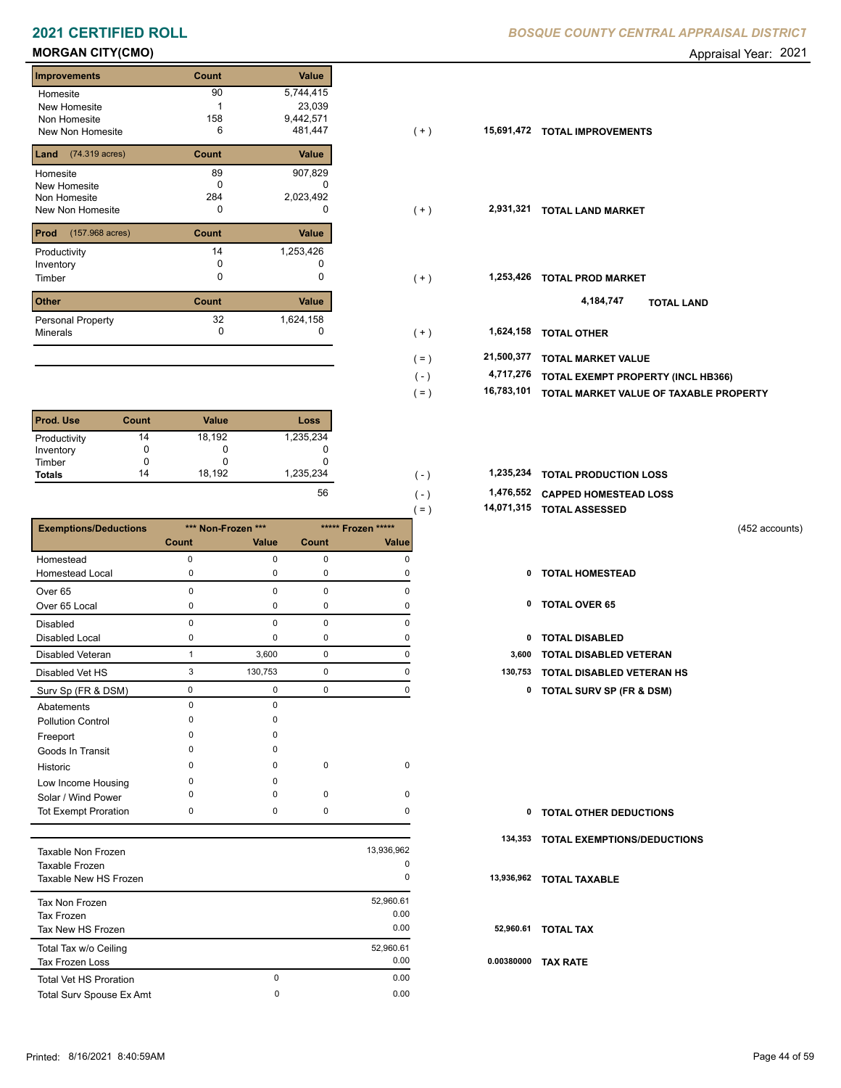# **MORGAN CITY(CMO) Appraisal Year: 2021**

| <b>Improvements</b>               | Count | <b>Value</b> |
|-----------------------------------|-------|--------------|
| Homesite                          | 90    | 5,744,415    |
| New Homesite                      |       | 23,039       |
| Non Homesite                      | 158   | 9,442,571    |
| New Non Homesite                  | 6     | 481,447      |
| (74.319 acres)<br>Land            | Count | Value        |
| Homesite                          | 89    | 907,829      |
| New Homesite                      | O     |              |
| Non Homesite                      | 284   | 2,023,492    |
| New Non Homesite                  | 0     |              |
| Prod<br>$(157.968 \text{ acres})$ | Count | Value        |
| Productivity                      | 14    | 1,253,426    |
| Inventory                         | O     |              |
| Timber                            | O     | 0            |
| <b>Other</b>                      | Count | Value        |
| Dessenal Dranactur                | 20    | 1621158      |

| <b>L</b> Uther                       | ∪ount | value     |
|--------------------------------------|-------|-----------|
| <b>Personal Property</b><br>Minerals | 32    | 1,624,158 |
|                                      |       |           |

| <b>Prod. Use</b> | Count | <b>Value</b> | <b>Loss</b> |
|------------------|-------|--------------|-------------|
| Productivity     | 14    | 18,192       | 1,235,234   |
| Inventory        | 0     | O            | O           |
| Timber           | 0     |              |             |
| <b>Totals</b>    | 14    | 18.192       | 1,235,234   |
|                  |       |              | 56          |

|                              |             |                    |             |                    | $=$ )<br>14,071,315 | <b>TOTAL ASSESSED</b>               |                |
|------------------------------|-------------|--------------------|-------------|--------------------|---------------------|-------------------------------------|----------------|
| <b>Exemptions/Deductions</b> |             | *** Non-Frozen *** |             | ***** Frozen ***** |                     |                                     | (452 accounts) |
|                              | Count       | Value              | Count       | Value              |                     |                                     |                |
| Homestead                    | $\Omega$    | $\Omega$           | $\mathbf 0$ | $\Omega$           |                     |                                     |                |
| <b>Homestead Local</b>       | 0           | 0                  | 0           | 0                  | 0                   | <b>TOTAL HOMESTEAD</b>              |                |
| Over <sub>65</sub>           | $\mathbf 0$ | 0                  | $\mathbf 0$ | $\Omega$           |                     |                                     |                |
| Over 65 Local                | 0           | 0                  | $\mathbf 0$ | $\Omega$           | 0                   | <b>TOTAL OVER 65</b>                |                |
| <b>Disabled</b>              | $\Omega$    | $\Omega$           | $\mathbf 0$ | $\Omega$           |                     |                                     |                |
| <b>Disabled Local</b>        | 0           | $\Omega$           | 0           | O                  | 0                   | <b>TOTAL DISABLED</b>               |                |
| Disabled Veteran             |             | 3,600              | 0           | 0                  | 3,600               | TOTAL DISABLED VETERAN              |                |
| Disabled Vet HS              | 3           | 130,753            | 0           | 0                  | 130,753             | TOTAL DISABLED VETERAN HS           |                |
| Surv Sp (FR & DSM)           | $\Omega$    | 0                  | 0           | 0                  | 0                   | <b>TOTAL SURV SP (FR &amp; DSM)</b> |                |
| Abatements                   | $\Omega$    | $\Omega$           |             |                    |                     |                                     |                |
| <b>Pollution Control</b>     | 0           | 0                  |             |                    |                     |                                     |                |
| Freeport                     | $\Omega$    | $\Omega$           |             |                    |                     |                                     |                |
| Goods In Transit             | $\Omega$    | $\Omega$           |             |                    |                     |                                     |                |
| Historic                     | 0           | $\Omega$           | $\mathbf 0$ | $\mathbf 0$        |                     |                                     |                |
| Low Income Housing           | 0           | $\Omega$           |             |                    |                     |                                     |                |
| Solar / Wind Power           | O           | $\Omega$           | $\mathbf 0$ | $\mathbf 0$        |                     |                                     |                |
| <b>Tot Exempt Proration</b>  | 0           | 0                  | 0           | $\Omega$           | 0                   | <b>TOTAL OTHER DEDUCTIONS</b>       |                |
|                              |             |                    |             |                    | 134,353             | TOTAL EXEMPTIONS/DEDUCTIONS         |                |
| Tavable Non Erozen           |             |                    |             | 13.936.962         |                     |                                     |                |

| Taxable Non Frozen<br>Taxable Frozen<br>Taxable New HS Frozen |               | 13,936,962<br>0<br>0      | 13  |
|---------------------------------------------------------------|---------------|---------------------------|-----|
| Tax Non Frozen<br>Tax Frozen<br>Tax New HS Frozen             |               | 52,960.61<br>0.00<br>0.00 | 5.  |
| Total Tax w/o Ceiling<br><b>Tax Frozen Loss</b>               |               | 52,960.61<br>0.00         | 0.0 |
| <b>Total Vet HS Proration</b><br>Total Surv Spouse Ex Amt     | 0<br>$\Omega$ | 0.00<br>0.00              |     |

| Homesite                             | 90    | 5,744,415 |                |            |                                        |
|--------------------------------------|-------|-----------|----------------|------------|----------------------------------------|
| New Homesite                         |       | 23,039    |                |            |                                        |
| Non Homesite                         | 158   | 9,442,571 |                |            |                                        |
| New Non Homesite                     | 6     | 481,447   | $(+)$          |            | 15,691,472 TOTAL IMPROVEMENTS          |
| <b>Land</b> $(74.319 \text{ acres})$ | Count | Value     |                |            |                                        |
| Homesite                             | 89    | 907,829   |                |            |                                        |
| New Homesite                         | 0     | 0         |                |            |                                        |
| Non Homesite                         | 284   | 2,023,492 |                |            |                                        |
| New Non Homesite                     | 0     | 0         | $(+)$          | 2,931,321  | <b>TOTAL LAND MARKET</b>               |
| <b>Prod</b> (157.968 acres)          | Count | Value     |                |            |                                        |
| Productivity                         | 14    | 1,253,426 |                |            |                                        |
| Inventory                            | 0     |           |                |            |                                        |
| Timber                               | 0     | 0         | $(+)$          | 1,253,426  | <b>TOTAL PROD MARKET</b>               |
| Other                                | Count | Value     |                |            | 4,184,747<br><b>TOTAL LAND</b>         |
| Personal Property                    | 32    | 1,624,158 |                |            |                                        |
| Minerals                             | 0     | 0         | $(+)$          | 1,624,158  | <b>TOTAL OTHER</b>                     |
|                                      |       |           | $( = )$        | 21,500,377 | <b>TOTAL MARKET VALUE</b>              |
|                                      |       |           | $(\mathsf{-})$ | 4,717,276  | TOTAL EXEMPT PROPERTY (INCL HB366)     |
|                                      |       |           | $( = )$        | 16,783,101 | TOTAL MARKET VALUE OF TAXABLE PROPERTY |
|                                      |       |           |                |            |                                        |

| 1,235,234 |  | 1,235,234 TOTAL PRODUCTION LOSS |
|-----------|--|---------------------------------|
|           |  |                                 |

 $( = )$ 

 **1,476,552 CAPPED HOMESTEAD LOSS**

 **14,071,315 TOTAL ASSESSED**

- 
- 
- 
- 
- 3 130,753 0 0 **130,753 TOTAL DISABLED VETERAN HS**
	- Surv Sp (FR & DSM) 0 0 0 0 **0 TOTAL SURV SP (FR & DSM)**

| 0          | <b>TOTAL OTHER DEDUCTIONS</b>      |
|------------|------------------------------------|
| 134,353    | <b>TOTAL EXEMPTIONS/DEDUCTIONS</b> |
|            | 13,936,962 TOTAL TAXABLE           |
| 52,960.61  | <b>TOTAL TAX</b>                   |
| 0.00380000 | <b>TAX RATE</b>                    |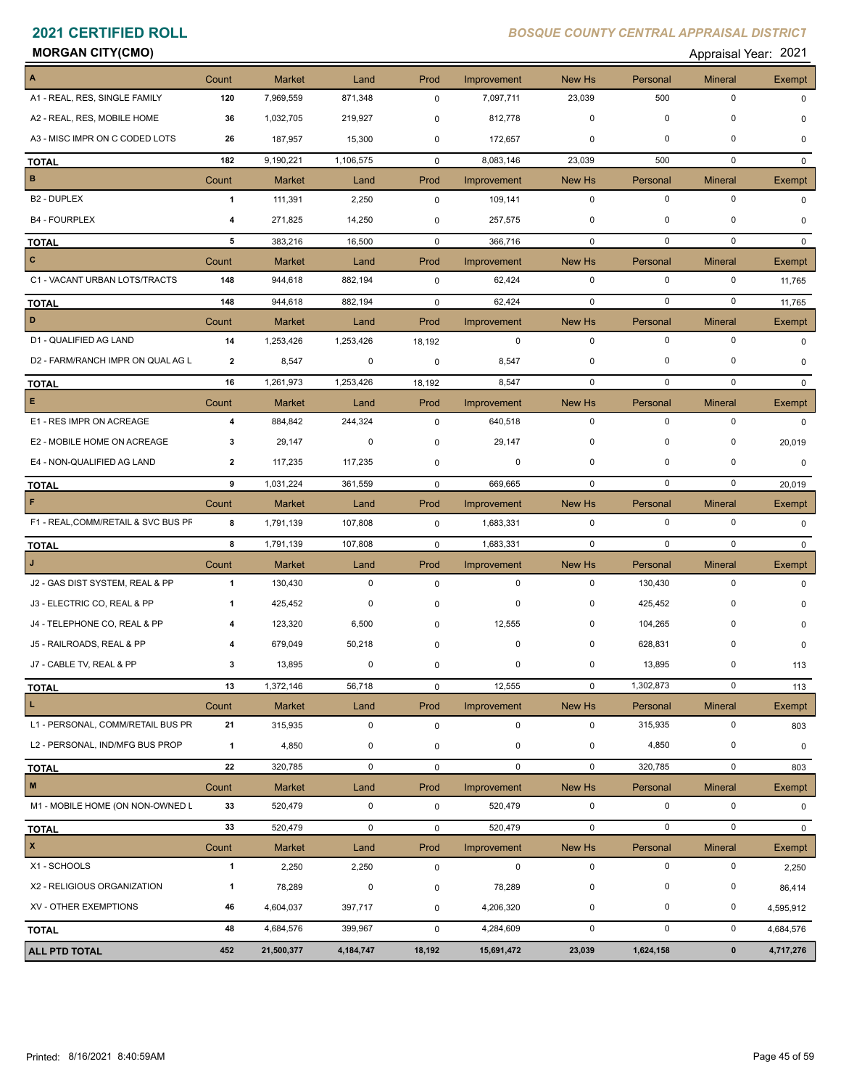# **MORGAN CITY(CMO)** Appraisal Year: 2021

| Appraisal Year: 202 |  |
|---------------------|--|
|                     |  |

| $\blacktriangle$                    | Count                   | <b>Market</b> | Land        | Prod        | Improvement | New Hs      | Personal    | <b>Mineral</b> | <b>Exempt</b> |
|-------------------------------------|-------------------------|---------------|-------------|-------------|-------------|-------------|-------------|----------------|---------------|
| A1 - REAL, RES, SINGLE FAMILY       | 120                     | 7,969,559     | 871,348     | $\mathbf 0$ | 7,097,711   | 23,039      | 500         | $\mathbf 0$    | 0             |
| A2 - REAL, RES, MOBILE HOME         | 36                      | 1,032,705     | 219,927     | 0           | 812,778     | $\mathbf 0$ | $\mathbf 0$ | $\mathbf 0$    | $\Omega$      |
| A3 - MISC IMPR ON C CODED LOTS      | 26                      | 187,957       | 15,300      | 0           | 172,657     | 0           | $\pmb{0}$   | $\mathbf 0$    | 0             |
| <b>TOTAL</b>                        | 182                     | 9,190,221     | 1,106,575   | $\mathbf 0$ | 8,083,146   | 23,039      | 500         | $\mathbf 0$    | $\mathbf{0}$  |
| $\, {\bf B}$                        | Count                   | <b>Market</b> | Land        | Prod        | Improvement | New Hs      | Personal    | <b>Mineral</b> | <b>Exempt</b> |
| B <sub>2</sub> - DUPLEX             | $\mathbf{1}$            | 111,391       | 2,250       | $\mathbf 0$ | 109,141     | $\mathbf 0$ | $\mathbf 0$ | $\mathbf 0$    | 0             |
| <b>B4 - FOURPLEX</b>                | 4                       | 271,825       | 14,250      | 0           | 257,575     | 0           | 0           | 0              | 0             |
| <b>TOTAL</b>                        | 5                       | 383,216       | 16,500      | $\mathbf 0$ | 366,716     | $\mathbf 0$ | $\mathbf 0$ | $\mathbf 0$    | $\Omega$      |
| $\mathbf{C}$                        | Count                   | <b>Market</b> | Land        | Prod        | Improvement | New Hs      | Personal    | <b>Mineral</b> | Exempt        |
| C1 - VACANT URBAN LOTS/TRACTS       | 148                     | 944,618       | 882,194     | $\mathbf 0$ | 62,424      | $\mathbf 0$ | $\mathbf 0$ | $\mathbf 0$    | 11,765        |
| <b>TOTAL</b>                        | 148                     | 944,618       | 882,194     | $\mathbf 0$ | 62,424      | $\mathbf 0$ | $\mathbf 0$ | $\mathbf 0$    | 11,765        |
| D                                   | Count                   | <b>Market</b> | Land        | Prod        | Improvement | New Hs      | Personal    | <b>Mineral</b> | Exempt        |
| D1 - QUALIFIED AG LAND              | 14                      | 1,253,426     | 1,253,426   | 18,192      | $\mathbf 0$ | $\mathbf 0$ | $\mathbf 0$ | $\mathbf 0$    | 0             |
| D2 - FARM/RANCH IMPR ON QUAL AG L   | $\overline{2}$          | 8,547         | $\mathbf 0$ | 0           | 8,547       | $\mathbf 0$ | $\mathbf 0$ | $\mathbf 0$    | $\Omega$      |
| <b>TOTAL</b>                        | 16                      | 1,261,973     | 1,253,426   | 18,192      | 8,547       | $\mathbf 0$ | $\mathbf 0$ | $\mathbf 0$    | $\Omega$      |
| E                                   | Count                   | <b>Market</b> | Land        | Prod        | Improvement | New Hs      | Personal    | <b>Mineral</b> | Exempt        |
| E1 - RES IMPR ON ACREAGE            | $\overline{\mathbf{4}}$ | 884,842       | 244,324     | $\mathbf 0$ | 640,518     | $\mathbf 0$ | $\mathbf 0$ | $\mathbf 0$    | $\Omega$      |
| E2 - MOBILE HOME ON ACREAGE         | 3                       | 29,147        | 0           | 0           | 29,147      | $\mathbf 0$ | $\mathbf 0$ | 0              | 20,019        |
| E4 - NON-QUALIFIED AG LAND          | 2                       | 117,235       | 117,235     | 0           | 0           | $\mathbf 0$ | $\mathbf 0$ | $\mathbf 0$    | 0             |
| <b>TOTAL</b>                        | 9                       | 1,031,224     | 361,559     | $\mathbf 0$ | 669,665     | $\mathbf 0$ | $\mathbf 0$ | $\mathbf 0$    | 20,019        |
| F                                   | Count                   | <b>Market</b> | Land        | Prod        | Improvement | New Hs      | Personal    | <b>Mineral</b> | Exempt        |
| F1 - REAL, COMM/RETAIL & SVC BUS PF | 8                       | 1,791,139     | 107,808     | $\mathbf 0$ | 1,683,331   | $\mathbf 0$ | $\mathbf 0$ | $\mathbf 0$    | $\Omega$      |
| <b>TOTAL</b>                        | 8                       | 1,791,139     | 107,808     | $\mathbf 0$ | 1,683,331   | $\mathbf 0$ | $\mathbf 0$ | $\mathbf 0$    | $\mathbf{0}$  |
| $\mathbf{J}$                        | Count                   | <b>Market</b> | Land        | Prod        | Improvement | New Hs      | Personal    | <b>Mineral</b> | <b>Exempt</b> |
| J2 - GAS DIST SYSTEM, REAL & PP     | $\mathbf{1}$            | 130,430       | 0           | $\mathbf 0$ | $\mathbf 0$ | $\mathbf 0$ | 130,430     | $\mathbf 0$    | $\Omega$      |
| J3 - ELECTRIC CO, REAL & PP         | -1                      | 425,452       | 0           | 0           | 0           | 0           | 425,452     | 0              | 0             |
| J4 - TELEPHONE CO, REAL & PP        | 4                       | 123,320       | 6,500       | $\mathbf 0$ | 12,555      | $\mathbf 0$ | 104,265     | 0              | 0             |
| J5 - RAILROADS, REAL & PP           |                         | 679,049       | 50,218      | 0           | 0           | 0           | 628,831     | 0              | 0             |
| J7 - CABLE TV, REAL & PP            | 3                       | 13,895        | 0           | 0           | 0           | 0           | 13,895      | 0              | 113           |
| <b>TOTAL</b>                        | 13                      | 1,372,146     | 56,718      | 0           | 12,555      | 0           | 1,302,873   | 0              | 113           |
| L.                                  | Count                   | <b>Market</b> | Land        | Prod        | Improvement | New Hs      | Personal    | <b>Mineral</b> | Exempt        |
| L1 - PERSONAL, COMM/RETAIL BUS PR   | 21                      | 315,935       | $\mathbf 0$ | $\mathsf 0$ | $\mathbf 0$ | $\mathbf 0$ | 315,935     | $\mathsf 0$    | 803           |
| L2 - PERSONAL, IND/MFG BUS PROP     | $\mathbf{1}$            | 4,850         | 0           | 0           | 0           | 0           | 4,850       | 0              | 0             |
| <b>TOTAL</b>                        | 22                      | 320,785       | 0           | 0           | $\mathbf 0$ | $\mathbf 0$ | 320,785     | $\mathbf 0$    | 803           |
| $\mathbf M$                         | Count                   | Market        | Land        | Prod        | Improvement | New Hs      | Personal    | <b>Mineral</b> | Exempt        |
| M1 - MOBILE HOME (ON NON-OWNED L    | 33                      | 520,479       | 0           | $\mathsf 0$ | 520,479     | $\mathbf 0$ | $\mathbf 0$ | $\mathsf 0$    | 0             |
| <b>TOTAL</b>                        | 33                      | 520,479       | 0           | 0           | 520,479     | $\mathbf 0$ | $\mathbf 0$ | $\pmb{0}$      | $\mathbf{0}$  |
| $\pmb{\mathsf{x}}$                  | Count                   | Market        | Land        | Prod        | Improvement | New Hs      | Personal    | <b>Mineral</b> | Exempt        |
| X1 - SCHOOLS                        | $\mathbf{1}$            | 2,250         | 2,250       | $\mathsf 0$ | $\pmb{0}$   | $\mathbf 0$ | $\mathbf 0$ | $\pmb{0}$      | 2,250         |
| X2 - RELIGIOUS ORGANIZATION         | $\mathbf{1}$            | 78,289        | $\pmb{0}$   | $\pmb{0}$   | 78,289      | $\mathbf 0$ | $\pmb{0}$   | $\pmb{0}$      | 86,414        |
| XV - OTHER EXEMPTIONS               | 46                      | 4,604,037     | 397,717     | 0           | 4,206,320   | 0           | $\mathbf 0$ | 0              | 4,595,912     |
| <b>TOTAL</b>                        | 48                      | 4,684,576     | 399,967     | 0           | 4,284,609   | $\mathbf 0$ | $\mathbf 0$ | $\mathsf 0$    | 4,684,576     |
| ALL PTD TOTAL                       | 452                     | 21,500,377    | 4,184,747   | 18,192      | 15,691,472  | 23,039      | 1,624,158   | $\pmb{0}$      | 4,717,276     |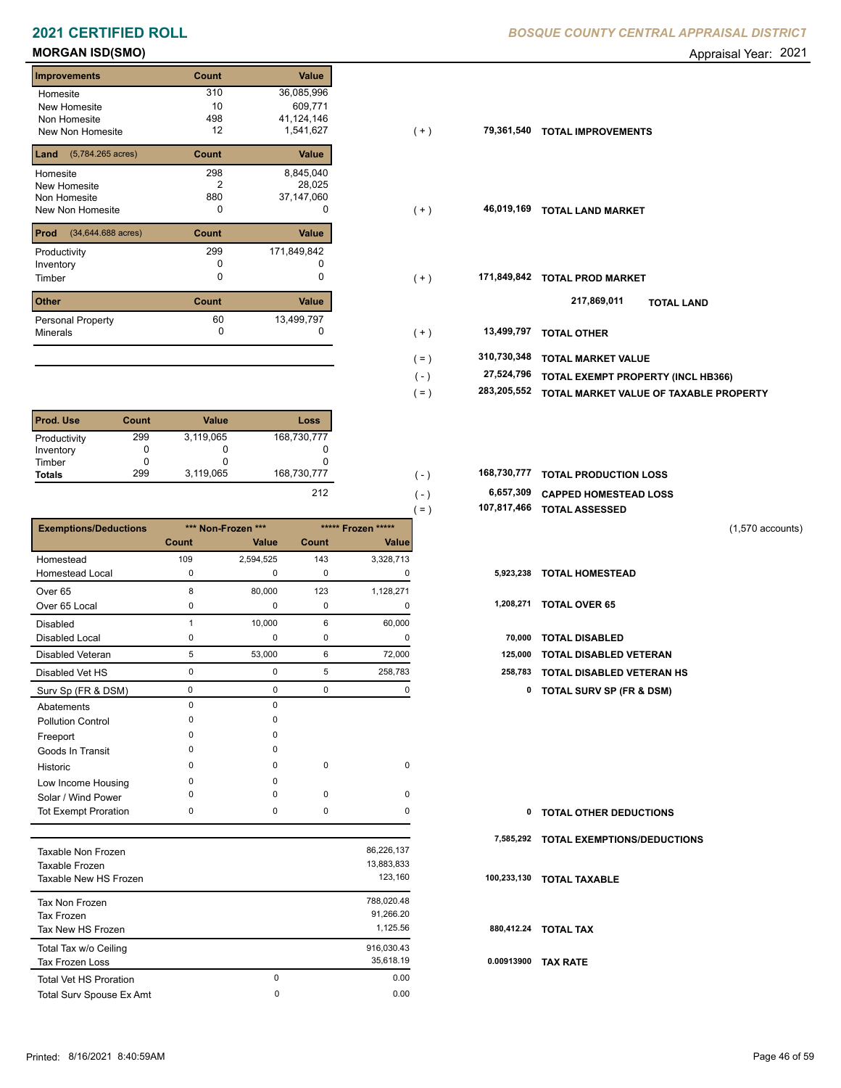### **MORGAN ISD(SMO)** Appraisal Year: 2021

| <b>Improvements</b>                 | Count        | <b>Value</b> |
|-------------------------------------|--------------|--------------|
| Homesite                            | 310          | 36,085,996   |
| New Homesite                        | 10           | 609,771      |
| Non Homesite                        | 498          | 41,124,146   |
| <b>New Non Homesite</b>             | 12           | 1,541,627    |
| $(5,784.265 \text{ acres})$<br>Land | Count        | <b>Value</b> |
| Homesite                            | 298          | 8,845,040    |
| New Homesite                        | 2            | 28,025       |
| Non Homesite                        | 880          | 37,147,060   |
| New Non Homesite                    | 0            | O            |
| Prod<br>(34,644.688 acres)          | Count        | <b>Value</b> |
| Productivity                        | 299          | 171,849,842  |
| Inventory                           | O            |              |
| Timber                              | 0            | 0            |
| <b>Other</b>                        | <b>Count</b> | Value        |
| Personal Property                   | 60           | 13,499,797   |
| <b>Minerals</b>                     | 0            | 0            |

| <b>Prod. Use</b> | Count | <b>Value</b> | Loss        |
|------------------|-------|--------------|-------------|
| Productivity     | 299   | 3,119,065    | 168,730,777 |
| Inventory        | 0     | 0            |             |
| Timber           |       | O            |             |
| <b>Totals</b>    | 299   | 3,119,065    | 168,730,777 |
|                  |       |              | 212         |

|                              |                |                    |       |                    | 107,817,466<br>$= )$ | <b>TOTAL ASSESSED</b>               |
|------------------------------|----------------|--------------------|-------|--------------------|----------------------|-------------------------------------|
| <b>Exemptions/Deductions</b> |                | *** Non-Frozen *** |       | ***** Frozen ***** |                      | $(1,570$ accounts)                  |
|                              | <b>Count</b>   | Value              | Count | <b>Value</b>       |                      |                                     |
| Homestead                    | 109            | 2,594,525          | 143   | 3,328,713          |                      |                                     |
| <b>Homestead Local</b>       | 0              | $\mathbf 0$        | 0     | 0                  | 5,923,238            | <b>TOTAL HOMESTEAD</b>              |
| Over <sub>65</sub>           | 8              | 80,000             | 123   | 1,128,271          |                      |                                     |
| Over 65 Local                | $\Omega$       | 0                  | 0     | 0                  | 1,208,271            | <b>TOTAL OVER 65</b>                |
| <b>Disabled</b>              | $\overline{1}$ | 10,000             | 6     | 60,000             |                      |                                     |
| <b>Disabled Local</b>        | 0              | 0                  | 0     | O                  | 70,000               | <b>TOTAL DISABLED</b>               |
| <b>Disabled Veteran</b>      | 5              | 53,000             | 6     | 72,000             | 125,000              | <b>TOTAL DISABLED VETERAN</b>       |
| Disabled Vet HS              | $\mathbf 0$    | $\pmb{0}$          | 5     | 258,783            | 258,783              | <b>TOTAL DISABLED VETERAN HS</b>    |
| Surv Sp (FR & DSM)           | 0              | 0                  | 0     | 0                  | 0                    | <b>TOTAL SURV SP (FR &amp; DSM)</b> |
| Abatements                   | $\Omega$       | $\mathbf 0$        |       |                    |                      |                                     |
| <b>Pollution Control</b>     | <sup>0</sup>   | $\Omega$           |       |                    |                      |                                     |
| Freeport                     |                | 0                  |       |                    |                      |                                     |
| Goods In Transit             | $\Omega$       | $\Omega$           |       |                    |                      |                                     |
| Historic                     | $\Omega$       | 0                  | 0     | 0                  |                      |                                     |
| Low Income Housing           | $\Omega$       | $\Omega$           |       |                    |                      |                                     |
| Solar / Wind Power           | ∩              | $\Omega$           | 0     | 0                  |                      |                                     |
| <b>Tot Exempt Proration</b>  | 0              | 0                  | 0     | 0                  | 0                    | <b>TOTAL OTHER DEDUCTIONS</b>       |
|                              |                |                    |       |                    | 7,585,292            | <b>TOTAL EXEMPTIONS/DEDUCTIONS</b>  |
| <b>Taxable Non Frozen</b>    |                |                    |       | 86,226,137         |                      |                                     |
| Taxable Frozen               |                |                    |       | 13,883,833         |                      |                                     |
| Taxable New HS Frozen        |                |                    |       | 123,160            | 100,233,130          | <b>TOTAL TAXABLE</b>                |
|                              |                |                    |       |                    |                      |                                     |

| Tax Non Frozen<br>Tax Frozen                    |   | 788,020.48<br>91,266.20 |     |
|-------------------------------------------------|---|-------------------------|-----|
| Tax New HS Frozen                               |   | 1.125.56                | 88  |
| Total Tax w/o Ceiling<br><b>Tax Frozen Loss</b> |   | 916.030.43<br>35.618.19 | 0.0 |
| <b>Total Vet HS Proration</b>                   | 0 | 0.00                    |     |
| Total Surv Spouse Ex Amt                        | 0 | 0.00                    |     |

| Homesite                                | 310   | 36,085,996  |         |             |                                        |
|-----------------------------------------|-------|-------------|---------|-------------|----------------------------------------|
| New Homesite                            | 10    | 609,771     |         |             |                                        |
| Non Homesite                            | 498   | 41,124,146  |         |             |                                        |
| New Non Homesite                        | 12    | 1,541,627   | $(+)$   | 79,361,540  | <b>TOTAL IMPROVEMENTS</b>              |
| <b>Land</b> $(5,784.265 \text{ acres})$ | Count | Value       |         |             |                                        |
| Homesite                                | 298   | 8,845,040   |         |             |                                        |
| New Homesite                            | 2     | 28,025      |         |             |                                        |
| Non Homesite                            | 880   | 37,147,060  |         |             |                                        |
| New Non Homesite                        | 0     | 0           | $(+)$   | 46,019,169  | <b>TOTAL LAND MARKET</b>               |
| <b>Prod</b> (34,644.688 acres)          | Count | Value       |         |             |                                        |
| Productivity                            | 299   | 171,849,842 |         |             |                                        |
| Inventory                               | 0     |             |         |             |                                        |
| Timber                                  | 0     | 0           | $(+)$   | 171,849,842 | <b>TOTAL PROD MARKET</b>               |
| Other                                   | Count | Value       |         |             | 217,869,011<br><b>TOTAL LAND</b>       |
| Personal Property                       | 60    | 13,499,797  |         |             |                                        |
| Minerals                                | 0     | 0           | $(+)$   | 13,499,797  | <b>TOTAL OTHER</b>                     |
|                                         |       |             | $( = )$ | 310,730,348 | <b>TOTAL MARKET VALUE</b>              |
|                                         |       |             | $(-)$   | 27,524,796  | TOTAL EXEMPT PROPERTY (INCL HB366)     |
|                                         |       |             |         |             |                                        |
|                                         |       |             | $( = )$ | 283,205,552 | TOTAL MARKET VALUE OF TAXABLE PROPERTY |
|                                         |       |             |         |             |                                        |

| 168,730,777 TOTAL PRODUCTION LOSS<br>168,730,777 |  |
|--------------------------------------------------|--|
|--------------------------------------------------|--|

 **6,657,309 CAPPED HOMESTEAD LOSS**

| 107,817,466 TOTAL ASSESSED |
|----------------------------|
|----------------------------|

| 70,000 TOTAL DISABLED             |
|-----------------------------------|
| 125,000 TOTAL DISABLED VETERAN    |
| 258,783 TOTAL DISABLED VETERAN HS |

| $\mathbf{0}$ | <b>TOTAL OTHER DEDUCTIONS</b>         |
|--------------|---------------------------------------|
|              | 7,585,292 TOTAL EXEMPTIONS/DEDUCTIONS |
|              | 100.233,130 TOTAL TAXABLE             |
|              | 880,412.24 TOTAL TAX                  |
| 0.00913900   | <b>TAX RATE</b>                       |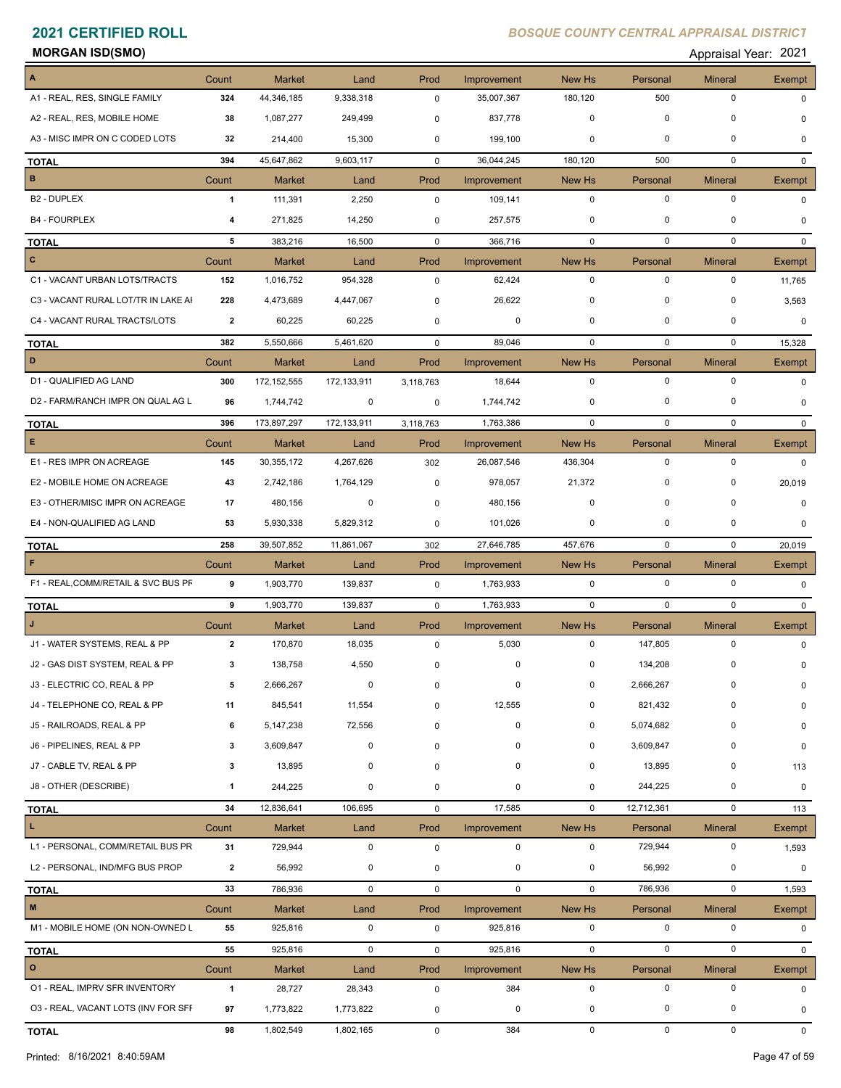| <b>MORGAN ISD(SMO)</b> | Appraisal Year: 2021 |
|------------------------|----------------------|
|------------------------|----------------------|

|                                     | Count          | <b>Market</b> | Land        | Prod        | Improvement | New Hs                  | Personal                | <b>Mineral</b>              | Exempt        |
|-------------------------------------|----------------|---------------|-------------|-------------|-------------|-------------------------|-------------------------|-----------------------------|---------------|
| A1 - REAL, RES, SINGLE FAMILY       | 324            | 44,346,185    | 9,338,318   | $\mathbf 0$ | 35,007,367  | 180,120                 | 500                     | $\mathbf 0$                 | 0             |
| A2 - REAL, RES, MOBILE HOME         | 38             |               |             |             |             | 0                       | $\mathbf 0$             | 0                           |               |
| A3 - MISC IMPR ON C CODED LOTS      |                | 1,087,277     | 249,499     | 0           | 837,778     |                         |                         |                             | $\Omega$      |
|                                     | 32             | 214,400       | 15,300      | 0           | 199,100     | 0                       | $\mathbf 0$             | 0                           | $\Omega$      |
| <b>TOTAL</b>                        | 394            | 45,647,862    | 9,603,117   | $\mathbf 0$ | 36,044,245  | 180,120                 | 500                     | $\mathbf 0$                 | $\mathbf{0}$  |
| $\, {\bf B} \,$                     | Count          | <b>Market</b> | Land        | Prod        | Improvement | New Hs                  | Personal                | <b>Mineral</b>              | Exempt        |
| B2 - DUPLEX                         | $\mathbf{1}$   | 111,391       | 2,250       | 0           | 109,141     | $\mathbf 0$             | $\mathbf 0$             | $\mathbf 0$                 | 0             |
| <b>B4 - FOURPLEX</b>                | 4              | 271,825       | 14,250      | 0           | 257,575     | 0                       | 0                       | 0                           | $\Omega$      |
| <b>TOTAL</b>                        | 5              | 383,216       | 16,500      | $\mathbf 0$ | 366,716     | $\mathbf 0$             | $\mathbf 0$             | $\mathbf 0$                 | $\mathbf{0}$  |
| $\mathbf{C}$                        | Count          | <b>Market</b> | Land        | Prod        | Improvement | New Hs                  | Personal                | <b>Mineral</b>              | Exempt        |
| C1 - VACANT URBAN LOTS/TRACTS       | 152            | 1,016,752     | 954,328     | $\mathbf 0$ | 62,424      | $\mathbf 0$             | $\mathbf 0$             | $\mathbf 0$                 | 11,765        |
| C3 - VACANT RURAL LOT/TR IN LAKE AI | 228            | 4,473,689     | 4,447,067   | 0           | 26,622      | 0                       | 0                       | 0                           | 3,563         |
| C4 - VACANT RURAL TRACTS/LOTS       | $\mathbf{2}$   | 60,225        | 60,225      | $\mathbf 0$ | 0           | 0                       | $\mathbf 0$             | 0                           | 0             |
| <b>TOTAL</b>                        | 382            | 5,550,666     | 5,461,620   | $\mathbf 0$ | 89,046      | $\mathbf 0$             | 0                       | $\mathbf 0$                 | 15,328        |
| D                                   | Count          | <b>Market</b> | Land        | Prod        | Improvement | New Hs                  | Personal                | <b>Mineral</b>              | <b>Exempt</b> |
| D1 - QUALIFIED AG LAND              | 300            | 172, 152, 555 | 172,133,911 | 3,118,763   | 18,644      | $\mathbf{0}$            | $\mathbf 0$             | $\mathbf 0$                 | 0             |
| D2 - FARM/RANCH IMPR ON QUAL AG L   | 96             | 1,744,742     | 0           | 0           | 1,744,742   | 0                       | 0                       | 0                           | 0             |
| <b>TOTAL</b>                        | 396            | 173,897,297   | 172,133,911 | 3,118,763   | 1,763,386   | $\mathbf 0$             | $\mathbf 0$             | $\mathbf 0$                 | $\mathbf{0}$  |
| E                                   | Count          | <b>Market</b> | Land        | Prod        | Improvement | New Hs                  | Personal                | <b>Mineral</b>              | Exempt        |
| E1 - RES IMPR ON ACREAGE            | 145            | 30,355,172    | 4,267,626   | 302         | 26,087,546  | 436,304                 | $\mathbf 0$             | $\mathbf 0$                 | $\mathbf 0$   |
| E2 - MOBILE HOME ON ACREAGE         | 43             | 2,742,186     | 1,764,129   | 0           | 978,057     | 21,372                  | $\mathbf 0$             | 0                           | 20,019        |
| E3 - OTHER/MISC IMPR ON ACREAGE     | 17             | 480,156       | 0           | $\mathbf 0$ | 480,156     | $\mathbf 0$             | $\mathbf 0$             | 0                           | 0             |
| E4 - NON-QUALIFIED AG LAND          |                |               |             |             |             |                         | $\mathbf 0$             | 0                           |               |
|                                     | 53             | 5,930,338     | 5,829,312   | 0           | 101,026     | 0                       |                         |                             | 0             |
| <b>TOTAL</b>                        | 258            | 39,507,852    | 11,861,067  | 302         | 27,646,785  | 457,676                 | $\mathbf 0$             | $\mathbf 0$                 | 20,019        |
| F                                   | Count          | <b>Market</b> | Land        | Prod        | Improvement | New Hs                  | Personal                | <b>Mineral</b>              | Exempt        |
| F1 - REAL, COMM/RETAIL & SVC BUS PF | 9              | 1,903,770     | 139,837     | 0           | 1,763,933   | $\mathbf 0$             | $\mathbf 0$             | $\mathbf 0$                 | $\Omega$      |
| <b>TOTAL</b>                        | 9              | 1,903,770     | 139,837     | 0           | 1,763,933   | $\mathbf 0$             | $\mathbf 0$             | $\mathbf 0$                 | $\mathbf{0}$  |
|                                     | Count          | <b>Market</b> | Land        | Prod        | Improvement | New Hs                  | Personal                | <b>Mineral</b>              | Exempt        |
| J1 - WATER SYSTEMS, REAL & PP       | $\overline{2}$ | 170,870       | 18,035      | 0           | 5,030       | $\mathbf 0$             | 147,805                 | $\mathbf 0$                 | $\Omega$      |
| J2 - GAS DIST SYSTEM, REAL & PP     | 3              | 138,758       | 4,550       | 0           | 0           | 0                       | 134,208                 | 0                           | <sup>0</sup>  |
| J3 - ELECTRIC CO, REAL & PP         | 5              | 2,666,267     | 0           | 0           |             | $\mathbf{0}$            | 2,666,267               | $\mathbf 0$                 |               |
| J4 - TELEPHONE CO, REAL & PP        | 11             | 845,541       | 11,554      | 0           | 12,555      | 0                       | 821,432                 | $\Omega$                    | O             |
| J5 - RAILROADS, REAL & PP           | 6              | 5,147,238     | 72,556      | $\mathbf 0$ | $\mathbf 0$ | 0                       | 5,074,682               | $\Omega$                    | 0             |
| J6 - PIPELINES, REAL & PP           | 3              | 3,609,847     | 0           | 0           | 0           | 0                       | 3,609,847               | 0                           | 0             |
| J7 - CABLE TV, REAL & PP            | 3              | 13,895        | 0           | 0           | 0           | 0                       | 13,895                  | 0                           | 113           |
| J8 - OTHER (DESCRIBE)               | $\mathbf{1}$   | 244,225       | 0           | 0           | 0           | 0                       | 244,225                 | 0                           | 0             |
| <b>TOTAL</b>                        | 34             | 12,836,641    | 106,695     | 0           | 17,585      | $\mathbf 0$             | 12,712,361              | 0                           | 113           |
| L.                                  | Count          | Market        | Land        | Prod        | Improvement | New Hs                  | Personal                | <b>Mineral</b>              | Exempt        |
| L1 - PERSONAL, COMM/RETAIL BUS PR   | 31             | 729,944       | 0           | $\mathsf 0$ | $\mathbf 0$ | $\mathbf 0$             | 729,944                 | $\mathsf 0$                 | 1,593         |
| L2 - PERSONAL, IND/MFG BUS PROP     | $\overline{2}$ | 56,992        | 0           | $\pmb{0}$   | $\mathbf 0$ | 0                       | 56,992                  | 0                           | 0             |
|                                     | 33             | 786,936       | $\mathbf 0$ | 0           | $\mathbf 0$ | $\mathsf{O}\phantom{0}$ | 786,936                 | 0                           | 1,593         |
| <b>TOTAL</b><br>$\mathbf M$         |                |               |             |             |             |                         |                         |                             |               |
| M1 - MOBILE HOME (ON NON-OWNED L    | Count<br>55    | <b>Market</b> | Land<br>0   | Prod<br>0   | Improvement | New Hs<br>0             | Personal<br>$\mathbf 0$ | <b>Mineral</b><br>$\pmb{0}$ | Exempt        |
|                                     |                | 925,816       |             |             | 925,816     |                         |                         |                             | 0             |
| <b>TOTAL</b>                        | 55             | 925,816       | $\mathbf 0$ | 0           | 925,816     | $\mathbf 0$             | $\mathbf 0$             | $\mathbf 0$                 | $\mathbf{0}$  |
| $\mathbf{o}$                        | Count          | Market        | Land        | Prod        | Improvement | New Hs                  | Personal                | <b>Mineral</b>              | Exempt        |
| 01 - REAL, IMPRV SFR INVENTORY      | $\mathbf{1}$   | 28,727        | 28,343      | $\pmb{0}$   | 384         | 0                       | $\pmb{0}$               | $\mathbf 0$                 | 0             |
| 03 - REAL, VACANT LOTS (INV FOR SFF | 97             | 1,773,822     | 1,773,822   | 0           | 0           | 0                       | 0                       | 0                           | 0             |
| <b>TOTAL</b>                        | 98             | 1,802,549     | 1,802,165   | 0           | 384         | $\mathsf{O}\phantom{0}$ | $\mathbf 0$             | $\mathsf 0$                 | $\mathbf 0$   |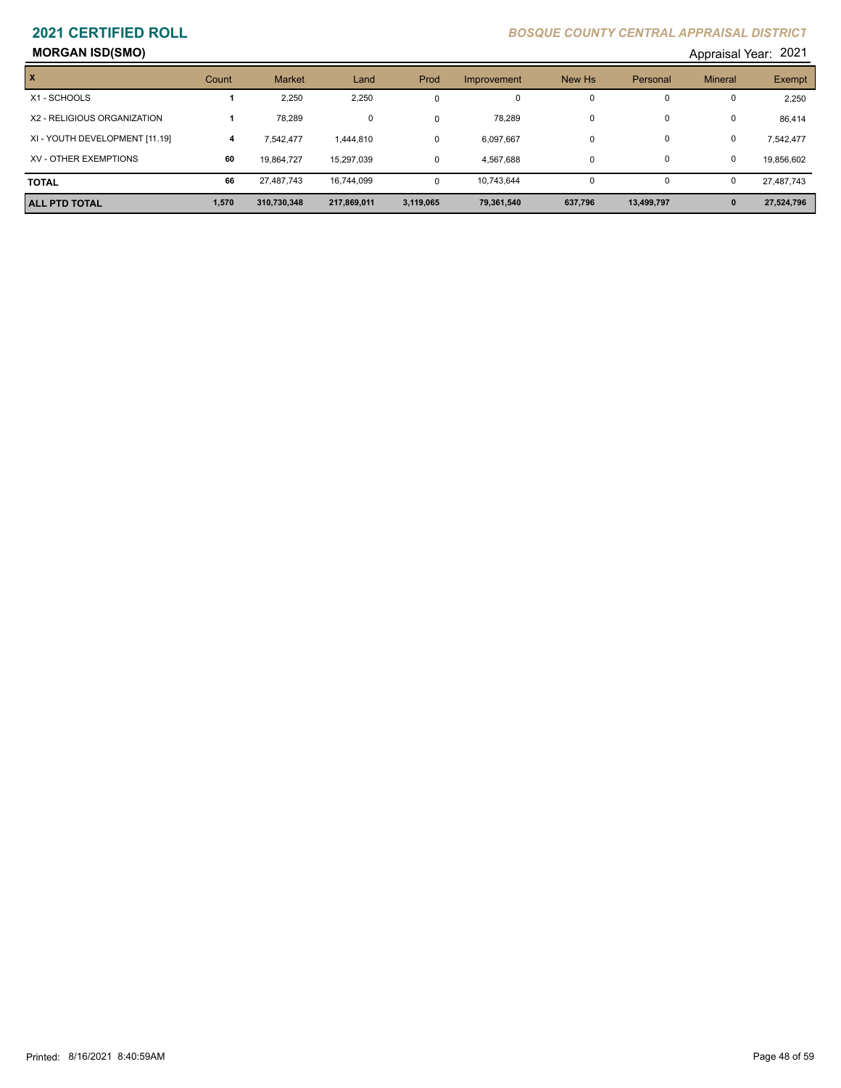# **MORGAN ISD(SMO)** Appraisal Year: 2021

| $\boldsymbol{x}$               | Count | <b>Market</b> | Land        | Prod      | Improvement | New Hs   | Personal   | <b>Mineral</b> | Exempt     |
|--------------------------------|-------|---------------|-------------|-----------|-------------|----------|------------|----------------|------------|
| X1 - SCHOOLS                   |       | 2,250         | 2,250       |           | $\mathbf 0$ | 0        | 0          | 0              | 2,250      |
| X2 - RELIGIOUS ORGANIZATION    |       | 78.289        | 0           |           | 78.289      | $\Omega$ | 0          | 0              | 86,414     |
| XI - YOUTH DEVELOPMENT [11.19] | 4     | 7.542.477     | 1,444,810   | $\Omega$  | 6,097,667   | $\Omega$ | 0          | 0              | 7,542,477  |
| XV - OTHER EXEMPTIONS          | 60    | 19,864,727    | 15,297,039  | $\Omega$  | 4,567,688   | $\Omega$ | 0          | 0              | 19,856,602 |
| <b>TOTAL</b>                   | 66    | 27.487.743    | 16,744,099  |           | 10,743,644  |          |            | 0              | 27,487,743 |
| <b>ALL PTD TOTAL</b>           | 1,570 | 310,730,348   | 217,869,011 | 3,119,065 | 79,361,540  | 637,796  | 13,499,797 | $\mathbf{0}$   | 27,524,796 |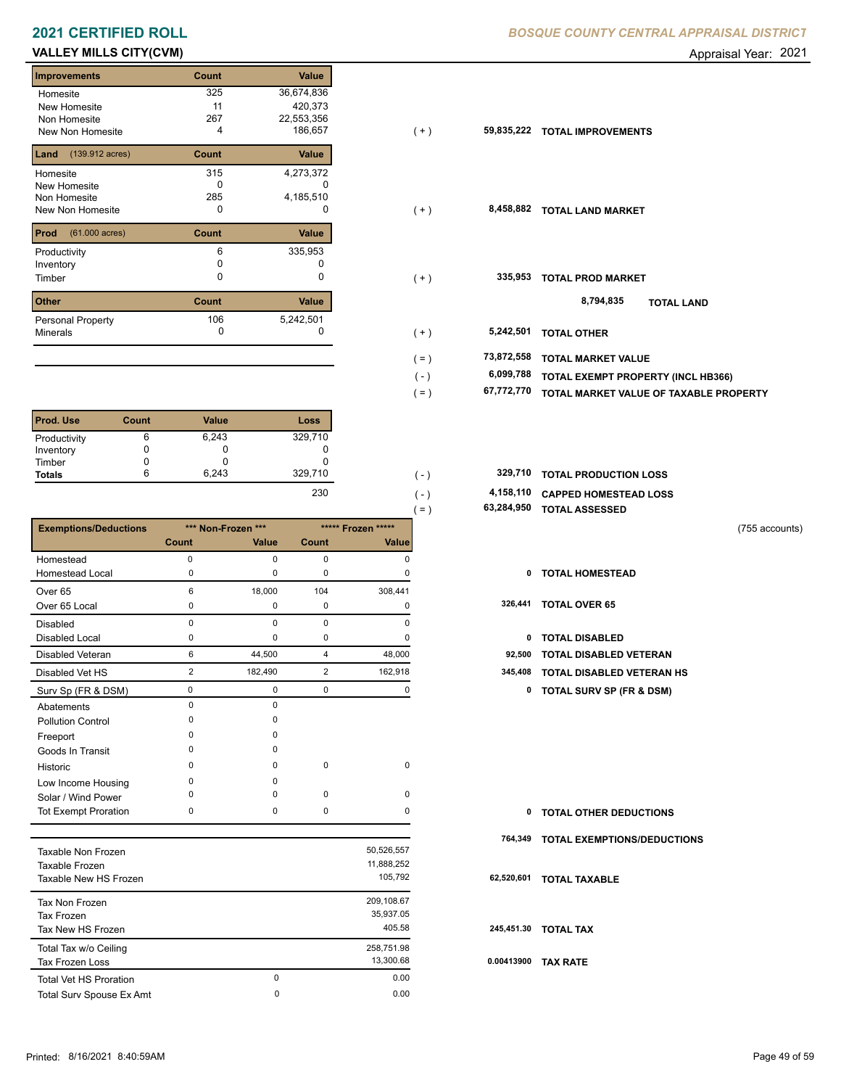# **VALLEY MILLS CITY(CVM) CONSUMED Appraisal Year: 2021**

| <b>Improvements</b>               | Count | Value      |
|-----------------------------------|-------|------------|
| Homesite                          | 325   | 36,674,836 |
| New Homesite                      | 11    | 420,373    |
| Non Homesite                      | 267   | 22,553,356 |
| New Non Homesite                  | 4     | 186,657    |
| $(139.912 \text{ acres})$<br>Land | Count | Value      |
| Homesite                          | 315   | 4,273,372  |
| <b>New Homesite</b>               | n     |            |
| Non Homesite                      | 285   | 4,185,510  |
| New Non Homesite                  | 0     | $\Omega$   |
| Prod<br>$(61.000 \text{ acres})$  | Count | Value      |
| Productivity                      | 6     | 335,953    |
| Inventory                         | 0     |            |
| Timber                            | U     | 0          |
| <b>Other</b>                      | Count | Value      |
| Dessenal Dranactur                | 106   | 5.242.501  |

| гоны                     | <b>COUNT</b> | value     |
|--------------------------|--------------|-----------|
| <b>Personal Property</b> | 106          | 5,242,501 |
| Minerals                 |              |           |
|                          |              |           |

| <b>Prod. Use</b> | Count | <b>Value</b> | <b>Loss</b> |
|------------------|-------|--------------|-------------|
| Productivity     | 6     | 6,243        | 329,710     |
| Inventory        | 0     | U            |             |
| Timber           | 0     |              |             |
| <b>Totals</b>    | 6     | 6.243        | 329,710     |
|                  |       |              | 230         |

|                              |                |                    |                |                    | 63,284,950<br>$=$ ) | <b>TOTAL ASSESSED</b>               |                |
|------------------------------|----------------|--------------------|----------------|--------------------|---------------------|-------------------------------------|----------------|
| <b>Exemptions/Deductions</b> |                | *** Non-Frozen *** |                | ***** Frozen ***** |                     |                                     | (755 accounts) |
|                              | Count          | Value              | Count          | Value              |                     |                                     |                |
| Homestead                    | $\mathbf 0$    | 0                  | 0              | n                  |                     |                                     |                |
| <b>Homestead Local</b>       | ŋ              | O                  | 0              | n                  | 0                   | <b>TOTAL HOMESTEAD</b>              |                |
| Over <sub>65</sub>           | 6              | 18,000             | 104            | 308,441            |                     |                                     |                |
| Over 65 Local                | O              | 0                  | 0              |                    | 326,441             | <b>TOTAL OVER 65</b>                |                |
| <b>Disabled</b>              | $\Omega$       | $\Omega$           | $\mathbf 0$    | $\Omega$           |                     |                                     |                |
| Disabled Local               | 0              | 0                  | 0              | 0                  | 0                   | <b>TOTAL DISABLED</b>               |                |
| <b>Disabled Veteran</b>      | 6              | 44,500             | 4              | 48,000             | 92,500              | <b>TOTAL DISABLED VETERAN</b>       |                |
| Disabled Vet HS              | $\overline{2}$ | 182,490            | $\overline{2}$ | 162,918            | 345,408             | <b>TOTAL DISABLED VETERAN HS</b>    |                |
| Surv Sp (FR & DSM)           | $\pmb{0}$      | 0                  | 0              | 0                  | 0                   | <b>TOTAL SURV SP (FR &amp; DSM)</b> |                |
| Abatements                   | $\Omega$       | $\Omega$           |                |                    |                     |                                     |                |
| <b>Pollution Control</b>     | n              | n                  |                |                    |                     |                                     |                |
| Freeport                     | n              | n                  |                |                    |                     |                                     |                |
| Goods In Transit             | ŋ              |                    |                |                    |                     |                                     |                |
| Historic                     | n              | <sup>0</sup>       | $\mathbf 0$    | $\mathbf 0$        |                     |                                     |                |
| Low Income Housing           | ŋ              |                    |                |                    |                     |                                     |                |
| Solar / Wind Power           | n              |                    | $\mathbf 0$    | 0                  |                     |                                     |                |
| <b>Tot Exempt Proration</b>  | $\Omega$       | 0                  | $\mathbf 0$    | $\Omega$           | 0                   | <b>TOTAL OTHER DEDUCTIONS</b>       |                |
|                              |                |                    |                |                    | 764,349             | <b>TOTAL EXEMPTIONS/DEDUCTIONS</b>  |                |
| <b>Taxable Non Frozen</b>    |                |                    |                | 50,526,557         |                     |                                     |                |
| Taxable Frozen               |                |                    |                | 11,888,252         |                     |                                     |                |
| Taxable New HS Frozen        |                |                    |                | 105,792            | 62,520,601          | <b>TOTAL TAXABLE</b>                |                |

| Taxable New HS Frozen           |          | 105.792    | 62  |
|---------------------------------|----------|------------|-----|
| Tax Non Frozen                  |          | 209,108.67 |     |
| Tax Frozen                      |          | 35,937.05  |     |
| Tax New HS Frozen               |          | 405.58     | 24  |
| Total Tax w/o Ceiling           |          | 258,751.98 |     |
| <b>Tax Frozen Loss</b>          |          | 13.300.68  | 0.0 |
| <b>Total Vet HS Proration</b>   | 0        | 0.00       |     |
| <b>Total Surv Spouse Ex Amt</b> | $\Omega$ | 0.00       |     |

| Homesite                              | 325         | 36,674,836 |           |            |                                        |
|---------------------------------------|-------------|------------|-----------|------------|----------------------------------------|
| New Homesite                          | 11          | 420,373    |           |            |                                        |
| Non Homesite                          | 267         | 22,553,356 |           |            |                                        |
| New Non Homesite                      | 4           | 186,657    | $(+)$     | 59,835,222 | <b>TOTAL IMPROVEMENTS</b>              |
| <b>Land</b> $(139.912 \text{ acres})$ | Count       | Value      |           |            |                                        |
| Homesite                              | 315         | 4,273,372  |           |            |                                        |
| New Homesite                          | 0           | 0          |           |            |                                        |
| Non Homesite                          | 285         | 4,185,510  |           |            |                                        |
| New Non Homesite                      | 0           | 0          | $(+)$     | 8,458,882  | <b>TOTAL LAND MARKET</b>               |
| <b>Prod</b> (61.000 acres)            | Count       | Value      |           |            |                                        |
| Productivity                          | 6           | 335,953    |           |            |                                        |
| Inventory                             | 0           | $\left($   |           |            |                                        |
| Timber                                | 0           | 0          | $(+)$     | 335,953    | <b>TOTAL PROD MARKET</b>               |
| Other                                 | Count       | Value      |           |            | 8,794,835<br><b>TOTAL LAND</b>         |
| Personal Property                     | 106         | 5,242,501  |           |            |                                        |
| Minerals                              | $\mathbf 0$ | n          | $(+)$     | 5,242,501  | <b>TOTAL OTHER</b>                     |
|                                       |             |            | $($ = $)$ | 73,872,558 | <b>TOTAL MARKET VALUE</b>              |
|                                       |             |            | $(\cdot)$ | 6,099,788  | TOTAL EXEMPT PROPERTY (INCL HB366)     |
|                                       |             |            |           |            |                                        |
|                                       |             |            | $( = )$   | 67,772,770 | TOTAL MARKET VALUE OF TAXABLE PROPERTY |
| Prod Use<br>Count                     | Value       | l oss      |           |            |                                        |

| 329.710 | 329,710 TOTAL PRODUCTION LOSS |
|---------|-------------------------------|
|         |                               |

 **4,158,110 CAPPED HOMESTEAD LOSS 63,284,950 TOTAL ASSESSED**

 $( = )$ 

- 
- -
- 
- 2 182,490 2 162,918 **345,408 TOTAL DISABLED VETERAN HS**
- Surv Sp (FR & DSM) 0 0 0 0 **0 TOTAL SURV SP (FR & DSM)**

| $\mathbf{0}$ | <b>TOTAL OTHER DEDUCTIONS</b>      |
|--------------|------------------------------------|
| 764,349      | <b>TOTAL EXEMPTIONS/DEDUCTIONS</b> |
| 62,520,601   | <b>TOTAL TAXABLE</b>               |
| 245,451.30   | <b>TOTAL TAX</b>                   |
| 0.00413900   | <b>TAX RATE</b>                    |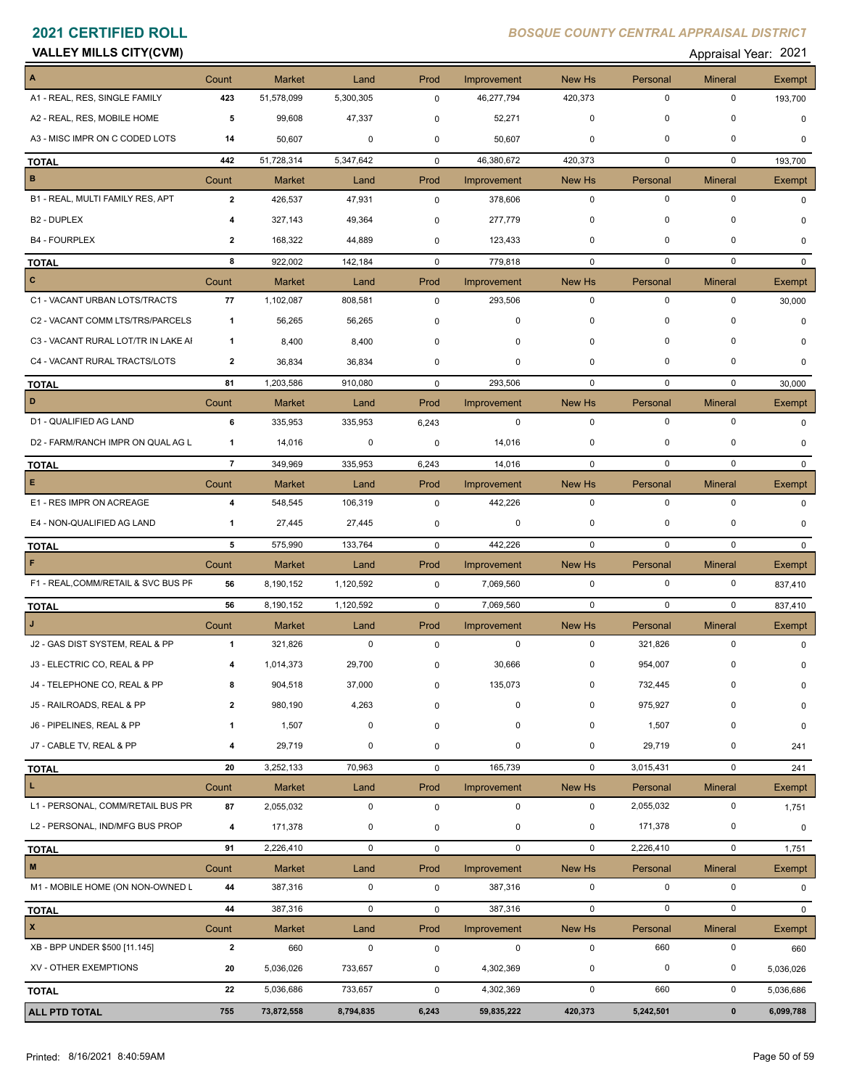| <b>VALLEY MILLS CITY(CVM)</b> |  |  |  |
|-------------------------------|--|--|--|
|-------------------------------|--|--|--|

### Appraisal Year: 2021

|                                     | Count                   | <b>Market</b> | Land        | Prod        | Improvement | New Hs      | Personal    | <b>Mineral</b> | Exempt        |
|-------------------------------------|-------------------------|---------------|-------------|-------------|-------------|-------------|-------------|----------------|---------------|
| A1 - REAL, RES, SINGLE FAMILY       | 423                     | 51,578,099    | 5,300,305   | 0           | 46,277,794  | 420,373     | $\mathbf 0$ | $\mathbf 0$    | 193,700       |
| A2 - REAL, RES, MOBILE HOME         | 5                       | 99,608        | 47,337      | 0           | 52,271      | 0           | 0           | $\mathbf 0$    | $\mathbf 0$   |
| A3 - MISC IMPR ON C CODED LOTS      | 14                      | 50,607        | 0           | 0           | 50,607      | 0           | 0           | 0              | $\Omega$      |
| <b>TOTAL</b>                        | 442                     | 51,728,314    | 5,347,642   | $\mathbf 0$ | 46,380,672  | 420,373     | 0           | $\mathbf 0$    | 193,700       |
| B                                   | Count                   | <b>Market</b> | Land        | Prod        | Improvement | New Hs      | Personal    | <b>Mineral</b> | Exempt        |
| B1 - REAL, MULTI FAMILY RES, APT    | $\overline{2}$          | 426,537       | 47,931      | $\mathbf 0$ | 378,606     | $\mathbf 0$ | $\mathbf 0$ | $\mathbf 0$    | $\Omega$      |
| B2 - DUPLEX                         | 4                       | 327,143       | 49,364      | 0           | 277,779     | 0           | 0           | 0              | 0             |
| <b>B4 - FOURPLEX</b>                | $\mathbf{2}$            | 168,322       | 44,889      | $\mathbf 0$ | 123,433     | 0           | $\mathbf 0$ | 0              | 0             |
| <b>TOTAL</b>                        | 8                       | 922,002       | 142,184     | $\mathbf 0$ | 779,818     | 0           | $\mathbf 0$ | $\mathbf 0$    | $\Omega$      |
| $\mathbf{C}$                        | Count                   | <b>Market</b> | Land        | Prod        | Improvement | New Hs      | Personal    | <b>Mineral</b> | Exempt        |
| C1 - VACANT URBAN LOTS/TRACTS       | 77                      | 1,102,087     | 808,581     | 0           | 293,506     | $\mathbf 0$ | $\mathbf 0$ | $\mathbf 0$    | 30,000        |
| C2 - VACANT COMM LTS/TRS/PARCELS    | $\mathbf{1}$            | 56,265        | 56,265      | $\pmb{0}$   | 0           | 0           | 0           | 0              | $\Omega$      |
| C3 - VACANT RURAL LOT/TR IN LAKE AI | $\mathbf{1}$            | 8,400         | 8,400       | 0           | 0           | 0           | $\mathbf 0$ | 0              | <sup>0</sup>  |
| C4 - VACANT RURAL TRACTS/LOTS       | 2                       | 36,834        | 36,834      | 0           | 0           | 0           | $\mathbf 0$ | 0              | $\Omega$      |
| <b>TOTAL</b>                        | 81                      | 1,203,586     | 910,080     | $\mathbf 0$ | 293,506     | $\mathbf 0$ | 0           | $\mathbf 0$    | 30,000        |
| D                                   | Count                   | <b>Market</b> | Land        | Prod        | Improvement | New Hs      | Personal    | Mineral        | Exempt        |
| D1 - QUALIFIED AG LAND              | 6                       | 335,953       | 335,953     | 6,243       | $\mathbf 0$ | $\mathbf 0$ | $\mathbf 0$ | $\mathbf 0$    | 0             |
| D2 - FARM/RANCH IMPR ON QUAL AG L   | 1                       | 14,016        | 0           | $\pmb{0}$   | 14,016      | 0           | 0           | 0              | 0             |
| <b>TOTAL</b>                        | $\overline{7}$          | 349,969       | 335,953     | 6,243       | 14,016      | $\mathbf 0$ | $\mathbf 0$ | $\mathbf 0$    | $\Omega$      |
| E                                   | Count                   | <b>Market</b> | Land        | Prod        | Improvement | New Hs      | Personal    | <b>Mineral</b> | <b>Exempt</b> |
| E1 - RES IMPR ON ACREAGE            | 4                       | 548,545       | 106,319     | $\pmb{0}$   | 442,226     | $\mathbf 0$ | $\mathbf 0$ | $\mathbf 0$    | 0             |
| E4 - NON-QUALIFIED AG LAND          | $\mathbf{1}$            | 27,445        | 27,445      | 0           | 0           | 0           | 0           | 0              | 0             |
| <b>TOTAL</b>                        | 5                       | 575,990       | 133,764     | $\mathbf 0$ | 442,226     | $\mathbf 0$ | $\mathbf 0$ | $\mathbf 0$    | $\mathbf{0}$  |
| F                                   | Count                   | <b>Market</b> | Land        | Prod        | Improvement | New Hs      | Personal    | <b>Mineral</b> | Exempt        |
| F1 - REAL, COMM/RETAIL & SVC BUS PF | 56                      | 8,190,152     | 1,120,592   | 0           | 7,069,560   | $\mathbf 0$ | $\mathbf 0$ | 0              | 837,410       |
| <b>TOTAL</b>                        | 56                      | 8,190,152     | 1,120,592   | $\mathbf 0$ | 7,069,560   | $\mathbf 0$ | $\mathbf 0$ | $\mathbf 0$    | 837,410       |
|                                     | Count                   | Market        | Land        | Prod        | Improvement | New Hs      | Personal    | <b>Mineral</b> | Exempt        |
| J2 - GAS DIST SYSTEM, REAL & PP     | $\mathbf{1}$            | 321,826       | $\mathbf 0$ | $\pmb{0}$   | $\mathbf 0$ | $\mathbf 0$ | 321,826     | 0              | 0             |
| J3 - ELECTRIC CO, REAL & PP         | 4                       | 1,014,373     | 29,700      | 0           | 30,666      | 0           | 954,007     | 0              | 0             |
| J4 - TELEPHONE CO, REAL & PP        |                         | 904,518       | 37,000      | $\Omega$    | 135,073     | $^{\circ}$  | 732,445     | 0              |               |
| J5 - RAILROADS, REAL & PP           | 2                       | 980,190       | 4,263       | 0           | 0           | 0           | 975,927     | 0              | 0             |
| J6 - PIPELINES, REAL & PP           | $\mathbf 1$             | 1,507         | $\mathbf 0$ | 0           | 0           | 0           | 1,507       | $\mathbf 0$    | 0             |
| J7 - CABLE TV, REAL & PP            | 4                       | 29,719        | 0           | 0           | $\pmb{0}$   | 0           | 29,719      | 0              | 241           |
| <b>TOTAL</b>                        | 20                      | 3,252,133     | 70,963      | 0           | 165,739     | $\mathbf 0$ | 3,015,431   | $\pmb{0}$      | 241           |
| L                                   | Count                   | <b>Market</b> | Land        | Prod        | Improvement | New Hs      | Personal    | <b>Mineral</b> | Exempt        |
| L1 - PERSONAL, COMM/RETAIL BUS PR   | 87                      | 2,055,032     | $\pmb{0}$   | $\pmb{0}$   | $\pmb{0}$   | $\mathbf 0$ | 2,055,032   | $\pmb{0}$      | 1,751         |
| L2 - PERSONAL, IND/MFG BUS PROP     | 4                       | 171,378       | 0           | 0           | $\pmb{0}$   | 0           | 171,378     | 0              | 0             |
| <b>TOTAL</b>                        | 91                      | 2,226,410     | $\mathbf 0$ | 0           | $\mathbf 0$ | $\mathbf 0$ | 2,226,410   | 0              | 1,751         |
| $\mathbf M$                         | Count                   | <b>Market</b> | Land        | Prod        | Improvement | New Hs      | Personal    | <b>Mineral</b> | Exempt        |
| M1 - MOBILE HOME (ON NON-OWNED L    | 44                      | 387,316       | $\mathbf 0$ | $\pmb{0}$   | 387,316     | 0           | 0           | 0              | 0             |
| <b>TOTAL</b>                        | 44                      | 387,316       | $\mathbf 0$ | 0           | 387,316     | $\mathbf 0$ | $\mathbf 0$ | 0              | $\mathbf{0}$  |
| $\pmb{\mathsf{x}}$                  | Count                   | <b>Market</b> | Land        | Prod        | Improvement | New Hs      | Personal    | <b>Mineral</b> | Exempt        |
| XB - BPP UNDER \$500 [11.145]       | $\overline{\mathbf{2}}$ | 660           | $\mathbf 0$ | $\pmb{0}$   | $\pmb{0}$   | $\mathbf 0$ | 660         | $\pmb{0}$      | 660           |
| XV - OTHER EXEMPTIONS               | 20                      | 5,036,026     | 733,657     | 0           | 4,302,369   | 0           | 0           | 0              | 5,036,026     |
| <b>TOTAL</b>                        | 22                      | 5,036,686     | 733,657     | 0           | 4,302,369   | $\mathsf 0$ | 660         | $\mathsf 0$    | 5,036,686     |
| <b>ALL PTD TOTAL</b>                | 755                     | 73,872,558    | 8,794,835   | 6,243       | 59,835,222  | 420,373     | 5,242,501   | $\pmb{0}$      | 6,099,788     |
|                                     |                         |               |             |             |             |             |             |                |               |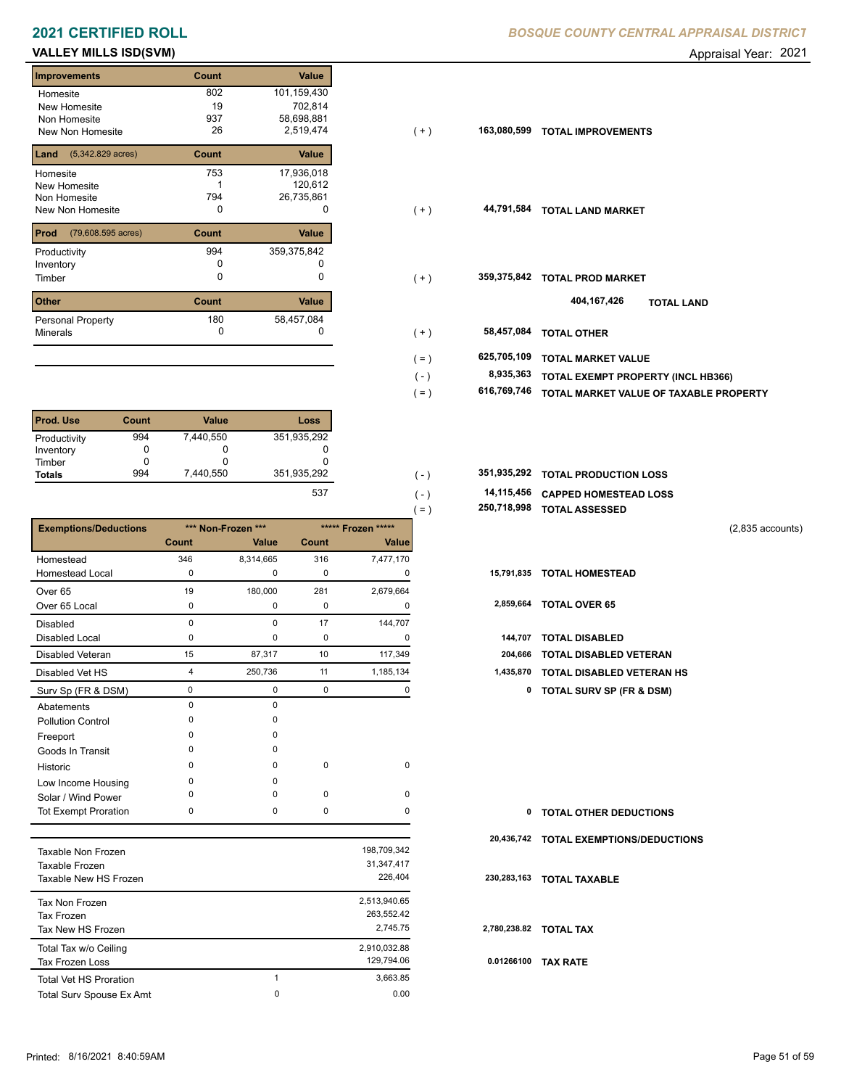### **2021 CERTIFIED ROLL BOSQUE CENTRAL APPRAISE COUNTY CENTRAL BOSQUE COUNTY CENTRAL APPRAISAL DISTRICTION CONTRACT CONTRACT CONTRACT CONTRACT CONTRACT CONTRACT CONTRACT CONTRACT CONTRACT CONTRACT CONTRACT CONTRACT CONTRACT**

### **VALLEY MILLS ISD(SVM)** Appraisal Year: 2021

| <b>Improvements</b>                 | Count | Value        |
|-------------------------------------|-------|--------------|
| Homesite                            | 802   | 101,159,430  |
| New Homesite                        | 19    | 702,814      |
| Non Homesite                        | 937   | 58,698,881   |
| <b>New Non Homesite</b>             | 26    | 2,519,474    |
| $(5,342.829 \text{ acres})$<br>Land | Count | <b>Value</b> |
| Homesite                            | 753   | 17,936,018   |
| New Homesite                        |       | 120,612      |
| Non Homesite                        | 794   | 26,735,861   |
| New Non Homesite                    | 0     | O            |
| Prod<br>(79,608.595 acres)          | Count | Value        |
| Productivity                        | 994   | 359,375,842  |
| Inventory                           | O     |              |
| Timber                              | 0     | 0            |
| <b>Other</b>                        | Count | Value        |
| <b>Personal Property</b>            | 180   | 58,457,084   |
| <b>Minerals</b>                     | 0     | 0            |

| <b>Prod. Use</b> | Count | <b>Value</b> | Loss        |
|------------------|-------|--------------|-------------|
| Productivity     | 994   | 7,440,550    | 351,935,292 |
| Inventory        |       | O            |             |
| Timber           |       | O            |             |
| <b>Totals</b>    | 994   | 7.440.550    | 351,935,292 |
|                  |       |              | $- - -$     |

|                              |          |                    |       |                    | 250,718,998<br>〔=) | <b>TOTAL ASSESSED</b>              |                    |
|------------------------------|----------|--------------------|-------|--------------------|--------------------|------------------------------------|--------------------|
| <b>Exemptions/Deductions</b> |          | *** Non-Frozen *** |       | ***** Frozen ***** |                    |                                    | $(2,835$ accounts) |
|                              | Count    | Value              | Count | Value              |                    |                                    |                    |
| Homestead                    | 346      | 8,314,665          | 316   | 7,477,170          |                    |                                    |                    |
| <b>Homestead Local</b>       | 0        | 0                  | 0     | 0                  | 15,791,835         | <b>TOTAL HOMESTEAD</b>             |                    |
| Over <sub>65</sub>           | 19       | 180,000            | 281   | 2,679,664          |                    |                                    |                    |
| Over 65 Local                | 0        | 0                  | 0     | $\Omega$           | 2,859,664          | <b>TOTAL OVER 65</b>               |                    |
| <b>Disabled</b>              | $\Omega$ | $\Omega$           | 17    | 144,707            |                    |                                    |                    |
| <b>Disabled Local</b>        | 0        | 0                  | 0     | $\Omega$           | 144,707            | <b>TOTAL DISABLED</b>              |                    |
| <b>Disabled Veteran</b>      | 15       | 87,317             | 10    | 117,349            | 204,666            | <b>TOTAL DISABLED VETERAN</b>      |                    |
| Disabled Vet HS              | 4        | 250,736            | 11    | 1,185,134          | 1,435,870          | <b>TOTAL DISABLED VETERAN HS</b>   |                    |
| Surv Sp (FR & DSM)           | 0        | $\mathbf 0$        | 0     | $\Omega$           |                    | 0 TOTAL SURV SP (FR & DSM)         |                    |
| Abatements                   | $\Omega$ | $\Omega$           |       |                    |                    |                                    |                    |
| <b>Pollution Control</b>     | O        | ŋ                  |       |                    |                    |                                    |                    |
| Freeport                     | O        | $\Omega$           |       |                    |                    |                                    |                    |
| Goods In Transit             | O        | $\Omega$           |       |                    |                    |                                    |                    |
| Historic                     | $\Omega$ | 0                  | 0     | 0                  |                    |                                    |                    |
| Low Income Housing           | O        | $\Omega$           |       |                    |                    |                                    |                    |
| Solar / Wind Power           | O        | 0                  | 0     | 0                  |                    |                                    |                    |
| <b>Tot Exempt Proration</b>  | 0        | $\mathbf 0$        | 0     | 0                  | 0                  | <b>TOTAL OTHER DEDUCTIONS</b>      |                    |
|                              |          |                    |       |                    | 20,436,742         | <b>TOTAL EXEMPTIONS/DEDUCTIONS</b> |                    |
| Taxable Non Frozen           |          |                    |       | 198,709,342        |                    |                                    |                    |

| 1979 R.B. POLL L. LUZ CIT |   | .001.00101   |      |
|---------------------------|---|--------------|------|
| Taxable Frozen            |   | 31, 347, 417 |      |
| Taxable New HS Frozen     |   | 226.404      | 230  |
| Tax Non Frozen            |   | 2,513,940.65 |      |
| Tax Frozen                |   | 263,552.42   |      |
| Tax New HS Frozen         |   | 2.745.75     | 2,78 |
| Total Tax w/o Ceiling     |   | 2,910,032.88 |      |
| <b>Tax Frozen Loss</b>    |   | 129.794.06   | 0.0  |
| Total Vet HS Proration    |   | 3.663.85     |      |
| Total Surv Spouse Ex Amt  | 0 | 0.00         |      |
|                           |   |              |      |

| Homesite                                | 802   | 101,159,430 |         |             |                                        |
|-----------------------------------------|-------|-------------|---------|-------------|----------------------------------------|
| New Homesite                            | 19    | 702,814     |         |             |                                        |
| Non Homesite                            | 937   | 58,698,881  |         |             |                                        |
| New Non Homesite                        | 26    | 2,519,474   | $(+)$   | 163,080,599 | <b>TOTAL IMPROVEMENTS</b>              |
| <b>Land</b> $(5,342.829 \text{ acres})$ | Count | Value       |         |             |                                        |
| Homesite                                | 753   | 17,936,018  |         |             |                                        |
| New Homesite                            |       | 120,612     |         |             |                                        |
| Non Homesite                            | 794   | 26,735,861  |         |             |                                        |
| New Non Homesite                        | 0     | 0           | $(+)$   | 44,791,584  | <b>TOTAL LAND MARKET</b>               |
| <b>Prod</b> (79,608.595 acres)          | Count | Value       |         |             |                                        |
| Productivity                            | 994   | 359,375,842 |         |             |                                        |
| Inventory                               |       |             |         |             |                                        |
| Timber                                  | 0     | 0           | $(+)$   | 359,375,842 | <b>TOTAL PROD MARKET</b>               |
| <b>Other</b>                            | Count | Value       |         |             | 404,167,426<br><b>TOTAL LAND</b>       |
| Personal Property                       | 180   | 58,457,084  |         |             |                                        |
| Minerals                                | 0     | 0           | $(+)$   | 58,457,084  | <b>TOTAL OTHER</b>                     |
|                                         |       |             | $( = )$ | 625,705,109 | <b>TOTAL MARKET VALUE</b>              |
|                                         |       |             | $(-)$   | 8,935,363   | TOTAL EXEMPT PROPERTY (INCL HB366)     |
|                                         |       |             |         | 616,769,746 |                                        |
|                                         |       |             | $( = )$ |             | TOTAL MARKET VALUE OF TAXABLE PROPERTY |

| 351,935,292 | 351,935,292 TOTAL PRODUCTION LOSS |
|-------------|-----------------------------------|
|             |                                   |

| 537 | .   | 14,115,456 CAPPED HOMESTEAD LOSS |  |  |
|-----|-----|----------------------------------|--|--|
|     | $=$ | 250,718,998 TOTAL ASSESSED       |  |  |

 $( - )$ 

| 144,707 TOTAL DISABLED              |
|-------------------------------------|
| 204,666 TOTAL DISABLED VETERAN      |
| 1,435,870 TOTAL DISABLED VETERAN HS |

| 0          | <b>TOTAL OTHER DEDUCTIONS</b>          |
|------------|----------------------------------------|
|            | 20,436,742 TOTAL EXEMPTIONS/DEDUCTIONS |
|            | 230,283,163 TOTAL TAXABLE              |
|            | 2.780.238.82 TOTAL TAX                 |
| 0.01266100 | <b>TAX RATE</b>                        |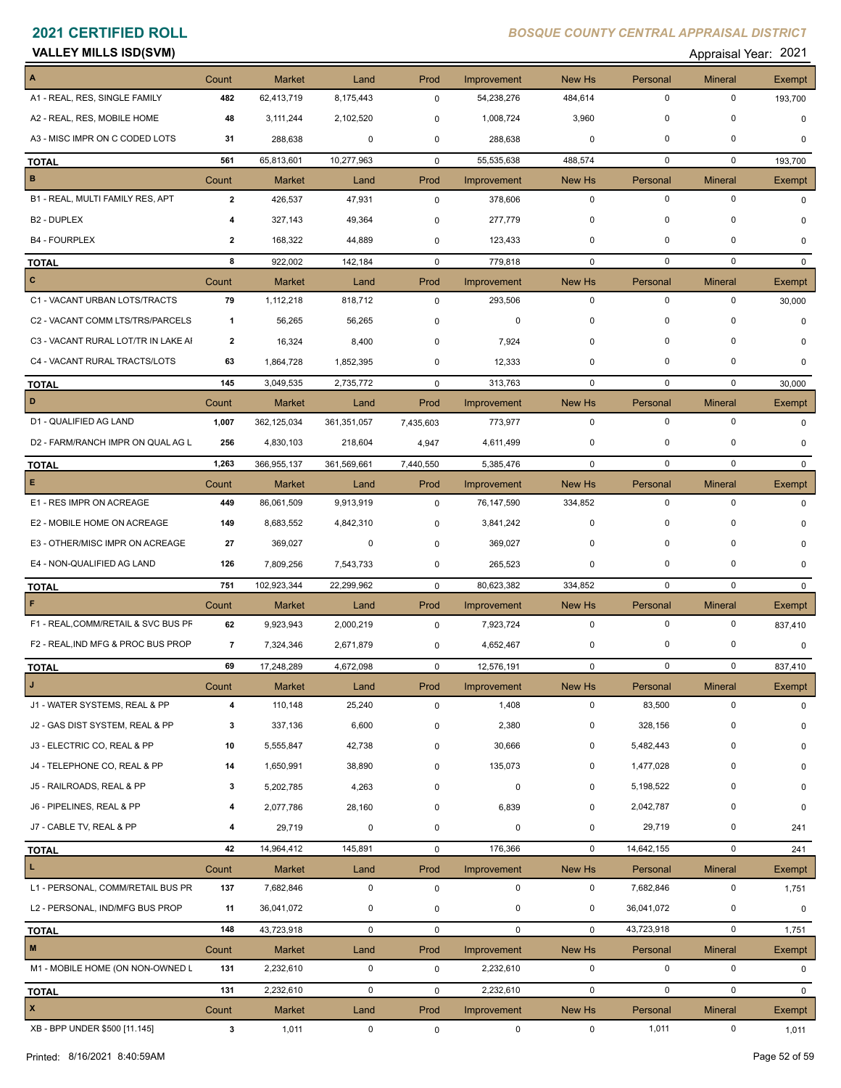| <b>VALLEY MILLS ISD(SVM)</b> |       |               |      |      | 2021<br>Appraisal Year: |               |          |                |               |
|------------------------------|-------|---------------|------|------|-------------------------|---------------|----------|----------------|---------------|
| I A                          | Count | <b>Market</b> | Land | Prod | Improvement             | <b>New Hs</b> | Personal | <b>Mineral</b> | <b>Exempt</b> |

| Annraisal Year: 202 |  |
|---------------------|--|
|                     |  |

| A                                   | Count                 | <b>Market</b> | Land                | Prod        | Improvement                | New Hs                | Personal                | <b>Mineral</b>      | <b>Exempt</b>   |
|-------------------------------------|-----------------------|---------------|---------------------|-------------|----------------------------|-----------------------|-------------------------|---------------------|-----------------|
| A1 - REAL, RES, SINGLE FAMILY       | 482                   | 62,413,719    | 8,175,443           | $\mathbf 0$ | 54,238,276                 | 484,614               | $\mathbf 0$             | $\mathbf 0$         | 193,700         |
| A2 - REAL, RES, MOBILE HOME         | 48                    | 3,111,244     | 2,102,520           | $\mathbf 0$ | 1,008,724                  | 3,960                 | $\mathbf 0$             | $\mathbf 0$         | 0               |
| A3 - MISC IMPR ON C CODED LOTS      | 31                    | 288,638       | 0                   | $\mathbf 0$ | 288,638                    | $\mathbf 0$           | $\mathbf 0$             | $\mathbf 0$         | $\Omega$        |
| <b>TOTAL</b>                        | 561                   | 65,813,601    | 10,277,963          | $\mathbf 0$ | 55,535,638                 | 488,574               | $\mathbf 0$             | $\mathbf 0$         | 193,700         |
| $\, {\bf B}$                        | Count                 | <b>Market</b> | Land                | Prod        | Improvement                | New Hs                | Personal                | <b>Mineral</b>      | Exempt          |
| B1 - REAL, MULTI FAMILY RES, APT    | $\overline{2}$        | 426,537       | 47,931              | $\mathbf 0$ | 378,606                    | 0                     | 0                       | 0                   | $\Omega$        |
| B <sub>2</sub> - DUPLEX             | 4                     | 327,143       | 49,364              | 0           | 277,779                    | 0                     | $\mathbf 0$             | $\Omega$            | $\Omega$        |
| <b>B4 - FOURPLEX</b>                | $\mathbf{2}$          | 168,322       | 44,889              | 0           | 123,433                    | 0                     | $\mathbf 0$             | 0                   | $\mathbf 0$     |
|                                     | 8                     |               |                     |             |                            | $\mathbf 0$           | $\mathbf 0$             | $\mathbf 0$         |                 |
| <b>TOTAL</b><br>$\mathbf{C}$        |                       | 922,002       | 142,184             | $\mathbf 0$ | 779,818                    |                       |                         |                     | $\mathbf{0}$    |
| C1 - VACANT URBAN LOTS/TRACTS       | Count<br>79           | <b>Market</b> | Land                | Prod        | Improvement                | New Hs<br>$\mathbf 0$ | Personal<br>$\mathbf 0$ | <b>Mineral</b><br>0 | Exempt          |
|                                     |                       | 1,112,218     | 818,712             | 0           | 293,506                    |                       |                         |                     | 30,000          |
| C2 - VACANT COMM LTS/TRS/PARCELS    | $\overline{1}$        | 56,265        | 56,265              | 0           | 0                          | 0                     | $\mathbf 0$             | 0                   | $\mathbf 0$     |
| C3 - VACANT RURAL LOT/TR IN LAKE AI | 2                     | 16,324        | 8,400               | 0           | 7,924                      | 0                     | $\mathbf 0$             | $\Omega$            | $\Omega$        |
| C4 - VACANT RURAL TRACTS/LOTS       | 63                    | 1,864,728     | 1,852,395           | 0           | 12,333                     | $\mathbf 0$           | $\mathbf 0$             | $\Omega$            | $\Omega$        |
| <b>TOTAL</b>                        | 145                   | 3,049,535     | 2,735,772           | $\mathbf 0$ | 313,763                    | $\mathbf 0$           | $\mathbf 0$             | $\mathbf 0$         | 30,000          |
| D                                   | Count                 | <b>Market</b> | Land                | Prod        | Improvement                | New Hs                | Personal                | <b>Mineral</b>      | Exempt          |
| D1 - QUALIFIED AG LAND              | 1,007                 | 362,125,034   | 361,351,057         | 7,435,603   | 773,977                    | $\mathbf 0$           | 0                       | $\mathbf 0$         | 0               |
| D2 - FARM/RANCH IMPR ON QUAL AG L   | 256                   | 4,830,103     | 218,604             | 4,947       | 4,611,499                  | 0                     | 0                       | 0                   | 0               |
| <b>TOTAL</b>                        | 1,263                 | 366,955,137   | 361,569,661         | 7,440,550   | 5,385,476                  | $\mathbf 0$           | 0                       | $\mathbf 0$         | $\Omega$        |
| E.                                  | Count                 | <b>Market</b> | Land                | Prod        | Improvement                | New Hs                | Personal                | <b>Mineral</b>      | <b>Exempt</b>   |
| E1 - RES IMPR ON ACREAGE            | 449                   | 86,061,509    | 9,913,919           | $\mathbf 0$ | 76,147,590                 | 334,852               | $\mathbf 0$             | $\mathbf 0$         | $\Omega$        |
| E2 - MOBILE HOME ON ACREAGE         | 149                   | 8,683,552     | 4,842,310           | $\mathbf 0$ | 3,841,242                  | $\mathbf 0$           | $\mathbf 0$             | 0                   | $\Omega$        |
| E3 - OTHER/MISC IMPR ON ACREAGE     | 27                    | 369,027       | 0                   | $\mathbf 0$ | 369,027                    | 0                     | $\mathbf 0$             | 0                   | 0               |
| E4 - NON-QUALIFIED AG LAND          | 126                   | 7,809,256     | 7,543,733           | 0           | 265,523                    | 0                     | $\mathbf 0$             | 0                   | $\Omega$        |
| <b>TOTAL</b>                        | 751                   | 102,923,344   | 22,299,962          | $\mathbf 0$ | 80,623,382                 | 334,852               | $\mathbf 0$             | $\mathbf 0$         | $\mathbf{0}$    |
| F                                   | Count                 | <b>Market</b> | Land                | Prod        | Improvement                | New Hs                | Personal                | <b>Mineral</b>      | Exempt          |
| F1 - REAL, COMM/RETAIL & SVC BUS PF | 62                    | 9,923,943     | 2,000,219           | $\mathbf 0$ | 7,923,724                  | $\mathbf 0$           | $\mathbf 0$             | $\mathbf 0$         | 837,410         |
| F2 - REAL, IND MFG & PROC BUS PROP  | $\overline{7}$        | 7,324,346     | 2,671,879           | 0           | 4,652,467                  | 0                     | 0                       | 0                   | $\mathbf 0$     |
| <b>TOTAL</b>                        | 69                    | 17,248,289    | 4,672,098           | 0           | 12,576,191                 | $\mathbf 0$           | $\mathbf 0$             | $\mathbf 0$         | 837,410         |
| J                                   | Count                 | <b>Market</b> | Land                | Prod        | Improvement                | New Hs                | Personal                | <b>Mineral</b>      | Exempt          |
| J1 - WATER SYSTEMS, REAL & PP       | 4                     | 110,148       | 25,240              | 0           | 1,408                      | $\mathbf 0$           | 83,500                  | $\mathbf 0$         | $\Omega$        |
| J2 - GAS DIST SYSTEM, REAL & PP     | 3                     | 337,136       | 6,600               | 0           | 2,380                      | 0                     | 328,156                 | 0                   | 0               |
| J3 - ELECTRIC CO, REAL & PP         | 10                    | 5,555,847     | 42,738              | 0           | 30,666                     | 0                     | 5,482,443               | 0                   | 0               |
| J4 - TELEPHONE CO, REAL & PP        | 14                    | 1,650,991     | 38,890              | 0           | 135,073                    | 0                     | 1,477,028               | 0                   | 0               |
| J5 - RAILROADS, REAL & PP           | 3                     | 5,202,785     | 4,263               | 0           | 0                          | 0                     | 5,198,522               | 0                   | 0               |
| J6 - PIPELINES, REAL & PP           | 4                     | 2,077,786     | 28,160              | 0           | 6,839                      | 0                     | 2,042,787               | $\mathbf 0$         | 0               |
| J7 - CABLE TV, REAL & PP            | 4                     | 29,719        | 0                   | 0           | 0                          | 0                     | 29,719                  | 0                   | 241             |
| <b>TOTAL</b>                        | 42                    | 14,964,412    | 145,891             | 0           | 176,366                    | 0                     | 14,642,155              | $\mathbf 0$         | 241             |
| L.                                  | Count                 | Market        | Land                | Prod        | Improvement                | New Hs                | Personal                | <b>Mineral</b>      | Exempt          |
| L1 - PERSONAL, COMM/RETAIL BUS PR   | 137                   | 7,682,846     | $\mathbf 0$         | $\mathbf 0$ | 0                          | $\mathbf 0$           | 7,682,846               | 0                   | 1,751           |
| L2 - PERSONAL, IND/MFG BUS PROP     | 11                    | 36,041,072    | 0                   | 0           | 0                          | 0                     | 36,041,072              | 0                   | 0               |
| <b>TOTAL</b>                        | 148                   | 43,723,918    | $\mathbf 0$         | $\mathsf 0$ | $\mathbf 0$                | $\mathbf 0$           | 43,723,918              | $\mathbf 0$         | 1,751           |
| $\mathsf{M}\xspace$                 | Count                 | Market        | Land                | Prod        | Improvement                | New Hs                | Personal                | <b>Mineral</b>      | Exempt          |
| M1 - MOBILE HOME (ON NON-OWNED L    | 131                   | 2,232,610     | $\mathbf 0$         | $\mathbf 0$ | 2,232,610                  | $\mathbf 0$           | $\mathbf 0$             | $\mathsf 0$         | 0               |
|                                     | 131                   | 2,232,610     | $\mathsf 0$         | $\mathbf 0$ | 2,232,610                  | $\mathbf 0$           | $\mathbf 0$             | $\mathbf 0$         | $\mathbf{0}$    |
| <b>TOTAL</b><br>$\pmb{\mathsf{x}}$  |                       | Market        |                     | Prod        |                            |                       |                         | <b>Mineral</b>      |                 |
| XB - BPP UNDER \$500 [11.145]       | Count<br>$\mathbf{3}$ | 1,011         | Land<br>$\mathsf 0$ | $\mathbf 0$ | Improvement<br>$\mathbf 0$ | New Hs<br>$\mathbf 0$ | Personal<br>1,011       | $\mathbf 0$         | Exempt<br>1,011 |
|                                     |                       |               |                     |             |                            |                       |                         |                     |                 |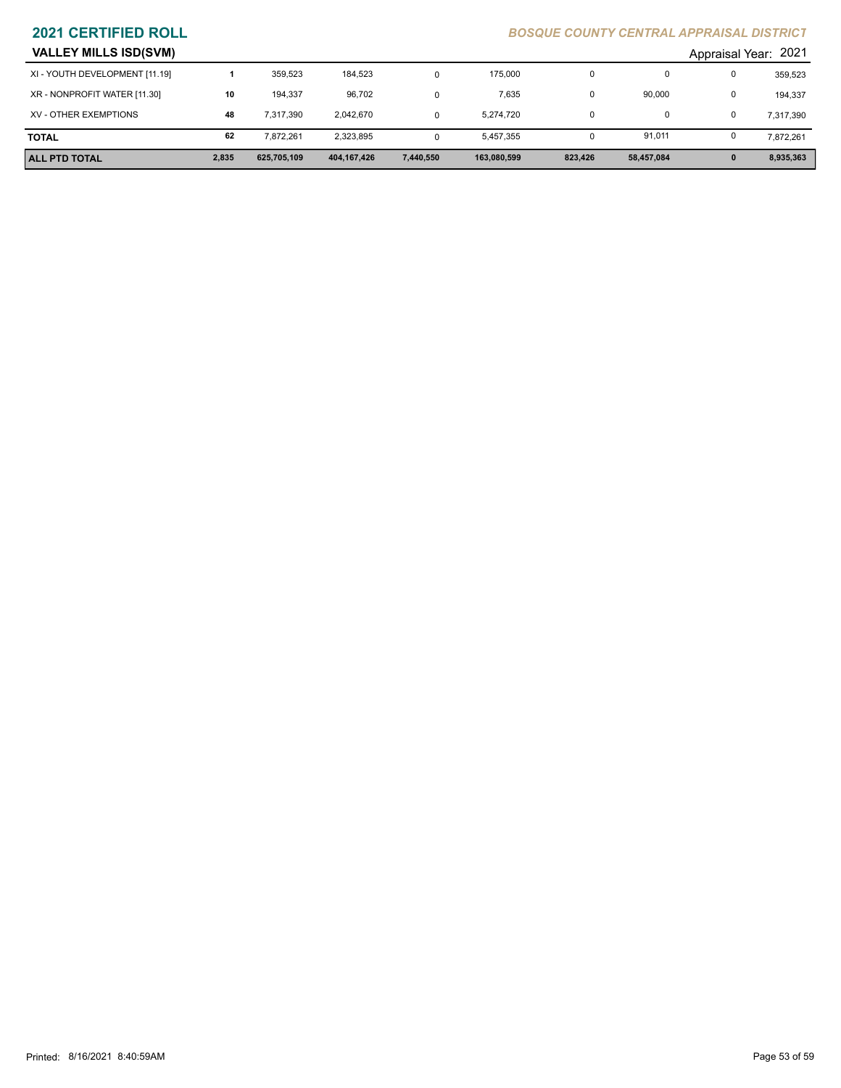| <b>VALLEY MILLS ISD(SVM)</b> |  |  |
|------------------------------|--|--|
|                              |  |  |

| <b>ALL PTD TOTAL</b>           | 2,835 | 625,705,109 | 404,167,426 | 7,440,550 | 163,080,599 | 823,426 | 58,457,084 | $\mathbf{0}$         | 8,935,363 |
|--------------------------------|-------|-------------|-------------|-----------|-------------|---------|------------|----------------------|-----------|
| <b>TOTAL</b>                   | 62    | 7.872.261   | 2,323,895   | $\Omega$  | 5,457,355   | 0       | 91,011     | 0                    | 7,872,261 |
| XV - OTHER EXEMPTIONS          | 48    | 7,317,390   | 2,042,670   | $\Omega$  | 5,274,720   | 0       |            | 0                    | 7,317,390 |
| XR - NONPROFIT WATER [11.30]   | 10    | 194.337     | 96,702      | 0         | 7,635       | 0       | 90,000     | 0                    | 194,337   |
| XI - YOUTH DEVELOPMENT [11.19] |       | 359.523     | 184,523     | 0         | 175,000     | 0       |            | 0                    | 359,523   |
| <b>VALLEY MILLS ISD(SVM)</b>   |       |             |             |           |             |         |            | Appraisal Year: 2021 |           |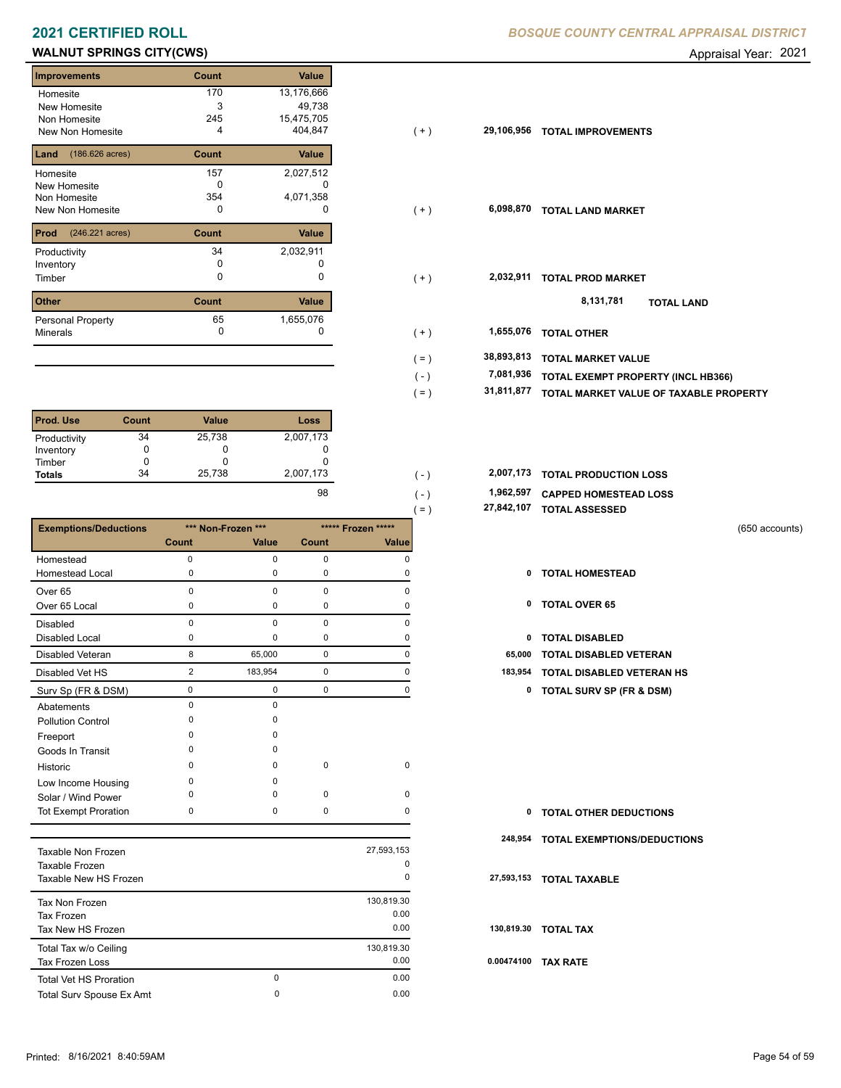# **WALNUT SPRINGS CITY(CWS) CONSERVERS Appraisal Year: 2021**

| <b>Improvements</b>               | Count | <b>Value</b> |
|-----------------------------------|-------|--------------|
| Homesite                          | 170   | 13,176,666   |
| New Homesite                      | 3     | 49,738       |
| Non Homesite                      | 245   | 15,475,705   |
| New Non Homesite                  | 4     | 404,847      |
| $(186.626 \text{ acres})$<br>Land | Count | Value        |
| Homesite                          | 157   | 2,027,512    |
| <b>New Homesite</b>               | n     |              |
| Non Homesite                      | 354   | 4,071,358    |
| <b>New Non Homesite</b>           | 0     | O            |
| Prod<br>(246.221 acres)           | Count | <b>Value</b> |
| Productivity                      | 34    | 2,032,911    |
| Inventory                         | O     |              |
| Timber                            | 0     | O            |
| <b>Other</b>                      | Count | Value        |
| Personal Property                 | 65    | 1,655,076    |
| <b>Minerals</b>                   | 0     | U            |

| <b>Prod. Use</b> | Count | <b>Value</b> | Loss      |
|------------------|-------|--------------|-----------|
| Productivity     | 34    | 25,738       | 2,007,173 |
| Inventory        |       | O            |           |
| Timber           |       | O            |           |
| <b>Totals</b>    | 34    | 25,738       | 2,007,173 |
|                  |       |              | $\sim$    |

|                              |                |                    |             |                    | 27,842,107<br>$=$ ) | <b>TOTAL ASSESSED</b>               |  |
|------------------------------|----------------|--------------------|-------------|--------------------|---------------------|-------------------------------------|--|
| <b>Exemptions/Deductions</b> |                | *** Non-Frozen *** |             | ***** Frozen ***** |                     | (650 accounts)                      |  |
|                              | Count          | Value              | Count       | Value              |                     |                                     |  |
| Homestead                    | $\mathbf 0$    | 0                  | $\mathbf 0$ | 0                  |                     |                                     |  |
| <b>Homestead Local</b>       | 0              | 0                  | 0           | 0                  | 0                   | <b>TOTAL HOMESTEAD</b>              |  |
| Over <sub>65</sub>           | $\Omega$       | $\Omega$           | $\mathbf 0$ | O                  |                     |                                     |  |
| Over 65 Local                | 0              | 0                  | 0           | 0                  | 0                   | <b>TOTAL OVER 65</b>                |  |
| <b>Disabled</b>              | 0              | 0                  | $\mathbf 0$ | $\mathbf 0$        |                     |                                     |  |
| <b>Disabled Local</b>        | 0              | $\Omega$           | 0           | 0                  | 0                   | <b>TOTAL DISABLED</b>               |  |
| <b>Disabled Veteran</b>      | 8              | 65,000             | $\mathbf 0$ | 0                  | 65,000              | <b>TOTAL DISABLED VETERAN</b>       |  |
| Disabled Vet HS              | $\overline{2}$ | 183,954            | $\mathbf 0$ | 0                  | 183,954             | TOTAL DISABLED VETERAN HS           |  |
| Surv Sp (FR & DSM)           | 0              | 0                  | 0           | 0                  | 0                   | <b>TOTAL SURV SP (FR &amp; DSM)</b> |  |
| Abatements                   | $\Omega$       | $\Omega$           |             |                    |                     |                                     |  |
| <b>Pollution Control</b>     | $\Omega$       | $\Omega$           |             |                    |                     |                                     |  |
| Freeport                     | O              | $\Omega$           |             |                    |                     |                                     |  |
| Goods In Transit             | O              | $\Omega$           |             |                    |                     |                                     |  |
| Historic                     | $\Omega$       | $\Omega$           | $\mathbf 0$ | $\mathbf 0$        |                     |                                     |  |
| Low Income Housing           | 0              | $\Omega$           |             |                    |                     |                                     |  |
| Solar / Wind Power           | $\Omega$       | 0                  | $\mathbf 0$ | $\mathbf 0$        |                     |                                     |  |
| <b>Tot Exempt Proration</b>  | 0              | 0                  | 0           | $\Omega$           | 0                   | <b>TOTAL OTHER DEDUCTIONS</b>       |  |
|                              |                |                    |             |                    | 248,954             | TOTAL EXEMPTIONS/DEDUCTIONS         |  |
| Taxable Non Frozen           |                |                    |             | 27,593,153         |                     |                                     |  |
| Taxable Frozen               |                |                    |             | $\mathbf 0$        |                     |                                     |  |

| Taxable Flozen<br>Taxable New HS Frozen |   | $\cdot$<br>0 | 27. |
|-----------------------------------------|---|--------------|-----|
| Tax Non Frozen                          |   | 130,819.30   |     |
| Tax Frozen                              |   | 0.00         |     |
| Tax New HS Frozen                       |   | 0.00         | 13  |
| Total Tax w/o Ceiling                   |   | 130,819.30   |     |
| <b>Tax Frozen Loss</b>                  |   | 0.00         | 0.0 |
| <b>Total Vet HS Proration</b>           | 0 | 0.00         |     |
| Total Surv Spouse Ex Amt                | 0 | 0.00         |     |

| Homesite<br>New Homesite<br>Non Homesite<br>New Non Homesite | 170<br>3<br>245<br>4 | 13,176,666<br>49,738<br>15,475,705<br>404,847 | $(+)$     | 29,106,956 | <b>TOTAL IMPROVEMENTS</b>              |
|--------------------------------------------------------------|----------------------|-----------------------------------------------|-----------|------------|----------------------------------------|
| <b>Land</b> $(186.626 \text{ acres})$                        | Count                | Value                                         |           |            |                                        |
| Homesite                                                     | 157                  | 2,027,512                                     |           |            |                                        |
| New Homesite                                                 | 0                    | 0                                             |           |            |                                        |
| Non Homesite                                                 | 354                  | 4,071,358                                     |           |            |                                        |
| New Non Homesite                                             | 0                    | $\Omega$                                      | $(+)$     | 6,098,870  | <b>TOTAL LAND MARKET</b>               |
| <b>Prod</b> $(246.221 \text{ acres})$                        | Count                | Value                                         |           |            |                                        |
| Productivity                                                 | 34                   | 2,032,911                                     |           |            |                                        |
| Inventory                                                    |                      |                                               |           |            |                                        |
| Timber                                                       | 0                    | 0                                             | $(+)$     | 2,032,911  | <b>TOTAL PROD MARKET</b>               |
| Other                                                        | Count                | Value                                         |           |            | 8,131,781<br><b>TOTAL LAND</b>         |
| Personal Property                                            | 65                   | 1,655,076                                     |           |            |                                        |
| Minerals                                                     | 0                    |                                               | $(+)$     | 1,655,076  | <b>TOTAL OTHER</b>                     |
|                                                              |                      |                                               | $($ = $)$ | 38,893,813 | <b>TOTAL MARKET VALUE</b>              |
|                                                              |                      |                                               | $(-)$     | 7,081,936  | TOTAL EXEMPT PROPERTY (INCL HB366)     |
|                                                              |                      |                                               | $( = )$   | 31,811,877 | TOTAL MARKET VALUE OF TAXABLE PROPERTY |
|                                                              |                      |                                               |           |            |                                        |
|                                                              |                      |                                               |           |            |                                        |

| 2,007,173 | $\overline{\phantom{a}}$ | 2,007,173 TOTAL PRODUCTION LOSS |
|-----------|--------------------------|---------------------------------|
| 98        | $\overline{\phantom{0}}$ | 1,962,597 CAPPED HOMESTEAD LOSS |

 **27,842,107 TOTAL ASSESSED**

- 
- 
- 
- 
- 2 183,954 0 0 **183,954 TOTAL DISABLED VETERAN HS**
	- Surv Sp (FR & DSM) 0 0 0 0 **0 TOTAL SURV SP (FR & DSM)**

| $\mathbf{0}$ | <b>TOTAL OTHER DEDUCTIONS</b>       |
|--------------|-------------------------------------|
|              | 248,954 TOTAL EXEMPTIONS/DEDUCTIONS |
|              | 27,593,153 TOTAL TAXABLE            |
|              | 130,819.30 TOTAL TAX                |
| 0.00474100   | <b>TAX RATE</b>                     |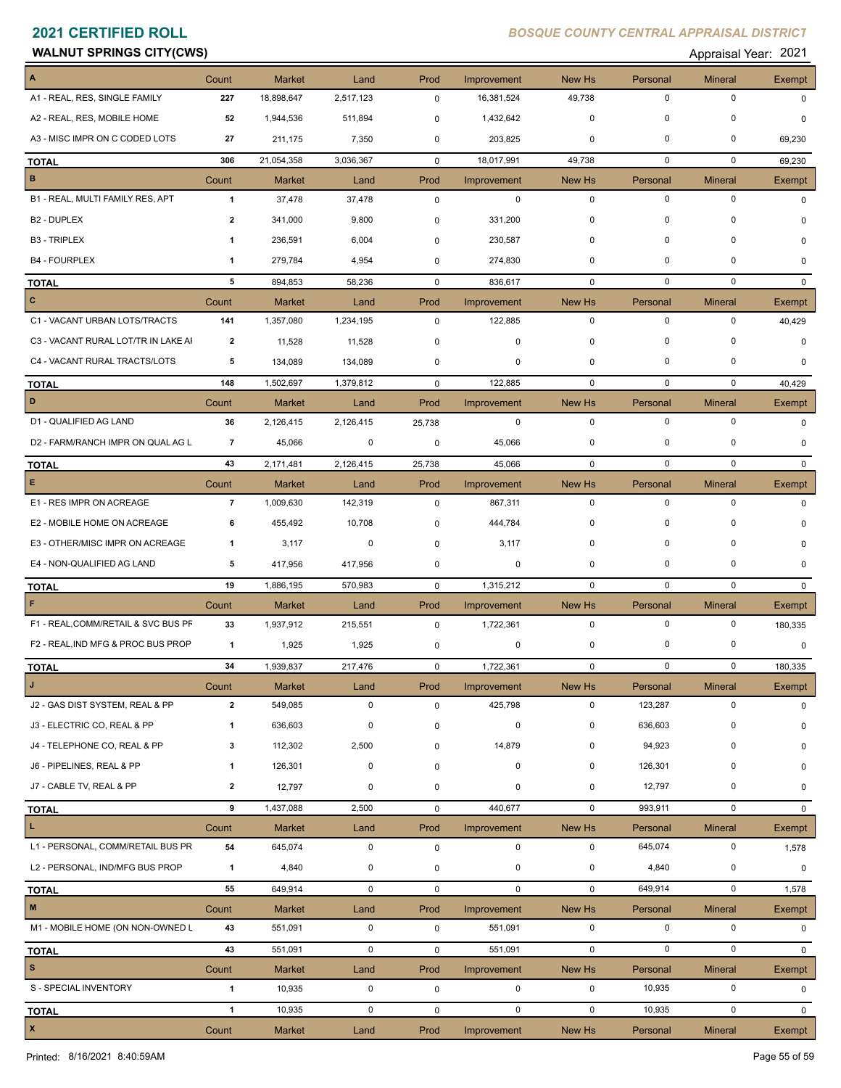### **WALNUT SPRINGS CITY(CWS) Appraisal Year: 2021**

| A                                   | Count                   | <b>Market</b> | Land        | Prod        | Improvement | New Hs                  | Personal    | <b>Mineral</b> | Exempt        |
|-------------------------------------|-------------------------|---------------|-------------|-------------|-------------|-------------------------|-------------|----------------|---------------|
| A1 - REAL, RES, SINGLE FAMILY       | 227                     | 18,898,647    | 2,517,123   | $\mathbf 0$ | 16,381,524  | 49,738                  | $\mathbf 0$ | 0              | $\Omega$      |
| A2 - REAL, RES, MOBILE HOME         | 52                      | 1,944,536     | 511,894     | 0           | 1,432,642   | $\mathbf 0$             | $\mathbf 0$ | $\Omega$       | 0             |
| A3 - MISC IMPR ON C CODED LOTS      | 27                      | 211,175       | 7,350       | 0           | 203,825     | 0                       | 0           | 0              | 69,230        |
| <b>TOTAL</b>                        | 306                     | 21,054,358    | 3,036,367   | $\mathbf 0$ | 18,017,991  | 49,738                  | 0           | 0              | 69,230        |
| $\, {\bf B} \,$                     | Count                   | <b>Market</b> | Land        | Prod        | Improvement | New Hs                  | Personal    | <b>Mineral</b> | Exempt        |
| B1 - REAL, MULTI FAMILY RES, APT    | $\mathbf{1}$            | 37,478        | 37,478      | $\mathbf 0$ | $\mathbf 0$ | $\mathbf 0$             | $\mathbf 0$ | $\mathbf 0$    | $\Omega$      |
| B <sub>2</sub> - DUPLEX             | 2                       | 341,000       | 9,800       | 0           | 331,200     | 0                       | 0           | $\mathbf 0$    | 0             |
| <b>B3 - TRIPLEX</b>                 | 1                       | 236,591       | 6,004       | $\mathbf 0$ | 230,587     | 0                       | $\mathbf 0$ | 0              | 0             |
| <b>B4 - FOURPLEX</b>                | 1                       | 279,784       | 4,954       | $\mathbf 0$ | 274,830     | 0                       | $\mathbf 0$ | $\Omega$       | $\Omega$      |
| <b>TOTAL</b>                        | 5                       | 894,853       | 58,236      | $\mathbf 0$ | 836,617     | $\mathbf 0$             | $\mathbf 0$ | $\mathbf 0$    | $\mathbf{0}$  |
| $\mathbf{C}$                        | Count                   | <b>Market</b> | Land        | Prod        | Improvement | New Hs                  | Personal    | <b>Mineral</b> | Exempt        |
| C1 - VACANT URBAN LOTS/TRACTS       | 141                     | 1,357,080     | 1,234,195   | $\mathbf 0$ | 122,885     | $\mathbf 0$             | $\mathbf 0$ | 0              | 40,429        |
| C3 - VACANT RURAL LOT/TR IN LAKE AI | $\overline{2}$          | 11,528        | 11,528      | $\mathbf 0$ | 0           | 0                       | $\Omega$    | $\Omega$       | 0             |
| C4 - VACANT RURAL TRACTS/LOTS       | 5                       | 134,089       | 134,089     | 0           | 0           | $\mathbf 0$             | $\mathbf 0$ | 0              | 0             |
| <b>TOTAL</b>                        | 148                     | 1,502,697     | 1,379,812   | $\mathbf 0$ | 122,885     | $\mathbf 0$             | $\mathbf 0$ | 0              | 40,429        |
| D                                   | Count                   | <b>Market</b> | Land        | Prod        | Improvement | New Hs                  | Personal    | <b>Mineral</b> | Exempt        |
| D1 - QUALIFIED AG LAND              | 36                      | 2,126,415     | 2,126,415   | 25,738      | $\mathbf 0$ | $\mathbf 0$             | $\mathbf 0$ | $\mathbf 0$    | $\Omega$      |
| D2 - FARM/RANCH IMPR ON QUAL AG L   | $\overline{7}$          | 45,066        | 0           | 0           | 45,066      | 0                       | $\mathbf 0$ | 0              | 0             |
| <b>TOTAL</b>                        | 43                      | 2,171,481     | 2,126,415   | 25,738      | 45,066      | $\mathbf 0$             | $\mathbf 0$ | $\mathbf 0$    | $\Omega$      |
| E                                   | Count                   | <b>Market</b> | Land        | Prod        | Improvement | New Hs                  | Personal    | <b>Mineral</b> | <b>Exempt</b> |
| E1 - RES IMPR ON ACREAGE            | $\overline{7}$          | 1,009,630     | 142,319     | $\mathbf 0$ | 867,311     | $\mathbf 0$             | $\mathbf 0$ | $\mathbf 0$    | $\Omega$      |
| E2 - MOBILE HOME ON ACREAGE         | 6                       | 455,492       | 10,708      | 0           | 444,784     | 0                       | $\mathbf 0$ | $\Omega$       |               |
| E3 - OTHER/MISC IMPR ON ACREAGE     | 1                       | 3,117         | 0           | 0           | 3,117       | 0                       | $\mathbf 0$ | 0              | $\Omega$      |
| E4 - NON-QUALIFIED AG LAND          | 5                       | 417,956       | 417,956     | $\mathbf 0$ | 0           | 0                       | $\mathbf 0$ | 0              | $\Omega$      |
| <b>TOTAL</b>                        | 19                      | 1,886,195     | 570,983     | 0           | 1,315,212   | $\mathbf 0$             | $\mathbf 0$ | $\mathbf 0$    | $\Omega$      |
| F                                   | Count                   | <b>Market</b> | Land        | Prod        | Improvement | <b>New Hs</b>           | Personal    | <b>Mineral</b> | Exempt        |
| F1 - REAL, COMM/RETAIL & SVC BUS PF | 33                      | 1,937,912     | 215,551     | $\mathbf 0$ | 1,722,361   | $\mathbf 0$             | $\mathbf 0$ | $\mathbf 0$    | 180,335       |
| F2 - REAL, IND MFG & PROC BUS PROP  | $\mathbf{1}$            | 1,925         | 1,925       | 0           | 0           | 0                       | $\mathbf 0$ | 0              | 0             |
| <b>TOTAL</b>                        | 34                      | 1,939,837     | 217,476     | $\mathbf 0$ | 1,722,361   | $\mathbf 0$             | $\mathbf 0$ | $\mathbf 0$    | 180,335       |
| <b>J</b>                            | Count                   | Market        | Land        | Prod        | Improvement | New Hs                  | Personal    | <b>Mineral</b> | Exempt        |
| J2 - GAS DIST SYSTEM, REAL & PP     | $\overline{2}$          | 549,085       | $\mathbf 0$ | $\mathbf 0$ | 425,798     | $\mathbf 0$             | 123,287     | $\mathbf 0$    | 0             |
| J3 - ELECTRIC CO, REAL & PP         | 1                       | 636,603       | $\pmb{0}$   | 0           | $\pmb{0}$   | 0                       | 636,603     | 0              | 0             |
| J4 - TELEPHONE CO, REAL & PP        | 3                       | 112,302       | 2,500       | 0           | 14,879      | 0                       | 94,923      | $\mathbf 0$    | $\Omega$      |
| J6 - PIPELINES, REAL & PP           | 1                       | 126,301       | $\mathbf 0$ | $\mathbf 0$ | $\pmb{0}$   | 0                       | 126,301     | 0              | $\Omega$      |
| J7 - CABLE TV, REAL & PP            | $\overline{\mathbf{2}}$ | 12,797        | $\pmb{0}$   | $\mathbf 0$ | 0           | 0                       | 12,797      | 0              | 0             |
| <b>TOTAL</b>                        | 9                       | 1,437,088     | 2,500       | 0           | 440,677     | $\mathbf 0$             | 993,911     | $\mathbf 0$    | $\Omega$      |
| $\mathbf L$                         | Count                   | <b>Market</b> | Land        | Prod        | Improvement | New Hs                  | Personal    | <b>Mineral</b> | Exempt        |
| L1 - PERSONAL, COMM/RETAIL BUS PR   | 54                      | 645,074       | $\mathbf 0$ | $\mathbf 0$ | $\mathbf 0$ | $\mathbf 0$             | 645,074     | 0              | 1,578         |
| L2 - PERSONAL, IND/MFG BUS PROP     | $\mathbf{1}$            | 4,840         | 0           | 0           | $\mathbf 0$ | 0                       | 4,840       | $\pmb{0}$      | 0             |
| <b>TOTAL</b>                        | 55                      | 649,914       | $\mathsf 0$ | 0           | $\mathbf 0$ | $\mathbf 0$             | 649,914     | $\mathbf 0$    | 1,578         |
| $\mathbf M$                         | Count                   | Market        | Land        | Prod        | Improvement | New Hs                  | Personal    | <b>Mineral</b> | Exempt        |
| M1 - MOBILE HOME (ON NON-OWNED L    | 43                      | 551,091       | $\mathbf 0$ | $\mathbf 0$ | 551,091     | $\mathbf 0$             | $\mathbf 0$ | $\mathbf 0$    | $\mathbf{0}$  |
| <b>TOTAL</b>                        | 43                      | 551,091       | $\mathbf 0$ | $\mathbf 0$ | 551,091     | $\mathsf{O}\phantom{0}$ | $\mathbf 0$ | $\mathbf 0$    | $\mathbf{0}$  |
| $\mathbf{s}$                        | Count                   | Market        | Land        | Prod        | Improvement | New Hs                  | Personal    | <b>Mineral</b> | Exempt        |
| S - SPECIAL INVENTORY               | $\mathbf{1}$            | 10,935        | $\mathbf 0$ | 0           | 0           | $\mathbf 0$             | 10,935      | $\mathsf 0$    | 0             |
| <b>TOTAL</b>                        | $\mathbf{1}$            | 10,935        | $\mathsf 0$ | $\mathsf 0$ | $\mathbf 0$ | $\mathbf 0$             | 10,935      | $\mathbf 0$    | 0             |
| $\mathbf{x}$                        | Count                   | <b>Market</b> | Land        | Prod        | Improvement | New Hs                  | Personal    | <b>Mineral</b> | Exempt        |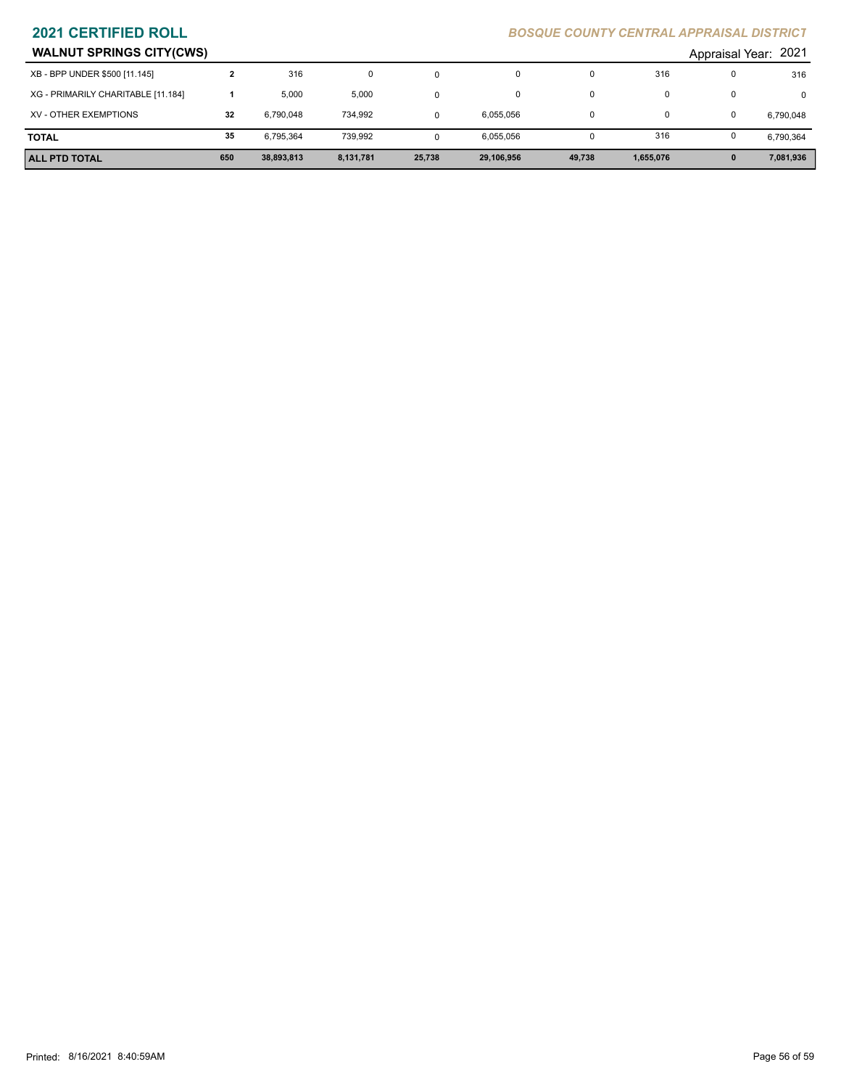| <b>WALNUT SPRINGS CITY(CWS)</b>    |     |            |           |        |            |        |           | Appraisal Year: 2021 |
|------------------------------------|-----|------------|-----------|--------|------------|--------|-----------|----------------------|
| XB - BPP UNDER \$500 [11.145]      |     | 316        | 0         |        |            |        | 316       | 316                  |
| XG - PRIMARILY CHARITABLE [11.184] |     | 5.000      | 5,000     |        | 0          |        |           |                      |
| XV - OTHER EXEMPTIONS              | 32  | 6,790,048  | 734,992   |        | 6,055,056  |        |           | 6,790,048            |
| <b>TOTAL</b>                       | 35  | 6.795.364  | 739.992   |        | 6,055,056  |        | 316       | 6,790,364            |
| l ALL PTD TOTAL                    | 650 | 38,893,813 | 8,131,781 | 25,738 | 29,106,956 | 49,738 | 1,655,076 | 7,081,936            |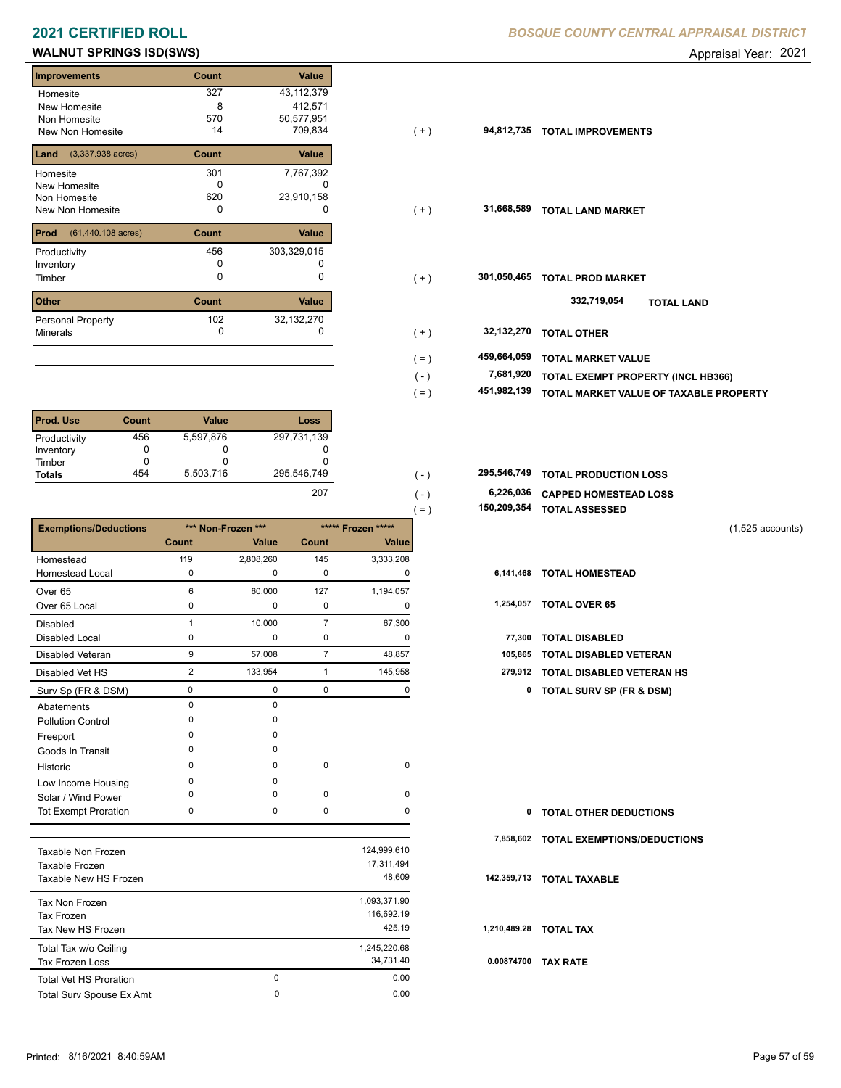# **WALNUT SPRINGS ISD(SWS) Appraisal Year: 2021**

| <b>Improvements</b>                 | Count | Value       |
|-------------------------------------|-------|-------------|
| Homesite                            | 327   | 43,112,379  |
| New Homesite                        | 8     | 412,571     |
| Non Homesite                        | 570   | 50,577,951  |
| New Non Homesite                    | 14    | 709,834     |
| $(3,337.938 \text{ acres})$<br>Land | Count | Value       |
| Homesite                            | 301   | 7,767,392   |
| <b>New Homesite</b>                 |       |             |
| Non Homesite                        | 620   | 23,910,158  |
| New Non Homesite                    | ŋ     | 0           |
| Prod<br>(61,440.108 acres)          | Count | Value       |
| Productivity                        | 456   | 303,329,015 |
| Inventory                           | O     |             |
| Timber                              | 0     | ი           |
| <b>Other</b>                        | Count | Value       |
| Personal Property                   | 102   | 32,132,270  |
| <b>Minerals</b>                     | 0     |             |

| Prod. Use     | Count | <b>Value</b> | Loss        |
|---------------|-------|--------------|-------------|
| Productivity  | 456   | 5,597,876    | 297,731,139 |
| Inventory     |       | O            |             |
| Timber        |       | O            |             |
| <b>Totals</b> | 454   | 5,503,716    | 295,546,749 |
|               |       |              | $- -$       |

|                              |                |                    |                |                    | 150,209,354<br>$( = )$ | <b>TOTAL ASSESSED</b>              |  |
|------------------------------|----------------|--------------------|----------------|--------------------|------------------------|------------------------------------|--|
| <b>Exemptions/Deductions</b> |                | *** Non-Frozen *** |                | ***** Frozen ***** |                        | $(1,525$ accounts)                 |  |
|                              | Count          | Value              | <b>Count</b>   | Value              |                        |                                    |  |
| Homestead                    | 119            | 2,808,260          | 145            | 3,333,208          |                        |                                    |  |
| Homestead Local              | 0              | 0                  | 0              | O                  | 6,141,468              | <b>TOTAL HOMESTEAD</b>             |  |
| Over 65                      | 6              | 60,000             | 127            | 1,194,057          |                        |                                    |  |
| Over 65 Local                | 0              | 0                  | 0              | 0                  | 1,254,057              | <b>TOTAL OVER 65</b>               |  |
| Disabled                     |                | 10,000             | $\overline{7}$ | 67,300             |                        |                                    |  |
| <b>Disabled Local</b>        | 0              | 0                  | 0              | $\Omega$           | 77,300                 | <b>TOTAL DISABLED</b>              |  |
| Disabled Veteran             | 9              | 57,008             | $\overline{7}$ | 48,857             | 105,865                | TOTAL DISABLED VETERAN             |  |
| Disabled Vet HS              | $\overline{2}$ | 133,954            | 1              | 145,958            | 279,912                | <b>TOTAL DISABLED VETERAN HS</b>   |  |
| Surv Sp (FR & DSM)           | 0              | $\mathbf 0$        | 0              | 0                  |                        | 0 TOTAL SURV SP (FR & DSM)         |  |
| Abatements                   | $\Omega$       | 0                  |                |                    |                        |                                    |  |
| <b>Pollution Control</b>     | ∩              | $\Omega$           |                |                    |                        |                                    |  |
| Freeport                     | $\Omega$       | $\Omega$           |                |                    |                        |                                    |  |
| Goods In Transit             | $\Omega$       | $\Omega$           |                |                    |                        |                                    |  |
| Historic                     | $\Omega$       | $\Omega$           | 0              | 0                  |                        |                                    |  |
| Low Income Housing           | $\Omega$       | $\Omega$           |                |                    |                        |                                    |  |
| Solar / Wind Power           |                | $\Omega$           | 0              | 0                  |                        |                                    |  |
| <b>Tot Exempt Proration</b>  | 0              | 0                  | 0              | 0                  | 0                      | <b>TOTAL OTHER DEDUCTIONS</b>      |  |
|                              |                |                    |                |                    | 7,858,602              | <b>TOTAL EXEMPTIONS/DEDUCTIONS</b> |  |
| Taxable Non Frozen           |                |                    |                | 124,999,610        |                        |                                    |  |

| Taxable Non Frozen       |   | 144.999.UIU  |      |
|--------------------------|---|--------------|------|
| Taxable Frozen           |   | 17.311.494   |      |
| Taxable New HS Frozen    |   | 48.609       | 142  |
| Tax Non Frozen           |   | 1,093,371.90 |      |
| Tax Frozen               |   | 116.692.19   |      |
| Tax New HS Frozen        |   | 425.19       | 1,21 |
| Total Tax w/o Ceiling    |   | 1.245.220.68 |      |
| <b>Tax Frozen Loss</b>   |   | 34.731.40    | 0.0  |
| Total Vet HS Proration   | 0 | 0.00         |      |
| Total Surv Spouse Ex Amt | 0 | 0.00         |      |

| Homesite                                 | 32 I  | 43,112,319  |         |             |                                        |
|------------------------------------------|-------|-------------|---------|-------------|----------------------------------------|
| New Homesite                             | 8     | 412,571     |         |             |                                        |
| Non Homesite                             | 570   | 50,577,951  |         |             |                                        |
| New Non Homesite                         | 14    | 709,834     | $(+)$   | 94,812,735  | <b>TOTAL IMPROVEMENTS</b>              |
| <b>Land</b> $(3,337.938 \text{ acres})$  | Count | Value       |         |             |                                        |
| Homesite                                 | 301   | 7,767,392   |         |             |                                        |
| New Homesite                             | 0     | 0           |         |             |                                        |
| Non Homesite                             | 620   | 23,910,158  |         |             |                                        |
| New Non Homesite                         | 0     | 0           | $(+)$   | 31,668,589  | <b>TOTAL LAND MARKET</b>               |
| <b>Prod</b> $(61,440.108 \text{ acres})$ | Count | Value       |         |             |                                        |
| Productivity                             | 456   | 303,329,015 |         |             |                                        |
| Inventory                                |       |             |         |             |                                        |
| Timber                                   | 0     | 0           | $(+)$   | 301,050,465 | <b>TOTAL PROD MARKET</b>               |
| <b>Other</b>                             | Count | Value       |         |             | 332,719,054<br><b>TOTAL LAND</b>       |
| Personal Property                        | 102   | 32,132,270  |         |             |                                        |
| Minerals                                 | 0     | n           | $(+)$   | 32,132,270  | <b>TOTAL OTHER</b>                     |
|                                          |       |             | $( = )$ | 459,664,059 | <b>TOTAL MARKET VALUE</b>              |
|                                          |       |             |         | 7,681,920   | TOTAL EXEMPT PROPERTY (INCL HB366)     |
|                                          |       |             | (-)     |             |                                        |
|                                          |       |             | $=$     | 451,982,139 | TOTAL MARKET VALUE OF TAXABLE PROPERTY |

| 295,546,749 |  | 295,546,749 TOTAL PRODUCTION LOSS |
|-------------|--|-----------------------------------|
|             |  |                                   |

| 207 | $(-)$   |     |
|-----|---------|-----|
|     | $( = )$ | 150 |

| 6,226,036 CAPPED HOMESTEAD LOSS |
|---------------------------------|

| 150,209,354 TOTAL ASSESSED |
|----------------------------|

| 77,300 TOTAL DISABLED             |
|-----------------------------------|
| 105,865 TOTAL DISABLED VETERAN    |
| 279,912 TOTAL DISABLED VETERAN HS |

| <b>0 TOTAL OTHER DEDUCTIONS</b>       |
|---------------------------------------|
| 7,858,602 TOTAL EXEMPTIONS/DEDUCTIONS |
| 142,359,713 TOTAL TAXABLE             |
| 1,210,489.28 TOTAL TAX                |
| 0.00874700 TAX RATE                   |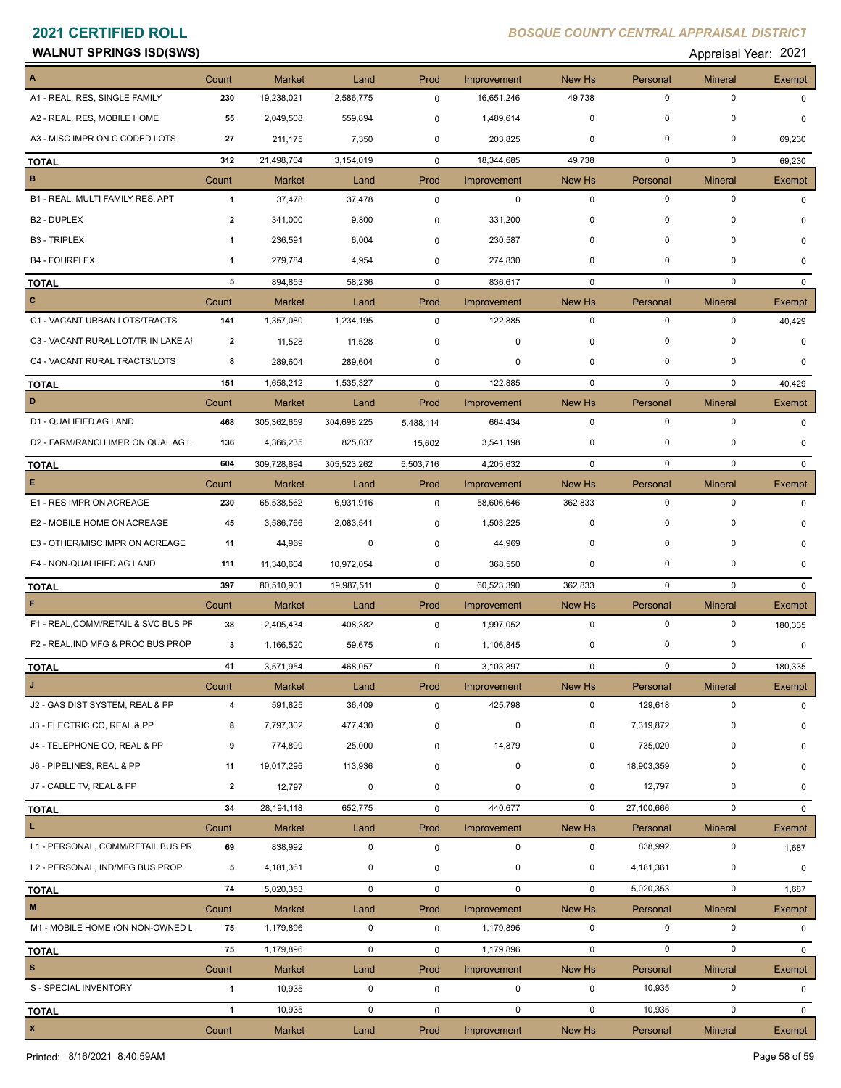### **WALNUT SPRINGS ISD(SWS)** Appraisal Year: 2021

| Appraisal Year: 202 |  |  |  |  |
|---------------------|--|--|--|--|
|---------------------|--|--|--|--|

|                                     | Count          | <b>Market</b> | Land        | Prod         | Improvement | New Hs       | Personal    | <b>Mineral</b> | Exempt       |
|-------------------------------------|----------------|---------------|-------------|--------------|-------------|--------------|-------------|----------------|--------------|
| A1 - REAL, RES, SINGLE FAMILY       | 230            | 19,238,021    | 2,586,775   | $\mathbf 0$  | 16,651,246  | 49,738       | $\mathbf 0$ | $\mathbf 0$    | $\Omega$     |
| A2 - REAL, RES, MOBILE HOME         | 55             | 2,049,508     | 559,894     | 0            | 1,489,614   | 0            | 0           | $\mathbf 0$    | 0            |
| A3 - MISC IMPR ON C CODED LOTS      | 27             | 211,175       | 7,350       | 0            | 203,825     | 0            | 0           | 0              | 69,230       |
| <b>TOTAL</b>                        | 312            | 21,498,704    | 3,154,019   | $\mathbf 0$  | 18,344,685  | 49,738       | 0           | 0              | 69,230       |
| $\, {\bf B}$                        | Count          | <b>Market</b> | Land        | Prod         | Improvement | New Hs       | Personal    | <b>Mineral</b> | Exempt       |
| B1 - REAL, MULTI FAMILY RES, APT    | $\mathbf{1}$   | 37,478        | 37,478      | $\mathbf 0$  | $\mathbf 0$ | $\mathbf 0$  | $\mathbf 0$ | $\mathbf 0$    | $\mathbf 0$  |
| B <sub>2</sub> - DUPLEX             | $\overline{2}$ | 341,000       | 9,800       | 0            | 331,200     | 0            | 0           | $\mathbf 0$    | 0            |
| <b>B3 - TRIPLEX</b>                 | 1              | 236,591       | 6,004       | $\mathbf 0$  | 230,587     | 0            | $\mathbf 0$ | 0              | 0            |
| <b>B4 - FOURPLEX</b>                | $\mathbf{1}$   | 279,784       | 4,954       | 0            | 274,830     | 0            | $\mathbf 0$ | $\Omega$       | 0            |
| <b>TOTAL</b>                        | 5              | 894,853       | 58,236      | $\mathbf 0$  | 836,617     | $\mathbf 0$  | $\mathbf 0$ | $\mathbf 0$    | $\mathbf{0}$ |
| $\mathbf{C}$                        | Count          | Market        | Land        | Prod         | Improvement | New Hs       | Personal    | <b>Mineral</b> | Exempt       |
| C1 - VACANT URBAN LOTS/TRACTS       | 141            | 1,357,080     | 1,234,195   | $\mathbf 0$  | 122,885     | $\mathbf 0$  | $\mathbf 0$ | $\mathbf 0$    | 40,429       |
| C3 - VACANT RURAL LOT/TR IN LAKE AI | 2              | 11,528        | 11,528      | 0            | 0           | 0            | 0           | $\Omega$       | 0            |
| C4 - VACANT RURAL TRACTS/LOTS       | 8              | 289,604       | 289,604     | 0            | 0           | 0            | $\mathbf 0$ | 0              | $\Omega$     |
| <b>TOTAL</b>                        | 151            | 1,658,212     | 1,535,327   | $\mathbf 0$  | 122,885     | $\mathbf 0$  | 0           | 0              | 40,429       |
| D                                   | Count          | <b>Market</b> | Land        | Prod         | Improvement | New Hs       | Personal    | <b>Mineral</b> | Exempt       |
| D1 - QUALIFIED AG LAND              | 468            | 305,362,659   | 304,698,225 | 5,488,114    | 664,434     | $\mathbf 0$  | $\mathbf 0$ | $\mathbf 0$    | 0            |
| D2 - FARM/RANCH IMPR ON QUAL AG L   | 136            | 4,366,235     | 825,037     | 15,602       | 3,541,198   | 0            | 0           | 0              | 0            |
| <b>TOTAL</b>                        | 604            | 309,728,894   | 305,523,262 | 5,503,716    | 4,205,632   | $\mathbf 0$  | $\mathbf 0$ | $\mathbf 0$    | $\Omega$     |
| E                                   | Count          | <b>Market</b> | Land        | Prod         | Improvement | New Hs       | Personal    | Mineral        | Exempt       |
| E1 - RES IMPR ON ACREAGE            | 230            | 65,538,562    | 6,931,916   | $\mathbf 0$  | 58,606,646  | 362,833      | $\mathbf 0$ | $\mathbf 0$    | $\Omega$     |
| E2 - MOBILE HOME ON ACREAGE         | 45             | 3,586,766     | 2,083,541   | 0            | 1,503,225   | 0            | 0           | 0              | $\Omega$     |
| E3 - OTHER/MISC IMPR ON ACREAGE     | 11             | 44,969        | 0           | 0            | 44,969      | 0            | $\mathbf 0$ | 0              | 0            |
| E4 - NON-QUALIFIED AG LAND          | 111            | 11,340,604    | 10,972,054  | 0            | 368,550     | 0            | 0           | 0              | 0            |
| <b>TOTAL</b>                        | 397            | 80,510,901    | 19,987,511  | $\mathbf 0$  | 60,523,390  | 362,833      | $\mathbf 0$ | $\mathbf 0$    | $\mathbf{0}$ |
| $\mathsf F$                         | Count          | <b>Market</b> | Land        | Prod         | Improvement | New Hs       | Personal    | Mineral        | Exempt       |
| F1 - REAL, COMM/RETAIL & SVC BUS PF | 38             | 2,405,434     | 408,382     | $\mathbf 0$  | 1,997,052   | $\mathbf 0$  | $\mathbf 0$ | $\mathbf 0$    | 180,335      |
| F2 - REAL, IND MFG & PROC BUS PROP  | 3              | 1,166,520     | 59,675      | 0            | 1,106,845   | 0            | 0           | $\mathbf 0$    | 0            |
| <b>TOTAL</b>                        | 41             | 3,571,954     | 468,057     | $\mathbf 0$  | 3,103,897   | $\mathbf 0$  | $\mathbf 0$ | $\mathbf 0$    | 180,335      |
|                                     | Count          | <b>Market</b> | Land        | Prod         | Improvement | New Hs       | Personal    | Mineral        | Exempt       |
| J2 - GAS DIST SYSTEM, REAL & PP     | 4              | 591,825       | 36,409      | $\mathbf 0$  | 425,798     | 0            | 129,618     | 0              | $\Omega$     |
| J3 - ELECTRIC CO, REAL & PP         | 8              | 7,797,302     | 477,430     | 0            | $\pmb{0}$   | 0            | 7,319,872   | 0              | 0            |
| J4 - TELEPHONE CO, REAL & PP        | 9              | 774,899       | 25,000      | 0            | 14,879      | 0            | 735,020     | 0              | 0            |
| J6 - PIPELINES, REAL & PP           | 11             | 19,017,295    | 113,936     | 0            | $\pmb{0}$   | 0            | 18,903,359  | 0              | 0            |
| J7 - CABLE TV, REAL & PP            | $\overline{2}$ | 12,797        | $\mathbf 0$ | 0            | 0           | 0            | 12,797      | 0              | 0            |
| <b>TOTAL</b>                        | 34             | 28,194,118    | 652,775     | 0            | 440,677     | $\mathbf{0}$ | 27,100,666  | 0              | $\mathbf{0}$ |
| L.                                  | Count          | Market        | Land        | Prod         | Improvement | New Hs       | Personal    | <b>Mineral</b> | Exempt       |
| L1 - PERSONAL, COMM/RETAIL BUS PR   | 69             | 838,992       | $\mathbf 0$ | $\mathsf 0$  | $\mathbf 0$ | $\mathbf 0$  | 838,992     | $\mathbf 0$    | 1,687        |
| L2 - PERSONAL, IND/MFG BUS PROP     | 5              | 4,181,361     | $\mathbf 0$ | 0            | $\mathbf 0$ | $\mathbf 0$  | 4,181,361   | $\mathbf 0$    | 0            |
| <b>TOTAL</b>                        | 74             | 5,020,353     | $\mathbf 0$ | $\mathsf{O}$ | $\mathbf 0$ | $\mathbf 0$  | 5,020,353   | $\mathbf 0$    | 1,687        |
| $\mathbf{M}$                        | Count          | Market        | Land        | Prod         | Improvement | New Hs       | Personal    | <b>Mineral</b> | Exempt       |
| M1 - MOBILE HOME (ON NON-OWNED L    | 75             | 1,179,896     | $\mathbf 0$ | 0            | 1,179,896   | $\mathbf 0$  | 0           | 0              | 0            |
| <b>TOTAL</b>                        | 75             | 1,179,896     | $\mathbf 0$ | $\mathbf 0$  | 1,179,896   | $\mathbf 0$  | $\mathbf 0$ | $\mathbf 0$    | $\mathbf{0}$ |
| $\mathbf{s}$                        | Count          | Market        | Land        | Prod         | Improvement | New Hs       | Personal    | <b>Mineral</b> | Exempt       |
| S - SPECIAL INVENTORY               | $\mathbf{1}$   | 10,935        | $\mathbf 0$ | $\mathbf 0$  | 0           | $\mathbf 0$  | 10,935      | $\mathsf 0$    | $\mathbf 0$  |
| <b>TOTAL</b>                        | $\overline{1}$ | 10,935        | $\mathsf 0$ | 0            | $\mathbf 0$ | $\mathbf 0$  | 10,935      | $\mathbf 0$    | 0            |
| $\mathbf{x}$                        | Count          | Market        | Land        | Prod         | Improvement | New Hs       | Personal    | <b>Mineral</b> | Exempt       |